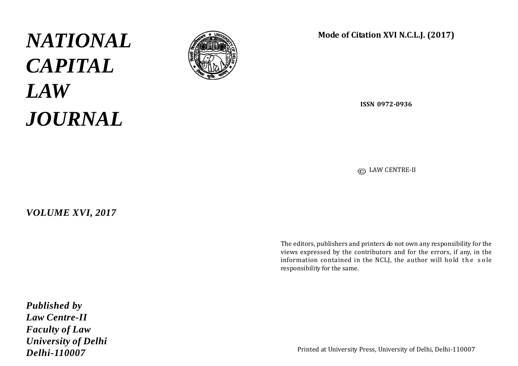# *NATIONAL CAPITAL LAW JOURNAL*



# **Mode of Citation XVI N.C.L.J. (2017)**

**ISSN 0972-0936**

LAW CENTRE-II

The editors, publishers and printers do not own any responsibility for the views expressed by the contributors and for the errors, if any, in the information contained in the NCLJ, the author will hold the sole responsibility for the same.

*Published by Law Centre-II Faculty of Law University of Delhi Delhi-110007*

*VOLUME XVI, 2017*

Printed at University Press, University of Delhi, Delhi-110007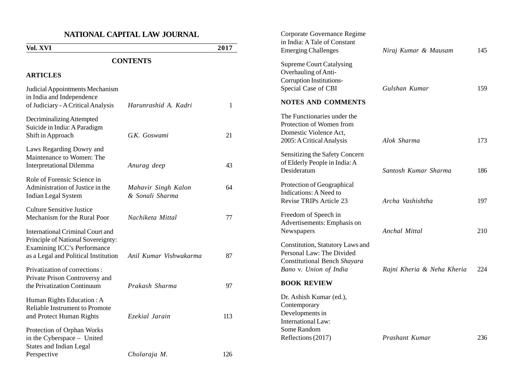| NATIONAL CAPITAL LAW JOURNAL                                                                                                                                                          |                                        |      | Corporate Governance Regime                                                                                                           |                                             |            |
|---------------------------------------------------------------------------------------------------------------------------------------------------------------------------------------|----------------------------------------|------|---------------------------------------------------------------------------------------------------------------------------------------|---------------------------------------------|------------|
| Vol. XVI                                                                                                                                                                              |                                        | 2017 | in India: A Tale of Constant<br><b>Emerging Challenges</b>                                                                            | Niraj Kumar & Mausam                        | 145        |
| <b>CONTENTS</b><br><b>ARTICLES</b>                                                                                                                                                    |                                        |      | <b>Supreme Court Catalysing</b><br>Overhauling of Anti-<br>Corruption Institutions-<br>Special Case of CBI                            | Gulshan Kumar                               | 159        |
| Judicial Appointments Mechanism<br>in India and Independence<br>of Judiciary - A Critical Analysis                                                                                    | Harunrashid A. Kadri                   |      | <b>NOTES AND COMMENTS</b>                                                                                                             |                                             |            |
| Decriminalizing Attempted<br>Suicide in India: A Paradigm<br>Shift in Approach                                                                                                        | G.K. Goswami                           | 21   | The Functionaries under the<br>Protection of Women from<br>Domestic Violence Act,<br>2005: A Critical Analysis                        | Alok Sharma                                 | 173        |
| Laws Regarding Dowry and<br>Maintenance to Women: The<br><b>Interpretational Dilemma</b>                                                                                              | Anurag deep                            | 43   | Sensitizing the Safety Concern<br>of Elderly People in India: A<br>Desideratum                                                        | Santosh Kumar Sharma                        | 186        |
| Role of Forensic Science in<br>Administration of Justice in the<br>Indian Legal System                                                                                                | Mahavir Singh Kalon<br>& Sonali Sharma | 64   | Protection of Geographical<br>Indications: A Need to<br><b>Revise TRIPs Article 23</b>                                                | Archa Vashishtha                            | 197        |
| <b>Culture Sensitive Justice</b><br>Mechanism for the Rural Poor                                                                                                                      | Nachiketa Mittal                       | 77   | Freedom of Speech in<br>Advertisements: Emphasis on                                                                                   |                                             |            |
| <b>International Criminal Court and</b><br>Principle of National Sovereignty:<br>Examining ICC's Performance<br>as a Legal and Political Institution<br>Privatization of corrections: | Anil Kumar Vishwakarma                 | 87   | Newspapers<br>Constitution, Statutory Laws and<br>Personal Law: The Divided<br>Constitutional Bench Shayara<br>Bano v. Union of India | Anchal Mittal<br>Rajni Kheria & Neha Kheria | 210<br>224 |
| Private Prison Controversy and<br>the Privatization Continuum                                                                                                                         | Prakash Sharma                         | 97   | <b>BOOK REVIEW</b>                                                                                                                    |                                             |            |
| Human Rights Education: A<br>Reliable Instrument to Promote<br>and Protect Human Rights                                                                                               | Ezekial Jarain                         | 113  | Dr. Ashish Kumar (ed.),<br>Contemporary<br>Developments in<br>International Law:                                                      |                                             |            |
| Protection of Orphan Works<br>in the Cyberspace - United<br><b>States and Indian Legal</b>                                                                                            |                                        |      | Some Random<br>Reflections (2017)                                                                                                     | Prashant Kumar                              | 236        |
| Perspective                                                                                                                                                                           | Cholaraja M.                           | 126  |                                                                                                                                       |                                             |            |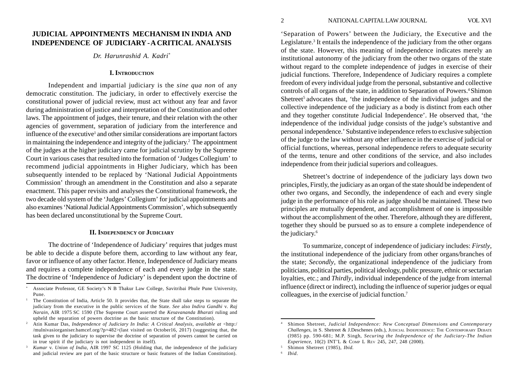# **JUDICIAL APPOINTMENTS MECHANISM IN INDIA AND INDEPENDENCE OF JUDICIARY - A CRITICAL ANALYSIS**

*Dr. Harunrashid A. Kadri\**

#### **I. INTRODUCTION**

Independent and impartial judiciary is the *sine qua non* of any democratic constitution. The judiciary, in order to effectively exercise the constitutional power of judicial review, must act without any fear and favor during administration of justice and interpretation of the Constitution and other laws. The appointment of judges, their tenure, and their relation with the other agencies of government, separation of judiciary from the interference and influence of the executive<sup>1</sup> and other similar considerations are important factors in maintaining the independence and integrity of the judiciary.2 The appointment of the judges at the higher judiciary came for judicial scrutiny by the Supreme Court in various cases that resulted into the formation of 'Judges Collegium' to recommend judicial appointments in Higher Judiciary, which has been subsequently intended to be replaced by 'National Judicial Appointments Commission' through an amendment in the Constitution and also a separate enactment. This paper revisits and analyses the Constitutional framework, the two decade old system of the 'Judges' Collegium' for judicial appointments and also examines 'National Judicial Appointments Commission', which subsequently has been declared unconstitutional by the Supreme Court.

# **II. INDEPENDENCY OF JUDICIARY**

The doctrine of 'Independence of Judiciary' requires that judges must be able to decide a dispute before them, according to law without any fear, favor or influence of any other factor. Hence, Independence of Judiciary means and requires a complete independence of each and every judge in the state. The doctrine of 'Independence of Judiciary' is dependent upon the doctrine of

'Separation of Powers' between the Judiciary, the Executive and the Legislature.<sup>3</sup> It entails the independence of the judiciary from the other organs of the state. However, this meaning of independence indicates merely an institutional autonomy of the judiciary from the other two organs of the state without regard to the complete independence of judges in exercise of their judicial functions. Therefore, Independence of Judiciary requires a complete freedom of every individual judge from the personal, substantive and collective controls of all organs of the state, in addition to Separation of Powers.<sup>4</sup> Shimon Shetreet<sup>5</sup> advocates that, 'the independence of the individual judges and the collective independence of the judiciary as a body is distinct from each other and they together constitute Judicial Independence'. He observed that, 'the independence of the individual judge consists of the judge's substantive and personal independence.' Substantive independence refers to exclusive subjection of the judge to the law without any other influence in the exercise of judicial or official functions, whereas, personal independence refers to adequate security of the terms, tenure and other conditions of the service, and also includes independence from their judicial superiors and colleagues.

Shetreet's doctrine of independence of the judiciary lays down two principles, Firstly, the judiciary as an organ of the state should be independent of other two organs, and Secondly, the independence of each and every single judge in the performance of his role as judge should be maintained. These two principles are mutually dependent, and accomplishment of one is impossible without the accomplishment of the other. Therefore, although they are different, together they should be pursued so as to ensure a complete independence of the judiciary.6

To summarize, concept of independence of judiciary includes: *Firstly*, the institutional independence of the judiciary from other organs/branches of the state; *Secondly*, the organizational independence of the judiciary from politicians, political parties, political ideology, public pressure, ethnic or sectarian loyalties, etc.; and *Thirdly*, individual independence of the judge from internal influence (direct or indirect), including the influence of superior judges or equal colleagues, in the exercise of judicial function.7

<sup>\*</sup> Associate Professor, GE Society's N B Thakur Law College, Savitribai Phule Pune University, Pune.

<sup>1</sup> The Constitution of India, Article 50. It provides that, the State shall take steps to separate the judiciary from the executive in the public services of the State. *See* also *Indira Gandhi* v. *Raj Narain*, AIR 1975 SC 1590 (The Supreme Court asserted the *Kesavananda Bharati* ruling and upheld the separation of powers doctrine as the basic structure of the Constitution).

<sup>2</sup> Atin Kumar Das, *Independence of Judiciary In India: A Critical Analysis*, *available at* <http:/ /mulnivasiorganiser.bamcef.org/?p=482>(last visited on October16, 2017) (suggesting that, the task given to the judiciary to supervise the doctrine of separation of powers cannot be carried on in true spirit if the judiciary is not independent in itself)*.*

<sup>3</sup> *Kumar* v. *Union of India*, AIR 1997 SC 1125 (Holding that, the independence of the judiciary and judicial review are part of the basic structure or basic features of the Indian Constitution).

<sup>4</sup> Shimon Shetreet, *Judicial Independence: New Conceptual Dimensions and Contemporary Challenges*, in S. Shetreet & J.Deschenes (eds.), JUDICIAL INDEPENDENCE: THE CONTEMPORARY DEBATE (l985) pp. 590-681; M.P. Singh, *Securing the Independence of the Judiciary-The Indian Experience*, 10(2) INT'L & COMP L REV 245, 247, 248 (2000).

<sup>5</sup> Shimon Shetreet (1985), *Ibid.*

<sup>6</sup> *Ibid.*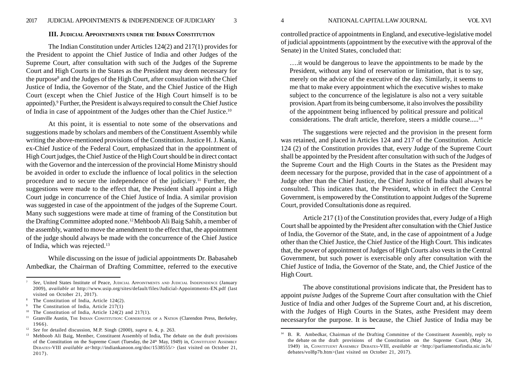#### **III. JUDICIAL APPOINTMENTS UNDER THE INDIAN CONSTITUTION**

The Indian Constitution under Articles 124(2) and 217(1) provides for the President to appoint the Chief Justice of India and other Judges of the Supreme Court, after consultation with such of the Judges of the Supreme Court and High Courts in the States as the President may deem necessary for the purpose<sup>8</sup> and the Judges of the High Court, after consultation with the Chief Justice of India, the Governor of the State, and the Chief Justice of the High Court (except when the Chief Justice of the High Court himself is to be appointed).9 Further, the President is always required to consult the Chief Justice of India in case of appointment of the Judges other than the Chief Justice.10

At this point, it is essential to note some of the observations and suggestions made by scholars and members of the Constituent Assembly while writing the above-mentioned provisions of the Constitution. Justice H. J. Kania, ex-Chief Justice of the Federal Court, emphasized that in the appointment of High Court judges, the Chief Justice of the High Court should be in direct contact with the Governor and the intercession of the provincial Home Ministry should be avoided in order to exclude the influence of local politics in the selection procedure and to secure the independence of the judiciary.11 Further, the suggestions were made to the effect that, the President shall appoint a High Court judge in concurrence of the Chief Justice of India. A similar provision was suggested in case of the appointment of the judges of the Supreme Court. Many such suggestions were made at time of framing of the Constitution but the Drafting Committee adopted none.12 Mehboob Ali Baig Sahib, a member of the assembly, wanted to move the amendment to the effect that, the appointment of the judge should always be made with the concurrence of the Chief Justice of India, which was rejected.13

While discussing on the issue of judicial appointments Dr. Babasaheb Ambedkar, the Chairman of Drafting Committee, referred to the executive controlled practice of appointments in England, and executive-legislative model of judicial appointments (appointment by the executive with the approval of the Senate) in the United States, concluded that:

….it would be dangerous to leave the appointments to be made by the President, without any kind of reservation or limitation, that is to say, merely on the advice of the executive of the day. Similarly, it seems to me that to make every appointment which the executive wishes to make subject to the concurrence of the legislature is also not a very suitable provision. Apart from its being cumbersome, it also involves the possibility of the appointment being influenced by political pressure and political considerations. The draft article, therefore, steers a middle course.....14

The suggestions were rejected and the provision in the present form was retained, and placed in Articles 124 and 217 of the Constitution. Article 124 (2) of the Constitution provides that, every Judge of the Supreme Court shall be appointed by the President after consultation with such of the Judges of the Supreme Court and the High Courts in the States as the President may deem necessary for the purpose, provided that in the case of appointment of a Judge other than the Chief Justice, the Chief Justice of India shall always be consulted. This indicates that, the President, which in effect the Central Government, is empowered by the Constitution to appoint Judges of the Supreme Court, provided Consultationis done as required.

Article 217 (1) of the Constitution provides that, every Judge of a High Court shall be appointed by the President after consultation with the Chief Justice of India, the Governor of the State, and, in the case of appointment of a Judge other than the Chief Justice, the Chief Justice of the High Court. This indicates that, the power of appointment of Judges of High Courts also vests in the Central Government, but such power is exercisable only after consultation with the Chief Justice of India, the Governor of the State, and, the Chief Justice of the High Court.

The above constitutional provisions indicate that, the President has to appoint *puisne* Judges of the Supreme Court after consultation with the Chief Justice of India and other Judges of the Supreme Court and, at his discretion, with the Judges of High Courts in the States, asthe President may deem necessaryfor the purpose. It is because, the Chief Justice of India may be

<sup>7</sup> *See*, United States Institute of Peace, JUDICIAL APPOINTMENTS AND JUDICIAL INDEPENDENCE (January 2009), *available at* http://www.usip.org/sites/default/files/Judicial-Appointments-EN.pdf (last visited on October 21, 2017).

<sup>&</sup>lt;sup>8</sup> The Constitution of India, Article 124(2).

<sup>&</sup>lt;sup>9</sup> The Constitution of India, Article 217(1)

<sup>&</sup>lt;sup>10</sup> The Constitution of India, Article  $124(2)$  and  $217(1)$ .

<sup>&</sup>lt;sup>11</sup> Granville Austin, THE INDIAN CONSTITUTION: CORNERSTONE OF A NATION (Clarendon Press, Berkeley, 1966).

<sup>12</sup> *See* for detailed discussion, M.P. Singh (2000), *supra* n. 4, p. 263.

<sup>&</sup>lt;sup>13</sup> Mehboob Ali Baig, Member, Constituent Assembly of India, The debate on the draft provisions of the Constitution on the Supreme Court (Tuesday, the 24<sup>th</sup> May, 1949) in, CONSTITUENT ASSEMBLY DEBATES-VIII *available at*<http://indiankanoon.org/doc/1538555/> (last visited on October 21, 2017).

<sup>&</sup>lt;sup>14</sup> B. R. Ambedkar, Chairman of the Drafting Committee of the Constituent Assembly, reply to the debate on the draft provisions of the Constitution on the Supreme Court, (May 24, 1949) in, CONSTITUENT ASSEMBLY DEBATES-VIII, *available at* <http://parliamentofindia.nic.in/ls/ debates/vol8p7b.htm>(last visited on October 21, 2017).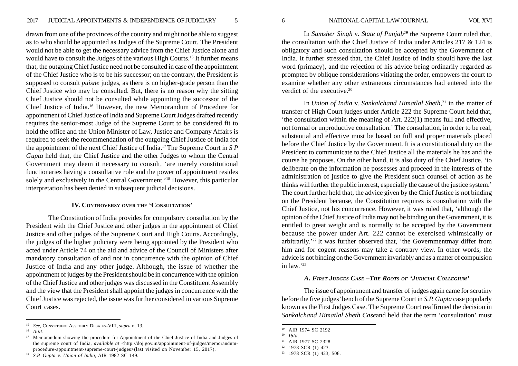drawn from one of the provinces of the country and might not be able to suggest as to who should be appointed as Judges of the Supreme Court. The President would not be able to get the necessary advice from the Chief Justice alone and would have to consult the Judges of the various High Courts.15 It further means that, the outgoing Chief Justice need not be consulted in case of the appointment of the Chief Justice who is to be his successor; on the contrary, the President is supposed to consult *puisne* judges, as there is no higher-grade person than the Chief Justice who may be consulted. But, there is no reason why the sitting Chief Justice should not be consulted while appointing the successor of the Chief Justice of India.16 However, the new Memorandum of Procedure for appointment of Chief Justice of India and Supreme Court Judges drafted recently requires the senior-most Judge of the Supreme Court to be considered fit to hold the office and the Union Minister of Law, Justice and Company Affairs is required to seek the recommendation of the outgoing Chief Justice of India for the appointment of the next Chief Justice of India.17 The Supreme Court in *S P Gupta* held that, the Chief Justice and the other Judges to whom the Central Government may deem it necessary to consult, 'are merely constitutional functionaries having a consultative role and the power of appointment resides solely and exclusively in the Central Government.'18 However, this particular interpretation has been denied in subsequent judicial decisions.

# **IV. CONTROVERSY OVER THE 'CONSULTATION'**

The Constitution of India provides for compulsory consultation by the President with the Chief Justice and other judges in the appointment of Chief Justice and other judges of the Supreme Court and High Courts. Accordingly, the judges of the higher judiciary were being appointed by the President who acted under Article 74 on the aid and advice of the Council of Ministers after mandatory consultation of and not in concurrence with the opinion of Chief Justice of India and any other judge. Although, the issue of whether the appointment of judges by the President should be in concurrence with the opinion of the Chief Justice and other judges was discussed in the Constituent Assembly and the view that the President shall appoint the judges in concurrence with the Chief Justice was rejected, the issue was further considered in various Supreme Court cases.

In *Samsher Singh v. State of Punjab<sup>19</sup>* the Supreme Court ruled that, the consultation with the Chief Justice of India under Articles 217 & 124 is obligatory and such consultation should be accepted by the Government of India. It further stressed that, the Chief Justice of India should have the last word (primacy), and the rejection of his advice being ordinarily regarded as prompted by oblique considerations vitiating the order, empowers the court to examine whether any other extraneous circumstances had entered into the verdict of the executive.20

In *Union of India* v. *Sankalchand Himatlal Sheth*,<sup>21</sup> in the matter of transfer of High Court judges under Article 222 the Supreme Court held that, 'the consultation within the meaning of Art. 222(1) means full and effective, not formal or unproductive consultation.' The consultation, in order to be real, substantial and effective must be based on full and proper materials placed before the Chief Justice by the Government. It is a constitutional duty on the President to communicate to the Chief Justice all the materials he has and the course he proposes. On the other hand, it is also duty of the Chief Justice, 'to deliberate on the information he possesses and proceed in the interests of the administration of justice to give the President such counsel of action as he thinks will further the public interest, especially the cause of the justice system.' The court further held that, the advice given by the Chief Justice is not binding on the President because, the Constitution requires is consultation with the Chief Justice, not his concurrence. However, it was ruled that, 'although the opinion of the Chief Justice of India may not be binding on the Government, it is entitled to great weight and is normally to be accepted by the Government because the power under Art. 222 cannot be exercised whimsically or arbitrarily.'22 It was further observed that, 'the Governmentmay differ from him and for cogent reasons may take a contrary view. In other words, the advice is not binding on the Government invariably and as a matter of compulsion in law $'$ <sup>23</sup>

# *A. FIRST JUDGES CASE –THE ROOTS OF 'JUDICIAL COLLEGIUM'*

The issue of appointment and transfer of judges again came for scrutiny before the five judges' bench of the Supreme Court in *S.P. Gupta* case popularly known as the First Judges Case. The Supreme Court reaffirmed the decision in *Sankalchand Himatlal Sheth Case*and held that the term 'consultation' must

<sup>15</sup> *See*, CONSTITUENT ASSEMBLY DEBATES-VIII, *supra* n. 13.

<sup>16</sup> *Ibid*.

<sup>&</sup>lt;sup>17</sup> Memorandum showing the procedure for Appointment of the Chief Justice of India and Judges of the supreme court of India, *available at* <http://doj.gov.in/appointment-of-judges/memorandumprocedure-appointment-supreme-court-judges>(last visited on November 15, 2017).

<sup>18</sup> *S.P. Gupta* v. *Union of India,* AIR 1982 SC 149.

<sup>19</sup> AIR 1974 SC 2192

<sup>20</sup> *Ibid*.

<sup>21</sup> AIR 1977 SC 2328.

<sup>22</sup> 1978 SCR (1) 423.

 $23$  1978 SCR (1) 423, 506.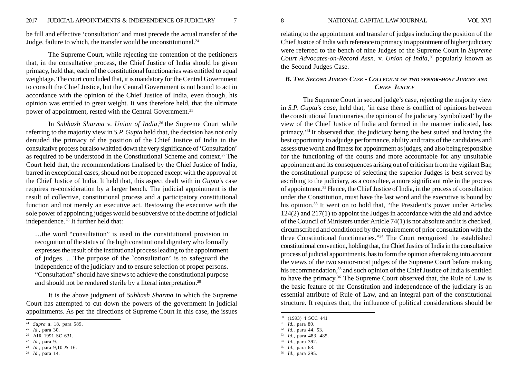be full and effective 'consultation' and must precede the actual transfer of the Judge, failure to which, the transfer would be unconstitutional.<sup>24</sup>

The Supreme Court, while rejecting the contention of the petitioners that, in the consultative process, the Chief Justice of India should be given primacy, held that, each of the constitutional functionaries was entitled to equal weightage. The court concluded that, it is mandatory for the Central Government to consult the Chief Justice, but the Central Government is not bound to act in accordance with the opinion of the Chief Justice of India, even though, his opinion was entitled to great weight. It was therefore held, that the ultimate power of appointment, rested with the Central Government.25

In *Subhash Sharma* v. *Union of India,26* the Supreme Court while referring to the majority view in *S.P. Gupta* held that, the decision has not only denuded the primacy of the position of the Chief Justice of India in the consultative process but also whittled down the very significance of 'Consultation' as required to be understood in the Constitutional Scheme and context.<sup>27</sup> The Court held that, the recommendations finalised by the Chief Justice of India, barred in exceptional cases, should not be reopened except with the approval of the Chief Justice of India. It held that, this aspect dealt with in *Gupta's* case requires re-consideration by a larger bench. The judicial appointment is the result of collective, constitutional process and a participatory constitutional function and not merely an executive act. Bestowing the executive with the sole power of appointing judges would be subversive of the doctrine of judicial independence.28 It further held that:

…the word "consultation" is used in the constitutional provision in recognition of the status of the high constitutional dignitary who formally expresses the result of the institutional process leading to the appointment of judges. …The purpose of the `consultation' is to safeguard the independence of the judiciary and to ensure selection of proper persons. "Consultation" should have sinews to achieve the constitutional purpose and should not be rendered sterile by a literal interpretation.29

It is the above judgment of *Subhash Sharma* in which the Supreme Court has attempted to cut down the powers of the government in judicial appointments. As per the directions of Supreme Court in this case, the issues relating to the appointment and transfer of judges including the position of the Chief Justice of India with reference to primacy in appointment of higher judiciary were referred to the bench of nine Judges of the Supreme Court in *Supreme Court Advocates-on-Record Assn.* v. *Union of India*,30 popularly known as the Second Judges Case.

# *B. THE SECOND JUDGES CASE - COLLEGIUM OF TWO SENIOR-MOST JUDGES AND CHIEF JUSTICE*

The Supreme Court in second judge's case, rejecting the majority view in *S.P. Gupta's case,* held that, 'in case there is conflict of opinions between the constitutional functionaries, the opinion of the judiciary 'symbolized' by the view of the Chief Justice of India and formed in the manner indicated, has primacy.'31 It observed that, the judiciary being the best suited and having the best opportunity to adjudge performance, ability and traits of the candidates and assess true worth and fitness for appointment as judges, and also being responsible for the functioning of the courts and more accountable for any unsuitable appointment and its consequences arising out of criticism from the vigilant Bar, the constitutional purpose of selecting the superior Judges is best served by ascribing to the judiciary, as a consultee, a more significant role in the process of appointment.32 Hence, the Chief Justice of India, in the process of consultation under the Constitution, must have the last word and the executive is bound by his opinion.<sup>33</sup> It went on to hold that, "the President's power under Articles 124(2) and 217(1) to appoint the Judges in accordance with the aid and advice of the Council of Ministers under Article 74(1) is not absolute and it is checked, circumscribed and conditioned by the requirement of prior consultation with the three Constitutional functionaries."34 The Court recognized the established constitutional convention, holding that, the Chief Justice of India in the consultative process of judicial appointments, has to form the opinion after taking into account the views of the two senior-most judges of the Supreme Court before making his recommendation,<sup>35</sup> and such opinion of the Chief Justice of India is entitled to have the primacy.36 The Supreme Court observed that, the Rule of Law is the basic feature of the Constitution and independence of the judiciary is an essential attribute of Rule of Law, and an integral part of the constitutional structure. It requires that, the influence of political considerations should be

<sup>24</sup> *Supra* n. 18, para 589.

<sup>25</sup> *Id.*, para 30.

<sup>26</sup> AIR 1991 SC 631.

<sup>27</sup> *Id*., para 9.

<sup>28</sup> *Id*., para 9,10 & 16.

<sup>29</sup> *Id*., para 14.

<sup>30</sup> (1993) 4 SCC 441

<sup>31</sup> *Id*., para 80.

<sup>32</sup> *Id*., para 44, 53.

<sup>33</sup> *Id*., para 483, 485.

<sup>34</sup> *Id*., para 392.

<sup>35</sup> *Id*., para 68.

<sup>36</sup> *Id*., para 295.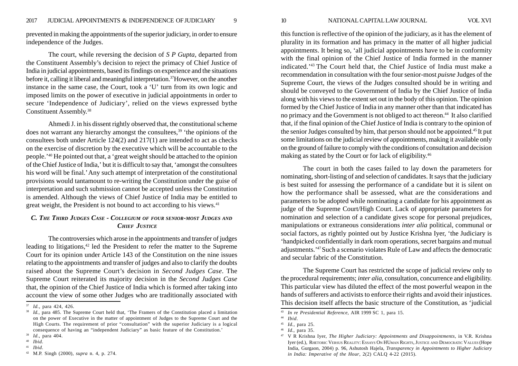prevented in making the appointments of the superior judiciary, in order to ensure independence of the Judges.

The court, while reversing the decision of *S P Gupta*, departed from the Constituent Assembly's decision to reject the primacy of Chief Justice of India in judicial appointments, based its findings on experience and the situations before it, calling it liberal and meaningful interpretation.37However, on the another instance in the same case, the Court, took a 'U' turn from its own logic and imposed limits on the power of executive in judicial appointments in order to secure 'Independence of Judiciary', relied on the views expressed bythe Constituent Assembly.38

Ahmedi J. in his dissent rightly observed that, the constitutional scheme does not warrant any hierarchy amongst the consultees,<sup>39</sup> 'the opinions of the consultees both under Article 124(2) and 217(1) are intended to act as checks on the exercise of discretion by the executive which will be accountable to the people.'40 He pointed out that, a 'great weight should be attached to the opinion of the Chief Justice of India,' but it is difficult to say that, 'amongst the consultees his word will be final.' Any such attempt of interpretation of the constitutional provisions would tantamount to re-writing the Constitution under the guise of interpretation and such submission cannot be accepted unless the Constitution is amended. Although the views of Chief Justice of India may be entitled to great weight, the President is not bound to act according to his views.<sup>41</sup>

# *C. THE THIRD JUDGES CASE - COLLEGIUM OF FOUR SENIOR-MOST JUDGES AND CHIEF JUSTICE*

The controversies which arose in the appointments and transfer of judges leading to litigations,<sup>42</sup> led the President to refer the matter to the Supreme Court for its opinion under Article 143 of the Constitution on the nine issues relating to the appointments and transfer of judges and also to clarify the doubts raised about the Supreme Court's decision in *Second Judges Case*. The Supreme Court reiterated its majority decision in the *Second Judges Case* that, the opinion of the Chief Justice of India which is formed after taking into account the view of some other Judges who are traditionally associated with

<sup>39</sup> *Id*., para 404.

this function is reflective of the opinion of the judiciary, as it has the element of plurality in its formation and has primacy in the matter of all higher judicial appointments. It being so, 'all judicial appointments have to be in conformity with the final opinion of the Chief Justice of India formed in the manner indicated.'43 The Court held that, the Chief Justice of India must make a recommendation in consultation with the four senior-most *puisne* Judges of the Supreme Court, the views of the Judges consulted should be in writing and should be conveyed to the Government of India by the Chief Justice of India along with his views to the extent set out in the body of this opinion. The opinion formed by the Chief Justice of India in any manner other than that indicated has no primacy and the Government is not obliged to act thereon.<sup>44</sup> It also clarified that, if the final opinion of the Chief Justice of India is contrary to the opinion of the senior Judges consulted by him, that person should not be appointed.<sup>45</sup> It put some limitations on the judicial review of appointments, making it available only on the ground of failure to comply with the conditions of consultation and decision making as stated by the Court or for lack of eligibility.46

The court in both the cases failed to lay down the parameters for nominating, short-listing of and selection of candidates. It says that the judiciary is best suited for assessing the performance of a candidate but it is silent on how the performance shall be assessed, what are the considerations and parameters to be adopted while nominating a candidate for his appointment as judge of the Supreme Court/High Court. Lack of appropriate parameters for nomination and selection of a candidate gives scope for personal prejudices, manipulations or extraneous considerations *inter alia* political, communal or social factors, as rightly pointed out by Justice Krishna Iyer, 'the Judiciary is 'handpicked confidentially in dark room operations, secret bargains and mutual adjustments.'47 Such a scenario violates Rule of Law and affects the democratic and secular fabric of the Constitution.

The Supreme Court has restricted the scope of judicial review only to the procedural requirements; *inter alia*, consultation, concurrence and eligibility. This particular view has diluted the effect of the most powerful weapon in the hands of sufferers and activists to enforce their rights and avoid their injustices. This decision itself affects the basic structure of the Constitution, as 'judicial  $\frac{37}{10}$ , para 424, 426.

<sup>38</sup> *Id.,* para 485. The Supreme Court held that, 'The Framers of the Constitution placed a limitation on the power of Executive in the matter of appointment of Judges to the Supreme Court and the High Courts. The requirement of prior "consultation" with the superior Judiciary is a logical consequence of having an "independent Judiciary" as basic feature of the Constitution.'

<sup>40</sup> *Ibid*.

<sup>41</sup> *Ibid*.

<sup>42</sup> M.P. Singh (2000), *supra* n. 4, p. 274.

<sup>43</sup> *In re Presidential Reference,* AIR 1999 SC 1, para 15.

<sup>44</sup> *Ibid.*

<sup>45</sup> *Id.*, para 25.

<sup>46</sup> *Id*., para 35.

<sup>47</sup> V R Krishna Iyer, *The Higher Judiciary: Appointments and Disappointments,* in V.R. Krishna Iyer (ed.), RHETORIC VERSUS REALITY: ESSAYS ON HUMAN RIGHTS, JUSTICE AND DEMOCRATIC VALUES (Hope India, Gurgaon, 2004) p. 96, Ashutosh Hajela, *Transparency in Appointments to Higher Judiciary in India: Imperative of the Hour*, 2(2) CALQ 4-22 (2015).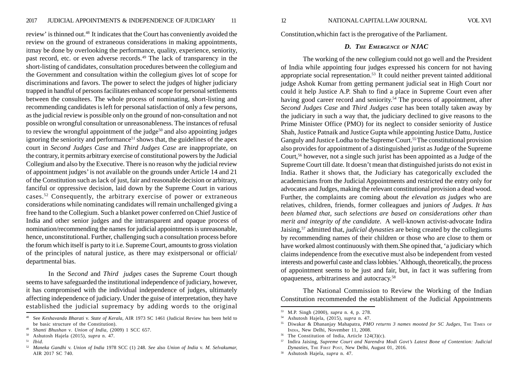review' is thinned out.48 It indicates that the Court has conveniently avoided the review on the ground of extraneous considerations in making appointments, itmay be done by overlooking the performance, quality, experience, seniority, past record, etc. or even adverse records.<sup>49</sup> The lack of transparency in the short-listing of candidates, consultation procedures between the collegium and the Government and consultation within the collegium gives lot of scope for discriminations and favors. The power to select the judges of higher judiciary trapped in handful of persons facilitates enhanced scope for personal settlements between the consultees. The whole process of nominating, short-listing and recommending candidates is left for personal satisfaction of only a few persons, as the judicial review is possible only on the ground of non-consultation and not possible on wrongful consultation or unreasonableness. The instances of refusal to review the wrongful appointment of the judge<sup>50</sup> and also appointing judges ignoring the seniority and performance<sup>51</sup> shows that, the guidelines of the apex court in *Second Judges Case* and *Third Judges Case* are inappropriate, on the contrary, it permits arbitrary exercise of constitutional powers by the Judicial Collegium and also by the Executive. There is no reason why the judicial review of appointment judges' is not available on the grounds under Article 14 and 21 of the Constitution such as lack of just, fair and reasonable decision or arbitrary, fanciful or oppressive decision, laid down by the Supreme Court in various cases.52 Consequently, the arbitrary exercise of power or extraneous considerations while nominating candidates will remain unchallenged giving a free hand to the Collegium. Such a blanket power conferred on Chief Justice of India and other senior judges and the intransparent and opaque process of nomination/recommending the names for judicial appointments is unreasonable, hence, unconstitutional. Further, challenging such a consultation process before the forum which itself is party to it i.e. Supreme Court, amounts to gross violation of the principles of natural justice, as there may existpersonal or official/ departmental bias.

In the S*econd* and *Third judges* cases the Supreme Court though seems to have safeguarded the institutional independence of judiciary, however, it has compromised with the individual independence of judges, ultimately affecting independence of judiciary. Under the guise of interpretation, they have established the judicial supremacy by adding words to the original

<sup>50</sup> Ashutosh Hajela (2015), *supra* n. 47.

#### *D. THE EMERGENCE OF NJAC*

The working of the new collegium could not go well and the President of India while appointing four judges expressed his concern for not having appropriate social representation.53 It could neither prevent tainted additional judge Ashok Kumar from getting permanent judicial seat in High Court nor could it help Justice A.P. Shah to find a place in Supreme Court even after having good career record and seniority.<sup>54</sup> The process of appointment, after *Second Judges Case* and *Third Judges case* has been totally taken away by the judiciary in such a way that, the judiciary declined to give reasons to the Prime Minister Office (PMO) for its neglect to consider seniority of Justice Shah, Justice Patnaik and Justice Gupta while appointing Justice Dattu, Justice Ganguly and Justice Lodha to the Supreme Court.<sup>55</sup> The constitutional provision also provides for appointment of a distinguished jurist as Judge of the Supreme Court,56 however, not a single such jurist has been appointed as a Judge of the Supreme Court till date. It doesn't mean that distinguished jurists do not exist in India. Rather it shows that, the Judiciary has categorically excluded the academicians from the Judicial Appointments and restricted the entry only for advocates and Judges, making the relevant constitutional provision a dead wood. Further, the complaints are coming about *the elevation as judges* who are relatives, children, friends, former colleagues and juniors *of Judges. It has been blamed that, such selections are based on considerations other than merit and integrity of the candidate*. A well-known activist-advocate Indira Jaising,57 admitted that, *judicial dynasties* are being created by the collegiums by recommending names of their children or those who are close to them or have worked almost continuously with them.She opined that, 'a judiciary which claims independence from the executive must also be independent from vested interests and powerful caste and class lobbies.' Although, theoretically, the process of appointment seems to be just and fair, but, in fact it was suffering from opaqueness, arbitrariness and autocracy.58

The National Commission to Review the Working of the Indian Constitution recommended the establishment of the Judicial Appointments

<sup>48</sup> See *Keshavanda Bharati* v. *State of Kerala*, AIR 1973 SC 1461 (Judicial Review has been held to be basic structure of the Constitution).

<sup>49</sup> *Shanti Bhushan* v*. Union of India,* (2009) 1 SCC 657.

<sup>51</sup> *Ibid*.

<sup>52</sup> *Maneka Gandhi* v. *Union of India* 1978 SCC (1) 248. *See* also *Union of India* v. *M. Selvakumar,* AIR 2017 SC 740.

<sup>53</sup> M.P. Singh (2000), *supra* n. 4, p. 278.

<sup>54</sup> Ashutosh Hajela, (2015), *supra* n. 47.

<sup>55</sup> Diwakar & Dhananjay Mahapatra, *PMO returns 3 names mooted for SC Judges*, THE TIMES OF INDIA, New Delhi, November 11, 2008.

<sup>&</sup>lt;sup>56</sup> The Constitution of India, Article  $124(3)(c)$ .

<sup>57</sup> Indira Jaising, *Supreme Court and Narendra Modi Govt's Latest Bone of Contention: Judicial Dynasties*, THE FIRST POST*,* New Delhi, August 01, 2016.

<sup>58</sup> Ashutosh Hajela, *supra* n. 47.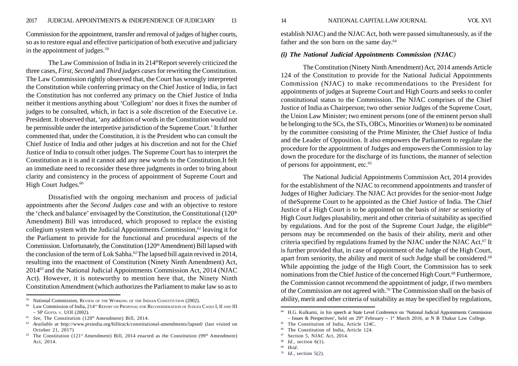Commission for the appointment, transfer and removal of judges of higher courts, so as to restore equal and effective participation of both executive and judiciary in the appointment of judges.<sup>59</sup>

The Law Commission of India in its 214<sup>th</sup>Report severely criticized the three cases, *First, Second* and *Third judges cases* for rewriting the Constitution. The Law Commission rightly observed that, the Court has wrongly interpreted the Constitution while conferring primacy on the Chief Justice of India, in fact the Constitution has not conferred any primacy on the Chief Justice of India neither it mentions anything about 'Collegium' nor does it fixes the number of judges to be consulted, which, in fact is a sole discretion of the Executive i.e. President. It observed that, 'any addition of words in the Constitution would not be permissible under the interpretive jurisdiction of the Supreme Court.' It further commented that, under the Constitution, it is the President who can consult the Chief Justice of India and other judges at his discretion and not for the Chief Justice of India to consult other judges. The Supreme Court has to interpret the Constitution as it is and it cannot add any new words to the Constitution.It felt an immediate need to reconsider these three judgments in order to bring about clarity and consistency in the process of appointment of Supreme Court and High Court Judges.<sup>60</sup>

Dissatisfied with the ongoing mechanism and process of judicial appointments after the *Second Judges case* and with an objective to restore the 'check and balance' envisaged by the Constitution, the Constitutional (120<sup>th</sup>) Amendment) Bill was introduced, which proposed to replace the existing collegium system with the Judicial Appointments Commission,<sup>61</sup> leaving it for the Parliament to provide for the functional and procedural aspects of the Commission. Unfortunately, the Constitution (120<sup>th</sup> Amendment) Bill lapsed with the conclusion of the term of Lok Sabha.<sup>62</sup> The lapsed bill again revived in 2014, resulting into the enactment of Constitution (Ninety Ninth Amendment) Act, 201463 and the National Judicial Appointments Commission Act, 2014 (NJAC Act). However, it is noteworthy to mention here that, the Ninety Ninth Constitution Amendment (which authorizes the Parliament to make law so as to

establish NJAC) and the NJAC Act, both were passed simultaneously, as if the father and the son born on the same day.<sup>64</sup>

#### *(i) The National Judicial Appointments Commission (NJAC)*

The Constitution (Ninety Ninth Amendment) Act, 2014 amends Article 124 of the Constitution to provide for the National Judicial Appointments Commission (NJAC) to make recommendations to the President for appointments of judges at Supreme Court and High Courts and seeks to confer constitutional status to the Commission. The NJAC comprises of the Chief Justice of India as Chairperson; two other senior Judges of the Supreme Court, the Union Law Minister; two eminent persons (one of the eminent person shall be belonging to the SCs, the STs, OBCs, Minorities or Women) to be nominated by the committee consisting of the Prime Minister, the Chief Justice of India and the Leader of Opposition. It also empowers the Parliament to regulate the procedure for the appointment of Judges and empowers the Commission to lay down the procedure for the discharge of its functions, the manner of selection of persons for appointment, etc.<sup>65</sup>

The National Judicial Appointments Commission Act, 2014 provides for the establishment of the NJAC to recommend appointments and transfer of Judges of Higher Judiciary. The NJAC Act provides for the senior-most Judge of theSupreme Court to be appointed as the Chief Justice of India. The Chief Justice of a High Court is to be appointed on the basis of *inter se* seniority of High Court Judges plusability, merit and other criteria of suitability as specified by regulations. And for the post of the Supreme Court Judge, the eligible<sup>66</sup> persons may be recommended on the basis of their ability, merit and other criteria specified by regulations framed by the NJAC under the NJAC Act.67 It is further provided that, in case of appointment of the Judge of the High Court, apart from seniority, the ability and merit of such Judge shall be considered.<sup>68</sup> While appointing the judge of the High Court, the Commission has to seek nominations from the Chief Justice of the concerned High Court.<sup>69</sup> Furthermore, the Commission cannot recommend the appointment of judge, if two members of the Commission are not agreed with.70 The Commission shall on the basis of <sup>59</sup> National Commission, REVIEW OF THE WORKING OF THE INDIAN CONSTITUTION (2002). and **ability, merit and other criteria of suitability as may be specified by regulations,** 

 $60$  Law Commission of India,  $214$ <sup>TH</sup> REPORT ON PROPOSAL FOR RECONSIDERATION OF JUDGES CASES I, II AND III – SP GUPTA V. UOI (2002).

<sup>&</sup>lt;sup>61</sup> *See*, The Constitution (120<sup>th</sup> Amendment) Bill, 2014.

<sup>62</sup> *Available at* http://www.prsindia.org/billtrack/constitutional-amendments/lapsed/ (last visited on October 21, 2017)

 $63$  The Constitution (121<sup>st</sup> Amendment) Bill, 2014 enacted as the Constitution (99<sup>th</sup> Amendment) Act, 2014.

<sup>64</sup> H.G. Kulkarni, in his speech at State Level Conference on 'National Judicial Appointments Commission – Issues & Perspectives', held on 29<sup>th</sup> February – 1<sup>st</sup> March 2016, at N B Thakur Law College.

<sup>65</sup> The Constitution of India, Article 124C.

<sup>66</sup> The Constitution of India, Article 124.

<sup>67</sup> Section 5, NJAC Act, 2014.

<sup>68</sup> *Id*., section 6(1).

<sup>69</sup> *Ibid*.

<sup>70</sup> *Id.,* section 5(2).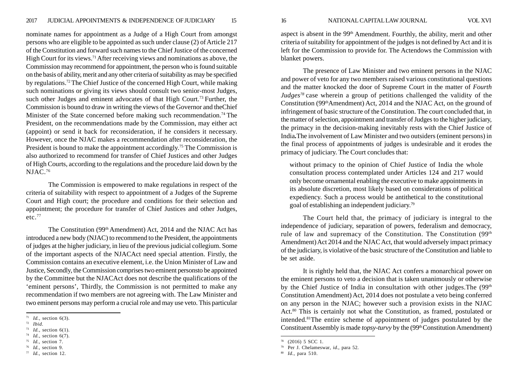nominate names for appointment as a Judge of a High Court from amongst persons who are eligible to be appointed as such under clause (2) of Article 217 of the Constitution and forward such names to the Chief Justice of the concerned High Court for its views.<sup>71</sup> After receiving views and nominations as above, the Commission may recommend for appointment, the person who is found suitable on the basis of ability, merit and any other criteria of suitability as may be specified by regulations.72 The Chief Justice of the concerned High Court, while making such nominations or giving its views should consult two senior-most Judges, such other Judges and eminent advocates of that High Court.<sup>73</sup> Further, the Commission is bound to draw in writing the views of the Governor and theChief Minister of the State concerned before making such recommendation.<sup>74</sup> The President, on the recommendations made by the Commission, may either act (appoint) or send it back for reconsideration, if he considers it necessary. However, once the NJAC makes a recommendation after reconsideration, the President is bound to make the appointment accordingly.<sup>75</sup> The Commission is also authorized to recommend for transfer of Chief Justices and other Judges of High Courts, according to the regulations and the procedure laid down by the  $NIAC.76$ 

The Commission is empowered to make regulations in respect of the criteria of suitability with respect to appointment of a Judges of the Supreme Court and High court; the procedure and conditions for their selection and appointment; the procedure for transfer of Chief Justices and other Judges, etc.<sup>77</sup>

The Constitution (99<sup>th</sup> Amendment) Act, 2014 and the NJAC Act has introduced a new body (NJAC) to recommend to the President, the appointments of judges at the higher judiciary, in lieu of the previous judicial collegium. Some of the important aspects of the NJACAct need special attention. Firstly, the Commission contains an executive element, i.e. the Union Minister of Law and Justice, Secondly, the Commission comprises two eminent personsto be appointed by the Committee but the NJACAct does not describe the qualifications of the 'eminent persons', Thirdly, the Commission is not permitted to make any recommendation if two members are not agreeing with. The Law Minister and two eminent persons may perform a crucial role and may use veto. This particular

aspect is absent in the 99th Amendment. Fourthly, the ability, merit and other criteria of suitability for appointment of the judges is not defined by Act and it is left for the Commission to provide for. The Actendows the Commission with

The presence of Law Minister and two eminent persons in the NJAC and power of veto for any two members raised various constitutional questions and the matter knocked the door of Supreme Court in the matter of *Fourth Judges78* case wherein a group of petitions challenged the validity of the Constitution (99thAmendment) Act, 2014 and the NJAC Act, on the ground of infringement of basic structure of the Constitution. The court concluded that, in the matter of selection, appointment and transfer of Judges to the higher judiciary, the primacy in the decision-making inevitably rests with the Chief Justice of India**.**The involvement of Law Minister and two outsiders (eminent persons) in the final process of appointments of judges is undesirable and it erodes the primacy of judiciary. The Court concludes that:

without primacy to the opinion of Chief Justice of India the whole consultation process contemplated under Articles 124 and 217 would only become ornamental enabling the executive to make appointments in its absolute discretion, most likely based on considerations of political expediency. Such a process would be antithetical to the constitutional goal of establishing an independent judiciary.79

The Court held that, the primacy of judiciary is integral to the independence of judiciary, separation of powers, federalism and democracy, rule of law and supremacy of the Constitution. The Constitution (99<sup>th</sup>) Amendment) Act 2014 and the NJAC Act, that would adversely impact primacy of the judiciary, is violative of the basic structure of the Constitution and liable to be set aside.

It is rightly held that, the NJAC Act confers a monarchical power on the eminent persons to veto a decision that is taken unanimously or otherwise by the Chief Justice of India in consultation with other judges. The  $(99<sup>th</sup>$ Constitution Amendment) Act, 2014 does not postulate a veto being conferred on any person in the NJAC; however such a provision exists in the NJAC Act.80 This is certainly not what the Constitution, as framed, postulated or intended.81The entire scheme of appointment of judges postulated by the Constituent Assembly is made *topsy-turvy* by the (99<sup>th</sup> Constitution Amendment)

blanket powers.

 $71$  *Id.*, section 6(3).

<sup>72</sup> *Ibid*.

<sup>73</sup> *Id.,* section 6(1).

<sup>74</sup> *Id.,* section 6(7).

<sup>75</sup> *Id.,* section 7.

<sup>76</sup> *Id.,* section 9.  $\pi$  *Id.*, section 12.

 $78$  (2016) 5 SCC 1.

<sup>79</sup> Per J. Chelameswar, *id.*, para 52.

<sup>80</sup> *Id.,* para 510.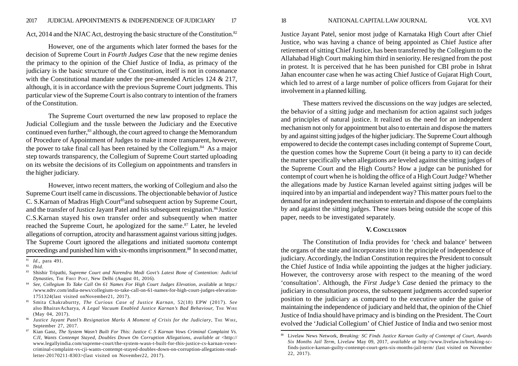#### Act, 2014 and the NJAC Act, destroying the basic structure of the Constitution.<sup>82</sup>

However, one of the arguments which later formed the bases for the decision of Supreme Court in *Fourth Judges Case* that the new regime denies the primacy to the opinion of the Chief Justice of India, as primacy of the judiciary is the basic structure of the Constitution, itself is not in consonance with the Constitutional mandate under the pre-amended Articles 124 & 217, although, it is in accordance with the previous Supreme Court judgments. This particular view of the Supreme Court is also contrary to intention of the framers of the Constitution.

The Supreme Court overturned the new law proposed to replace the Judicial Collegium and the tussle between the Judiciary and the Executive continued even further,<sup>83</sup> although, the court agreed to change the Memorandum of Procedure of Appointment of Judges to make it more transparent, however, the power to take final call has been retained by the Collegium.<sup>84</sup> As a major step towards transparency, the Collegium of Supreme Court started uploading on its website the decisions of its Collegium on appointments and transfers in the higher judiciary.

However, intwo recent matters, the working of Collegium and also the Supreme Court itself came in discussions. The objectionable behavior of Justice C. S. Karnan of Madras High Court<sup>85</sup>and subsequent action by Supreme Court, and the transfer of Justice Jayant Patel and his subsequent resignation.<sup>86</sup> Justice C.S.Karnan stayed his own transfer order and subsequently when matter reached the Supreme Court, he apologized for the same.<sup>87</sup> Later, he leveled allegations of corruption, atrocity and harassment against various sitting judges. The Supreme Court ignored the allegations and initiated *suomotu* contempt proceedings and punished him with six-months imprisonment.88 In second matter,

Justice Jayant Patel, senior most judge of Karnataka High Court after Chief Justice, who was having a chance of being appointed as Chief Justice after retirement of sitting Chief Justice, has been transferred by the Collegium to the Allahabad High Court making him third in seniority. He resigned from the post in protest. It is perceived that he has been punished for CBI probe in Ishrat Jahan encounter case when he was acting Chief Justice of Gujarat High Court, which led to arrest of a large number of police officers from Gujarat for their involvement in a planned killing.

These matters revived the discussions on the way judges are selected, the behavior of a sitting judge and mechanism for action against such judges and principles of natural justice. It realized us the need for an independent mechanism not only for appointment but also to entertain and dispose the matters by and against sitting judges of the higher judiciary. The Supreme Court although empowered to decide the contempt cases including contempt of Supreme Court, the question comes how the Supreme Court (it being a party to it) can decide the matter specifically when allegations are leveled against the sitting judges of the Supreme Court and the High Courts? How a judge can be punished for contempt of court when he is holding the office of a High Court Judge? Whether the allegations made by Justice Karnan leveled against sitting judges will be inquired into by an impartial and independent way? This matter pours fuel to the demand for an independent mechanism to entertain and dispose of the complaints by and against the sitting judges. These issues being outside the scope of this paper, needs to be investigated separately.

#### **V. CONCLUSION**

The Constitution of India provides for 'check and balance' between the organs of the state and incorporates into it the principle of independence of judiciary. Accordingly, the Indian Constitution requires the President to consult the Chief Justice of India while appointing the judges at the higher judiciary. However, the controversy arose with respect to the meaning of the word 'consultation'. Although, the *First Judge's Case* denied the primacy to the judiciary in consultation process, the subsequent judgments accorded superior position to the judiciary as compared to the executive under the guise of maintaining the independence of judiciary and held that, the opinion of the Chief Justice of India should have primacy and is binding on the President. The Court evolved the 'Judicial Collegium' of Chief Justice of India and two senior most

<sup>81</sup> *Id.,* para 491.

<sup>82</sup> *Ibid.*

<sup>83</sup> Shishir Tripathi, *Supreme Court and Narendra Modi Govt's Latest Bone of Contention: Judicial Dynasties*, THE FIRST POST, New Delhi (August 01, 2016).

<sup>84</sup> *See*, *Collegium To Take Call On 61 Names For High Court Judges Elevation*, available at https:/ /www.ndtv.com/india-news/collegium-to-take-call-on-61-names-for-high-court-judges-elevation-1751324(last visited onNovember21, 2017).

<sup>85</sup> Smita Chakraburtty, *The Curious Case of Justice Karnan*, 52(18) EPW (2017). *See* also BhairavAcharya, *A Legal Vacuum Enabled Justice Karnan's Bad Behaviour,* The WIRE (May 04, 2017).

<sup>86</sup> *Justice Jayant Patel's Resignation Marks A Moment of Crisis for the Judiciary*, THE WIRE*,* September 27, 2017.

<sup>87</sup> Kian Ganz, *The System Wasn't Built For This: Justice C S Karnan Vows Criminal Complaint Vs. CJI, Wants Contempt Stayed, Doubles Down On Corruption Allegations*, *available at* <http:// www.legallyindia.com/supreme-court/the-system-wasn-t-built-for-this-justice-cs-karnan-vowscriminal-complaint-vs-cji-wants-contempt-stayed-doubles-down-on-corruption-allegations-readletter-20170211-8303>(last visited on November22, 2017).

<sup>88</sup> Livelaw News Network, *Breaking: SC Finds Justice Karnan Guilty of Contempt of Court, Awards Six Months Jail Term*, Livelaw May 09, 2017, *available at* http://www.livelaw.in/breaking-scfinds-justice-karnan-guilty-contempt-court-gets-six-months-jail-term/ (last visited on November 22, 2017).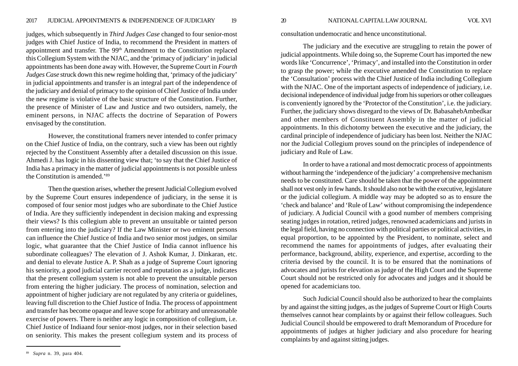judges, which subsequently in *Third Judges Case* changed to four senior-most judges with Chief Justice of India, to recommend the President in matters of appointment and transfer. The 99<sup>th</sup> Amendment to the Constitution replaced this Collegium System with the NJAC, and the 'primacy of judiciary' in judicial appointments has been done away with. However, the Supreme Court in *Fourth Judges Case* struck down this new regime holding that, 'primacy of the judiciary' in judicial appointments and transfer is an integral part of the independence of the judiciary and denial of primacy to the opinion of Chief Justice of India under the new regime is violative of the basic structure of the Constitution. Further, the presence of Minister of Law and Justice and two outsiders, namely, the eminent persons, in NJAC affects the doctrine of Separation of Powers envisaged by the constitution.

However, the constitutional framers never intended to confer primacy on the Chief Justice of India, on the contrary, such a view has been out rightly rejected by the Constituent Assembly after a detailed discussion on this issue. Ahmedi J. has logic in his dissenting view that; 'to say that the Chief Justice of India has a primacy in the matter of judicial appointments is not possible unless the Constitution is amended.'89

Then the question arises, whether the present Judicial Collegium evolved by the Supreme Court ensures independence of judiciary, in the sense it is composed of four senior most judges who are subordinate to the Chief Justice of India. Are they sufficiently independent in decision making and expressing their views? Is this collegium able to prevent an unsuitable or tainted person from entering into the judiciary? If the Law Minister or two eminent persons can influence the Chief Justice of India and two senior most judges, on similar logic, what guarantee that the Chief Justice of India cannot influence his subordinate colleagues? The elevation of J. Ashok Kumar, J. Dinkaran, etc. and denial to elevate Justice A. P. Shah as a judge of Supreme Court ignoring his seniority, a good judicial carrier record and reputation as a judge, indicates that the present collegium system is not able to prevent the unsuitable person from entering the higher judiciary. The process of nomination, selection and appointment of higher judiciary are not regulated by any criteria or guidelines, leaving full discretion to the Chief Justice of India. The process of appointment and transfer has become opaque and leave scope for arbitrary and unreasonable exercise of powers. There is neither any logic in composition of collegium, i.e. Chief Justice of Indiaand four senior-most judges, nor in their selection based on seniority. This makes the present collegium system and its process of

The judiciary and the executive are struggling to retain the power of judicial appointments. While doing so, the Supreme Court has imported the new words like 'Concurrence', 'Primacy', and installed into the Constitution in order to grasp the power; while the executive amended the Constitution to replace the 'Consultation' process with the Chief Justice of India including Collegium with the NJAC. One of the important aspects of independence of judiciary, i.e. decisional independence of individual judge from his superiors or other colleagues is conveniently ignored by the 'Protector of the Constitution', i.e. the judiciary. Further, the judiciary shows disregard to the views of Dr. BabasahebAmbedkar and other members of Constituent Assembly in the matter of judicial appointments. In this dichotomy between the executive and the judiciary, the cardinal principle of independence of judiciary has been lost. Neither the NJAC nor the Judicial Collegium proves sound on the principles of independence of judiciary and Rule of Law.

In order to have a rational and most democratic process of appointments without harming the 'independence of the judiciary' a comprehensive mechanism needs to be constituted. Care should be taken that the power of the appointment shall not vest only in few hands. It should also not be with the executive, legislature or the judicial collegium. A middle way may be adopted so as to ensure the 'check and balance' and 'Rule of Law' without compromising the independence of judiciary. A Judicial Council with a good number of members comprising seating judges in rotation, retired judges, renowned academicians and jurists in the legal field, having no connection with political parties or political activities, in equal proportion, to be appointed by the President, to nominate, select and recommend the names for appointments of judges, after evaluating their performance, background, ability, experience, and expertise, according to the criteria devised by the council. It is to be ensured that the nominations of advocates and jurists for elevation as judge of the High Court and the Supreme Court should not be restricted only for advocates and judges and it should be opened for academicians too.

Such Judicial Council should also be authorized to hear the complaints by and against the sitting judges, as the judges of Supreme Court or High Courts themselves cannot hear complaints by or against their fellow colleagues. Such Judicial Council should be empowered to draft Memorandum of Procedure for appointments of judges at higher judiciary and also procedure for hearing complaints by and against sitting judges.

consultation undemocratic and hence unconstitutional.

<sup>89</sup> *Supra* n. 39, para 404.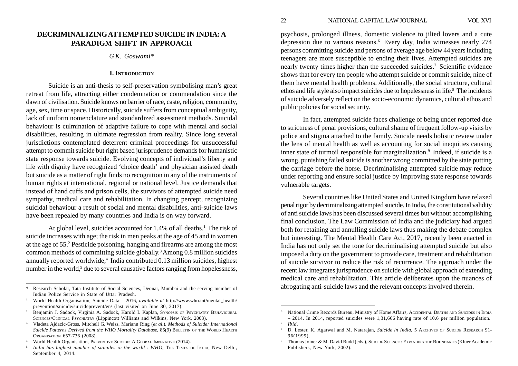# **DECRIMINALIZING ATTEMPTED SUICIDE IN INDIA: A PARADIGM SHIFT IN APPROACH**

#### *G.K. Goswami\**

#### **I. INTRODUCTION**

Suicide is an anti-thesis to self-preservation symbolising man's great retreat from life, attracting either condemnation or commendation since the dawn of civilisation. Suicide knows no barrier of race, caste, religion, community, age, sex, time or space. Historically, suicide suffers from conceptual ambiguity, lack of uniform nomenclature and standardized assessment methods. Suicidal behaviour is culmination of adaptive failure to cope with mental and social disabilities, resulting in ultimate regression from reality. Since long several jurisdictions contemplated deterrent criminal proceedings for unsuccessful attempt to commit suicide but right based jurisprudence demands for humanistic state response towards suicide. Evolving concepts of individual's liberty and life with dignity have recognized 'choice death' and physician assisted death but suicide as a matter of right finds no recognition in any of the instruments of human rights at international, regional or national level. Justice demands that instead of hand cuffs and prison cells, the survivors of attempted suicide need sympathy, medical care and rehabilitation. In changing percept, recognizing suicidal behaviour a result of social and mental disabilities, anti-suicide laws have been repealed by many countries and India is on way forward.

At global level, suicides accounted for  $1.4\%$  of all deaths.<sup>1</sup> The risk of suicide increases with age; the risk in men peaks at the age of 45 and in women at the age of 55.2 Pesticide poisoning, hanging and firearms are among the most common methods of committing suicide globally.3 Among 0.8 million suicides annually reported worldwide, $4$  India contributed 0.13 million suicides, highest number in the world,<sup>5</sup> due to several causative factors ranging from hopelessness,

psychosis, prolonged illness, domestic violence to jilted lovers and a cute depression due to various reasons.6 Every day, India witnesses nearly 274 persons committing suicide and persons of average age below 44 years including teenagers are more susceptible to ending their lives. Attempted suicides are nearly twenty times higher than the succeeded suicides.7 Scientific evidence shows that for every ten people who attempt suicide or commit suicide, nine of them have mental health problems. Additionally, the social structure, cultural ethos and life style also impact suicides due to hopelessness in life.8 The incidents of suicide adversely reflect on the socio-economic dynamics, cultural ethos and public policies for social security.

In fact, attempted suicide faces challenge of being under reported due to strictness of penal provisions, cultural shame of frequent follow-up visits by police and stigma attached to the family. Suicide needs holistic review under the lens of mental health as well as accounting for social inequities causing inner state of turmoil responsible for marginalization.<sup>9</sup> Indeed, if suicide is a wrong, punishing failed suicide is another wrong committed by the state putting the carriage before the horse. Decriminalising attempted suicide may reduce under reporting and ensure social justice by improving state response towards vulnerable targets.

Several countries like United States and United Kingdom have relaxed penal rigor by decriminalizing attempted suicide. In India, the constitutional validity of anti suicide laws has been discussed several times but without accomplishing final conclusion. The Law Commission of India and the judiciary had argued both for retaining and annulling suicide laws thus making the debate complex but interesting. The Mental Health Care Act, 2017, recently been enacted in India has not only set the tone for decriminalising attempted suicide but also imposed a duty on the government to provide care, treatment and rehabilitation of suicide survivor to reduce the risk of recurrence. The approach under the recent law integrates jurisprudence on suicide with global approach of extending medical care and rehabilitation. This article deliberates upon the nuances of abrogating anti-suicide laws and the relevant concepts involved therein. \*

Research Scholar, Tata Institute of Social Sciences, Deonar, Mumbai and the serving member of Indian Police Service in State of Uttar Pradesh.

<sup>1</sup> World Health Organisation, Suicide Data – 2016, *available at* http://www.who.int/mental\_health/ prevention/suicide/suicideprevent/en/ (last visited on June 30, 2017).

<sup>&</sup>lt;sup>2</sup> Benjamin J. Sadock, Virginia A. Sadock, Harold I. Kaplan, SYNOPSIS OF PSYCHIATRY BEHAVIOURAL SCIENCES/CLINICAL PSYCHIATRY (Lippincott Williams and Wilkins, New York, 2003).

<sup>3</sup> Vladeta Ajdacic-Gross, Mitchell G. Weiss, Mariann Ring (*et al*.), *Methods of Suicide: International Suicide Patterns Derived from the WHO Mortality Database*, 86(9) BULLETIN OF THE WORLD HEALTH ORGANISATION 657-736 (2008).

<sup>&</sup>lt;sup>4</sup> World Health Organisation, PREVENTIVE SUICIDE: A GLOBAL IMPERATIVE (2014).

India has highest number of suicides in the world : WHO, THE TIMES OF INDIA, New Delhi, September 4, 2014.

National Crime Records Bureau, Ministry of Home Affairs, ACCIDENTAL DEATHS AND SUICIDES IN INDIA  $-2014$ . In 2014, reported suicides were 1,31,666 having rate of 10.6 per million population. <sup>7</sup> *Ibid*.

<sup>8</sup> D. Lester, K. Agarwal and M. Natarajan, *Suicide in India,* 5 ARCHIVES OF SUICIDE RESEARCH 91- 96(1999).

<sup>9</sup> Thomas Joiner & M. David Rudd (eds.), SUICIDE SCIENCE : EXPANDING THE BOUNDARIES (Kluer Academic Publishers, New York, 2002).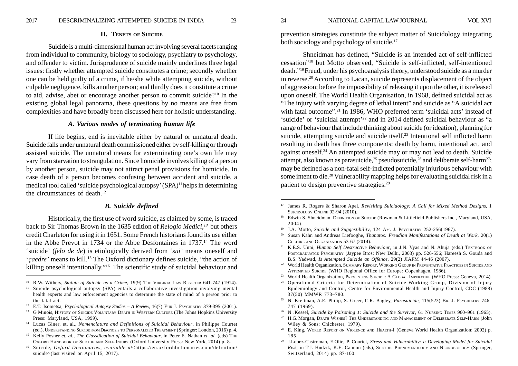#### **II. TENETS OF SUICIDE**

Suicide is a multi-dimensional human act involving several facets ranging from individual to community, biology to sociology, psychiatry to psychology, and offender to victim. Jurisprudence of suicide mainly underlines three legal issues: firstly whether attempted suicide constitutes a crime; secondly whether one can be held guilty of a crime, if he/she while attempting suicide, without culpable negligence, kills another person; and thirdly does it constitute a crime to aid, advise, abet or encourage another person to commit suicide?10 In the existing global legal panorama, these questions by no means are free from complexities and have broadly been discussed here for holistic understanding.

# *A. Various modes of terminating human life*

If life begins, end is inevitable either by natural or unnatural death. Suicide falls under unnatural death commissioned either by self-killing or through assisted suicide. The unnatural means for exterminating one's own life may vary from starvation to strangulation. Since homicide involves killing of a person by another person, suicide may not attract penal provisions for homicide. In case death of a person becomes confusing between accident and suicide, a medical tool called 'suicide psychological autopsy' (SPA)11 helps in determining the circumstances of death.12

# *B. Suicide defined*

Historically, the first use of word suicide, as claimed by some, is traced back to Sir Thomas Brown in the 1635 edition of *Relogio Medici,13* but others credit Charleton for using it in 1651. Some French historians found its use either in the Abbe Prevot in 1734 or the Abbe Desfontaines in 1737.14 The word 'suicide' (*felo de de*) is etiologically derived from '*sui'* means oneself and '*çaedre'* means to kill.15 The Oxford dictionary defines suicide, "the action of killing oneself intentionally."16 The scientific study of suicidal behaviour and

prevention strategies constitute the subject matter of Suicidology integrating both sociology and psychology of suicide.<sup>17</sup>

Shneidman has defined, "Suicide is an intended act of self-inflicted cessation"18 but Motto observed, "Suicide is self-inflicted, self-intentioned death."19 Freud, under his psychoanalysis theory, understood suicide as a murder in reverse.20 According to Lacan, suicide represents displacement of the object of aggression; before the impossibility of releasing it upon the other, it is released upon oneself. The World Health Organisation, in 1968, defined suicidal act as "The injury with varying degree of lethal intent" and suicide as "A suicidal act with fatal outcome".<sup>21</sup> In 1986, WHO preferred term 'suicidal acts' instead of 'suicide' or 'suicidal attempt'22 and in 2014 defined suicidal behaviour as "a range of behaviour that include thinking about suicide (or ideation), planning for suicide, attempting suicide and suicide itself.<sup>23</sup> Intentional self inflicted harm resulting in death has three components: death by harm, intentional act, and against oneself.24 An attempted suicide may or may not lead to death. Suicide attempt, also known as parasuicide,<sup>25</sup> pseudosuicide,<sup>26</sup> and deliberate self-harm<sup>27</sup>; may be defined as a non-fatal self-indicted potentially injurious behaviour with some intent to die.28 Vulnerability mapping helps for evaluating suicidal risk in a patient to design preventive strategies.29

<sup>&</sup>lt;sup>10</sup> R.W. Withers, *Statute of Suicide as a Crime*, 19(9) The VIRGINIA LAW REGISTER 641-747 (1914).

Suicide psychological autopsy (SPA) entails a collaborative investigation involving mental health experts and law enforcement agencies to determine the state of mind of a person prior to the fatal act.

<sup>12</sup> E.T. Isometsa, *Psychological Autopsy Studies – A Review*, 16(7) EUR.J. PSYCHIATRY 379-395 (2001).

<sup>&</sup>lt;sup>13</sup> G Minois, HISTORY OF SUICIDE VOLUNTARY DEATH IN WESTERN CULTURE (The Johns Hopkins University Press: Maryland, USA, 1999).

<sup>14</sup> Lucas Giner, et. al., *Nomenclature and Definitions of Suicidal Behaviour*, in Philippe Courtet (ed.), UNDERSTANDING SUICIDE FROM DIAGNOSIS TO PERSONALIZED TREATMENT (Springer: London, 2016) p. 4.

<sup>&</sup>lt;sup>15</sup> Kelly Posner *et. al., The Classification of Suicidal Behaviour*, in Peter E. Nathan *et. al.* (eds) THE OXFORD HANDBOOK OF SUICIDE AND SELF-INJURY (Oxford University Press: New York, 2014) p. 8.

<sup>16</sup> Suicide, *Oxford Dictionaries*, *available at*<https://en.oxforddictionaries.com/definition/ suicide>(last visited on April 15, 2017).

<sup>17</sup> James R. Rogers & Sharon Apel, *Revisiting Suicidology: A Call for Mixed Method Designs*, 1 SUICIDOLOGY ONLINE 92-94 (2010).

<sup>&</sup>lt;sup>18</sup> Edwin S. Shneidman, DEFINITION OF SUICIDE (Rowman & Littlefield Publishers Inc., Maryland, USA, 2004).

<sup>&</sup>lt;sup>19</sup> J.A. Motto, *Suicide and Suggestibility*, 124 Am. J. PSYCHIATRY 252-256(1967).

<sup>20</sup> Susan Kahn and Andreas Liefooghe, *Thanatos: Freudian Manifestations of Death at Work*, 20(1) CULTURE AND ORGANIZATION 53-67 (2014).

<sup>&</sup>lt;sup>21</sup> K.E.S. Unni, *Human Self Destructive Behaviour*, in J.N. Vyas and N. Ahuja (eds.) TEXTBOOK OF POSTGRADUATGE PSYCHIATRY (Jaypee Bros: New Delhi, 2003) pp. 526-556; Hareesh S. Gouda and B.S. Yadwad, *Is Attempted Suicide an Offence*, 29(2) JIAFM 44-46 (2007).

<sup>&</sup>lt;sup>22</sup> World Health Organization, SUMMARY REPORT, WORKING GROUP IN PREVENTATIVE PRACTICES IN SUICIDE AND ATTEMPTED SUICIDE (WHO Regional Office for Europe: Copenhagen, 1986).

<sup>&</sup>lt;sup>23</sup> World Health Organization, PREVENTING SUICIDE: A GLOBAL IMPERATIVE (WHO Press: Geneva, 2014).

<sup>&</sup>lt;sup>24</sup> Operational Criteria for Determination of Suicide Working Group, Division of Injury Epidemiology and Control, Centre for Environmental Health and Injury Control, CDC (1988) 37(50) MMWR 773–780.

<sup>&</sup>lt;sup>25</sup> N. Kreitman, A.E. Philip, S. Greer, C.R. Bagley, *Parasuicide*, 115(523) Br. J. PSYCHIATRY 746– 747 (1969).

<sup>&</sup>lt;sup>26</sup> N .Kessel, *Suicide by Poisoning 1: Suicide and the Survivor*, 61 NURSING TIMES 960–961 (1965).

<sup>&</sup>lt;sup>27</sup> H.G. Morgan, DEATH WISHES? THE UNDERSTANDING AND MANAGEMENT OF DELIBERATE SELF-HARM (John Wiley & Sons: Chichester, 1979).

<sup>&</sup>lt;sup>28</sup> E. King, WORLD REPORT ON VIOLENCE AND HEALTH-I (Geneva World Health Organization: 2002) p. 185.

<sup>29</sup> J.Lopez-Castroman, E.Olie, P. Courtet, *Stress and Vulnerability: a Developing Model for Suicidal Risk*, in T.J. Hudzik, K.E. Cannon (eds), SUICIDE: PHENOMENOLOGY AND NEUROBIOLOGY (Springer, Switzerland, 2014) pp. 87-100.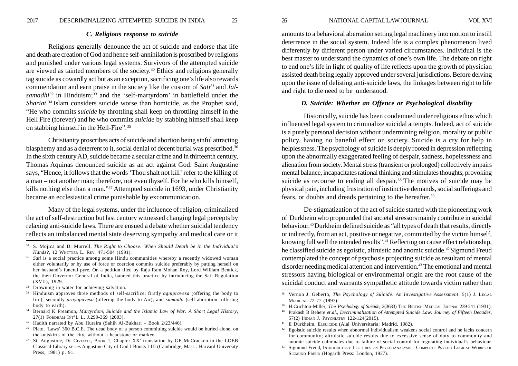#### *C. Religious response to suicide*

Religions generally denounce the act of suicide and endorse that life and death are creation of God and hence self-annihilation is proscribed by religions and punished under various legal systems. Survivors of the attempted suicide are viewed as tainted members of the society.30 Ethics and religions generally tag suicide as cowardly act but as an exception, sacrificing one's life also rewards commendation and earn praise in the society like the custom of *Sati31* and *Jal*samadhi<sup>32</sup> in Hinduism;<sup>33</sup> and the 'self-martyrdom' in battlefield under the *Shariat.*<sup>34</sup> Islam considers suicide worse than homicide, as the Prophet said, "He who commits *suicide* by throttling shall keep on throttling himself in the Hell Fire (forever) and he who commits *suicide* by stabbing himself shall keep on stabbing himself in the Hell-Fire".35

Christianity proscribes acts of suicide and abortion being sinful attracting blasphemy and as a deterrent to it, social denial of decent burial was prescribed.<sup>36</sup> In the sixth century AD, suicide became a secular crime and in thirteenth century, Thomas Aquinas denounced suicide as an act against God. Saint Augustine says, "Hence, it follows that the words 'Thou shalt not kill' refer to the killing of a man – not another man; therefore, not even thyself. For he who kills himself, kills nothing else than a man."37 Attempted suicide in 1693, under Christianity became an ecclesiastical crime punishable by excommunication.

Many of the legal systems, under the influence of religion, criminalized the act of self-destruction but last century witnessed changing legal percepts by relaxing anti-suicide laws. There are ensued a debate whether suicidal tendency reflects an imbalanced mental state deserving sympathy and medical care or it

- <sup>34</sup> Bernard K Freamon, *Martyrdom, Suicide and the Islamic Law of War: A Short Legal History*, 27(1) FORDHAM INT'L L. J.299-369 (2003).
- <sup>35</sup> Hadith narrated by Abu Huraira (Sahih Al-Bukhari Book 2/23/446).
- <sup>36</sup> Plato, 'Laws' 360 B.C.E. The dead body of a person committing suicide would be buried alone, on the outskirts of the city, without a headstone or marker.
- <sup>37</sup> St. Augustine, DE CIVITATE, BOOK 1, Chapter XX' translation by GE McCracken in the LOEB Classical Library series Augustine City of God I Books I-III (Cambridge, Mass : Harvard University Press, 1981) p. 91.

amounts to a behavioral aberration setting legal machinery into motion to instill deterrence in the social system. Indeed life is a complex phenomenon lived differently by different person under varied circumstances. Individual is the best master to understand the dynamics of one's own life. The debate on right to end one's life in light of quality of life reflects upon the growth of physician assisted death being legally approved under several jurisdictions. Before delving upon the issue of delisting anti-suicide laws, the linkages between right to life and right to die need to be understood.

# *D. Suicide: Whether an Offence or Psychological disability*

Historically, suicide has been condemned under religious ethos which influenced legal system to criminalize suicidal attempts. Indeed, act of suicide is a purely personal decision without undermining religion, morality or public policy, having no baneful effect on society. Suicide is a cry for help in helplessness. The psychology of suicide is deeply rooted in depression reflecting upon the abnormally exaggerated feeling of despair, sadness, hopelessness and alienation from society. Mental stress (transient or prolonged) collectively impairs mental balance, incapacitates rational thinking and stimulates thoughts, provoking suicide as recourse to ending all despair.<sup>38</sup> The motives of suicide may be physical pain, including frustration of instinctive demands, social sufferings and fears, or doubts and dreads pertaining to the hereafter.<sup>39</sup>

De-stigmatization of the act of suicide started with the pioneering work of Durkheim who propounded that societal stressors mainly contribute in suicidal behaviour.40 Durkheim defined suicide as "all types of death that results, directly or indirectly, from an act, positive or negative, committed by the victim himself, knowing full well the intended results".<sup>41</sup> Reflecting on cause effect relationship, he classified suicide as egoistic, altruistic and anomic suicide.42 Sigmund Freud contemplated the concept of psychosis projecting suicide as resultant of mental disorder needing medical attention and intervention.43 The emotional and mental stressors having biological or environmental origin are the root cause of the suicidal conduct and warrants sympathetic attitude towards victim rather than

<sup>41</sup> E Durkheim, ELSUICIDE (Alal Universitaria: Madrid, 1982).

<sup>30</sup> S. Mojica and D. Murrell, *The Right to Choose: When Should Death be in the Individual's Hands?,* 12 WHITTIER L. REV. 471-504 (1991).

<sup>&</sup>lt;sup>31</sup> *Sati* is a social practice among some Hindu communities whereby a recently widowed woman either voluntarily or by use of force or coercion commits suicide preferably by putting herself on her husband's funeral pyre. On a petition filed by Raja Ram Mohan Roy, Lord William Bentick, the then Governor General of India, banned this practice by introducing the Sati Regulation (XVII), 1929.

<sup>&</sup>lt;sup>32</sup> Drowning in water for achieving salvation.

<sup>33</sup> Hinduism approves three methods of self-sacrifice; firstly *agnipravesa* (offering the body to fire); secondly *prayopavesa* (offering the body to Air); and *samadhi* (self-aborption- offering body to earth).

<sup>38</sup> Vernon J. Geberth, *The Psychology of Suicide: An Investigative Assessment*, 5(1) J. LEGAL MEDICINE 72-77 (1997).

<sup>&</sup>lt;sup>39</sup> H.Crichton-Miller, *The Psychology of Suicide*, 2(3683) THE BRITISH MEDICAL JOURNAL 239-241 (1931).

<sup>40</sup> Prakash B Behere *et*.*al*., *Decriminalisation of Attempted Suicide Law: Journey of Fifteen Decades*, 57(2) INDIAN J. PSYCHIATRY 122-124(2015).

<sup>&</sup>lt;sup>42</sup> Egoistic suicide results when abnormal individualism weakens social control and he lacks concern for community; altruistic suicide results due to excessive sense of duty to community and anomic suicide culminates due to failure of social control for regulating individual's behaviour.

Sigmund Freud, INTRODUCTORY LECTURES ON PSYCHOANALYSIS - COMPLETE PSYCHO-LOGICAL WORKS OF SIGMUND FREUD (Hogarth Press: London, 1927).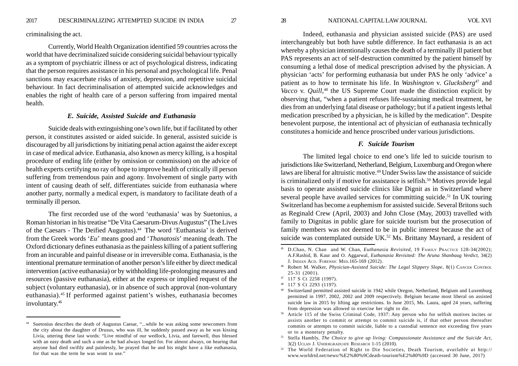criminalising the act.

Currently, World Health Organization identified 59 countries across the world that have decriminalized suicide considering suicidal behaviour typically as a symptom of psychiatric illness or act of psychological distress, indicating that the person requires assistance in his personal and psychological life. Penal sanctions may exacerbate risks of anxiety, depression, and repetitive suicidal behaviour. In fact decriminalisation of attempted suicide acknowledges and enables the right of health care of a person suffering from impaired mental health.

### *E. Suicide, Assisted Suicide and Euthanasia*

Suicide deals with extinguishing one's own life, but if facilitated by other person, it constitutes assisted or aided suicide. In general, assisted suicide is discouraged by all jurisdictions by initiating penal action against the aider except in case of medical advice. Euthanasia, also known as mercy killing, is a hospital procedure of ending life (either by omission or commission) on the advice of health experts certifying no ray of hope to improve health of critically ill person suffering from tremendous pain and agony. Involvement of single party with intent of causing death of self, differentiates suicide from euthanasia where another party, normally a medical expert, is mandatory to facilitate death of a terminally ill person.

The first recorded use of the word 'euthanasia' was by Suetonius, a Roman historian in his treatise "De Vita Caesarum-Divus Augustus" (The Lives of the Caesars - The Deified Augustus).<sup>44</sup> The word 'Euthanasia' is derived from the Greek words '*Eu*' means good and '*Thanatosis*' meaning death. The Oxford dictionary defines euthanasia as the painless killing of a patient suffering from an incurable and painful disease or in irreversible coma. Euthanasia, is the intentional premature termination of another person's life either by direct medical intervention (active euthanasia) or by withholding life-prolonging measures and resources (passive euthanasia), either at the express or implied request of the subject (voluntary euthanasia), or in absence of such approval (non-voluntary euthanasia).45 If performed against patient's wishes, euthanasia becomes involuntary.46

Indeed, euthanasia and physician assisted suicide (PAS) are used interchangeably but both have subtle difference. In fact euthanasia is an act whereby a physician intentionally causes the death of a terminally ill patient but PAS represents an act of self-destruction committed by the patient himself by consuming a lethal dose of medical prescription advised by the physician. A physician 'acts' for performing euthanasia but under PAS he only 'advice' a patient as to how to terminate his life. In *Washington* v. *Glucksberg*47 and *Vacco v. Quill*,<sup>48</sup> the US Supreme Court made the distinction explicit by observing that, "when a patient refuses life-sustaining medical treatment, he dies from an underlying fatal disease or pathology; but if a patient ingests lethal medication prescribed by a physician, he is killed by the medication". Despite benevolent purpose, the intentional act of physician of euthanasia technically constitutes a homicide and hence proscribed under various jurisdictions.

# *F. Suicide Tourism*

The limited legal choice to end one's life led to suicide tourism to jurisdictions like Switzerland, Netherland, Belgium, Luxemburg and Oregon where laws are liberal for altruistic motive.49 Under Swiss law the assistance of suicide is criminalized only if motive for assistance is selfish.<sup>50</sup> Motives provide legal basis to operate assisted suicide clinics like Dignit as in Switzerland where several people have availed services for committing suicide.<sup>51</sup> In UK touring Switzerland has become a euphemism for assisted suicide. Several Britons such as Reginald Crew (April, 2003) and John Close (May, 2003) travelled with family to Dignitas in public glare for suicide tourism but the prosecution of family members was not deemed to be in public interest because the act of suicide was contemplated outside UK.<sup>52</sup> Ms. Brittany Maynard, a resident of

Suetonius describes the death of Augustus Caesar, "...while he was asking some newcomers from the city about the daughter of Drusus, who was ill, he suddenly passed away as he was kissing Livia, uttering these last words: "Live mindful of our wedlock, Livia, and farewell, thus blessed with an easy death and such a one as he had always longed for. For almost always, on hearing that anyone had died swiftly and painlessly, he prayed that he and his might have a like euthanasia, for that was the term he was wont to use."

<sup>45</sup> D.Chao, N. Chan and W. Chan, *Euthanasia Revisited*, 19 FAMILY PRACTICE 128-34(2002); A.F.Rashid, B. Kaur and O. Aggarwal, *Euthanasia Revisited: The Aruna Shanbaug Verdict*, 34(2) J. INDIAN ACD. FORENSIC MED.165-169 (2012).

<sup>46</sup> Robert M. Walker, *Physician-Assisted Suicide: The Legal Slippery Slope*, 8(1) CANCER CONTROL 25-31 (2001).

<sup>47</sup> 117 S Ct 2258 (1997).

<sup>48</sup> 117 S Ct 2293 (1197).

<sup>49</sup> Switzerland permitted assisted suicide in 1942 while Oregon, Netherland, Belgium and Luxemburg permitted in 1997, 2002, 2002 and 2009 respectively. Belgium became most liberal on assisted suicide law in 2015 by lifting age restrictions. In June 2015, Ms. Laura, aged 24 years, suffering from depression was allowed to exercise her right to die.

Article 115 of the Swiss Criminal Code, 1937: Any person who for selfish motives incites or assists another to commit or attempt to commit suicide is, if that other person thereafter commits or attempts to commit suicide, liable to a custodial sentence not exceeding five years or to a monetary penalty.

<sup>51</sup> Stella Hambly, *The Choice to give up living: Compassionate Assistance and the Suicide Act*, 3(2) UCLAN J. UNDERGRADUATE RESEARCH 1-15 (2010).

<sup>52</sup> The World Federation of Right to Die Societies*,* Death Tourism, *available at* http:// www.worldrtd.net/news/%E2%80%9Cdeath-tourism%E2%80%9D (accessed 30 June, 2017)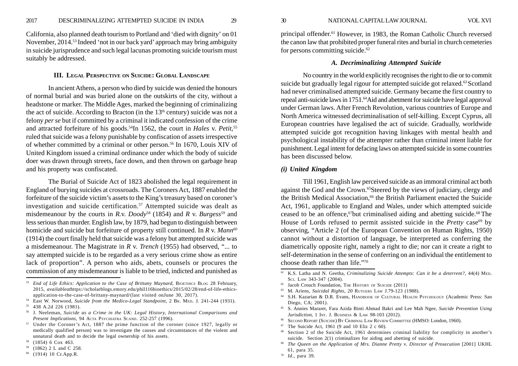California, also planned death tourism to Portland and 'died with dignity' on 01 November, 2014.53 Indeed 'not in our back yard' approach may bring ambiguity in suicide jurisprudence and such legal lacunas promoting suicide tourism must suitably be addressed.

#### **III. LEGAL PERSPECTIVE ON SUICIDE: GLOBAL LANDSCAPE**

In ancient Athens, a person who died by suicide was denied the honours of normal burial and was buried alone on the outskirts of the city, without a headstone or marker. The Middle Ages, marked the beginning of criminalizing the act of suicide. According to Bracton (in the  $13<sup>th</sup>$  century) suicide was not a felony *per se* but if committed by a criminal it indicated confession of the crime and attracted forfeiture of his goods.<sup>54</sup>In 1562, the court in *Hales v. Petit*,<sup>55</sup> ruled that suicide was a felony punishable by confiscation of assets irrespective of whether committed by a criminal or other person.56 In 1670, Louis XIV of United Kingdom issued a criminal ordinance under which the body of suicide doer was drawn through streets, face down, and then thrown on garbage heap and his property was confiscated.

The Burial of Suicide Act of 1823 abolished the legal requirement in England of burying suicides at crossroads. The Coroners Act, 1887 enabled the forfeiture of the suicide victim's assets to the King's treasury based on coroner's investigation and suicide certification.<sup>57</sup> Attempted suicide was dealt as misdemeanour by the courts in *R.v. Doody*<sup>58</sup> (1854) and *R v. Burgess*<sup>59</sup> and less serious than murder. English law, by 1879, had begun to distinguish between homicide and suicide but forfeiture of property still continued. In *R* v. *Mann<sup>60</sup>* (1914) the court finally held that suicide was a felony but attempted suicide was a misdemeanour. The Magistrate in *R* v. *Trench* (1955) had observed, "... to say attempted suicide is to be regarded as a very serious crime show as entire lack of proportion". A person who aids, abets, counsels or procures the commission of any misdemeanour is liable to be tried, indicted and punished as

principal offender.61 However, in 1983, the Roman Catholic Church reversed the canon law that prohibited proper funeral rites and burial in church cemeteries for persons committing suicide.<sup>62</sup>

# *A. Decriminalizing Attempted Suicide*

No country in the world explicitly recognises the right to die or to commit suicide but gradually legal rigour for attempted suicide got relaxed.<sup>63</sup> Scotland had never criminalised attempted suicide. Germany became the first country to repeal anti-suicide laws in 1751.<sup>64</sup>Aid and abetment for suicide have legal approval under German laws. After French Revolution, various countries of Europe and North America witnessed decriminalisation of self-killing. Except Cyprus, all European countries have legalised the act of suicide. Gradually, worldwide attempted suicide got recognition having linkages with mental health and psychological instability of the attempter rather than criminal intent liable for punishment. Legal intent for defacing laws on attempted suicide in some countries has been discussed below.

# *(i) United Kingdom*

Till 1961, English law perceived suicide as an immoral criminal act both against the God and the Crown.<sup>65</sup>Steered by the views of judiciary, clergy and the British Medical Association,<sup>66</sup> the British Parliament enacted the Suicide Act, 1961, applicable to England and Wales, under which attempted suicide ceased to be an offence,<sup>67</sup>but criminalised aiding and abetting suicide.<sup>68</sup> The House of Lords refused to permit assisted suicide in the *Pretty* case<sup>69</sup> by observing, "Article 2 (of the European Convention on Human Rights, 1950) cannot without a distortion of language, be interpreted as conferring the diametrically opposite right, namely a right to die; nor can it create a right to self-determination in the sense of conferring on an individual the entitlement to choose death rather than life."70

 $67$  The Suicide Act, 1961 (9 and 10 Eliz 2 c 60).

<sup>&</sup>lt;sup>53</sup> End of Life Ethics: Application to the Case of Brittany Maynard, BIOETHICS BLOG 28 February, 2015, *availableat*https://scholarblogs.emory.edu/phil116bioethics/2015/02/28/end-of-life-ethicsapplication-to-the-case-of-brittany-maynard/(last visited onJune 30, 2017).

<sup>54</sup> East W. Norwood, *Suicide from the Medico-Legal Standpoint*, 2 BR. MED. J*.* 241-244 (1931).

<sup>55</sup> 438 A.2d 226 (1981).

<sup>56</sup> J. Neeleman, *Suicide as a Crime in the UK: Legal History, International Comparisons and Present Implications*, 94 ACTA PSYCHIATRA SCAND. 252-257 (1996).

<sup>57</sup> Under the Coroner's Act, 1887 the prime function of the coroner (since 1927, legally or medically qualified person) was to investigate the causes and circumstances of the violent and unnatural death and to decide the legal ownership of his assets.

<sup>58</sup> (1854) 6 Cox 463.

<sup>59</sup> (1862) 2 L and C 258.

<sup>60</sup> (1914) 10 Cr.App.R.

<sup>61</sup> K.S. Latha and N. Geetha, *Criminalizing Suicide Attempts: Can it be a deterrent?*, 44(4) MED. SCI. LAW 343-347 (2004).

 $62$  Jacob Crouch Foundation, THE HISTORY OF SUICIDE (2011)

<sup>63</sup> M. Ariens, *Suicidal Rights*, 20 RUTGERS LAW J.79-123 (1988).

<sup>64</sup> S.H. Kazarian & D.R. Evans, HANDBOOK OF CULTURAL HEALTH PSYCHOLOGY (Academic Press: San Diego, CA; 2001).

<sup>65</sup> S. Annies Mararet, Fara Azida Binti Ahmad Bakri and Lee Mah Ngee, *Suicide Prevention Using Jurisdiction*, 1 INT. J. BUSINESS & LAW 98-103 (2012).

<sup>66</sup> SECOND REPORT (SUICIDE) BY CRIMINAL LAW REVIEW COMMITTEE (HMSO: London, 1960).

<sup>68</sup> Section 2 of the Suicide Act, 1961 determines criminal liability for complicity in another's suicide. Section 2(1) criminalizes for aiding and abetting of suicide.

<sup>69</sup> *The Queen on the Application of Mrs. Dianne Pretty* v. *Director of Prosecution* [2001] UKHL 61, para 35.

<sup>70</sup> *Id.,* para 39.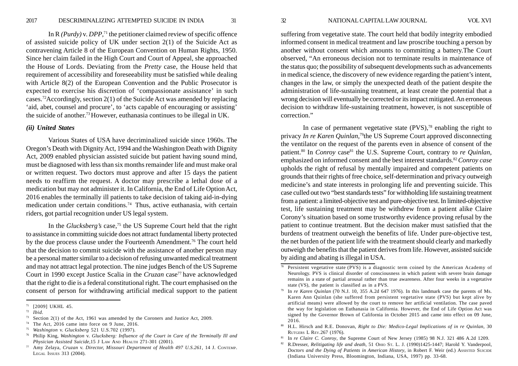In R *(Purdy)* v. *DPP*,71 the petitioner claimed review of specific offence of assisted suicide policy of UK under section 2(1) of the Suicide Act as contravening Article 8 of the European Convention on Human Rights, 1950. Since her claim failed in the High Court and Court of Appeal, she approached the House of Lords. Deviating from the *Pretty* case, the House held that requirement of accessibility and foreseeability must be satisfied while dealing with Article 8(2) of the European Convention and the Public Prosecutor is expected to exercise his discretion of 'compassionate assistance' in such cases.72Accordingly, section 2(1) of the Suicide Act was amended by replacing 'aid, abet, counsel and procure', to 'acts capable of encouraging or assisting' the suicide of another.73 However, euthanasia continues to be illegal in UK.

#### *(ii) United States*

Various States of USA have decriminalized suicide since 1960s. The Oregon's Death with Dignity Act, 1994 and the Washington Death with Dignity Act, 2009 enabled physician assisted suicide but patient having sound mind, must be diagnosed with less than six months remainder life and must make oral or written request. Two doctors must approve and after 15 days the patient needs to reaffirm the request. A doctor may prescribe a lethal dose of a medication but may not administer it. In California, the End of Life Option Act, 2016 enables the terminally ill patients to take decision of taking aid-in-dying medication under certain conditions.<sup>74</sup> Thus, active euthanasia, with certain riders, got partial recognition under US legal system.

In the *Glucksberg's* case,75 the US Supreme Court held that the right to assistance in committing suicide does not attract fundamental liberty protected by the due process clause under the Fourteenth Amendment.<sup>76</sup> The court held that the decision to commit suicide with the assistance of another person may be a personal matter similar to a decision of refusing unwanted medical treatment and may not attract legal protection. The nine judges Bench of the US Supreme Court in 1990 except Justice Scalia in the *Cruzan* case<sup>77</sup> have acknowledged that the right to die is a federal constitutional right. The court emphasised on the consent of person for withdrawing artificial medical support to the patient

suffering from vegetative state. The court held that bodily integrity embodied informed consent in medical treatment and law proscribe touching a person by another without consent which amounts to committing a battery.The Court observed, "An erroneous decision not to terminate results in maintenance of the status quo; the possibility of subsequent developments such as advancements in medical science, the discovery of new evidence regarding the patient's intent, changes in the law, or simply the unexpected death of the patient despite the administration of life-sustaining treatment, at least create the potential that a wrong decision will eventually be corrected or its impact mitigated. An erroneous decision to withdraw life-sustaining treatment, however, is not susceptible of correction."

In case of permanent vegetative state  $(PVS)$ ,<sup>78</sup> enabling the right to privacy *In re Karen Quinlan*,79the US Supreme Court approved disconnecting the ventilator on the request of the parents even in absence of consent of the patient.<sup>80</sup> In *Conroy* case<sup>81</sup> the U.S. Supreme Court, contrary to *re Quinlan*, emphasized on informed consent and the best interest standards.82 *Conroy case* upholds the right of refusal by mentally impaired and competent patients on grounds that their rights of free choice, self-determination and privacy outweigh medicine's and state interests in prolonging life and preventing suicide. This case culled out two "best standards tests" for withholding life sustaining treatment from a patient: a limited-objective test and pure-objective test. In limited-objective test, life sustaining treatment may be withdrew from a patient alike Claire Corony's situation based on some trustworthy evidence proving refusal by the patient to continue treatment. But the decision maker must satisfied that the burdens of treatment outweigh the benefits of life. Under pure-objective test, the net burden of the patient life with the treatment should clearly and markedly outweigh the benefits that the patient derives from life. However, assisted suicide by aiding and abating is illegal in USA.

<sup>71</sup> [2009] UKHL 45.

<sup>72</sup> *Ibid*.

 $73$  Section 2(1) of the Act, 1961 was amended by the Coroners and Justice Act, 2009.

<sup>&</sup>lt;sup>74</sup> The Act, 2016 came into force on 9 June, 2016.

<sup>75</sup> *Washington* v. *Glucksberg* 521 U.S.702 (1997).

<sup>76</sup> Philip King, *Washington* v. *Glucksberg: Influence of the Court in Care of the Terminally Ill and Physician Assisted Suicide*,15 J LAW AND HEALTH 271-301 (2001).

<sup>77</sup> Amy Zelaya, *Cruzan* v. *Director, Missouri Department of Health 497 U.S.261*, 14 J. CONTEMP. LEGAL ISSUES 313 (2004).

<sup>&</sup>lt;sup>78</sup> Persistent vegetative state (PVS) is a diagnostic term coined by the American Academy of Neurology. PVS is clinical disorder of consciousness in which patient with severe brain damage remains in a state of partial arousal rather than true awareness. After four weeks in a vegetative state (VS), the patient is classified as in a PVS.

<sup>79</sup> In *re Karen Quinlan* (70 N.J. 10, 355 A.2d 647 1976). In this landmark case the parents of Ms. Karen Ann Quinlan (she suffered from persistent vegetative state (PVS) but kept alive by artificial means) were allowed by the court to remove her artificial ventilation. The case paved the way for legislation on Euthanasia in California. However, the End of Life Option Act was signed by the Governor Brown of California in October 2015 and came into effect on 09 June, 2016.

<sup>80</sup> H.L. Hirsch and R.E. Donovan, *Right to Die: Medico-Legal Implications of in re Quinlan*, 30 RUTGERS L REV.267 (1976).

<sup>81</sup> In *re Claire C. Conroy*, the Supreme Court of New Jersey (1985) 98 N.J. 321 486 A.2d 1209.

<sup>82</sup> R.Dresser, *Relitigating life and death*, 51 OHIO ST. L. J. (1990)1425-1447; Harold Y. Vanderpool, *Doctors and the Dying of Patients in American History*, in Robert F. Weir (ed.) ASSISTED SUICIDE (Indiana University Press, Bloomington, Indiana, USA, 1997) pp. 33-68.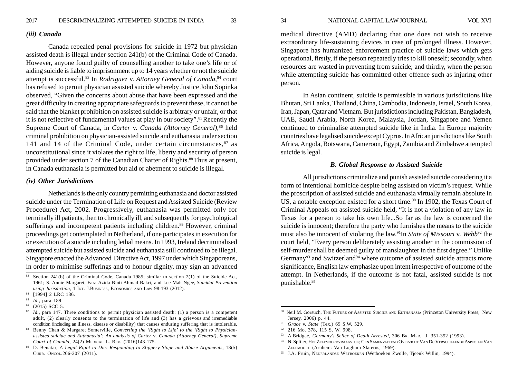#### *(iii) Canada*

Canada repealed penal provisions for suicide in 1972 but physician assisted death is illegal under section 241(b) of the Criminal Code of Canada. However, anyone found guilty of counselling another to take one's life or of aiding suicide is liable to imprisonment up to 14 years whether or not the suicide attempt is successful.83 In *Rodriguez* v. *Attorney General of Canada*,84 court has refused to permit physician assisted suicide whereby Justice John Sopinka observed, "Given the concerns about abuse that have been expressed and the great difficulty in creating appropriate safeguards to prevent these, it cannot be said that the blanket prohibition on assisted suicide is arbitrary or unfair, or that it is not reflective of fundamental values at play in our society".<sup>85</sup> Recently the Supreme Court of Canada, in *Carter v. Canada (Attorney General)*,<sup>86</sup> held criminal prohibition on physician-assisted suicide and euthanasia under section 141 and 14 of the Criminal Code, under certain circumstances,<sup>87</sup> as unconstitutional since it violates the right to life, liberty and security of person provided under section 7 of the Canadian Charter of Rights.88 Thus at present, in Canada euthanasia is permitted but aid or abetment to suicide is illegal.

#### *(iv) Other Jurisdictions*

Netherlands is the only country permitting euthanasia and doctor assisted suicide under the Termination of Life on Request and Assisted Suicide (Review Procedure) Act, 2002. Progressively, euthanasia was permitted only for terminally ill patients, then to chronically ill, and subsequently for psychological sufferings and incompetent patients including children.<sup>89</sup> However, criminal proceedings get contemplated in Netherland, if one participates in execution for or execution of a suicide including lethal means. In 1993, Ireland decriminalised attempted suicide but assisted suicide and euthanasia still continued to be illegal. Singapore enacted the Advanced Directive Act, 1997 under which Singaporeans, in order to minimise sufferings and to honour dignity, may sign an advanced

medical directive (AMD) declaring that one does not wish to receive extraordinary life-sustaining devices in case of prolonged illness. However, Singapore has humanized enforcement practice of suicide laws which gets operational, firstly, if the person repeatedly tries to kill oneself; secondly, when resources are wasted in preventing from suicide; and thirdly, when the person while attempting suicide has committed other offence such as injuring other person.

In Asian continent, suicide is permissible in various jurisdictions like Bhutan, Sri Lanka, Thailand, China, Cambodia, Indonesia, Israel, South Korea, Iran, Japan, Qatar and Vietnam. But jurisdictions including Pakistan, Bangladesh, UAE, Saudi Arabia, North Korea, Malaysia, Jordan, Singapore and Yemen continued to criminalise attempted suicide like in India. In Europe majority countries have legalised suicide except Cyprus. In African jurisdictions like South Africa, Angola, Botswana, Cameroon, Egypt, Zambia and Zimbabwe attempted suicide is legal.

### *B. Global Response to Assisted Suicide*

All jurisdictions criminalize and punish assisted suicide considering it a form of intentional homicide despite being assisted on victim's request. While the proscription of assisted suicide and euthanasia virtually remain absolute in US, a notable exception existed for a short time.<sup>90</sup> In 1902, the Texas Court of Criminal Appeals on assisted suicide held, "It is not a violation of any law in Texas for a person to take his own life...So far as the law is concerned the suicide is innocent; therefore the party who furnishes the means to the suicide must also be innocent of violating the law.91In *State of Missouri* v. *Webb*92 the court held, "Every person deliberately assisting another in the commission of self-murder shall be deemed guilty of manslaughter in the first degree." Unlike Germany<sup>93</sup> and Switzerland<sup>94</sup> where outcome of assisted suicide attracts more significance, English law emphasize upon intent irrespective of outcome of the attempt. In Netherlands, if the outcome is not fatal, assisted suicide is not punishable.95

<sup>83</sup> Section 241(b) of the Criminal Code, Canada 1985; similar to section 2(1) of the Suicide Act, 1961; S. Annie Margaret, Fara Azida Binti Ahmad Bakri, and Lee Mah Ngee, *Suicidal Prevention using Jurisdiction*, 1 INT. J.BUSINESS, ECONOMICS AND LAW 98-193 (2012).

<sup>84 [1994] 2</sup> LRC 136.

<sup>85</sup> *Id.*, para 189.

<sup>86</sup> (2015) SCC 5.

<sup>87</sup> *Id.,* para 147. Three conditions to permit physician assisted death: (1) a person is a competent adult, (2) clearly consents to the termination of life and (3) has a grievous and irremediable condition (including an illness, disease or disability) that causes enduring suffering that is intolerable.

<sup>88</sup> Benny Chan & Margaret Somerville, *Converting the 'Right to Life' to the 'Right to Physicianassisted suicide and Euthanasia': An analysis of Carter* v*. Canada (Attorney General), Supreme Court of Canada*, 24(2) MEDICAL L. REV. (2016)143-175.

<sup>89</sup> D. Benatar, *A Legal Right to Die: Responding to Slippery Slope and Abuse Arguments*, 18(5) CURR. ONCOL.206-207 (2011).

<sup>90</sup> Neil M. Gorsuch, THE FUTURE OF ASSISTED SUICIDE AND EUTHANASIA (Princeton University Press, New Jersey, 2006) p. 44.

<sup>91</sup> *Grace* v. *State* (Tex.) 69 S.W. 529.

<sup>92</sup> 216 Mo. 378, 115 S. W. 998.

<sup>93</sup> A.Bridgae, *Germany's Seller of Death Arrested*, 306 BR. MED. J. 351-352 (1993).

<sup>94</sup> N. Spfijer, HET ZELFMOORDVRAAGSTUK; CEN SAMENVATTEND OVERZICHT VAN DC VERSCHILLENDE ASPECTEN VAN ZELFMOORD (Arnhem: Van Loghum Slaterus, 1969).

<sup>95</sup> J.A. Fruin, NEDERLANDSE WETBOEKEN (Wetboeken Zwolle, Tjeenk Willin, 1994).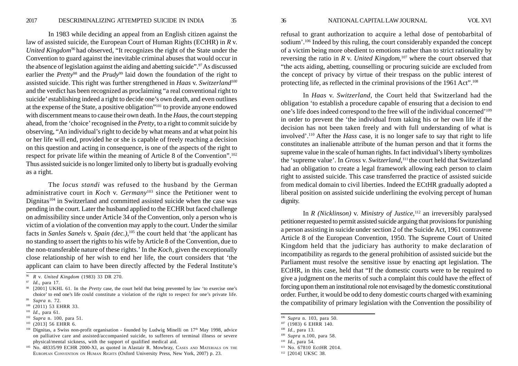In 1983 while deciding an appeal from an English citizen against the law of assisted suicide, the European Court of Human Rights (ECtHR) in *R* v. *United Kingdom*<sup>96</sup> had observed, "It recognizes the right of the State under the Convention to guard against the inevitable criminal abuses that would occur in the absence of legislation against the aiding and abetting suicide".<sup>97</sup> As discussed earlier the *Pretty*<sup>98</sup> and the *Prudy*<sup>99</sup> laid down the foundation of the right to assisted suicide. This right was further strengthened in *Haas* v. *Switzerland100* and the verdict has been recognized as proclaiming "a real conventional right to suicide' establishing indeed a right to decide one's own death, and even outlines at the expense of the State, a positive obligation"101 to provide anyone endowed with discernment means to cause their own death. In the *Haas*, the court stepping ahead, from the 'choice' recognised in the *Pretty*, to a right to commit suicide by observing, "An individual's right to decide by what means and at what point his or her life will end, provided he or she is capable of freely reaching a decision on this question and acting in consequence, is one of the aspects of the right to respect for private life within the meaning of Article 8 of the Convention".102 Thus assisted suicide is no longer limited only to liberty but is gradually evolving as a right.

The *locus standi* was refused to the husband by the German administrative court in *Koch* v. *Germany*103 since the Petitioner went to Dignitas<sup>104</sup> in Switzerland and committed assisted suicide when the case was pending in the court. Later the husband applied to the ECHR but faced challenge on admissibility since under Article 34 of the Convention, only a person who is victim of a violation of the convention may apply to the court. Under the similar facts in *Sanles Sanels* v. *Spain (dec.)*,105 the court held that 'the applicant has no standing to assert the rights to his wife by Article 8 of the Convention, due to the non-transferable nature of these rights.' In the *Koch*, given the exceptionally close relationship of her wish to end her life, the court considers that 'the applicant can claim to have been directly affected by the Federal Institute's

<sup>100</sup> (2011) 53 EHRR 33.

<sup>103</sup> (2013] 56 EHRR 6.

refusal to grant authorization to acquire a lethal dose of pentobarbital of sodium'.<sup>106</sup> Indeed by this ruling, the court considerably expanded the concept of a victim being more obedient to emotions rather than to strict rationality by reversing the ratio in  $R$  v. United Kingdom,<sup>107</sup> where the court observed that "the acts aiding, abetting, counselling or procuring suicide are excluded from the concept of privacy by virtue of their trespass on the public interest of protecting life, as reflected in the criminal provisions of the 1961 Act".108

In *Haas* v. *Switzerland*, the Court held that Switzerland had the obligation 'to establish a procedure capable of ensuring that a decision to end one's life does indeed correspond to the free will of the individual concerned'109 in order to prevent the 'the individual from taking his or her own life if the decision has not been taken freely and with full understanding of what is involved'.110 After the *Hass* case, it is no longer safe to say that right to life constitutes an inalienable attribute of the human person and that it forms the supreme value in the scale of human rights. In fact individual's liberty symbolizes the 'supreme value'. In *Gross v. Switzerland*,<sup>111</sup> the court held that Switzerland had an obligation to create a legal framework allowing each person to claim right to assisted suicide. This case transferred the practice of assisted suicide from medical domain to civil liberties. Indeed the ECtHR gradually adopted a liberal position on assisted suicide underlining the evolving percept of human dignity.

In *R (Nicklinson) v. Ministry of Justice*,<sup>112</sup> an irreversibly paralysed petitioner requested to permit assisted suicide arguing that provisions for punishing a person assisting in suicide under section 2 of the Suicide Act, 1961 contravene Article 8 of the European Convention, 1950. The Supreme Court of United Kingdom held that the judiciary has authority to make declaration of incompatibility as regards to the general prohibition of assisted suicide but the Parliament must resolve the sensitive issue by enacting apt legislation. The ECtHR, in this case, held that "If the domestic courts were to be required to give a judgment on the merits of such a complaint this could have the effect of forcing upon them an institutional role not envisaged by the domestic constitutional order. Further, it would be odd to deny domestic courts charged with examining the compatibility of primary legislation with the Convention the possibility of

<sup>96</sup> *R* v*. United Kingdom* (1983) 33 DR 270.

<sup>97</sup> *Id*., para 17.

<sup>[2001]</sup> UKHL 61. In the *Pretty* case, the court held that being prevented by law 'to exercise one's choice' to end one's life could constitute a violation of the right to respect for one's private life. <sup>99</sup> *Supra* n. 72.

<sup>101</sup> *Id*., para 61.

<sup>102</sup> *Supra* n. 100, para 51.

 $104$  Dignitas, a Swiss non-profit organisation - founded by Ludwig Minelli on  $17<sup>th</sup>$  May 1998, advice on palliative care and assisted/accompanied suicide, to sufferers of terminal illness or severe physical/mental sickness, with the support of qualified medical aid.

<sup>105</sup> No. 48335/99 ECHR 2000-XI, as quoted in Alastair R. Mowbray, CASES AND MATERIALS ON THE EUROPEAN CONVENTION ON HUMAN RIGHTS (Oxford University Press, New York, 2007) p. 23.

<sup>106</sup> *Supra* n. 103, para 50.

<sup>107</sup> (1983) 6 EHRR 140.

<sup>108</sup> *Id.*, para 13.

<sup>109</sup> *Supra* n.100, para 58.

<sup>110</sup> *Id.*, para 54.

<sup>&</sup>lt;sup>111</sup> No. 67810 EctHR 2014.

<sup>112</sup> [2014] UKSC 38.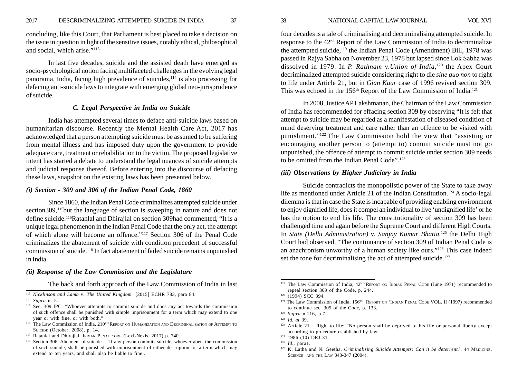concluding, like this Court, that Parliament is best placed to take a decision on the issue in question in light of the sensitive issues, notably ethical, philosophical and social, which arise."113

In last five decades, suicide and the assisted death have emerged as socio-psychological notion facing multifaceted challenges in the evolving legal panorama. India, facing high prevalence of suicides,<sup>114</sup> is also processing for defacing anti-suicide laws to integrate with emerging global neo-jurisprudence of suicide.

#### *C. Legal Perspective in India on Suicide*

India has attempted several times to deface anti-suicide laws based on humanitarian discourse. Recently the Mental Health Care Act, 2017 has acknowledged that a person attempting suicide must be assumed to be suffering from mental illness and has imposed duty upon the government to provide adequate care, treatment or rehabilitation to the victim. The proposed legislative intent has started a debate to understand the legal nuances of suicide attempts and judicial response thereof. Before entering into the discourse of defacing these laws, snapshot on the existing laws has been presented below.

# *(i) Section - 309 and 306 of the Indian Penal Code, 1860*

Since 1860, the Indian Penal Code criminalizes attempted suicide under section 309,<sup>115</sup>but the language of section is sweeping in nature and does not define suicide.116Ratanlal and Dhirajlal on section 309had commented, "It is a unique legal phenomenon in the Indian Penal Code that the only act, the attempt of which alone will become an offence."117 Section 306 of the Penal Code criminalizes the abatement of suicide with condition precedent of successful commission of suicide.118 In fact abatement of failed suicide remains unpunished in India.

# *(ii) Response of the Law Commission and the Legislature*

The back and forth approach of the Law Commission of India in last

four decades is a tale of criminalising and decriminalising attempted suicide. In response to the 42nd Report of the Law Commission of India to decriminalize the attempted suicide,<sup>119</sup> the Indian Penal Code (Amendment) Bill, 1978 was passed in Rajya Sabha on November 23, 1978 but lapsed since Lok Sabha was dissolved in 1979. In *P. Rathnam* v.*Union of India*,120 the Apex Court decriminalized attempted suicide considering right to die *sine quo non* to right to life under Article 21, but in *Gian Kaur* case of 1996 revived section 309. This was echoed in the  $156<sup>th</sup>$  Report of the Law Commission of India.<sup>121</sup>

In 2008, Justice AP Lakshmanan, the Chairman of the Law Commission of India has recommended for effacing section 309 by observing "It is felt that attempt to suicide may be regarded as a manifestation of diseased condition of mind deserving treatment and care rather than an offence to be visited with punishment."122 The Law Commission hold the view that "assisting or encouraging another person to (attempt to) commit suicide must not go unpunished, the offence of attempt to commit suicide under section 309 needs to be omitted from the Indian Penal Code".123

#### *(iii) Observations by Higher Judiciary in India*

Suicide contradicts the monopolistic power of the State to take away life as mentioned under Article 21 of the Indian Constitution.<sup>124</sup> A socio-legal dilemma is that in case the State is incapable of providing enabling environment to enjoy dignified life, does it compel an individual to live 'undignified life' or he has the option to end his life. The constitutionality of section 309 has been challenged time and again before the Supreme Court and different High Courts. In *State (Delhi Administration)* v. *Sanjay Kumar Bhatia*,125 the Delhi High Court had observed, "The continuance of section 309 of Indian Penal Code is an anachronism unworthy of a human society like ours."126 This case indeed set the tone for decriminalising the act of attempted suicide.<sup>127</sup>

<sup>113</sup> *Nicklinson and Lamb* v*. The United Kingdom* [2015] ECHR 783, para 84.

<sup>114</sup> *Supra* n. 5.

<sup>115</sup> Sec. 309 IPC: "Whoever attempts to commit suicide and does any act towards the commission of such offence shall be punished with simple imprisonment for a term which may extend to one year or with fine, or with both."

 $^{116}$  The Law Commission of India,  $210^{\text{TH}}$  Report on Humanization and Decriminalization of Attempt to SUICIDE (October, 2008), p. 14.

<sup>117</sup> Ratanlal and Dhirajlal, INDIAN PENAL CODE (LexisNexis, 2017) p. 740.

<sup>118</sup> Section 306: Abetment of suicide – 'If any person commits suicide, whoever abets the commission of such suicide, shall be punished with imprisonment of either description for a term which may extend to ten years, and shall also be liable to fine'.

<sup>&</sup>lt;sup>119</sup> The Law Commission of India,  $42^{ND}$  Report on Indian Penal Code (June 1971) recommended to repeal section 309 of the Code, p. 244.

<sup>&</sup>lt;sup>120</sup> (1994) SCC 394.

<sup>&</sup>lt;sup>121</sup> The Law Commission of India, 156<sup>TH</sup> REPORT ON 'INDIAN PENAL CODE VOL. II (1997) recommended to continue sec. 309 of the Code, p. 133.

<sup>122</sup> *Supra* n.116, p.7.

<sup>123</sup> *Id. at* 39.

 $124$  Article 21 – Right to life: "No person shall be deprived of his life or personal liberty except according to procedure established by law."

<sup>125</sup> 1986 (10) DRJ 31.

<sup>126</sup> *Id.*, para1*.*

<sup>127</sup> K. Latha and N. Geetha, *Criminalising Suicide Attempts: Can it be deterrent?,* 44 MEDICINE, SCIENCE AND THE LAW 343-347 (2004).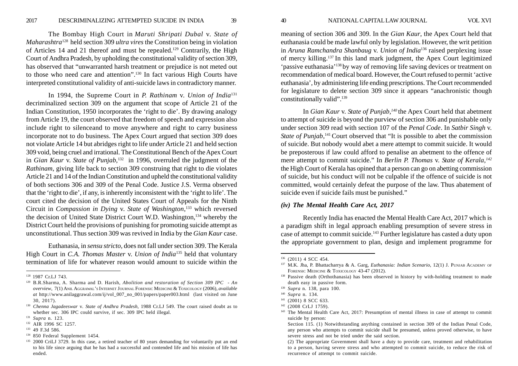The Bombay High Court in *Maruti Shripati Dubal* v. *State of Maharashtra*128 held section 309 *ultra vires* the Constitution being in violation of Articles 14 and 21 thereof and must be repealed.129 Contrarily, the High Court of Andhra Pradesh, by upholding the constitutional validity of section 309, has observed that "unwarranted harsh treatment or prejudice is not meted out to those who need care and attention".130 In fact various High Courts have interpreted constitutional validity of anti-suicide laws in contradictory manner.

In 1994, the Supreme Court in *P. Rathinam* v. *Union of India*<sup>131</sup> decriminalized section 309 on the argument that scope of Article 21 of the Indian Constitution, 1950 incorporates the 'right to die'. By drawing analogy from Article 19, the court observed that freedom of speech and expression also include right to silenceand to move anywhere and right to carry business incorporate not to do business. The Apex Court argued that section 309 does not violate Article 14 but abridges right to life under Article 21 and held section 309 void, being cruel and irrational. The Constitutional Bench of the Apex Court in *Gian Kaur* v. *State of Punjab*,132 in 1996, overruled the judgment of the *Rathinam*, giving life back to section 309 construing that right to die violates Article 21 and 14 of the Indian Constitution and upheld the constitutional validity of both sections 306 and 309 of the Penal Code. Justice J.S. Verma observed that the 'right to die', if any, is inherently inconsistent with the 'right to life'. The court cited the decision of the United States Court of Appeals for the Ninth Circuit in *Compassion in Dying* v. *State of Washington*,133 which reversed the decision of United State District Court W.D. Washington,134 whereby the District Court held the provisions of punishing for promoting suicide attempt as unconstitutional. Thus section 309 was revived in India by the *Gian Kaur* case.

Euthanasia, in *sensu stricto,* does not fall under section 309. The Kerala High Court in *C.A. Thomas Master* v. *Union of India*135 held that voluntary termination of life for whatever reason would amount to suicide within the

meaning of section 306 and 309. In the *Gian Kaur*, the Apex Court held that euthanasia could be made lawful only by legislation. However, the writ petition in *Aruna Ramchandra Shanbaug* v. *Union of India*136 raised perplexing issue of mercy killing.137 In this land mark judgment, the Apex Court legitimized 'passive euthanasia'138 by way of removing life saving devices or treatment on recommendation of medical board. However, the Court refused to permit 'active euthanasia', by administering life ending prescriptions. The Court recommended for legislature to delete section 309 since it appears "anachronistic though constitutionally valid".139

In *Gian Kaur* v. *State of Punjab,140* the Apex Court held that abetment to attempt of suicide is beyond the purview of section 306 and punishable only under section 309 read with section 107 of the *Penal Code*. In *Satbir Singh* v. *State of Punjab*,<sup>141</sup> Court observed that "It is possible to abet the commission of suicide. But nobody would abet a mere attempt to commit suicide. It would be preposterous if law could afford to penalise an abetment to the offence of mere attempt to commit suicide." In *Berlin P. Thomas* v. *State of Kerala,142* the High Court of Kerala has opined that a person can go on abetting commission of suicide, but his conduct will not be culpable if the offence of suicide is not committed, would certainly defeat the purpose of the law. Thus abatement of suicide even if suicide fails must be punished."

#### *(iv) The Mental Health Care Act, 2017*

Recently India has enacted the Mental Health Care Act, 2017 which is a paradigm shift in legal approach enabling presumption of severe stress in case of attempt to commit suicide.143 Further legislature has casted a duty upon the appropriate government to plan, design and implement programme for

<sup>128 1987</sup> Cr.LJ 743.

<sup>129</sup> B.R.Sharma, A. Sharma and D. Harish, *Abolition and restoration of Section 309 IPC - An overview*, 7(1) ANIL AGGRAWAL'S INTERNET JOURNAL FORENSIC MEDICINE & TOXICOLOGY (2006), *available at* http://www.anilaggrawal.com/ij/vol\_007\_no\_001/papers/paper003.html (last visited on June 30, 2017).

<sup>130</sup> *Chenna Jagadeeswar* v*. State of Andhra Pradesh,* 1988 Cr.LJ 549. The court raised doubt as to whether sec. 306 IPC could survive, if sec. 309 IPC held illegal.

<sup>131</sup> *Supra* n. 123.

<sup>132</sup> AIR 1996 SC 1257.

<sup>133</sup> 49 F.3d 586.

<sup>134</sup> 850 Federal Supplement 1454.

<sup>&</sup>lt;sup>135</sup> 2000 CriLJ 3729. In this case, a retired teacher of 80 years demanding for voluntarily put an end to his life since arguing that he has had a successful and contended life and his mission of life has ended.

<sup>136</sup> (2011) 4 SCC 454.

<sup>137</sup> M.K. Jha, P. Bhattacharrya & A. Garg, *Euthanasia: Indian Scenario*, 12(1) J. PUNJAB ACADEMY OF FORENSIC MEDICINE & TOXICOLOGY 43-47 (2012).

<sup>138</sup> Passive death (Orthothanasia) has been observed in history by with-holding treatment to made death easy in passive form.

<sup>139</sup> *Supra* n. 138, para 100.

<sup>140</sup> *Supra* n. 134.

<sup>141</sup> (2001) 8 SCC 633.

<sup>142</sup> (2008 CrLJ 1759).

<sup>&</sup>lt;sup>143</sup> The Mental Health Care Act, 2017: Presumption of mental illness in case of attempt to commit suicide by person:

Section 115. (1) Notwithstanding anything contained in section 309 of the Indian Penal Code, any person who attempts to commit suicide shall be presumed, unless proved otherwise, to have severe stress and not be tried under the said section.

<sup>(2)</sup> The appropriate Government shall have a duty to provide care, treatment and rehabilitation to a person, having severe stress and who attempted to commit suicide, to reduce the risk of recurrence of attempt to commit suicide.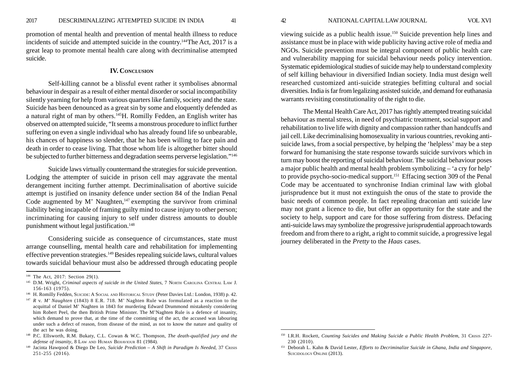promotion of mental health and prevention of mental health illness to reduce incidents of suicide and attempted suicide in the country.<sup>144</sup>The Act, 2017 is a great leap to promote mental health care along with decriminalise attempted suicide.

#### **IV. CONCLUSION**

Self-killing cannot be a blissful event rather it symbolises abnormal behaviour in despair as a result of either mental disorder or social incompatibility silently yearning for help from various quarters like family, society and the state. Suicide has been denounced as a great sin by some and eloquently defended as a natural right of man by others.145H. Romilly Fedden, an English writer has observed on attempted suicide, "It seems a monstrous procedure to inflict further suffering on even a single individual who has already found life so unbearable, his chances of happiness so slender, that he has been willing to face pain and death in order to cease living. That those whom life is altogether bitter should be subjected to further bitterness and degradation seems perverse legislation."146

Suicide laws virtually countermand the strategies for suicide prevention. Lodging the attempter of suicide in prison cell may aggravate the mental derangement inciting further attempt. Decriminalisation of abortive suicide attempt is justified on insanity defence under section 84 of the Indian Penal Code augmented by M' Naughten, $147$  exempting the survivor from criminal liability being incapable of framing guilty mind to cause injury to other person; incriminating for causing injury to self under distress amounts to double punishment without legal justification.<sup>148</sup>

Considering suicide as consequence of circumstances, state must arrange counselling, mental health care and rehabilitation for implementing effective prevention strategies.149 Besides repealing suicide laws, cultural values towards suicidal behaviour must also be addressed through educating people

viewing suicide as a public health issue.150 Suicide prevention help lines and assistance must be in place with wide publicity having active role of media and NGOs. Suicide prevention must be integral component of public health care and vulnerability mapping for suicidal behaviour needs policy intervention. Systematic epidemiological studies of suicide may help to understand complexity of self killing behaviour in diversified Indian society. India must design well researched customized anti-suicide strategies befitting cultural and social diversities. India is far from legalizing assisted suicide, and demand for euthanasia warrants revisiting constitutionality of the right to die.

The Mental Health Care Act, 2017 has rightly attempted treating suicidal behaviour as mental stress, in need of psychiatric treatment, social support and rehabilitation to live life with dignity and compassion rather than handcuffs and jail cell. Like decriminalising homosexuality in various countries, revoking antisuicide laws, from a social perspective, by helping the 'helpless' may be a step forward for humanising the state response towards suicide survivors which in turn may boost the reporting of suicidal behaviour. The suicidal behaviour poses a major public health and mental health problem symbolizing – 'a cry for help' to provide psycho-socio-medical support.151 Effacing section 309 of the Penal Code may be accentuated to synchronise Indian criminal law with global jurisprudence but it must not extinguish the onus of the state to provide the basic needs of common people. In fact repealing draconian anti suicide law may not grant a licence to die, but offer an opportunity for the state and the society to help, support and care for those suffering from distress. Defacing anti-suicide laws may symbolize the progressive jurisprudential approach towards freedom and from there to a right, a right to commit suicide, a progressive legal journey deliberated in the *Pretty* to the *Haas* cases.

<sup>144</sup> The Act, 2017: Section 29(1).

<sup>145</sup> D.M. Wright, *Criminal aspects of suicide in the United States*, 7 NORTH CAROLINA CENTRAL LAW J*.* 156-163 (1975).

<sup>146</sup> H. Romilly Fedden, SUICIDE: A SOCIAL AND HISTORICAL STUDY (Peter Davies Ltd.: London, 1938) p. 42.

<sup>147</sup> *R* v. *M' Naughten* (1843) 8 E.R. 718. M' Naghten Rule was formulated as a reaction to the acquittal of Daniel M' Naghten in 1843 for murdering Edward Drummond mistakenly considering him Robert Peel, the then British Prime Minister. The M'Naghten Rule is a defence of insanity, which demand to prove that, at the time of the committing of the act, the accused was labouring under such a defect of reason, from disease of the mind, as not to know the nature and quality of the act he was doing.

<sup>148</sup> P.C. Ellsworth, R.M. Bukaty, C.L. Cowan & W.C. Thompson, *The death-qualified jury and the defense of insanity*, 8 LAW AND HUMAN BEHAVIOUR 81 (1984).

<sup>149</sup> Jacinta Hawqood & Diego De Leo, *Suicide Prediction – A Shift in Paradigm Is Needed*, 37 CRISIS 251-255 (2016).

<sup>150</sup> I.R.H. Rockett, *Counting Suicides and Making Suicide a Public Health Problem*, 31 CRISIS 227- 230 (2010).

<sup>151</sup> Deborah L. Kahn & David Lester, *Efforts to Decriminalize Suicide in Ghana, India and Singapore*, SUICIDOLOGY ONLINE (2013).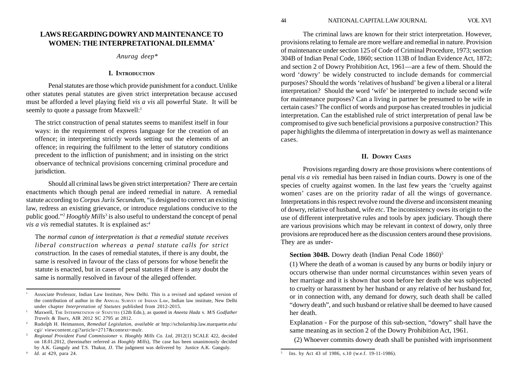# **LAWS REGARDING DOWRY AND MAINTENANCE TO WOMEN: THE INTERPRETATIONAL DILEMMA\***

# *Anurag deep\**

# **I. INTRODUCTION**

Penal statutes are those which provide punishment for a conduct. Unlike other statutes penal statutes are given strict interpretation because accused must be afforded a level playing field *vis a vis* all powerful State. It will be seemly to quote a passage from Maxwell:<sup>1</sup>

The strict construction of penal statutes seems to manifest itself in four ways: in the requirement of express language for the creation of an offence; in interpreting strictly words setting out the elements of an offence; in requiring the fulfilment to the letter of statutory conditions precedent to the infliction of punishment; and in insisting on the strict observance of technical provisions concerning criminal procedure and jurisdiction.

Should all criminal laws be given strict interpretation? There are certain enactments which though penal are indeed remedial in nature. A remedial statute according to *Corpus Juris Secundum*, "is designed to correct an existing law, redress an existing grievance, or introduce regulations conducive to the public good."<sup>2</sup> *Hooghly Mills*<sup>3</sup> is also useful to understand the concept of penal *vis a vis* remedial statutes. It is explained as:<sup>4</sup>

The *normal canon of interpretation is that a remedial statute receives liberal construction whereas a penal statute calls for strict construction.* In the cases of remedial statutes, if there is any doubt, the same is resolved in favour of the class of persons for whose benefit the statute is enacted, but in cases of penal statutes if there is any doubt the same is normally resolved in favour of the alleged offender.

The criminal laws are known for their strict interpretation. However, provisions relating to female are more welfare and remedial in nature. Provision of maintenance under section 125 of Code of Criminal Procedure, 1973; section 304B of Indian Penal Code, 1860; section 113B of Indian Evidence Act, 1872; and section 2 of Dowry Prohibition Act, 1961—are a few of them. Should the word 'dowry' be widely constructed to include demands for commercial purposes? Should the words 'relatives of husband' be given a liberal or a literal interpretation? Should the word 'wife' be interpreted to include second wife for maintenance purposes? Can a living in partner be presumed to be wife in certain cases? The conflict of words and purpose has created troubles in judicial interpretation. Can the established rule of strict interpretation of penal law be compromised to give such beneficial provisions a purposive construction? This paper highlights the dilemma of interpretation in dowry as well as maintenance cases.

# **II. DOWRY CASES**

Provisions regarding dowry are those provisions where contentions of penal *vis a vis* remedial has been raised in Indian courts. Dowry is one of the species of cruelty against women. In the last few years the 'cruelty against women' cases are on the priority radar of all the wings of governance. Interpretations in this respect revolve round the diverse and inconsistent meaning of dowry, relative of husband, wife *etc*. The inconsistency owes its origin to the use of different interpretative rules and tools by apex judiciary. Though there are various provisions which may be relevant in context of dowry, only three provisions are reproduced here as the discussion centers around these provisions. They are as under-

# Section 304B. Dowry death (Indian Penal Code 1860)<sup>5</sup>

(1) Where the death of a woman is caused by any burns or bodily injury or occurs otherwise than under normal circumstances within seven years of her marriage and it is shown that soon before her death she was subjected to cruelty or harassment by her husband or any relative of her husband for, or in connection with, any demand for dowry, such death shall be called "dowry death", and such husband or relative shall be deemed to have caused her death.

(2) Whoever commits dowry death shall be punished with imprisonment

Associate Professor, Indian Law Institute, New Delhi. This is a revised and updated version of the contribution of author in the ANNUAL SURVEY OF INDIAN LAW, Indian law institute, New Delhi under chapter *Interpretation of Statutes* published from 2012-2015.

<sup>1</sup> Maxwell, THE INTERPRETATION OF STATUTES (12th Edn.), as quoted in *Aneeta Hada* v. *M/S Godfather Travels & Tours*, AIR 2012 SC 2795 at 2812.

<sup>2</sup> Rudolph H. Heimanson, *Remedial Legislation*, *available at* http://scholarship.law.marquette.edu/ cgi/ viewcontent.cgi?article=2717&context=mulr.

<sup>3</sup> *Regional Provident Fund Commissioner* v. *Hooghly Mills Co. Ltd,* 2012(1) SCALE 422, decided on 18.01.2012, (hereinafter referred as *Hooghly Mills*), The case has been unanimously decided by A.K. Ganguly and T.S. Thakur, JJ. The judgment was delivered by Justice A.K. Ganguly.

Explanation - For the purpose of this sub-section, "dowry" shall have the same meaning as in section 2 of the Dowry Prohibition Act, 1961.

<sup>4</sup> *Id.* at 429, para 24. <sup>5</sup> Ins. by Act 43 of 1986, s.10 (w.e.f. 19-11-1986).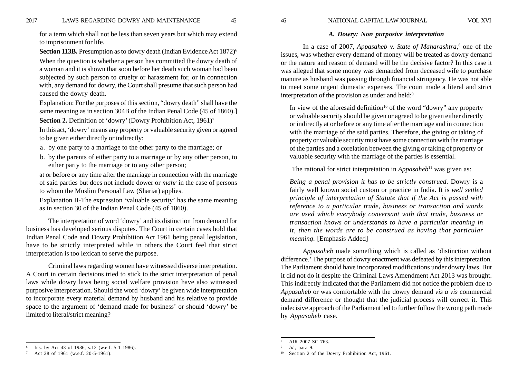for a term which shall not be less than seven years but which may extend to imprisonment for life.

**Section 113B.** Presumption as to dowry death (Indian Evidence Act 1872)<sup>6</sup> When the question is whether a person has committed the dowry death of a woman and it is shown that soon before her death such woman had been subjected by such person to cruelty or harassment for, or in connection with, any demand for dowry, the Court shall presume that such person had caused the dowry death.

Explanation: For the purposes of this section, "dowry death" shall have the same meaning as in section 304B of the Indian Penal Code (45 of 1860).]

**Section 2.** Definition of 'dowry' (Dowry Prohibition Act, 1961)<sup>7</sup>

In this act, 'dowry' means any property or valuable security given or agreed to be given either directly or indirectly:

- a. by one party to a marriage to the other party to the marriage; or
- b. by the parents of either party to a marriage or by any other person, to either party to the marriage or to any other person;

at or before or any time after the marriage in connection with the marriage of said parties but does not include dower or *mahr* in the case of persons to whom the Muslim Personal Law (Shariat) applies.

Explanation II-The expression 'valuable security' has the same meaning as in section 30 of the Indian Penal Code (45 of 1860).

The interpretation of word 'dowry' and its distinction from demand for business has developed serious disputes. The Court in certain cases hold that Indian Penal Code and Dowry Prohibition Act 1961 being penal legislation, have to be strictly interpreted while in others the Court feel that strict interpretation is too lexican to serve the purpose.

Criminal laws regarding women have witnessed diverse interpretation. A Court in certain decisions tried to stick to the strict interpretation of penal laws while dowry laws being social welfare provision have also witnessed purposive interpretation. Should the word 'dowry' be given wide interpretation to incorporate every material demand by husband and his relative to provide space to the argument of 'demand made for business' or should 'dowry' be limited to literal/strict meaning?

In a case of 2007, *Appasaheb* v. *State of Maharashtra,*<sup>8</sup> one of the issues, was whether every demand of money will be treated as dowry demand or the nature and reason of demand will be the decisive factor? In this case it was alleged that some money was demanded from deceased wife to purchase manure as husband was passing through financial stringency. He was not able to meet some urgent domestic expenses. The court made a literal and strict interpretation of the provision as under and held:<sup>9</sup>

In view of the aforesaid definition<sup>10</sup> of the word "dowry" any property or valuable security should be given or agreed to be given either directly or indirectly at or before or any time after the marriage and in connection with the marriage of the said parties. Therefore, the giving or taking of property or valuable security must have some connection with the marriage of the parties and a corelation between the giving or taking of property or valuable security with the marriage of the parties is essential.

The rational for strict interpretation in *Appasaheb*<sup>11</sup> was given as:

*Being a penal provision it has to be strictly construed*. Dowry is a fairly well known social custom or practice in India. It is *well settled principle of interpretation of Statute that if the Act is passed with reference to a particular trade, business or transaction and words are used which everybody conversant with that trade, business or transaction knows or understands to have a particular meaning in it, then the words are to be construed as having that particular meaning*. [Emphasis Added]

*Appasaheb* made something which is called as 'distinction without difference.' The purpose of dowry enactment was defeated by this interpretation. The Parliament should have incorporated modifications under dowry laws. But it did not do it despite the Criminal Laws Amendment Act 2013 was brought. This indirectly indicated that the Parliament did not notice the problem due to *Appasaheb* or was comfortable with the dowry demand *vis a vis* commercial demand difference or thought that the judicial process will correct it. This indecisive approach of the Parliament led to further follow the wrong path made by *Appasaheb* case.

*A. Dowry: Non purposive interpretation*

Ins. by Act 43 of 1986, s.12 (w.e.f. 5-1-1986).

<sup>7</sup> Act 28 of 1961 (w.e.f. 20-5-1961).

AIR 2007 SC 763.

<sup>9</sup> *Id.,* para 9.

Section 2 of the Dowry Prohibition Act, 1961.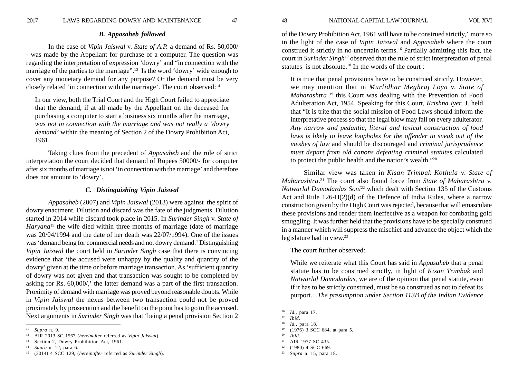*B. Appasaheb followed*

In the case of *Vipin Jaiswal* v. *State of A.P.* a demand of Rs. 50,000/ - was made by the Appellant for purchase of a computer. The question was regarding the interpretation of expression *'*dowry' and "in connection with the marriage of the parties to the marriage".13 Is the word 'dowry' wide enough to cover any monetary demand for any purpose? Or the demand must be very closely related 'in connection with the marriage'. The court observed:14

In our view, both the Trial Court and the High Court failed to appreciate that the demand, if at all made by the Appellant on the deceased for purchasing a computer to start a business six months after the marriage, *was not in connection with the marriage and was not really a 'dowry demand'* within the meaning of Section 2 of the Dowry Prohibition Act, 1961.

Taking clues from the precedent of *Appasaheb* and the rule of strict interpretation the court decided that demand of Rupees 50000/- for computer after six months of marriage is not 'in connection with the marriage' and therefore does not amount to 'dowry'.

# *C. Distinguishing Vipin Jaiswal*

*Appasaheb* (2007) and *Vipin Jaiswal* (2013) were against the spirit of dowry enactment. Dilution and discard was the fate of the judgments. Dilution started in 2014 while discard took place in 2015. In *Surinder Singh* v. *State of Haryana*<sup>15</sup> the wife died within three months of marriage (date of marriage was 20/04/1994 and the date of her death was 22/07/1994). One of the issues was 'demand being for commercial needs and not dowry demand.' Distinguishing *Vipin Jaiswal* the court held in *Surinder Singh* case that there is convincing evidence that 'the accused were unhappy by the quality and quantity of the dowry' given at the time or before marriage transaction. As 'sufficient quantity of dowry was not given and that transaction was sought to be completed by asking for Rs. 60,000/,' the latter demand was a part of the first transaction. Proximity of demand with marriage was proved beyond reasonable doubts. While in *Vipin Jaiswal* the nexus between two transaction could not be proved proximately by prosecution and the benefit on the point has to go to the accused. Next arguments in *Surinder Singh* was that 'being a penal provision Section 2

of the Dowry Prohibition Act, 1961 will have to be construed strictly,' more so in the light of the case of *Vipin Jaiswal* and *Appasaheb* where the court construed it strictly in no uncertain terms.16 Partially admitting this fact, the court in *Surinder Singh*<sup>17</sup> observed that the rule of strict interpretation of penal statutes is not absolute.<sup>18</sup> In the words of the court :

It is true that penal provisions have to be construed strictly. However, we may mention that in *Murlidhar Meghraj Loya* v. *State of Maharashtra* <sup>19</sup> this Court was dealing with the Prevention of Food Adulteration Act, 1954. Speaking for this Court, *Krishna Iyer,* J. held that "It is trite that the social mission of Food Laws should inform the interpretative process so that the legal blow may fall on every adulterator. *Any narrow and pedantic, literal and lexical construction of food laws is likely to leave loopholes for the offender to sneak out of the meshes of law* and should be discouraged and *criminal jurisprudence must depart from old canons defeating criminal statutes* calculated to protect the public health and the nation's wealth."20

Similar view was taken in *Kisan Trimbak Kothula* v. *State of Maharashtra*.21 The court also found force from *State of Maharashtra* v. *Natwarlal Damodardas Soni*<sup>22</sup> which dealt with Section 135 of the Customs Act and Rule 126-H(2)(d) of the Defence of India Rules, where a narrow construction given by the High Court was rejected, because that will emasculate these provisions and render them ineffective as a weapon for combating gold smuggling. It was further held that the provisions have to be specially construed in a manner which will suppress the mischief and advance the object which the legislature had in view.<sup>23</sup>

The court further observed:

While we reiterate what this Court has said in *Appasaheb* that a penal statute has to be construed strictly, in light of *Kisan Trimbak* and *Natwarlal Damodardas*, we are of the opinion that penal statute, even if it has to be strictly construed, must be so construed as not to defeat its purport…*The presumption under Section 113B of the Indian Evidence*

<sup>11</sup> *Supra* n. 9.

<sup>12</sup> AIR 2013 SC 1567 (*hereinafter* referred as *Vipin Jaiswal*).

<sup>&</sup>lt;sup>13</sup> Section 2, Dowry Prohibition Act, 1961.

<sup>14</sup> *Supra* n. 12, para 6.

<sup>15</sup> (2014) 4 SCC 129, (*hereinafter* referred as *Surinder Singh*).

<sup>&</sup>lt;sup>16</sup> *Id.*, para 17.

<sup>17</sup> *Ibid.*

*Id.*, para 18.

<sup>19</sup> (1976) 3 SCC 684, at para 5.

<sup>20</sup> *Ibid.*

AIR 1977 SC 435.

 $(1980)$  4 SCC 669.

<sup>23</sup> *Supra* n. 15, para 18.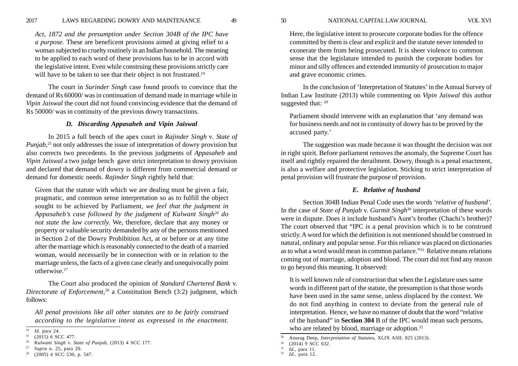*Act, 1872 and the presumption under Section 304B of the IPC have a purpose.* These are beneficent provisions aimed at giving relief to a woman subjected to cruelty routinely in an Indian household. The meaning to be applied to each word of these provisions has to be in accord with the legislative intent. Even while construing these provisions strictly care will have to be taken to see that their object is not frustrated.<sup>24</sup>

The court in *Surinder Singh* case found proofs to convince that the demand of Rs 60000/ was in continuation of demand made in marriage while in *Vipin Jaiswal* the court did not found convincing evidence that the demand of Rs 50000/ was in continuity of the previous dowry transactions.

# *D. Discarding Appasaheb and Vipin Jaiswal*

In 2015 a full bench of the apex court in *Rajinder Singh v. State of Punjab*,<sup>25</sup> not only addresses the issue of interpretation of dowry provision but also corrects two precedents. In the previous judgments of *Appasaheb* and *Vipin Jaiswal* a two judge bench gave strict interpretation to dowry provision and declared that demand of dowry is different from commercial demand or demand for domestic needs. *Rajinder Singh* rightly held that:

Given that the statute with which we are dealing must be given a fair, pragmatic, and common sense interpretation so as to fulfill the object sought to be achieved by Parliament, *we feel that the judgment in Appasaheb's case followed by the judgment of Kulwant Singh26 do not state the law correctly.* We, therefore, declare that any money or property or valuable security demanded by any of the persons mentioned in Section 2 of the Dowry Prohibition Act, at or before or at any time after the marriage which is reasonably connected to the death of a married woman, would necessarily be in connection with or in relation to the marriage unless, the facts of a given case clearly and unequivocally point otherwise.27

The Court also produced the opinion of *Standard Chartered Bank* v. *Directorate of Enforcement*,<sup>28</sup> a Constitution Bench (3:2) judgment, which follows:

*All penal provisions like all other statutes are to be fairly construed according to the legislative intent as expressed in the enactment.*

Here, the legislative intent to prosecute corporate bodies for the offence committed by them is clear and explicit and the statute never intended to exonerate them from being prosecuted. It is sheer violence to common sense that the legislature intended to punish the corporate bodies for minor and silly offences and extended immunity of prosecution to major and grave economic crimes.

In the conclusion of 'Interpretation of Statutes' in the Annual Survey of Indian Law Institute (2013) while commenting on *Vipin Jaiswal* this author suggested that: <sup>29</sup>

Parliament should intervene with an explanation that 'any demand was for business needs and not in continuity of dowry has to be proved by the accused party.'

The suggestion was made because it was thought the decision was not in right spirit. Before parliament removes the anomaly, the Supreme Court has itself and rightly repaired the derailment. Dowry, though is a penal enactment, is also a welfare and protective legislation. Sticking to strict interpretation of penal provision will frustrate the purpose of provision.

#### *E. Relative of husband*

Section 304B Indian Penal Code uses the words *'relative of husband'.* In the case of *State of Punjab* v. *Gurmit Singh*<sup>30</sup> interpretation of these words were in dispute. Does it include husband's Aunt's brother (Chachi's brother)? The court observed that "IPC is a penal provision which is to be construed strictly. A word for which the definition is not mentioned should be construed in natural, ordinary and popular sense. For this reliance was placed on dictionaries as to what a word would mean in common parlance."31 Relative means relations coming out of marriage, adoption and blood. The court did not find any reason to go beyond this meaning. It observed:

It is well known rule of construction that when the Legislature uses same words in different part of the statute, the presumption is that those words have been used in the same sense, unless displaced by the context. We do not find anything in context to deviate from the general rule of interpretation. Hence, we have no manner of doubt that the word "relative of the husband" in **Section 304** B of the IPC would mean such persons,  $\frac{1}{24}$  *Id.* para 24.

 $25$  (2015) 6 SCC 477.

<sup>26</sup> *Kulwant Singh* v. *State of Punjab*, (2013) 4 SCC 177.

<sup>27</sup> *Supra* n. 25, para 20.

<sup>28</sup> (2005) 4 SCC 530, p. 547.

<sup>29</sup> Anurag Deep, *Interpretation of Statutes,* XLIX ASIL 825 (2013).

 $(2014)$  9 SCC 632.

*Id.*, para 11.

*Id.*, para 12.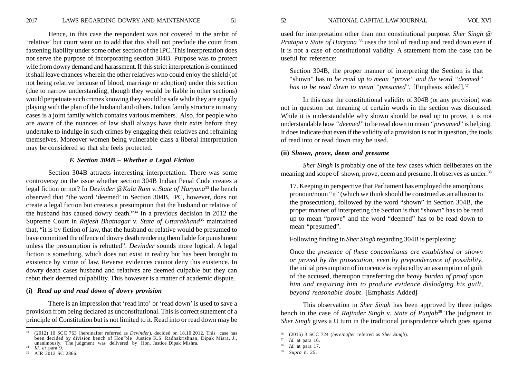Hence, in this case the respondent was not covered in the ambit of 'relative' but court went on to add that this shall not preclude the court from fastening liability under some other section of the IPC. This interpretation does not serve the purpose of incorporating section 304B. Purpose was to protect wife from dowry demand and harassment. If this strict interpretation is continued it shall leave chances wherein the other relatives who could enjoy the shield (of not being relative because of blood, marriage or adoption) under this section (due to narrow understanding, though they would be liable in other sections) would perpetuate such crimes knowing they would be safe while they are equally playing with the plan of the husband and others. Indian family structure in many cases is a joint family which contains various members. Also, for people who are aware of the nuances of law shall always have their exits before they undertake to indulge in such crimes by engaging their relatives and refraining themselves. Moreover women being vulnerable class a liberal interpretation may be considered so that she feels protected.

#### *F. Section 304B – Whether a Legal Fiction*

Section 304B attracts interesting interpretation. There was some controversy on the issue whether section 304B Indian Penal Code creates a legal fiction or not? In *Devinder @Kala Ram* v. *State of Haryana*<sup>33</sup> the bench observed that "the word 'deemed' in Section 304B, IPC, however, does not create a legal fiction but creates a presumption that the husband or relative of the husband has caused dowry death."34 In a previous decision in 2012 the Supreme Court in *Rajesh Bhatnagar* v. *State of Uttarakhand*35 maintained that, "it is by fiction of law, that the husband or relative would be presumed to have committed the offence of dowry death rendering them liable for punishment unless the presumption is rebutted". *Devinder* sounds more logical. A legal fiction is something, which does not exist in reality but has been brought to existence by virtue of law. Reverse evidences cannot deny this existence. In dowry death cases husband and relatives are deemed culpable but they can rebut their deemed culpability. This however is a matter of academic dispute.

#### **(i)** *Read up and read down of dowry provision*

There is an impression that 'read into' or 'read down' is used to save a provision from being declared as unconstitutional. This is correct statement of a principle of Constitution but is not limited to it. Read into or read down may be used for interpretation other than non constitutional purpose. *Sher Singh @ Pratapa* v *State of Haryana* <sup>36</sup> uses the tool of read up and read down even if it is not a case of constitutional validity. A statement from the case can be useful for reference:

Section 304B, the proper manner of interpreting the Section is that "shown" has to *be read up to mean "prove" and the word "deemed" has to be read down to mean "presumed*". [Emphasis added].<sup>37</sup>

In this case the constitutional validity of 304B (or any provision) was not in question but meaning of certain words in the section was discussed. While it is understandable why shown should be read up to prove, it is not understandable how *"deemed"* to be read down to mean *"presumed*" is helping. It does indicate that even if the validity of a provision is not in question, the tools of read into or read down may be used.

# **(ii)** *Shown, prove, deem and presume*

*Sher Singh* is probably one of the few cases which deliberates on the meaning and scope of shown, prove, deem and presume. It observes as under:<sup>38</sup>

17. Keeping in perspective that Parliament has employed the amorphous pronoun/noun "it" (which we think should be construed as an allusion to the prosecution), followed by the word "shown" in Section 304B, the proper manner of interpreting the Section is that "shown" has to be read up to mean "prove" and the word "deemed" has to be read down to mean "presumed".

Following finding in *Sher Singh* regarding 304B is perplexing:

Once the *presence of these concomitants are established or shown or proved by the prosecution, even by preponderance of possibility*, the initial presumption of innocence is replaced by an assumption of guilt of the accused, thereupon transferring the *heavy burden of proof upon him and requiring him to produce evidence dislodging his guilt, beyond reasonable doubt*. [Emphasis Added]

This observation in *Sher Singh* has been approved by three judges bench in the case of *Rajinder Singh* v. *State of Punjab*39 The judgment in *Sher Singh* gives a U turn in the traditional jurisprudence which goes against

<sup>33</sup> (2012) 10 SCC 763 (hereinafter referred as *Devinder*), decided on 18.10.2012. This case has been decided by division bench of Hon'ble Justice K.S. Radhakrishnan, Dipak Misra, J., unanimously. The judgment was delivered by Hon. Justice Dipak Mishra.

<sup>&</sup>lt;sup>34</sup> *Id. at* para 9.<br><sup>35</sup> AIP 2012 SC

<sup>35</sup> AIR 2012 SC 2866.

<sup>36</sup> (2015) 3 SCC 724 (*hereinafter* referred as *Sher Singh*).

<sup>37</sup> *Id.* at para 16.

<sup>38</sup> *Id.* at para 17. <sup>39</sup> *Supra* n. 25.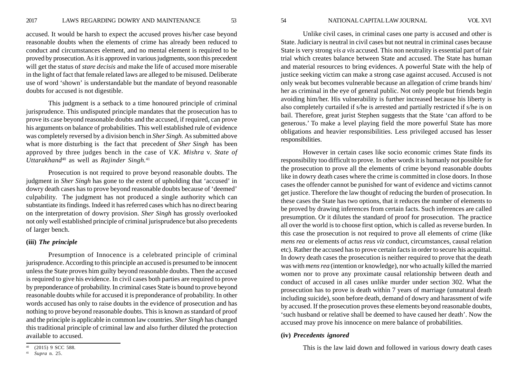accused. It would be harsh to expect the accused proves his/her case beyond reasonable doubts when the elements of crime has already been reduced to conduct and circumstances element, and no mental element is required to be proved by prosecution. As it is approved in various judgments, soon this precedent will get the status of *stare decisis* and make the life of accused more miserable in the light of fact that female related laws are alleged to be misused. Deliberate use of word 'shown' is understandable but the mandate of beyond reasonable doubts for accused is not digestible.

This judgment is a setback to a time honoured principle of criminal jurisprudence. This undisputed principle mandates that the prosecution has to prove its case beyond reasonable doubts and the accused, if required, can prove his arguments on balance of probabilities. This well established rule of evidence was completely reversed by a division bench in *Sher Singh.* As submitted above what is more disturbing is the fact that precedent of *Sher Singh* has been approved by three judges bench in the case of *V.K. Mishra* v. *State of Uttarakhand*40 as well as *Rajinder Singh.*<sup>41</sup>

Prosecution is not required to prove beyond reasonable doubts. The judgment in *Sher Singh* has gone to the extent of upholding that 'accused' in dowry death cases has to prove beyond reasonable doubts because of 'deemed' culpability. The judgment has not produced a single authority which can substantiate its findings. Indeed it has referred cases which has no direct bearing on the interpretation of dowry provision. *Sher Singh* has grossly overlooked not only well established principle of criminal jurisprudence but also precedents of larger bench.

# **(iii)** *The principle*

Presumption of Innocence is a celebrated principle of criminal jurisprudence. According to this principle an accused is presumed to be innocent unless the State proves him guilty beyond reasonable doubts. Then the accused is required to give his evidence. In civil cases both parties are required to prove by preponderance of probability. In criminal cases State is bound to prove beyond reasonable doubts while for accused it is preponderance of probability. In other words accused has only to raise doubts in the evidence of prosecution and has nothing to prove beyond reasonable doubts. This is known as standard of proof and the principle is applicable in common law countries. *Sher Singh* has changed this traditional principle of criminal law and also further diluted the protection available to accused.

Unlike civil cases, in criminal cases one party is accused and other is State. Judiciary is neutral in civil cases but not neutral in criminal cases because State is very strong *vis a vis* accused. This non neutrality is essential part of fair trial which creates balance between State and accused. The State has human and material resources to bring evidences. A powerful State with the help of justice seeking victim can make a strong case against accused. Accused is not only weak but becomes vulnerable because an allegation of crime brands him/ her as criminal in the eye of general public. Not only people but friends begin avoiding him/her. His vulnerability is further increased because his liberty is also completely curtailed if s/he is arrested and partially restricted if s/he is on

However in certain cases like socio economic crimes State finds its responsibility too difficult to prove. In other words it is humanly not possible for the prosecution to prove all the elements of crime beyond reasonable doubts like in dowry death cases where the crime is committed in close doors. In those cases the offender cannot be punished for want of evidence and victims cannot get justice. Therefore the law thought of reducing the burden of prosecution. In these cases the State has two options, that it reduces the number of elements to be proved by drawing inferences from certain facts. Such inferences are called presumption. Or it dilutes the standard of proof for prosecution. The practice all over the world is to choose first option, which is called as reverse burden. In this case the prosecution is not required to prove all elements of crime (like *mens rea* or elements of *actus reus viz* conduct, circumstances, causal relation etc). Rather the accused has to prove certain facts in order to secure his acquittal. In dowry death cases the prosecution is neither required to prove that the death was with *mens rea* (intention or knowledge), nor who actually killed the married women nor to prove any proximate causal relationship between death and conduct of accused in all cases unlike murder under section 302. What the prosecution has to prove is death within 7 years of marriage (unnatural death including suicide), soon before death, demand of dowry and harassment of wife by accused. If the prosecution proves these elements beyond reasonable doubts, 'such husband or relative shall be deemed to have caused her death'. Now the accused may prove his innocence on mere balance of probabilities.

bail. Therefore, great jurist Stephen suggests that the State 'can afford to be generous.' To make a level playing field the more powerful State has more obligations and heavier responsibilities. Less privileged accused has lesser

# **(iv)** *Precedents ignored*

responsibilities.

 $^{40}$  (2015) 9 SCC 588.<br>This is the law laid down and followed in various dowry death cases

<sup>41</sup> *Supra* n. 25.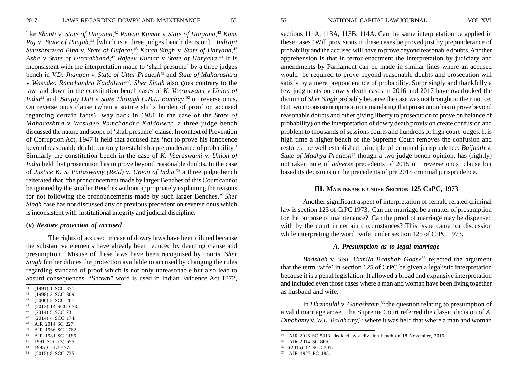like *Shanti* v. *State of Haryana*,<sup>42</sup> *Pawan Kumar* v *State of Haryana*,<sup>43</sup> *Kans Raj v. State of Punjab*,<sup>44</sup> [which is a three judges bench decision], *Indrajit Sureshprasad Bind* v. *State of Gujarat*,<sup>45</sup> *Karan Singh* v. *State of Haryana*,<sup>46</sup> *Asha* v *State of Uttarakhand*,<sup>47</sup> *Rajeev Kumar* v *State of Haryana*.48 It is inconsistent with the interpretation made to 'shall presume' by a three judges bench in *V.D. Jhangan* v. *State of Uttar Pradesh*<sup>49</sup> and *State of Maharashtra* <sup>v</sup>*Wasudeo Ramchandra Kaidalwar50*. *Sher Singh* also goes contrary to the law laid down in the constitution bench cases of *K. Veeraswami* v *Union of India51* and *Sanjay Dutt* v *State Through C.B.I., Bombay 52* on reverse onus. On reverse onus clause (when a statute shifts burden of proof on accused regarding certain facts) way back in 1981 in the case of the *State of Maharashtra* v *Wasudeo Ramchandra Kaidalwar*, a three judge bench discussed the nature and scope of 'shall presume' clause. In context of Prevention of Corruption Act, 1947 it held that accused has 'not to prove his innocence beyond reasonable doubt, but only to establish a preponderance of probability.' Similarly the constitution bench in the case of *K. Veeraswami* v. *Union of India* held that prosecution has to prove beyond reasonable doubts. In the case of *Justice K. S. Puttaswamy (Retd)* v. *Union of India,*53 a three judge bench reiterated that "the pronouncement made by larger Benches of this Court cannot be ignored by the smaller Benches without appropriately explaining the reasons for not following the pronouncements made by such larger Benches." *Sher Singh* case has not discussed any of previous precedent on reverse onus which is inconsistent with institutional integrity and judicial discipline.

#### **(v)** *Restore protection of accused*

The rights of accused in case of dowry laws have been diluted because the substantive elements have already been reduced by deeming clause and presumption. Misuse of these laws have been recognised by courts. *Sher Singh* further dilutes the protection available to accused by changing the rules regarding standard of proof which is not only unreasonable but also lead to absurd consequences. "Shown" word is used in Indian Evidence Act 1872,

<sup>52</sup> 1995 CriLJ 477.

sections 111A, 113A, 113B, 114A. Can the same interpretation be applied in these cases? Will provisions in these cases be proved just by preponderance of probability and the accused will have to prove beyond reasonable doubts. Another apprehension is that in terror enactment the interpretation by judiciary and amendments by Parliament can be made in similar lines where an accused would be required to prove beyond reasonable doubts and prosecution will satisfy by a mere preponderance of probability. Surprisingly and thankfully a few judgments on dowry death cases in 2016 and 2017 have overlooked the dictum of *Sher Singh* probably because the case was not brought to their notice. But two inconsistent opinion (one mandating that prosecution has to prove beyond reasonable doubts and other giving liberty to prosecution to prove on balance of probability) on the interpretation of dowry death provision create confusion and problem to thousands of sessions courts and hundreds of high court judges. It is high time a higher bench of the Supreme Court removes the confusion and restores the well established principle of criminal jurisprudence. *Baijnath* v. *State of Madhya Pradesh*<sup>54</sup> though a two judge bench opinion, has (rightly) not taken note of *adverse* precedents of 2015 on 'reverse onus' clause but based its decisions on the precedents of pre 2015 criminal jurisprudence.

# **III. MAINTENANCE UNDER SECTION 125 CRPC, 1973**

Another significant aspect of interpretation of female related criminal law is section 125 of CrPC 1973. Can the marriage be a matter of presumption for the purpose of maintenance? Can the proof of marriage may be dispensed with by the court in certain circumstances? This issue came for discussion while interpreting the word 'wife' under section 125 of CrPC 1973.

# *A. Presumption as to legal marriage*

*Badshah* v. *Sou. Urmila Badshah Godse*<sup>55</sup> rejected the argument that the term 'wife' in section 125 of CrPC be given a legalistic interpretation because it is a penal legislation. It allowed a broad and expansive interpretation and included even those cases where a man and woman have been living together as husband and wife.

In *Dhannulal* v. *Ganeshram*,<sup>56</sup> the question relating to presumption of a valid marriage arose. The Supreme Court referred the classic decision of *A. Dinohamy* v. *W.L. Balahamy*,<sup>57</sup> where it was held that where a man and woman

<sup>42</sup> (1991) 1 SCC 371.

<sup>43</sup> (1998) 3 SCC 309.

<sup>44</sup> (2000) 5 SCC 207

<sup>45</sup> (2013) 14 SCC 678.

<sup>46</sup> (2014) 5 SCC 73.

 $47$  (2014) 4 SCC 174.

<sup>48</sup> AIR 2014 SC 227.

<sup>49</sup> AIR 1966 SC 1762. <sup>50</sup> AIR 1981 SC 1186.

 $51$  1991 SCC (3) 655.

<sup>53</sup> (2015) 8 SCC 735.

<sup>54</sup> AIR 2016 SC 5313, decided by a division bench on 18 November, 2016.

<sup>55</sup> AIR 2014 SC 869.

<sup>56</sup> (2015) 12 SCC 301.

<sup>57</sup> AIR 1927 PC 185.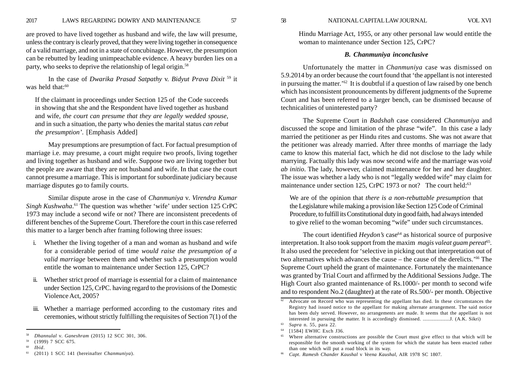are proved to have lived together as husband and wife, the law will presume, unless the contrary is clearly proved, that they were living together in consequence of a valid marriage, and not in a state of concubinage. However, the presumption can be rebutted by leading unimpeachable evidence. A heavy burden lies on a party, who seeks to deprive the relationship of legal origin.<sup>58</sup>

In the case of *Dwarika Prasad Satpathy* v. *Bidyut Prava Dixit* 59 it was held that $.60$ 

If the claimant in proceedings under Section 125 of the Code succeeds in showing that she and the Respondent have lived together as husband and wife, *the court can presume that they are legally wedded spouse*, and in such a situation, the party who denies the marital status *can rebut the presumption'*. [Emphasis Added]

May presumptions are presumption of fact. For factual presumption of marriage i.e. may presume, a court might require two proofs, living together and living together as husband and wife. Suppose two are living together but the people are aware that they are not husband and wife. In that case the court cannot presume a marriage. This is important for subordinate judiciary because marriage disputes go to family courts.

Similar dispute arose in the case of *Chanmuniya* v. *Virendra Kumar Singh Kushwaha*.<sup>61</sup> The question was whether 'wife' under section 125 CrPC 1973 may include a second wife or not? There are inconsistent precedents of different benches of the Supreme Court. Therefore the court in this case referred this matter to a larger bench after framing following three issues:

- i. Whether the living together of a man and woman as husband and wife for a considerable period of time *would raise the presumption of a valid marriage* between them and whether such a presumption would entitle the woman to maintenance under Section 125, CrPC?
- ii. Whether strict proof of marriage is essential for a claim of maintenance under Section 125, CrPC. having regard to the provisions of the Domestic Violence Act, 2005?
- iii. Whether a marriage performed according to the customary rites and ceremonies, without strictly fulfilling the requisites of Section 7(1) of the

<sup>60</sup> *Ibid*.

Hindu Marriage Act, 1955, or any other personal law would entitle the woman to maintenance under Section 125, CrPC?

#### *B. Chanmuniya inconclusive*

Unfortunately the matter in *Chanmuniya* case was dismissed on 5.9.2014 by an order because the court found that 'the appellant is not interested in pursuing the matter.'62 It is doubtful if a question of law raised by one bench which has inconsistent pronouncements by different judgments of the Supreme Court and has been referred to a larger bench, can be dismissed because of technicalities of uninterested party?

The Supreme Court in *Badshah* case considered *Chanmuniya* and discussed the scope and limitation of the phrase "wife". In this case a lady married the petitioner as per Hindu rites and customs. She was not aware that the petitioner was already married. After three months of marriage the lady came to know this material fact, which he did not disclose to the lady while marrying. Factually this lady was now second wife and the marriage was *void ab initio*. The lady, however, claimed maintenance for her and her daughter. The issue was whether a lady who is not "legally wedded wife" may claim for maintenance under section 125, CrPC 1973 or not? The court held:<sup>63</sup>

We are of the opinion that *there is a non-rebuttable presumption* that the Legislature while making a provision like Section 125 Code of Criminal Procedure, to fulfill its Constitutional duty in good faith, had always intended to give relief to the woman becoming "wife" under such circumstances.

The court identified *Heydon's* case<sup>64</sup> as historical source of purposive interpretation. It also took support from the maxim *magis valeat guam pereat*65. It also used the precedent for 'selective in picking out that interpretation out of two alternatives which advances the cause – the cause of the derelicts.'66 The Supreme Court upheld the grant of maintenance. Fortunately the maintenance was granted by Trial Court and affirmed by the Additional Sessions Judge. The High Court also granted maintenance of Rs.1000/- per month to second wife and to respondent No.2 (daughter) at the rate of Rs.500/- per month. Objective

<sup>58</sup> *Dhannulal* v. *Ganeshram* (2015) 12 SCC 301, 306.

<sup>59</sup> (1999) 7 SCC 675.

<sup>61</sup> (2011) 1 SCC 141 (hereinafter *Chanmuniya*).

 $\frac{62}{10}$  Advocate on Record who was representing the appellant has died. In these circumstances the Registry had issued notice to the appellant for making alternate arrangement. The said notice has been duly served. However, no arrangements are made. It seems that the appellant is not interested in pursuing the matter. It is accordingly dismissed. ....................J. (A.K. Sikri)

<sup>63</sup> *Supra* n. 55*,* para 22.

<sup>64 [1584]</sup> EWHC Exch J36.

<sup>&</sup>lt;sup>65</sup> Where alternative constructions are possible the Court must give effect to that which will be responsible for the smooth working of the system for which the statute has been enacted rather than one which will put a road block in its way.

<sup>66</sup> *Capt. Ramesh Chander Kaushal* v *Veena Kaushal*, AIR 1978 SC 1807.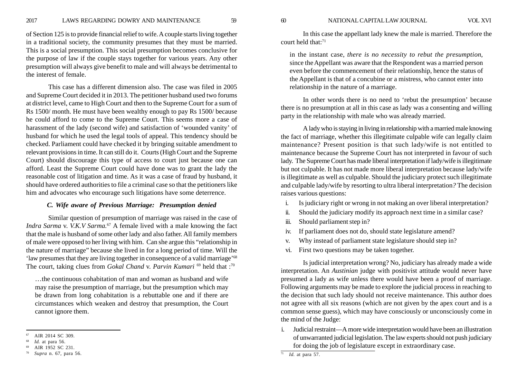of Section 125 is to provide financial relief to wife. A couple starts living together in a traditional society, the community presumes that they must be married. This is a social presumption. This social presumption becomes conclusive for the purpose of law if the couple stays together for various years. Any other presumption will always give benefit to male and will always be detrimental to the interest of female.

This case has a different dimension also. The case was filed in 2005 and Supreme Court decided it in 2013. The petitioner husband used two forums at district level, came to High Court and then to the Supreme Court for a sum of Rs 1500/ month. He must have been wealthy enough to pay Rs 1500/ because he could afford to come to the Supreme Court. This seems more a case of harassment of the lady (second wife) and satisfaction of 'wounded vanity' of husband for which he used the legal tools of appeal. This tendency should be checked. Parliament could have checked it by bringing suitable amendment to relevant provisions in time. It can still do it. Courts (High Court and the Supreme Court) should discourage this type of access to court just because one can afford. Least the Supreme Court could have done was to grant the lady the reasonable cost of litigation and time. As it was a case of fraud by husband, it should have ordered authorities to file a criminal case so that the petitioners like him and advocates who encourage such litigations have some deterrence.

# *C. Wife aware of Previous Marriage: Presumption denied*

Similar question of presumption of marriage was raised in the case of *Indra Sarma* v. *V.K.V Sarma.*<sup>67</sup> A female lived with a male knowing the fact that the male is husband of some other lady and also father. All family members of male were opposed to her living with him. Can she argue this "relationship in the nature of marriage" because she lived in for a long period of time. Will the 'law presumes that they are living together in consequence of a valid marriage'68 The court, taking clues from *Gokal Chand* v. *Parvin Kumari* 69 held that :70

…the continuous cohabitation of man and woman as husband and wife may raise the presumption of marriage, but the presumption which may be drawn from long cohabitation is a rebuttable one and if there are circumstances which weaken and destroy that presumption, the Court cannot ignore them.

In this case the appellant lady knew the male is married. Therefore the court held that:71

in the instant case, *there is no necessity to rebut the presumption*, since the Appellant was aware that the Respondent was a married person even before the commencement of their relationship, hence the status of the Appellant is that of a concubine or a mistress, who cannot enter into relationship in the nature of a marriage.

In other words there is no need to 'rebut the presumption' because there is no presumption at all in this case as lady was a consenting and willing party in the relationship with male who was already married.

A lady who is staying in living in relationship with a married male knowing the fact of marriage, whether this illegitimate culpable wife can legally claim maintenance? Present position is that such lady/wife is not entitled to maintenance because the Supreme Court has not interpreted in favour of such lady. The Supreme Court has made liberal interpretation if lady/wife is illegitimate but not culpable. It has not made more liberal interpretation because lady/wife is illegitimate as well as culpable. Should the judiciary protect such illegitimate and culpable lady/wife by resorting to ultra liberal interpretation*?* The decision raises various questions:

- i. Is judiciary right or wrong in not making an over liberal interpretation?
- ii. Should the judiciary modify its approach next time in a similar case?
- iii. Should parliament step in?
- iv. If parliament does not do, should state legislature amend?
- v. Why instead of parliament state legislature should step in?
- vi. First two questions may be taken together.

Is judicial interpretation wrong? No, judiciary has already made a wide interpretation. An *Austinian* judge with positivist attitude would never have presumed a lady as wife unless there would have been a proof of marriage. Following arguments may be made to explore the judicial process in reaching to the decision that such lady should not receive maintenance. This author does not agree with all six reasons (which are not given by the apex court and is a common sense guess), which may have consciously or unconsciously come in the mind of the Judge:

i. Judicial restraint—A more wide interpretation would have been an illustration of unwarranted judicial legislation. The law experts should not push judiciary for doing the job of legislature except in extraordinary case.

<sup>67</sup> AIR 2014 SC 309.

*Id.* at para 56.

<sup>69</sup> AIR 1952 SC 231.

<sup>70</sup> *Supra* n. 67*,* para 56. <sup>71</sup> *Id.* at para 57.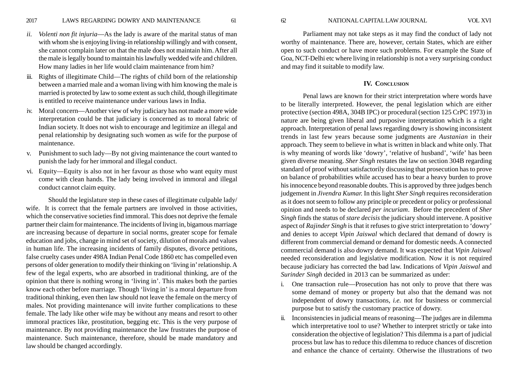- *ii. Volenti non fit injuria*—As the lady is aware of the marital status of man with whom she is enjoying living-in relationship willingly and with consent, she cannot complain later on that the male does not maintain him. After all the male is legally bound to maintain his lawfully wedded wife and children. How many ladies in her life would claim maintenance from him?
- iii. Rights of illegitimate Child—The rights of child born of the relationship between a married male and a woman living with him knowing the male is married is protected by law to some extent as such child, though illegitimate is entitled to receive maintenance under various laws in India.
- iv. Moral concern—Another view of why judiciary has not made a more wide interpretation could be that judiciary is concerned as to moral fabric of Indian society. It does not wish to encourage and legitimize an illegal and penal relationship by designating such women as wife for the purpose of maintenance.
- v. Punishment to such lady—By not giving maintenance the court wanted to punish the lady for her immoral and illegal conduct.
- vi. Equity—Equity is also not in her favour as those who want equity must come with clean hands. The lady being involved in immoral and illegal conduct cannot claim equity.

Should the legislature step in these cases of illegitimate culpable lady/ wife. It is correct that the female partners are involved in those activities, which the conservative societies find immoral. This does not deprive the female partner their claim for maintenance. The incidents of living in, bigamous marriage are increasing because of departure in social norms, greater scope for female education and jobs, change in mind set of society, dilution of morals and values in human life. The increasing incidents of family disputes, divorce petitions, false cruelty cases under 498A Indian Penal Code 1860 etc has compelled even persons of older generation to modify their thinking on 'living in' relationship. A few of the legal experts, who are absorbed in traditional thinking, are of the opinion that there is nothing wrong in 'living in'. This makes both the parties know each other before marriage. Though 'living in' is a moral departure from traditional thinking, even then law should not leave the female on the mercy of males. Not providing maintenance will invite further complications to these female. The lady like other wife may be without any means and resort to other immoral practices like, prostitution, begging etc. This is the very purpose of maintenance. By not providing maintenance the law frustrates the purpose of maintenance. Such maintenance, therefore, should be made mandatory and law should be changed accordingly.

Parliament may not take steps as it may find the conduct of lady not worthy of maintenance. There are, however, certain States, which are either open to such conduct or have more such problems. For example the State of Goa, NCT-Delhi etc where living in relationship is not a very surprising conduct and may find it suitable to modify law.

# **IV. CONCLUSION**

Penal laws are known for their strict interpretation where words have to be literally interpreted. However, the penal legislation which are either protective (section 498A, 304B IPC) or procedural (section 125 CrPC 1973) in nature are being given liberal and purposive interpretation which is a right approach. Interpretation of penal laws regarding dowry is showing inconsistent trends in last few years because some judgments are *Austanian* in their approach. They seem to believe in what is written in black and white only. That is why meaning of words like 'dowry', 'relative of husband', 'wife' has been given diverse meaning. *Sher Singh* restates the law on section 304B regarding standard of proof without satisfactorily discussing that prosecution has to prove on balance of probabilities while accused has to bear a heavy burden to prove his innocence beyond reasonable doubts. This is approved by three judges bench judgement in *Jivendra Kumar.* In this light *Sher Singh* requires reconsideration as it does not seem to follow any principle or precedent or policy or professional opinion and needs to be declared *per incuriam*. Before the precedent of *Sher Singh* finds the status of *stare decisis* the judiciary should intervene. A positive aspect of *Rajinder Singh* is that it refuses to give strict interpretation to 'dowry' and denies to accept *Vipin Jaiswal* which declared that demand of dowry is different from commercial demand or demand for domestic needs. A connected commercial demand is also dowry demand. It was expected that *Vipin Jaiswal* needed reconsideration and legislative modification. Now it is not required because judiciary has corrected the bad law. Indications of *Vipin Jaiswal* and *Surinder Singh* decided in 2013 can be summarized as under:

- i. One transaction rule—Prosecution has not only to prove that there was some demand of money or property but also that the demand was not independent of dowry transactions, *i.e.* not for business or commercial purpose but to satisfy the customary practice of dowry.
- ii. Inconsistencies in judicial means of reasoning—The judges are in dilemma which interpretative tool to use? Whether to interpret strictly or take into consideration the objective of legislation? This dilemma is a part of judicial process but law has to reduce this dilemma to reduce chances of discretion and enhance the chance of certainty. Otherwise the illustrations of two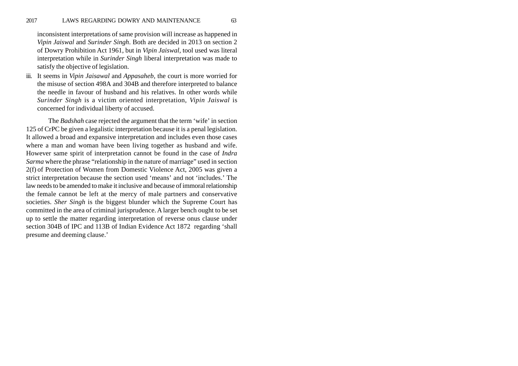inconsistent interpretations of same provision will increase as happened in *Vipin Jaiswal* and *Surinder Singh*. Both are decided in 2013 on section 2 of Dowry Prohibition Act 1961, but in *Vipin Jaiswal,* tool used was literal interpretation while in *Surinder Singh* liberal interpretation was made to satisfy the objective of legislation.

iii. It seems in *Vipin Jaisawal* and *Appasaheb,* the court is more worried for the misuse of section 498A and 304B and therefore interpreted to balance the needle in favour of husband and his relatives. In other words while *Surinder Singh* is a victim oriented interpretation, *Vipin Jaiswal* is concerned for individual liberty of accused.

The *Badshah* case rejected the argument that the term 'wife' in section 125 of CrPC be given a legalistic interpretation because it is a penal legislation. It allowed a broad and expansive interpretation and includes even those cases where a man and woman have been living together as husband and wife. However same spirit of interpretation cannot be found in the case of *Indra Sarma* where the phrase "relationship in the nature of marriage" used in section 2(f) of Protection of Women from Domestic Violence Act, 2005 was given a strict interpretation because the section used 'means' and not 'includes.' The law needs to be amended to make it inclusive and because of immoral relationship the female cannot be left at the mercy of male partners and conservative societies. *Sher Singh* is the biggest blunder which the Supreme Court has committed in the area of criminal jurisprudence. A larger bench ought to be set up to settle the matter regarding interpretation of reverse onus clause under section 304B of IPC and 113B of Indian Evidence Act 1872 regarding 'shall presume and deeming clause.'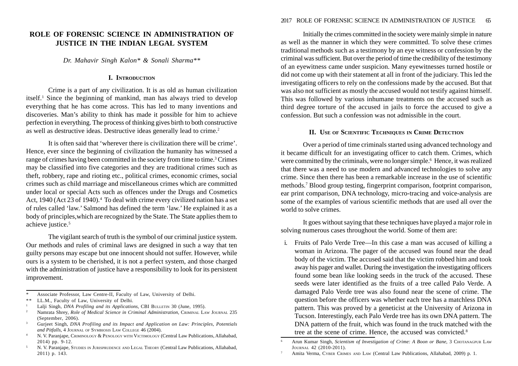# **ROLE OF FORENSIC SCIENCE IN ADMINISTRATION OF JUSTICE IN THE INDIAN LEGAL SYSTEM**

*Dr. Mahavir Singh Kalon\* & Sonali Sharma\*\**

#### **I. INTRODUCTION**

Crime is a part of any civilization. It is as old as human civilization itself.1 Since the beginning of mankind, man has always tried to develop everything that he has come across. This has led to many inventions and discoveries. Man's ability to think has made it possible for him to achieve perfection in everything. The process of thinking gives birth to both constructive as well as destructive ideas. Destructive ideas generally lead to crime.2

It is often said that 'wherever there is civilization there will be crime'. Hence, ever since the beginning of civilization the humanity has witnessed a range of crimes having been committed in the society from time to time.<sup>3</sup> Crimes may be classified into five categories and they are traditional crimes such as theft, robbery, rape and rioting etc., political crimes, economic crimes, social crimes such as child marriage and miscellaneous crimes which are committed under local or special Acts such as offences under the Drugs and Cosmetics Act, 1940 (Act 23 of 1940).<sup>4</sup> To deal with crime every civilized nation has a set of rules called 'law.' Salmond has defined the term 'law.' He explained it as a body of principles,which are recognized by the State. The State applies them to achieve justice.<sup>5</sup>

The vigilant search of truth is the symbol of our criminal justice system. Our methods and rules of criminal laws are designed in such a way that ten guilty persons may escape but one innocent should not suffer. However, while ours is a system to be cherished, it is not a perfect system, and those charged with the administration of justice have a responsibility to look for its persistent improvement.

Initially the crimes committed in the society were mainly simple in nature as well as the manner in which they were committed. To solve these crimes traditional methods such as a testimony by an eye witness or confession by the criminal was sufficient. But over the period of time the credibility of the testimony of an eyewitness came under suspicion. Many eyewitnesses turned hostile or did not come up with their statement at all in front of the judiciary. This led the investigating officers to rely on the confessions made by the accused. But that was also not sufficient as mostly the accused would not testify against himself. This was followed by various inhumane treatments on the accused such as third degree torture of the accused in jails to force the accused to give a confession. But such a confession was not admissible in the court.

# **II. USE OF SCIENTIFIC TECHNIQUES IN CRIME DETECTION**

Over a period of time criminals started using advanced technology and it became difficult for an investigating officer to catch them. Crimes, which were committed by the criminals, were no longer simple.<sup>6</sup> Hence, it was realized that there was a need to use modern and advanced technologies to solve any crime. Since then there has been a remarkable increase in the use of scientific methods.7 Blood group testing, fingerprint comparison, footprint comparison, ear print comparison, DNA technology, micro-tracing and voice-analysis are some of the examples of various scientific methods that are used all over the world to solve crimes.

It goes without saying that these techniques have played a major role in solving numerous cases throughout the world. Some of them are:

i. Fruits of Palo Verde Tree—In this case a man was accused of killing a woman in Arizona. The pager of the accused was found near the dead body of the victim. The accused said that the victim robbed him and took away his pager and wallet. During the investigation the investigating officers found some bean like looking seeds in the truck of the accused. These seeds were later identified as the fruits of a tree called Palo Verde. A damaged Palo Verde tree was also found near the scene of crime. The question before the officers was whether each tree has a matchless DNA pattern. This was proved by a geneticist at the University of Arizona in Tucson. Interestingly, each Palo Verde tree has its own DNA pattern. The DNA pattern of the fruit, which was found in the truck matched with the tree at the scene of crime. Hence, the accused was convicted.<sup>8</sup>

<sup>\*</sup>Associate Professor, Law Centre-II, Faculty of Law, University of Delhi.

<sup>\*\*</sup>LL.M., Faculty of Law, University of Delhi.

<sup>&</sup>lt;sup>1</sup> Lalji Singh, *DNA Profiling and its Applications*, CBI BULLETIN 30 (June, 1995).

<sup>&</sup>lt;sup>2</sup> Namrata Shrey, *Role of Medical Science in Criminal Administration*, CRIMINAL LAW JOURNAL 235 (September, 2006).

<sup>3</sup> Gurjeet Singh, *DNA Profiling and its Impact and Application on Law: Principles, Potentials and Pitfalls*, 4 JOURNAL OF SYMBIOSIS LAW COLLEGE 46 (2004).

N. V. Paranjape, CRIMINOLOGY & PENOLOGY WITH VICTIMOLOGY (Central Law Publications, Allahabad, 2014) pp. 9-12.

<sup>5</sup> N. V. Paranjape, STUDIES IN JURISPRUDENCE AND LEGAL THEORY (Central Law Publications, Allahabad, 2011) p. 143.

Arun Kumar Singh, *Scientism of Investigation of Crime: A Boon or Bane*, 3 CHOTANAGPUR LAW JOURNAL 42 (2010-2011).

<sup>7</sup> Amita Verma, CYBER CRIMES AND LAW (Central Law Publications, Allahabad, 2009) p. 1.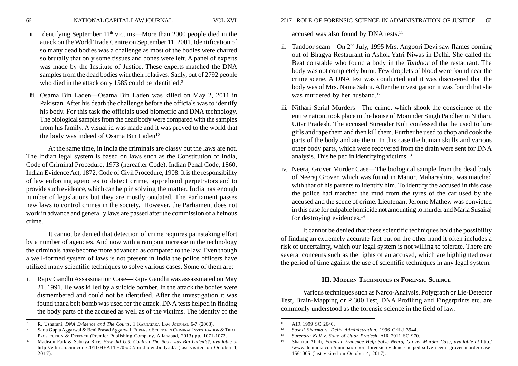- ii. Identifying September  $11<sup>th</sup>$  victims—More than 2000 people died in the attack on the World Trade Centre on September 11, 2001. Identification of so many dead bodies was a challenge as most of the bodies were charred so brutally that only some tissues and bones were left. A panel of experts was made by the Institute of Justice. These experts matched the DNA samples from the dead bodies with their relatives. Sadly, out of 2792 people who died in the attack only 1585 could be identified.<sup>9</sup>
- iii. Osama Bin Laden—Osama Bin Laden was killed on May 2, 2011 in Pakistan. After his death the challenge before the officials was to identify his body. For this task the officials used biometric and DNA technology. The biological samples from the dead body were compared with the samples from his family. A visual id was made and it was proved to the world that the body was indeed of Osama Bin Laden<sup>10</sup>

At the same time, in India the criminals are classy but the laws are not. The Indian legal system is based on laws such as the Constitution of India, Code of Criminal Procedure, 1973 (hereafter Code), Indian Penal Code, 1860, Indian Evidence Act, 1872, Code of Civil Procedure, 1908. It is the responsibility of law enforcing agencies to detect crime, apprehend perpetrators and to provide such evidence, which can help in solving the matter. India has enough number of legislations but they are mostly outdated. The Parliament passes new laws to control crimes in the society. However, the Parliament does not work in advance and generally laws are passed after the commission of a heinous crime.

It cannot be denied that detection of crime requires painstaking effort by a number of agencies. And now with a rampant increase in the technology the criminals have become more advanced as compared to the law. Even though a well-formed system of laws is not present in India the police officers have utilized many scientific techniques to solve various cases. Some of them are:

i. Rajiv Gandhi Assassination Case—Rajiv Gandhi was assassinated on May 21, 1991. He was killed by a suicide bomber. In the attack the bodies were dismembered and could not be identified. After the investigation it was found that a belt bomb was used for the attack. DNA tests helped in finding the body parts of the accused as well as of the victims. The identity of the

#### 66 NATIONAL CAPITAL LAW JOURNAL VOL XVI 2017 ROLE OF FORENSIC SCIENCE IN ADMINISTRATION OF JUSTICE 67

accused was also found by DNA tests.<sup>11</sup>

- ii. Tandoor scam—On 2nd July, 1995 Mrs. Angoori Devi saw flames coming out of Bhagya Restaurant in Ashok Yatri Niwas in Delhi. She called the Beat constable who found a body in the *Tandoor* of the restaurant. The body was not completely burnt. Few droplets of blood were found near the crime scene. A DNA test was conducted and it was discovered that the body was of Mrs. Naina Sahni. After the investigation it was found that she was murdered by her husband.<sup>12</sup>
- iii. Nithari Serial Murders—The crime, which shook the conscience of the entire nation, took place in the house of Moninder Singh Pandher in Nithari, Uttar Pradesh. The accused Surender Koli confessed that he used to lure girls and rape them and then kill them. Further he used to chop and cook the parts of the body and ate them. In this case the human skulls and various other body parts, which were recovered from the drain were sent for DNA analysis. This helped in identifying victims.13
- iv. Neeraj Grover Murder Case—The biological sample from the dead body of Neeraj Grover, which was found in Manor, Maharashtra, was matched with that of his parents to identify him. To identify the accused in this case the police had matched the mud from the tyres of the car used by the accused and the scene of crime. Lieutenant Jerome Mathew was convicted in this case for culpable homicide not amounting to murder and Maria Susairaj for destroying evidences.14

It cannot be denied that these scientific techniques hold the possibility of finding an extremely accurate fact but on the other hand it often includes a risk of uncertainty, which our legal system is not willing to tolerate. There are several concerns such as the rights of an accused, which are highlighted over the period of time against the use of scientific techniques in any legal system.

#### **III. MODERN TECHNIQUES IN FORENSIC SCIENCE**

Various techniques such as Narco-Analysis, Polygraph or Lie-Detector Test, Brain-Mapping or P 300 Test, DNA Profiling and Fingerprints etc. are commonly understood as the forensic science in the field of law.

<sup>8</sup> R. Usharani, *DNA Evidence and The Courts*, 1 KARNATAKA LAW JOURNAL 6-7 (2008).

Sarla Gupta Aggarwal & Beni Prasad Aggarwal, FORENSIC SCIENCE IN CRIMINAL INVESTIGATION & TRIAL: PROSECUTION & DEFENCE (Premier Publishing Company, Allahabad, 2013) pp. 1071-1072.

<sup>10</sup> Madison Park & Sabriya Rice, *How did U.S. Confirm The Body was Bin Laden's?*, *available at* http://edition.cnn.com/2011/HEALTH/05/02/bin.laden.body.id/. (last visited on October 4, 2017).

 $11$  AIR 1999 SC 2640.

<sup>12</sup> *Sushil Sharma* v. *Delhi Administration,* 1996 CriLJ 3944.

<sup>13</sup> *Surendra Koli* v. *State of Uttar Pradesh,* AIR 2011 SC 970.

<sup>14</sup> Shahkar Abidi, *Forensic Evidence Help Solve Neeraj Grover Murder Case*, *available at* http:/ /www.dnaindia.com/mumbai/report-forensic-evidence-helped-solve-neeraj-grover-murder-case-1561005 (last visited on October 4, 2017).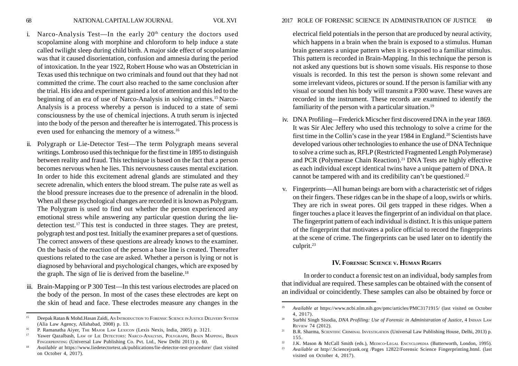- i. Narco-Analysis Test—In the early  $20<sup>th</sup>$  century the doctors used scopolamine along with morphine and chloroform to help induce a state called twilight sleep during child birth. A major side effect of scopolamine was that it caused disorientation, confusion and amnesia during the period of intoxication. In the year 1922, Robert House who was an Obstetrician in Texas used this technique on two criminals and found out that they had not committed the crime. The court also reached to the same conclusion after the trial. His idea and experiment gained a lot of attention and this led to the beginning of an era of use of Narco-Analysis in solving crimes.15 Narco-Analysis is a process whereby a person is induced to a state of semi consciousness by the use of chemical injections. A truth serum is injected into the body of the person and thereafter he is interrogated. This process is even used for enhancing the memory of a witness.<sup>16</sup>
- ii. Polygraph or Lie-Detector Test—The term Polygraph means several writings. Lombroso used this technique for the first time in 1895 to distinguish between reality and fraud. This technique is based on the fact that a person becomes nervous when he lies. This nervousness causes mental excitation. In order to hide this excitement adrenal glands are stimulated and they secrete adrenalin, which enters the blood stream. The pulse rate as well as the blood pressure increases due to the presence of adrenalin in the blood. When all these psychological changes are recorded it is known as Polygram. The Polygram is used to find out whether the person experienced any emotional stress while answering any particular question during the liedetection test.17 This test is conducted in three stages. They are pretest, polygraph test and post test. Initially the examiner prepares a set of questions. The correct answers of these questions are already knows to the examiner. On the basis of the reaction of the person a base line is created. Thereafter questions related to the case are asked. Whether a person is lying or not is diagnosed by behavioral and psychological changes, which are exposed by the graph. The sign of lie is derived from the baseline.18
- iii. Brain-Mapping or P 300 Test—In this test various electrodes are placed on the body of the person. In most of the cases these electrodes are kept on the skin of head and face. These electrodes measure any changes in the

electrical field potentials in the person that are produced by neural activity, which happens in a brain when the brain is exposed to a stimulus. Human brain generates a unique pattern when it is exposed to a familiar stimulus. This pattern is recorded in Brain-Mapping. In this technique the person is not asked any questions but is shown some visuals. His response to those visuals is recorded. In this test the person is shown some relevant and some irrelevant videos, pictures or sound. If the person is familiar with any visual or sound then his body will transmit a P300 wave. These waves are recorded in the instrument. These records are examined to identify the familiarity of the person with a particular situation.<sup>19</sup>

- iv. DNA Profiling—Frederick Micscher first discovered DNA in the year 1869. It was Sir Alec Jeffery who used this technology to solve a crime for the first time in the Collin's case in the year 1984 in England.<sup>20</sup> Scientists have developed various other technologies to enhance the use of DNA Technique to solve a crime such as, RFLP (Restricted Fragmented Length Polymerase) and PCR (Polymerase Chain Reaction).<sup>21</sup> DNA Tests are highly effective as each individual except identical twins have a unique pattern of DNA. It cannot be tampered with and its credibility can't be questioned.<sup>22</sup>
- v. Fingerprints—All human beings are born with a characteristic set of ridges on their fingers. These ridges can be in the shape of a loop, swirls or whirls. They are rich in sweat pores. Oil gets trapped in these ridges. When a finger touches a place it leaves the fingerprint of an individual on that place. The fingerprint pattern of each individual is distinct. It is this unique pattern of the fingerprint that motivates a police official to record the fingerprints at the scene of crime. The fingerprints can be used later on to identify the culprit.<sup>23</sup>

## **IV. FORENSIC SCIENCE V. HUMAN RIGHTS**

In order to conduct a forensic test on an individual, body samples from that individual are required. These samples can be obtained with the consent of an individual or coincidently. These samples can also be obtained by force or

<sup>&</sup>lt;sup>15</sup> Deepak Ratan & Mohd.Hasan Zaidi, AN INTRODUCTION TO FORENSIC SCIENCE IN JUSTICE DELIVERY SYSTEM (Alia Law Agency, Allahabad, 2008) p. 13.

<sup>&</sup>lt;sup>16</sup> P. Ramanatha Aiyer, THE MAJOR LAW LEXICON (Lexis Nexis, India, 2005) p. 3121.

<sup>&</sup>lt;sup>17</sup> Yawer Qazalbash, LAW OF LIE DETECTORS: NARCO-ANALYSIS, POLYGRAPH, BRAIN MAPPING, BRAIN FINGERPRINTING (Universal Law Publishing Co. Pvt. Ltd., New Delhi 2011) p. 60.

<sup>18</sup> *Available at* https://www.liedetectortest.uk/publications/lie-detector-test-procedure/ (last visited on October 4, 2017).

<sup>19</sup> *Available at* https://www.ncbi.nlm.nih.gov/pmc/articles/PMC3171915/ (last visited on October 4, 2017).

<sup>&</sup>lt;sup>20</sup> Surbhi Singh Sisodia, *DNA Profiling: Use of Forensic in Administration of Justice*, 4 INDIAN LAW REVIEW 74 (2012).

<sup>&</sup>lt;sup>21</sup> B.R. Sharma, SCIENTIFIC CRIMINAL INVESTIGATION (Universal Law Publishing House, Delhi, 2013) p. 155.

<sup>&</sup>lt;sup>22</sup> J.K. Mason & McCall Smith (eds.), MEDICO-LEGAL ENCYCLOPEDIA (Butterworth, London, 1995).

<sup>23</sup> *Available at* http//.Sciencejrank.org /Pages 12822/Forensic Science Fingerprinting.html. (last visited on October 4, 2017).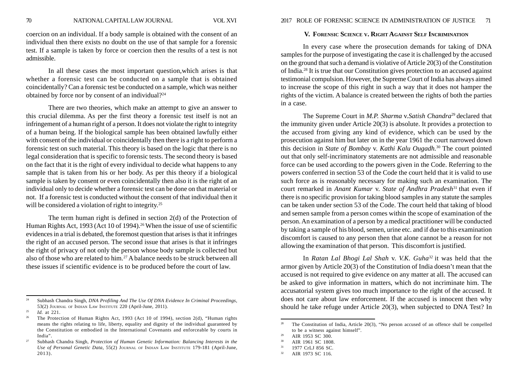coercion on an individual. If a body sample is obtained with the consent of an individual then there exists no doubt on the use of that sample for a forensic test. If a sample is taken by force or coercion then the results of a test is not admissible.

In all these cases the most important question,which arises is that whether a forensic test can be conducted on a sample that is obtained coincidentally? Can a forensic test be conducted on a sample, which was neither obtained by force nor by consent of an individual?24

There are two theories, which make an attempt to give an answer to this crucial dilemma. As per the first theory a forensic test itself is not an infringement of a human right of a person. It does not violate the right to integrity of a human being. If the biological sample has been obtained lawfully either with consent of the individual or coincidentally then there is a right to perform a forensic test on such material. This theory is based on the logic that there is no legal consideration that is specific to forensic tests. The second theory is based on the fact that it is the right of every individual to decide what happens to any sample that is taken from his or her body. As per this theory if a biological sample is taken by consent or even coincidentally then also it is the right of an individual only to decide whether a forensic test can be done on that material or not. If a forensic test is conducted without the consent of that individual then it will be considered a violation of right to integrity.<sup>25</sup>

The term human right is defined in section 2(d) of the Protection of Human Rights Act, 1993 (Act 10 of 1994).<sup>26</sup> When the issue of use of scientific evidences in a trial is debated, the foremost question that arises is that it infringes the right of an accused person. The second issue that arises is that it infringes the right of privacy of not only the person whose body sample is collected but also of those who are related to him.27 A balance needs to be struck between all these issues if scientific evidence is to be produced before the court of law.

#### **V. FORENSIC SCIENCE V. RIGHT AGAINST SELF INCRIMINATION**

In every case where the prosecution demands for taking of DNA samples for the purpose of investigating the case it is challenged by the accused on the ground that such a demand is violative of Article 20(3) of the Constitution of India.28 It is true that our Constitution gives protection to an accused against testimonial compulsion. However, the Supreme Court of India has always aimed to increase the scope of this right in such a way that it does not hamper the rights of the victim. A balance is created between the rights of both the parties in a case.

The Supreme Court in *M.P. Sharma* v.*Satish Chandra*29 declared that the immunity given under Article 20(3) is absolute. It provides a protection to the accused from giving any kind of evidence, which can be used by the prosecution against him but later on in the year 1961 the court narrowed down this decision in *State of Bombay* v. *Kathi Kalu Ougadh.*30 The court pointed out that only self-incriminatory statements are not admissible and reasonable force can be used according to the powers given in the Code. Referring to the powers conferred in section 53 of the Code the court held that it is valid to use such force as is reasonably necessary for making such an examination. The court remarked in *Anant Kumar* v. *State of Andhra Pradesh*31 that even if there is no specific provision for taking blood samples in any statute the samples can be taken under section 53 of the Code. The court held that taking of blood and semen sample from a person comes within the scope of examination of the person. An examination of a person by a medical practitioner will be conducted by taking a sample of his blood, semen, urine etc. and if due to this examination discomfort is caused to any person then that alone cannot be a reason for not allowing the examination of that person. This discomfort is justified.

In *Ratan Lal Bhogi Lal Shah* v. *V.K. Guha32* it was held that the armor given by Article 20(3) of the Constitution of India doesn't mean that the accused is not required to give evidence on any matter at all. The accused can be asked to give information in matters, which do not incriminate him. The accusatorial system gives too much importance to the right of the accused. It does not care about law enforcement. If the accused is innocent then why should he take refuge under Article 20(3), when subjected to DNA Test? In

<sup>24</sup> Subhash Chandra Singh, *DNA Profiling And The Use Of DNA Evidence In Criminal Proceedings*, 53(2) JOURNAL OF INDIAN LAW INSTITUTE 220 (April-June, 2011).

<sup>25</sup> *Id.* at 221.

<sup>&</sup>lt;sup>26</sup> The Protection of Human Rights Act, 1993 (Act 10 of 1994), section 2(d), "Human rights means the rights relating to life, liberty, equality and dignity of the individual guaranteed by the Constitution or embodied in the International Covenants and enforceable by courts in India".

<sup>27</sup> Subhash Chandra Singh, *Protection of Human Genetic Information: Balancing Interests in the Use of Personal Genetic Data*, 55(2) JOURNAL OF INDIAN LAW INSTITUTE 179-181 (April-June, 2013).

<sup>&</sup>lt;sup>28</sup> The Constitution of India, Article 20(3), "No person accused of an offence shall be compelled to be a witness against himself".

<sup>&</sup>lt;sup>29</sup> AIR 1953 SC 300.

<sup>&</sup>lt;sup>30</sup> AIR 1961 SC 1808.

<sup>&</sup>lt;sup>31</sup> 1977 CrLJ 856 SC.

<sup>32</sup> AIR 1973 SC 116.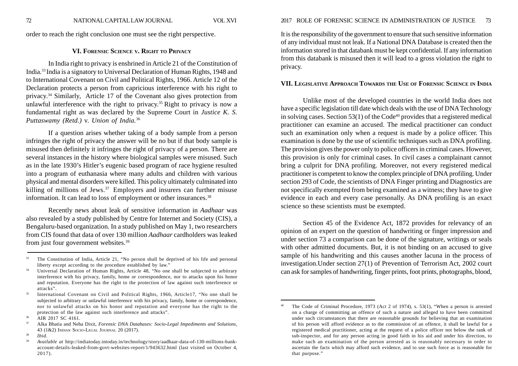order to reach the right conclusion one must see the right perspective.

## **VI. FORENSIC SCIENCE V. RIGHT TO PRIVACY**

In India right to privacy is enshrined in Article 21 of the Constitution of India.33 India is a signatory to Universal Declaration of Human Rights, 1948 and to International Covenant on Civil and Political Rights, 1966. Article 12 of the Declaration protects a person from capricious interference with his right to privacy.34 Similarly, Article 17 of the Covenant also gives protection from unlawful interference with the right to privacy.<sup>35</sup> Right to privacy is now a fundamental right as was declared by the Supreme Court in *Justice K. S. Puttaswamy (Retd.)* v. *Union of India.*<sup>36</sup>

If a question arises whether taking of a body sample from a person infringes the right of privacy the answer will be no but if that body sample is misused then definitely it infringes the right of privacy of a person. There are several instances in the history where biological samples were misused. Such as in the late 1930's Hitler's eugenic based program of race hygiene resulted into a program of euthanasia where many adults and children with various physical and mental disorders were killed. This policy ultimately culminated into killing of millions of Jews. $37$  Employers and insurers can further misuse information. It can lead to loss of employment or other insurances.<sup>38</sup>

Recently news about leak of sensitive information in *Aadhaar* was also revealed by a study published by Centre for Internet and Society (CIS), a Bengaluru-based organization. In a study published on May 1, two researchers from CIS found that data of over 130 million *Aadhaar* cardholders was leaked from just four government websites.<sup>39</sup>

<sup>38</sup> *Ibid.*

It is the responsibility of the government to ensure that such sensitive information of any individual must not leak. If a National DNA Database is created then the information stored in that databank must be kept confidential. If any information from this databank is misused then it will lead to a gross violation the right to privacy.

# **VII. LEGISLATIVE APPROACH TOWARDS THE USE OF FORENSIC SCIENCE IN INDIA**

Unlike most of the developed countries in the world India does not have a specific legislation till date which deals with the use of DNA Technology in solving cases. Section  $53(1)$  of the Code<sup>40</sup> provides that a registered medical practitioner can examine an accused. The medical practitioner can conduct such an examination only when a request is made by a police officer. This examination is done by the use of scientific techniques such as DNA profiling. The provision gives the power only to police officers in criminal cases. However, this provision is only for criminal cases. In civil cases a complainant cannot bring a culprit for DNA profiling. Moreover, not every registered medical practitioner is competent to know the complex principle of DNA profiling. Under section 293 of Code, the scientists of DNA Finger printing and Diagnostics are not specifically exempted from being examined as a witness; they have to give evidence in each and every case personally. As DNA profiling is an exact science so these scientists must be exempted.

Section 45 of the Evidence Act, 1872 provides for relevancy of an opinion of an expert on the question of handwriting or finger impression and under section 73 a comparison can be done of the signature, writings or seals with other admitted documents. But, it is not binding on an accused to give sample of his handwriting and this causes another lacuna in the process of investigation.Under section 27(1) of Prevention of Terrorism Act, 2002 court can ask for samples of handwriting, finger prints, foot prints, photographs, blood,

<sup>33</sup> The Constitution of India, Article 21, "No person shall be deprived of his life and personal liberty except according to the procedure established by law."

<sup>34</sup> Universal Declaration of Human Rights, Article 48, "No one shall be subjected to arbitrary interference with his privacy, family, home or correspondence, nor to attacks upon his honor and reputation. Everyone has the right to the protection of law against such interference or attacks".

<sup>&</sup>lt;sup>35</sup> International Covenant on Civil and Political Rights, 1966, Article17, "No one shall be subjected to arbitrary or unlawful interference with his privacy, family, home or correspondence, nor to unlawful attacks on his honor and reputation and everyone has the right to the protection of the law against such interference and attacks".

<sup>36</sup> AIR 2017 SC 4161.

<sup>37</sup> Alka Bhatia and Neha Dixit, *Forensic DNA Databases: Socio-Legal Impediments and Solutions*, 43 (1&2) INDIAN SOCIO-LEGAL JOURNAL 20 (2017).

<sup>39</sup> *Available at* http://indiatoday.intoday.in/technology/story/aadhaar-data-of-130-millions-bankaccount-details-leaked-from-govt-websites-report/1/943632.html (last visited on October 4, 2017).

The Code of Criminal Procedure, 1973 (Act 2 of 1974), s. 53(1), "When a person is arrested on a charge of committing an offence of such a nature and alleged to have been committed under such circumstances that there are reasonable grounds for believing that an examination of his person will afford evidence as to the commission of an offence, it shall be lawful for a registered medical practitioner, acting at the request of a police officer not below the rank of sub-inspector, and for any person acting in good faith in his aid and under his direction, to make such an examination of the person arrested as is reasonably necessary in order to ascertain the facts which may afford such evidence, and to use such force as is reasonable for that purpose."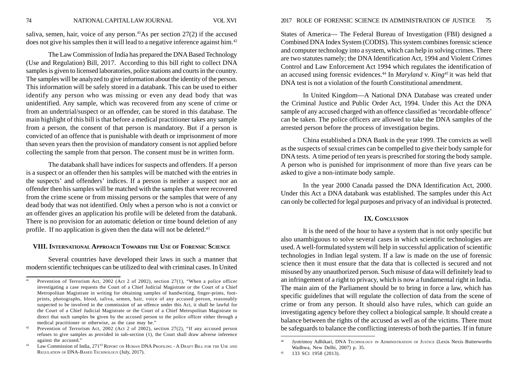saliva, semen, hair, voice of any person.<sup>41</sup>As per section  $27(2)$  if the accused does not give his samples then it will lead to a negative inference against him.42

The Law Commission of India has prepared the DNA Based Technology (Use and Regulation) Bill, 2017. According to this bill right to collect DNA samples is given to licensed laboratories, police stations and courts in the country. The samples will be analyzed to give information about the identity of the person. This information will be safely stored in a databank. This can be used to either identify any person who was missing or even any dead body that was unidentified. Any sample, which was recovered from any scene of crime or from an undertrial/suspect or an offender, can be stored in this database. The main highlight of this bill is that before a medical practitioner takes any sample from a person, the consent of that person is mandatory. But if a person is convicted of an offence that is punishable with death or imprisonment of more than seven years then the provision of mandatory consent is not applied before collecting the sample from that person. The consent must be in written form.

The databank shall have indices for suspects and offenders. If a person is a suspect or an offender then his samples will be matched with the entries in the suspects' and offenders' indices. If a person is neither a suspect nor an offender then his samples will be matched with the samples that were recovered from the crime scene or from missing persons or the samples that were of any dead body that was not identified. Only when a person who is not a convict or an offender gives an application his profile will be deleted from the databank. There is no provision for an automatic deletion or time bound deletion of any profile. If no application is given then the data will not be deleted.<sup>43</sup>

# **VIII. INTERNATIONAL APPROACH TOWARDS THE USE OF FORENSIC SCIENCE**

Several countries have developed their laws in such a manner that modern scientific techniques can be utilized to deal with criminal cases. In United

#### 74 NATIONAL CAPITAL LAW JOURNAL VOL XVI 2017 ROLE OF FORENSIC SCIENCE IN ADMINISTRATION OF JUSTICE 75

States of America— The Federal Bureau of Investigation (FBI) designed a Combined DNA Index System (CODIS). This system combines forensic science and computer technology into a system, which can help in solving crimes. There are two statutes namely; the DNA Identification Act, 1994 and Violent Crimes Control and Law Enforcement Act 1994 which regulates the identification of an accused using forensic evidences.44 In *Maryland* v. *King45* it was held that DNA test is not a violation of the fourth Constitutional amendment.

In United Kingdom—A National DNA Database was created under the Criminal Justice and Public Order Act, 1994. Under this Act the DNA sample of any accused charged with an offence classified as 'recordable offence' can be taken. The police officers are allowed to take the DNA samples of the arrested person before the process of investigation begins.

China established a DNA Bank in the year 1999. The convicts as well as the suspects of sexual crimes can be compelled to give their body sample for DNA tests. A time period of ten years is prescribed for storing the body sample. A person who is punished for imprisonment of more than five years can be asked to give a non-intimate body sample.

In the year 2000 Canada passed the DNA Identification Act, 2000. Under this Act a DNA databank was established. The samples under this Act can only be collected for legal purposes and privacy of an individual is protected.

## **IX. CONCLUSION**

It is the need of the hour to have a system that is not only specific but also unambiguous to solve several cases in which scientific technologies are used. A well-formulated system will help in successful application of scientific technologies in Indian legal system. If a law is made on the use of forensic science then it must ensure that the data that is collected is secured and not misused by any unauthorized person. Such misuse of data will definitely lead to an infringement of a right to privacy, which is now a fundamental right in India. The main aim of the Parliament should be to bring in force a law, which has specific guidelines that will regulate the collection of data from the scene of crime or from any person. It should also have rules, which can guide an investigating agency before they collect a biological sample. It should create a balance between the rights of the accused as well as of the victims. There must be safeguards to balance the conflicting interests of both the parties. If in future

<sup>41</sup> Prevention of Terrorism Act, 2002 (Act 2 of 2002), section 27(1), "When a police officer investigating a case requests the Court of a Chief Judicial Magistrate or the Court of a Chief Metropolitan Magistrate in writing for obtaining samples of handwriting, finger-prints, footprints, photographs, blood, saliva, semen, hair, voice of any accused person, reasonably suspected to be involved in the commission of an offence under this Act, it shall be lawful for the Court of a Chief Judicial Magistrate or the Court of a Chief Metropolitan Magistrate to direct that such samples be given by the accused person to the police officer either through a medical practitioner or otherwise, as the case may be."

<sup>&</sup>lt;sup>42</sup> Prevention of Terrorism Act, 2002 (Act 2 of 2002), section 27(2), "If any accused person refuses to give samples as provided in sub-section (1), the Court shall draw adverse inference against the accused."

 $^{43}$  Law Commission of India, 271<sup>st</sup> Report on Human DNA Profiling - A Draft Bill for the Use and REGULATION OF DNA-BASED TECHNOLOGY (July, 2017).

<sup>44</sup> Jyotrimoy Adhikari, DNA TECHNOLOGY IN ADMINISTRATION OF JUSTICE (Lexis Nexis Butterworths Wadhwa, New Delhi, 2007) p. 35.

<sup>45</sup> 133 SCt 1958 (2013).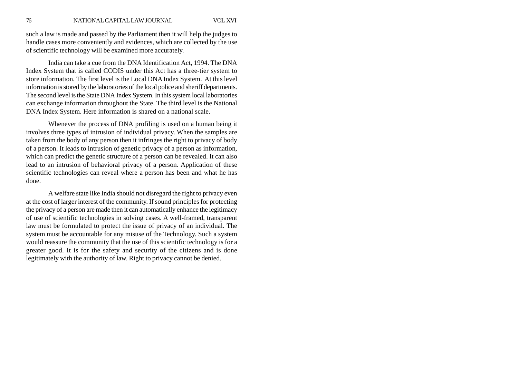such a law is made and passed by the Parliament then it will help the judges to handle cases more conveniently and evidences, which are collected by the use of scientific technology will be examined more accurately.

India can take a cue from the DNA Identification Act, 1994. The DNA Index System that is called CODIS under this Act has a three-tier system to store information. The first level is the Local DNA Index System. At this level information is stored by the laboratories of the local police and sheriff departments. The second level is the State DNA Index System. In this system local laboratories can exchange information throughout the State. The third level is the National DNA Index System. Here information is shared on a national scale.

Whenever the process of DNA profiling is used on a human being it involves three types of intrusion of individual privacy. When the samples are taken from the body of any person then it infringes the right to privacy of body of a person. It leads to intrusion of genetic privacy of a person as information, which can predict the genetic structure of a person can be revealed. It can also lead to an intrusion of behavioral privacy of a person. Application of these scientific technologies can reveal where a person has been and what he has done.

A welfare state like India should not disregard the right to privacy even at the cost of larger interest of the community. If sound principles for protecting the privacy of a person are made then it can automatically enhance the legitimacy of use of scientific technologies in solving cases. A well-framed, transparent law must be formulated to protect the issue of privacy of an individual. The system must be accountable for any misuse of the Technology. Such a system would reassure the community that the use of this scientific technology is for a greater good. It is for the safety and security of the citizens and is done legitimately with the authority of law. Right to privacy cannot be denied.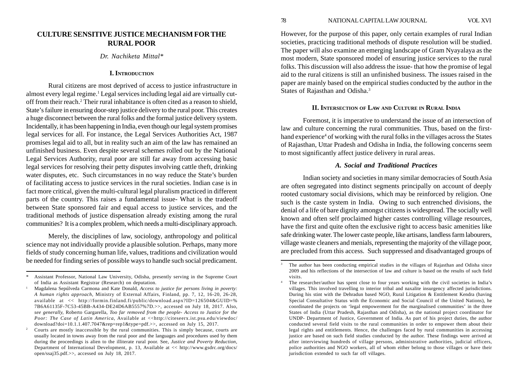# **CULTURE SENSITIVE JUSTICE MECHANISM FOR THE RURAL POOR**

### *Dr. Nachiketa Mittal\**

## **I. INTRODUCTION**

Rural citizens are most deprived of access to justice infrastructure in almost every legal regime.1 Legal services including legal aid are virtually cutoff from their reach.2 Their rural inhabitance is often cited as a reason to shield, State's failure in ensuring door-step justice delivery to the rural poor. This creates a huge disconnect between the rural folks and the formal justice delivery system. Incidentally, it has been happening in India, even though our legal system promises legal services for all. For instance, the Legal Services Authorities Act, 1987 promises legal aid to all, but in reality such an aim of the law has remained an unfinished business. Even despite several schemes rolled out by the National Legal Services Authority, rural poor are still far away from accessing basic legal services for resolving their petty disputes involving cattle theft, drinking water disputes, etc. Such circumstances in no way reduce the State's burden of facilitating access to justice services in the rural societies. Indian case is in fact more critical, given the multi-cultural legal pluralism practiced in different parts of the country. This raises a fundamental issue- What is the tradeoff between State sponsored fair and equal access to justice services, and the traditional methods of justice dispensation already existing among the rural communities? It is a complex problem, which needs a multi-disciplinary approach.

Merely, the disciplines of law, sociology, anthropology and political science may not individually provide a plausible solution. Perhaps, many more fields of study concerning human life, values, traditions and civilization would be needed for finding series of possible ways to handle such social predicament. However, for the purpose of this paper, only certain examples of rural Indian societies, practicing traditional methods of dispute resolution will be studied. The paper will also examine an emerging landscape of Gram Nyayalaya as the most modern, State sponsored model of ensuring justice services to the rural folks. This discussion will also address the issue- that how the promise of legal aid to the rural citizens is still an unfinished business. The issues raised in the paper are mainly based on the empirical studies conducted by the author in the States of Rajasthan and Odisha.<sup>3</sup>

## **II. INTERSECTION OF LAW AND CULTURE IN RURAL INDIA**

Foremost, it is imperative to understand the issue of an intersection of law and culture concerning the rural communities. Thus, based on the firsthand experience<sup>4</sup> of working with the rural folks in the villages across the States of Rajasthan, Uttar Pradesh and Odisha in India, the following concerns seem to most significantly affect justice delivery in rural areas.

## *A. Social and Traditional Practices*

Indian society and societies in many similar democracies of South Asia are often segregated into distinct segments principally on account of deeply rooted customary social divisions, which may be reinforced by religion. One such is the caste system in India. Owing to such entrenched divisions, the denial of a life of bare dignity amongst citizens is widespread. The socially well known and often self proclaimed higher castes controlling village resources, have the first and quite often the exclusive right to access basic amenities like safe drinking water. The lower caste people, like artisans, landless farm labourers, village waste cleaners and menials, representing the majority of the village poor, are precluded from this access. Such suppressed and disadvantaged groups of

<sup>\*</sup> Assistant Professor, National Law University, Odisha, presently serving in the Supreme Court of India as Assistant Registrar (Research) on deputation.

<sup>1</sup> Magdalena Sepúlveda Carmona and Kate Donald, *Access to justice for persons living in poverty: A human rights approach,* Ministry of External Affairs, Finland, pp. 7, 12, 16-20, 26-28, available at << http://formin.finland.fi/public/download.aspx?ID=126504&GUID=% 7B6A61135F-7C53-45BB-A434-DE24D6AB5557%7D.>>, accessed on July 18, 2017. Also, *see generally,* Roberto Gargarella, *Too far removed from the people- Access to Justice for the Poor: The Case of Latin America*, Available at <<http://citeseerx.ist.psu.edu/viewdoc/ download?doi=10.1.1.407.7047&rep=rep1&type=pdf.>>, accessed on July 15, 2017.

<sup>2</sup> Courts are mostly inaccessible by the rural communities. This is simply because, courts are usually located in towns away from the rural poor and the languages and procedures used by them during the proceedings is alien to the illiterate rural poor. See, *Justice and Poverty Reduction*, Department of International Development, p. 13, Available at << http://www.gsdrc.org/docs/ open/ssaj35.pdf.>>, accessed on July 18, 2017.

<sup>3</sup> The author has been conducting empirical studies in the villages of Rajasthan and Odisha since 2009 and his reflections of the intersection of law and culture is based on the results of such field visits.

<sup>4</sup> The researcher/author has spent close to four years working with the civil societies in India's villages. This involved travelling to interior tribal and naxalite insurgency affected jurisdictions. During his stint with the Dehradun based NGO, Rural Litigation & Entitlement Kendra (having Special Consultative Status with the Economic and Social Council of the United Nations), he coordinated the projects on 'legal empowerment for the marginalised communities' in the three States of India (Uttar Pradesh, Rajasthan and Odisha), as the national project coordinator for UNDP- Department of Justice, Government of India. As part of his project duties, the author conducted several field visits to the rural communities in order to empower them about their legal rights and entitlements. Hence, the challenges faced by rural communities in accessing justice are based on such field studies conducted by the author. These findings were arrived at after interviewing hundreds of village persons, administrative authorities, judicial officers, police authorities and NGO workers, all of whom either belong to those villages or have their jurisdiction extended to such far off villages.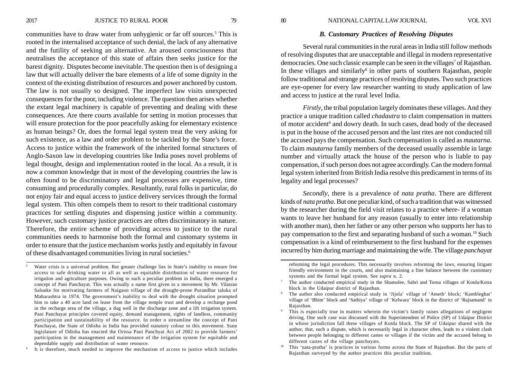communities have to draw water from unhygienic or far off sources.5 This is rooted in the internalised acceptance of such denial, the lack of any alternative and the futility of seeking an alternative. An aroused consciousness that neutralises the acceptance of this state of affairs then seeks justice for the barest dignity. Disputes become inevitable. The question then is of designing a law that will actually deliver the bare elements of a life of some dignity in the context of the existing distribution of resources and power anchored by custom. The law is not usually so designed. The imperfect law visits unexpected consequences for the poor, including violence. The question then arises whether the extant legal machinery is capable of preventing and dealing with these consequences. Are there courts available for setting in motion processes that will ensure protection for the poor peacefully asking for elementary existence as human beings? Or, does the formal legal system treat the very asking for such existence, as a law and order problem to be tackled by the State's force. Access to justice within the framework of the inherited formal structures of Anglo-Saxon law in developing countries like India poses novel problems of legal thought, design and implementation rooted in the local. As a result, it is now a common knowledge that in most of the developing countries the law is often found to be discriminatory and legal processes are expensive, time consuming and procedurally complex. Resultantly, rural folks in particular, do not enjoy fair and equal access to justice delivery services through the formal legal system. This often compels them to resort to their traditional customary practices for settling disputes and dispensing justice within a community. However, such customary justice practices are often discriminatory in nature. Therefore, the entire scheme of providing access to justice to the rural communities needs to harmonise both the formal and customary systems in order to ensure that the justice mechanism works justly and equitably in favour

2017 JUSTICE TO RURAL POOR 79 80 NATIONAL CAPITAL LAW JOURNAL VOL XVI

Several rural communities in the rural areas in India still follow methods of resolving disputes that are unacceptable and illegal in modern representative democracies. One such classic example can be seen in the villages<sup>7</sup> of Rajasthan. In these villages and similarly<sup>8</sup> in other parts of southern Rajasthan, people follow traditional and strange practices of resolving disputes. Two such practices are eye-opener for every law researcher wanting to study application of law and access to justice at the rural level India.

*Firstly*, the tribal population largely dominates these villages. And they practice a unique tradition called *chadautra* to claim compensation in matters of motor accident<sup>9</sup> and dowry death. In such cases, dead body of the deceased is put in the house of the accused person and the last rites are not conducted till the accused pays the compensation. Such compensation is called as *mautarna*. To claim *mautarna* family members of the deceased usually assemble in large number and virtually attack the house of the person who is liable to pay compensation, if such person does not agree accordingly. Can the modern formal legal system inherited from British India resolve this predicament in terms of its legality and legal processes?

*Secondly*, there is a prevalence of *nata pratha*. There are different kinds of *nata pratha*. But one peculiar kind, of such a tradition that was witnessed by the researcher during the field visit relates to a practice where- if a woman wants to leave her husband for any reason (usually to enter into relationship with another man), then her father or any other person who supports her has to pay compensation to the first and separating husband of such a woman.10 Such compensation is a kind of reimbursement to the first husband for the expenses incurred by him during marriage and maintaining the wife. The village *panchayat*

of these disadvantaged communities living in rural societies.6

It is therefore, much needed to improve the mechanism of access to justice which includes

reforming the legal procedures. This necessarily involves reforming the laws, ensuring litigant friendly environment in the courts, and also maintaining a fine balance between the customary

<sup>5</sup> Water crisis is a universal problem. But greater challenge lies in State's inability to ensure free access to safe drinking water to all as well as equitable distribution of water resource for irrigation and agriculture purposes. Owing to such a peculiar problem in India, there emerged a concept of Pani Panchayat. This was actually a name first given to a movement by Mr. Vilasrao Salunke for motivating farmers of Naigaon village of the drought-prone Purandhar taluka of Maharashtra in 1974. The government's inability to deal with the drought situation prompted him to take a 40 acre land on lease from the village temple trust and develop a recharge pond in the recharge area of the village, a dug well in the discharge zone and a lift irrigation system. Pani Panchayat principles covered equity, demand management, rights of landless, community participation and sustainability of the resource. In order o streamline the concept of Pani Panchayat, the State of Odisha in India has provided statutory colour to this movement. State legislature of Odisha has enacted the Orissa Pani Panchyat Act of 2002 to provide farmers' participation in the management and maintenance of the irrigation system for equitable and dependable supply and distribution of water resource.

systems and the formal legal system. See *supra* n. 2. <sup>7</sup> The author conducted empirical study in the Shamolee, Sahri and Torna villages of Kotda/Kotra block in the Udaipur district of Rajasthan.

<sup>8</sup> The author also conducted empirical study in 'Jijola' village of 'Ameth' block; 'Kambleghat' village of 'Bhim' block and 'Sathiya' village of 'Kelwara' block in the district of 'Rajsamand' in Rajasthan.

This is especially true in matters wherein the victim's family raises allegations of negligent driving. One such case was discussed with the Superintendent of Police (SP) of Udaipur District in whose jurisdiction fall these villages of Kotda block. The SP of Udaipur shared with the author, that, such a dispute, which is necessarily legal in character often, leads to a violent clash between people belonging to different castes or villages if the victim and the accused belong to different castes of the village panchayats.

This 'nata-pratha' is practices in various forms across the State of Rajasthan. But the parts of Rajasthan surveyed by the author practices this peculiar tradition.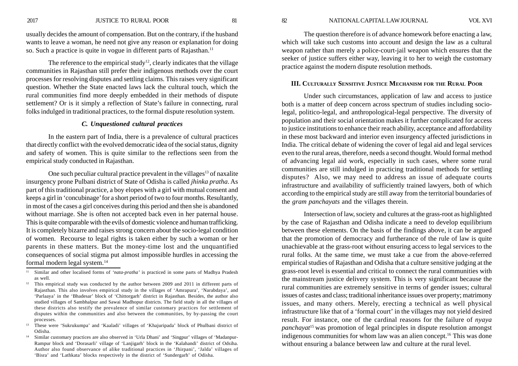#### 2017 JUSTICE TO RURAL POOR 81 82 NATIONAL CAPITAL LAW JOURNAL VOL XVI

usually decides the amount of compensation. But on the contrary, if the husband wants to leave a woman, he need not give any reason or explanation for doing so. Such a practice is quite in vogue in different parts of Rajasthan.<sup>11</sup>

The reference to the empirical study<sup>12</sup>, clearly indicates that the village communities in Rajasthan still prefer their indigenous methods over the court processes for resolving disputes and settling claims. This raises very significant question. Whether the State enacted laws lack the cultural touch, which the rural communities find more deeply embedded in their methods of dispute settlement? Or is it simply a reflection of State's failure in connecting, rural folks indulged in traditional practices, to the formal dispute resolution system.

# *C. Unquestioned cultural practices*

In the eastern part of India, there is a prevalence of cultural practices that directly conflict with the evolved democratic idea of the social status, dignity and safety of women. This is quite similar to the reflections seen from the empirical study conducted in Rajasthan.

One such peculiar cultural practice prevalent in the villages<sup>13</sup> of naxalite insurgency prone Pulbani district of State of Odisha is called *jhinka pratha*. As part of this traditional practice, a boy elopes with a girl with mutual consent and keeps a girl in 'concubinage' for a short period of two to four months. Resultantly, in most of the cases a girl conceives during this period and then she is abandoned without marriage. She is often not accepted back even in her paternal house. This is quite comparable with the evils of domestic violence and human trafficking. It is completely bizarre and raises strong concern about the socio-legal condition of women. Recourse to legal rights is taken either by such a woman or her parents in these matters. But the money-time lost and the unquantified consequences of social stigma put almost impossible hurdles in accessing the formal modern legal system.14

The question therefore is of advance homework before enacting a law, which will take such customs into account and design the law as a cultural weapon rather than merely a police-court-jail weapon which ensures that the seeker of justice suffers either way, leaving it to her to weigh the customary practice against the modern dispute resolution methods.

## **III. CULTURALLY SENSITIVE JUSTICE MECHANISM FOR THE RURAL POOR**

Under such circumstances, application of law and access to justice both is a matter of deep concern across spectrum of studies including sociolegal, politico-legal, and anthropological-legal perspective. The diversity of population and their social orientation makes it further complicated for access to justice institutions to enhance their reach ability, acceptance and affordability in these most backward and interior even insurgency affected jurisdictions in India. The critical debate of widening the cover of legal aid and legal services even to the rural areas, therefore, needs a second thought. Would formal method of advancing legal aid work, especially in such cases, where some rural communities are still indulged in practicing traditional methods for settling disputes? Also, we may need to address an issue of adequate courts infrastructure and availability of sufficiently trained lawyers, both of which according to the empirical study are still away from the territorial boundaries of the *gram panchayats* and the villages therein.

Intersection of law, society and cultures at the grass-root as highlighted by the case of Rajasthan and Odisha indicate a need to develop equilibrium between these elements. On the basis of the findings above, it can be argued that the promotion of democracy and furtherance of the rule of law is quite unachievable at the grass-root without ensuring access to legal services to the rural folks. At the same time, we must take a cue from the above-referred empirical studies of Rajasthan and Odisha that a culture sensitive judging at the grass-root level is essential and critical to connect the rural communities with the mainstream justice delivery system. This is very significant because the rural communities are extremely sensitive in terms of gender issues; cultural issues of castes and class; traditional inheritance issues over property; matrimony issues, and many others. Merely, erecting a technical as well physical infrastructure like that of a 'formal court' in the villages may not yield desired result. For instance, one of the cardinal reasons for the failure of *nyaya panchayat*15 was promotion of legal principles in dispute resolution amongst indigenous communities for whom law was an alien concept.16 This was done without ensuring a balance between law and culture at the rural level.

<sup>&</sup>lt;sup>11</sup> Similar and other localised forms of 'nata-pratha' is practiced in some parts of Madhya Pradesh as well.

 $12$  This empirical study was conducted by the author between 2009 and 2011 in different parts of Rajasthan. This also involves empirical study in the villages of 'Amrapura', 'Narabdaya', and 'Parlaaya' in the 'Bhadesar' block of 'Chittorgarh' district in Rajasthan. Besides, the author also studied villages of Sambhalpur and Sawai Madhopur districts. The field study in all the villages of these districts also testify the prevalence of similar customary practices for settlement of disputes within the communities and also between the communities, by by-passing the court processes.

<sup>&</sup>lt;sup>13</sup> These were 'Sukrukumpa' and 'Kaaladi' villages of 'Khajuripada' block of Phulbani district of Odisha.

<sup>14</sup> Similar customary practices are also observed in 'Urla Dhani' and 'Singpur' villages of 'Madanpur-Rampur block and 'Dorasarli' village of 'Lanjigarh' block in the 'Kalahandi' district of Odsiha. Author also found observance of alike traditional practices in 'Jhirpani', 'Jalda' villages of 'Bisra' and 'Lathkata' blocks respectively in the district of 'Sundergarh' of Odisha.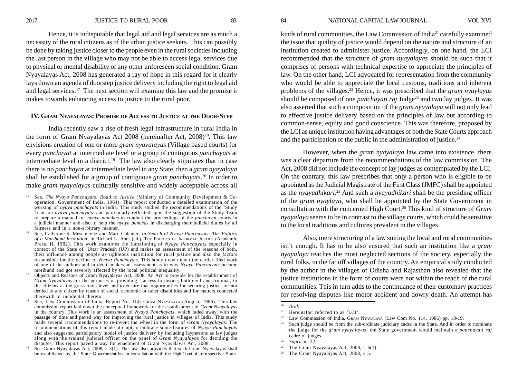Hence, it is indisputable that legal aid and legal services are as much a necessity of the rural citizens as of the urban justice seekers. This can possibly be done by taking justice closer to the people even in the rural societies including the last person in the village who may not be able to access legal services due to physical or mental disability or any other unforeseen social condition. Gram Nyayalayas Act, 2008 has generated a ray of hope in this regard for it clearly lays down an agenda of doorstep justice delivery including the right to legal aid and legal services.17 The next section will examine this law and the promise it makes towards enhancing access to justice to the rural poor.

## **IV. GRAM NYAYALAYAS: PROMISE OF ACCESS TO JUSTICE AT THE DOOR-STEP**

India recently saw a rise of fresh legal infrastructure in rural India in the form of Gram Nyayalayas Act 2008 (hereinafter Act, 2008)<sup>18</sup>. This law envisions creation of one or more *gram nyayalayas* (Village based courts) for every *panchayat* at intermediate level or a group of contiguous *panchayats* at intermediate level in a district.19 The law also clearly stipulates that in case there is no *panchayat* at intermediate level in any State, then a *gram nyayalaya* shall be established for a group of contiguous *gram panchayats*.20 In order to make *gram nyayalayas* culturally sensitive and widely acceptable across all

2017 JUSTICE TO RURAL POOR 83 84 NATIONAL CAPITAL LAW JOURNAL VOL XVI

kinds of rural communities, the Law Commission of India21 carefully examined the issue that quality of justice would depend on the nature and structure of an institution created to administer justice. Accordingly, on one hand, the LCI recommended that the structure of *gram nyayalayas* should be such that it comprises of persons with technical expertise to appreciate the principles of law. On the other hand, LCI advocated for representation from the community who would be able to appreciate the local customs, traditions and inherent problems of the villages.22 Hence, it was prescribed that the *gram nyaylayas* should be composed of one *panchayati raj* Judge23 and two lay judges. It was also asserted that such a composition of the *gram nyayalaya* will not only lead to effective justice delivery based on the principles of law but according to common-sense, equity and good conscience. This was therefore, proposed by the LCI as unique institution having advantages of both the State Courts approach and the participation of the public in the administration of justice. $24$ 

However, when the *gram nyayalaya* law came into existence, there was a clear departure from the recommendations of the law commission. The Act, 2008 did not include the concept of lay judges as contemplated by the LCI. On the contrary, this law prescribes that only a person who is eligible to be appointed as the Judicial Magistrate of the First Class (JMFC) shall be appointed as the *nyayadhikari*.25 And such a *nyayadhikari* shall be the presiding officer of the *gram nyaylaya*, who shall be appointed by the State Government in consultation with the concerned High Court.26 This kind of structure of *Gram nyayalaya* seems to be in contrast to the village courts, which could be sensitive to the local traditions and cultures prevalent in the villages.

Also, mere structuring of a law suiting the local and rural communities isn't enough. It has to be also ensured that such an institution like a *gram nyayalaya* reaches the most neglected sections of the society, especially the rural folks, in the far off villages of the country. An empirical study conducted by the author in the villages of Odisha and Rajasthan also revealed that the justice institutions in the form of courts were not within the reach of the rural communities. This in turn adds to the continuance of their customary practices for resolving disputes like motor accident and dowry death. An attempt has

<sup>15</sup> See, *The Nyaya Panchayats: Road to Justice* (Ministry of Community Development & Cooperation, Government of India, 1964). This report conducted a detailed examination of the working of *nyaya panchayats* in India. This study studied the recommendations of the 'Study Team on *nyaya panchayats*' and particularly reflected upon the suggestion of the Study Team to prepare a manual for *nyaya panchas* to conduct the proceedings of the *panchayat* courts in a judicial manner and also to help the *nyaya panchas* in discharging their judicial duties by all fairness and in a non-arbitrary manner.

<sup>16</sup> See, Catherine S. Meschievitz and Marc Galanter, *In Search of Nyaya Panchayats: The Politics of a Moribund Institution*, in Richard L. Abel (ed.), THE POLITICS OF INFORMAL JUSTICE (Academic Press, II, 1982). This work examines the functioning of *Nyaya Panchayats* especially in context of the State of Uttar Pradesh (UP) and makes an assessment of the reasons of both, their influence among people as righteous institution for rural justice and also the factors responsible for the decline of *Nyaya Panchayats*. This study drawn upon the earlier filed work of one of the authors and in detail makes an assessment as to why *Nyaya Panchayats* became moribund and got severely affected by the local political inequality.

<sup>17</sup> Objects and Reasons of Gram Nyayalayas Act, 2008: An Act to provide for the establishment of *Gram Nyayalayas* for the purposes of providing access to justice, both civil and criminal, to the citizens at the grass-roots level and to ensure that opportunities for securing justice are not denied to any citizen by reason of social, economic or other disabilities and for matters connected therewith or incidental thereto.

<sup>18</sup> See, Law Commission of India, Report No. 114: GRAM NYAYALAYA (August, 1986). This law commission report laid down the conceptual framework for the establishment of *Gram Nyayalayas* in the country. This work is an assessment of *Nyaya Panchayats*, which faded away, with the passage of time and paved way for improving the rural justice in villages of India. This study made several recommendations to re-invent the wheel in the form of *Gram Nyayalayas*. The recommendations of this report made attempt to embrace some features of *Nyaya Panchayats* and also suggested participatory model of justice delivery by including laypersons as lay judges along with the trained judicial officer on the panel of *Gram Nyayalayas* for deciding the disputes. This report paved a way for enactment of Gram Nyayalayas Act, 2008.

See Gram Nyayalayas Act, 2008, s 3(1). The law also provides that such Gram Nyayalayas shall be established by the State Government but in consultation with the High Court of the respective State.

<sup>20</sup> *Ibid.*

<sup>&</sup>lt;sup>21</sup> Hereinafter referred to as 'LCI'.

<sup>&</sup>lt;sup>22</sup> Law Commission of India, GRAM NYAYALAYA (Law Com No. 114, 1986) pp. 18-19.

Such judge should be from the sub-ordinate judiciary cadre in the State. And in order to nominate the judge for the *gram nyayalayas*, the State government would maintain a *panchayati raj* cadre of judges.

 $\frac{24}{25}$  *Supra* n. 22.

The Gram Nyayalayas Act, 2008, s 6(1).

<sup>&</sup>lt;sup>26</sup> The Gram Nyayalayas Act, 2008, s 5.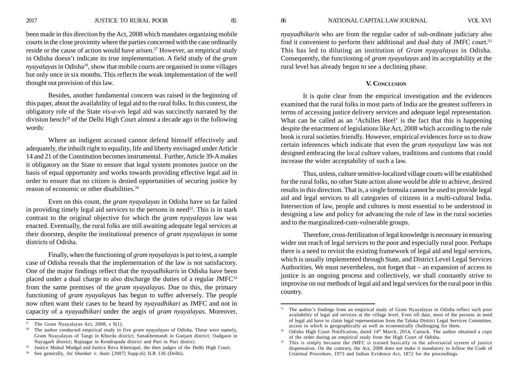been made in this direction by the Act, 2008 which mandates organizing mobile courts in the close proximity where the parties concerned with the case ordinarily reside or the cause of action would have arisen.<sup>27</sup> However, an empirical study in Odisha doesn't indicate its true implementation. A field study of the *gram nyayalayas* in Odisha28, show that mobile courts are organised in some villages but only once in six months. This reflects the weak implementation of the well thought out provision of this law.

Besides, another fundamental concern was raised in the beginning of this paper, about the availability of legal aid to the rural folks. In this context, the obligatory role of the State *vis-a-vis* legal aid was succinctly narrated by the division bench29 of the Delhi High Court almost a decade ago in the following words:

Where an indigent accused cannot defend himself effectively and adequately, the inbuilt right to equality, life and liberty envisaged under Article 14 and 21 of the Constitution becomes instrumental. Further, Article 39-A makes it obligatory on the State to ensure that legal system promotes justice on the basis of equal opportunity and works towards providing effective legal aid in order to ensure that no citizen is denied opportunities of securing justice by reason of economic or other disabilities.30

Even on this count, the *gram nyayalayas* in Odisha have so far failed in providing timely legal aid services to the persons in need $3<sup>1</sup>$ . This is in stark contrast to the original objective for which the *gram nyayalayas* law was enacted. Eventually, the rural folks are still awaiting adequate legal services at their doorstep, despite the institutional presence of *gram nyayalayas* in some districts of Odisha.

Finally, when the functioning of *gram nyayalayas* is put to test, a sample case of Odisha reveals that the implementation of the law is not satisfactory. One of the major findings reflect that the *nyayadhikaris* in Odisha have been placed under a dual charge to also discharge the duties of a regular JMFC<sup>32</sup> from the same premises of the *gram nyayalayas*. Due to this, the primary functioning of *gram nyayalayas* has begun to suffer adversely. The people now often want their cases to be heard by *nyayadhikari* as JMFC and not in capacity of a *nyayadhikari* under the aegis of *gram nyayalayas*. Moreover,

*nyayadhikaris* who are from the regular cadre of sub-ordinate judiciary also find it convenient to perform their additional and dual duty of JMFC court.<sup>33</sup> This has led to diluting an institution of *Gram nyayalayas* in Odisha. Consequently, the functioning of *gram nyayalayas* and its acceptability at the rural level has already begun to see a declining phase.

## **V. CONCLUSION**

It is quite clear from the empirical investigation and the evidences examined that the rural folks in most parts of India are the greatest sufferers in terms of accessing justice delivery services and adequate legal representation. What can be called as an 'Achilles Heel' is the fact that this is happening despite the enactment of legislations like Act, 2008 which according to the rule book is rural societies friendly. However, empirical evidences force us to draw certain inferences which indicate that even the *gram nyayalaya* law was not designed embracing the local culture values, traditions and customs that could increase the wider acceptability of such a law.

Thus, unless, culture sensitive-localized village courts will be established for the rural folks, no other State action alone would be able to achieve, desired results in this direction. That is, a single formula cannot be used to provide legal aid and legal services to all categories of citizens in a multi-cultural India. Intersection of law, people and cultures is most essential to be understood in designing a law and policy for advancing the rule of law in the rural societies and to the marginalized-cum-vulnerable groups.

Therefore, cross-fertilization of legal knowledge is necessary in ensuring wider out reach of legal services to the poor and especially rural poor. Perhaps there is a need to revisit the existing framework of legal aid and legal services, which is usually implemented through State, and District Level Legal Services Authorities. We must nevertheless, not forget that – an expansion of access to justice is an ongoing process and collectively, we shall constantly strive to improvise on our methods of legal aid and legal services for the rural poor in this country.

<sup>&</sup>lt;sup>27</sup> The Gram Nyayalayas Act, 2008, s 9(1).<br><sup>28</sup> The author conducted empirical study in

<sup>28</sup> The author conducted empirical study in five *gram nyayalayas* of Odisha. These were namely, Gram Nyayalayas of Tangi in Khurda district; Sanakhemundi in Ganjam district; Oadgaon in Nayagarh district; Rajnagar in Kendrapada district and Puri in Puri district.

<sup>&</sup>lt;sup>29</sup> Justice Mukul Mudgal and Justice Reva Khetrapal, the then judges of the Delhi High Court.<br><sup>30</sup> See generally *Lai Shankar v. State* [2007] Sunn (6) II R 136 (Delhi)

<sup>30</sup> See generally, *Jai Shankar* v. *State* [2007] Supp.(6) ILR 136 (Delhi).

<sup>31</sup> The author's findings from an empirical study of Gram Nyayalayas in Odisha reflect such poor availability of legal aid services at the village level. Even till date, most of the persons in need of legal aid have to claim legal representation from the Taluka District Legal Services Committee, access to which is geographically as well as economically challenging for them.

<sup>&</sup>lt;sup>32</sup> Odisha High Court Notification, dated 14<sup>th</sup> March, 2014, Cuttack. The author obtained a copy of the order during an empirical study from the High Court of Odisha.

<sup>&</sup>lt;sup>33</sup> This is simply because the JMFC is trained basically in the adversarial system of justice dispensation. On the contrary, the Act, 2008 does not make it mandatory to follow the Code of Criminal Procedure, 1973 and Indian Evidence Act, 1872 for the proceedings.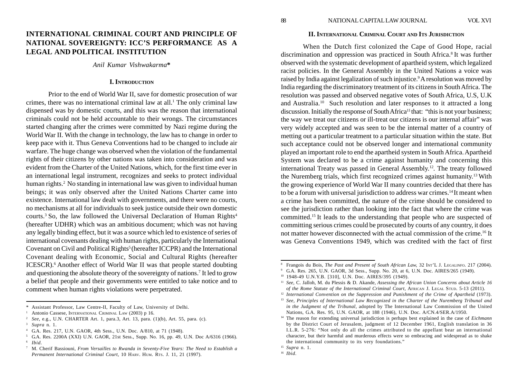# **INTERNATIONAL CRIMINAL COURT AND PRINCIPLE OF NATIONAL SOVEREIGNTY: ICC'S PERFORMANCE AS A LEGAL AND POLITICAL INSTITUTION**

*Anil Kumar Vishwakarma***\***

## **I. INTRODUCTION**

Prior to the end of World War II, save for domestic prosecution of war crimes, there was no international criminal law at all.1 The only criminal law dispensed was by domestic courts, and this was the reason that international criminals could not be held accountable to their wrongs. The circumstances started changing after the crimes were committed by Nazi regime during the World War II. With the change in technology, the law has to change in order to keep pace with it. Thus Geneva Conventions had to be changed to include air warfare. The huge change was observed when the violation of the fundamental rights of their citizens by other nations was taken into consideration and was evident from the Charter of the United Nations, which, for the first time ever in an international legal instrument, recognizes and seeks to protect individual human rights.2 No standing in international law was given to individual human beings; it was only observed after the United Nations Charter came into existence. International law dealt with governments, and there were no courts, no mechanisms at all for individuals to seek justice outside their own domestic courts.<sup>3</sup> So, the law followed the Universal Declaration of Human Rights<sup>4</sup> (hereafter UDHR) which was an ambitious document; which was not having any legally binding effect, but it was a source which led to existence of series of international covenants dealing with human rights, particularly the International Covenant on Civil and Political Rights<sup>5</sup> (hereafter ICCPR) and the International Covenant dealing with Economic, Social and Cultural Rights (hereafter ICESCR).6 Another effect of World War II was that people started doubting and questioning the absolute theory of the sovereignty of nations.7 It led to grow a belief that people and their governments were entitled to take notice and to comment when human rights violations were perpetrated.

# **II. INTERNATIONAL CRIMINAL COURT AND ITS JURISDICTION**

When the Dutch first colonized the Cape of Good Hope, racial discrimination and oppression was practiced in South Africa.<sup>8</sup> It was further observed with the systematic development of apartheid system, which legalized racist policies. In the General Assembly in the United Nations a voice was raised by India against legalization of such injustice.9 A resolution was moved by India regarding the discriminatory treatment of its citizens in South Africa. The resolution was passed and observed negative votes of South Africa, U.S, U.K and Australia.<sup>10</sup> Such resolution and later responses to it attracted a long discussion. Initially the response of South Africa<sup>11</sup> that: "this is not your business; the way we treat our citizens or ill-treat our citizens is our internal affair" was very widely accepted and was seen to be the internal matter of a country of metting out a particular treatment to a particular situation within the state. But such acceptance could not be observed longer and international community played an important role to end the apartheid system in South Africa. Apartheid System was declared to be a crime against humanity and concerning this international Treaty was passed in General Assembly.12. The treaty followed the Nuremberg trials, which first recognized crimes against humanity.13 With the growing experience of World War II many countries decided that there has to be a forum with universal jurisdiction to address war crimes.<sup>14</sup> It meant when a crime has been committed, the nature of the crime should be considered to see the jurisdiction rather than looking into the fact that where the crime was committed.15 It leads to the understanding that people who are suspected of committing serious crimes could be prosecuted by courts of any country, it does not matter however disconnected with the actual commission of the crime.16 It was Geneva Conventions 1949, which was credited with the fact of first

<sup>\*</sup> Assistant Professor, Law Centre-II, Faculty of Law, University of Delhi.

<sup>1</sup> Antonio Cassese, INTERNATIONAL CRIMINAL LAW (2003) p 16.

<sup>2</sup> *See*, e.g., U.N. CHARTER Art. 1, para.3, Art. 13, para. (1)(b), Art. 55, para. (c). <sup>3</sup> *Supra* n. 1.

<sup>4</sup> G.A. Res. 217, U.N. GAOR, 4th Sess., U.N. Doc. A/810, at 71 (1948).

<sup>5</sup> G.A. Res. 2200A (XXI) U.N. GAOR, 21st Sess., Supp. No. 16, pp. 49, U.N. Doc A/6316 (1966).

<sup>6</sup> *Ibid*.

<sup>7</sup> M. Cherif Bassiouni, *From Versailles to Rwanda in Seventy-Five Years: The Need to Establish a Permanent International Criminal Court,* 10 HARV. HUM. RTS. J. 11, 21 (1997).

<sup>8</sup> Frangois du Bois, *The Past and Present of South African Law,* 32 INT'L J. LEGALINFO. 217 (2004).

<sup>9</sup> G.A. Res. 265, U.N. GAOR, 3d Sess., Supp. No. 20, at 6, U.N. Doc. AIRES/265 (1949).

<sup>10</sup> 1948-49 U.N.Y.B. [310], U.N. Doc. AIRES/395 (1949).

<sup>11</sup> *See,* C. Jalloh, M. du Plessis & D. Akande, *Assessing the African Union Concerns about Article 16 of the Rome Statute of the International Criminal Court*, AFRICAN J. LEGAL STUD. 5-13 (2011).

<sup>&</sup>lt;sup>12</sup> International Convention on the Suppression and Punishment of the Crime of Apartheid (1973).

<sup>13</sup> *See, Principles of International Law Recognized in the Charter of the Nuremberg Tribunal and in the Judgment of the Tribunal,* adopted by The International Law Commission of the United Nations, G.A. Res. 95, U.N. GAOR, at 188 (1946), U.N. Doc. A/CN.4/SER.A/1950.

<sup>14</sup> The reason for extending universal jurisdiction is perhaps best explained in the case of *Eichmann* by the District Court of Jerusalem, judgment of 12 December 1961, English translation in 36 I.L.R. 5-276: "Not only do all the crimes attributed to the appellant bear an international character, but their harmful and murderous effects were so embracing and widespread as to shake the international community to its very foundations."

<sup>15</sup> *Supra* n. 1.

<sup>16</sup> *Ibid.*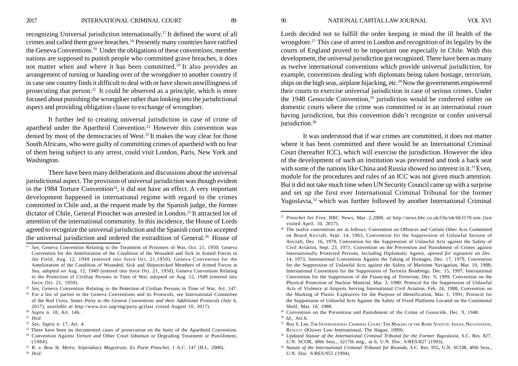2017 INTERNATIONAL CRIMINAL COURT 89 90 NATIONAL CAPITAL LAW JOURNAL VOL XVI

recognizing Universal jurisdiction internationally.17 It defined the worst of all crimes and called them grave breaches.18 Presently many countries have ratified the Geneva Conventions.19 Under the obligations of these conventions, member nations are supposed to punish people who committed grave breaches, it does not matter when and where it has been committed.20 It also provides an arrangement of turning or handing over of the wrongdoer to another country if in case one country finds it difficult to deal with or have shown unwillingness of prosecuting that person.21 It could be observed as a principle, which is more focused about punishing the wrongdoer rather than looking into the jurisdictional aspect and providing obligation clause to exchange of wrongdoer.

It further led to creating universal jurisdiction in case of crime of apartheid under the Apartheid Convention.<sup>22</sup> However this convention was denied by most of the democracies of West.23 It makes the way clear for those South Africans, who were guilty of committing crimes of apartheid with no fear of them being subject to any arrest, could visit London, Paris, New York and Washington.

There have been many deliberations and discussions about the universal jurisdictional aspect. The provision of universal jurisdiction was though evident in the 1984 Torture Convention<sup>24</sup>, it did not have an effect. A very important development happened in international regime with regard to the crimes committed in Chile and, at the request made by the Spanish judge, the former dictator of Chile, General Pinochet was arrested in London.<sup>25</sup> It attracted lot of attention of the international community. In this incidence, the House of Lords agreed to recognize the universal jurisdiction and the Spanish court too accepted the universal jurisdiction and ordered the extradition of General.<sup>26</sup> House of

<sup>19</sup> For a list of parties to the Geneva Conventions and its Protocols, see International Committee of the Red Cross, *States Party to the Geneva Conventions and their Additional Protocols* (July 6, 2017), *available at* http://www.icrc.org/eng/party-gc(last visited August 10, 2017).

- <sup>23</sup> There have been no documented cases of prosecution on the basis of the Apartheid Convention.
- <sup>24</sup> Convention Against Torture and Other Cruel Inhuman or Degrading Treatment or Punishment, (1984).
- <sup>25</sup> R. v. *Bow St. Metro. Stipendiary Magistrate, Ex Parte Pinochet,* 1 A.C. 147 (H.L. 2000). <sup>26</sup> *Ibid.*

Lords decided not to fulfill the order keeping in mind the ill health of the wrongdoer.<sup>27</sup> This case of arrest in London and recognition of its legality by the courts of England proved to be important one especially in Chile. With this development, the universal jurisdiction got recognized. There have been as many as twelve international conventions which provide universal jurisdiction, for example, conventions dealing with diplomats being taken hostage, terrorism, ships on the high seas, airplane hijacking, etc.28 Now the governments empowered their courts to exercise universal jurisdiction in case of serious crimes. Under the 1948 Genocide Convention, $29$  jurisdiction would be conferred either on domestic courts where the crime was committed or in an international court having jurisdiction, but this convention didn't recognize or confer universal jurisdiction.<sup>30</sup>

It was understood that if war crimes are committed, it does not matter where it has been committed and there would be an International Criminal Court (hereafter ICC), which will exercise the jurisdiction. However the idea of the development of such an institution was prevented and took a back seat with some of the nations like China and Russia showed no interest in it.<sup>31</sup> Even, module for the procedures and rules of an ICC was not given much attention. But it did not take much time when UN Security Council came up with a surprise and set up the first ever International Criminal Tribunal for the former Yugoslavia,<sup>32</sup> which was further followed by another International Criminal

<sup>17</sup> *See,* Geneva Convention Relating to the Treatment of Prisoners of War, Oct. 21, 1950; Geneva Convention for the Amelioration of the Condition of the Wounded and Sick in Armed Forces in the Field, Aug. 12, 1949 (entered into force Oct. 21,1950); Geneva Convention for the Amelioration of the Condition of Wounded, Sick and Shipwrecked Members of Armed Forces at Sea, *adopted on* Aug. 12, 1949 (entered into force Oct. 21, 1950); Geneva Convention Relating to the Protection of Civilian Persons in Time of War, *adopted on* Aug. 12, 1949 (entered into force Oct. 21, 1950).

<sup>&</sup>lt;sup>18</sup> *See*, Geneva Convention Relating to the Protection of Civilian Persons in Time of War, Art. 147.

<sup>20</sup> *Supra* n. 18, Art. 146.

<sup>21</sup> *Ibid.*

<sup>22</sup> *See*, *Supra* n. 17, Art. 4.

<sup>27</sup> *Pinochet Set Free,* BBC News, Mar. 2,2000, *at* http://news.bbc.co.uk/l/hi/uk/663170.stm (last visited April. 10, 2017).

<sup>&</sup>lt;sup>28</sup> The twelve conventions are as follows: Convention on Offences and Certain Other Acts Committed on Board Aircraft, Sept. 14, 1963, Convention for the Suppression of Unlawful Seizure of Aircraft, Dec. 16, 1970, Convention for the Suppression of Unlawful Acts against the Safety of Civil Aviation, Sept. 23, 1971; Convention on the Prevention and Punishment of Crimes against Internationally Protected Persons, Including Diplomatic Agents, *opened for signature on Dec.* 14, 1973, International Convention Against the Taking of Hostages, Dec. 17, 1979, Convention for the Suppression of Unlawful Acts against the Safety of Maritime Navigation, Mar. 10, 1988; International Convention for the Suppression of Terrorist Bombings, Dec. 15, 1997; International Convention for the Suppression of the Financing of Terrorism, Dec. 9, 1999; Convention on the Physical Protection of Nuclear Material, Mar. 3, 1980; Protocol for the Suppression of Unlawful Acts of Violence at Airports Serving International Civil Aviation, Feb. 24, 1988; Convention on the Marking of Plastic Explosives for the Purpose of Identification, Mar. 1, 1991; Protocol for the Suppression of Unlawful Acts Against the Safety of Fixed Platforms Located on the Continental Shelf, Mar. 10, 1988.

<sup>29</sup> Convention on the Prevention and Punishment of the Crime of Genocide, Dec. 9, 1948. <sup>30</sup> *Id.,* Art.6.

<sup>&</sup>lt;sup>31</sup> Roy S. Lee, The INTERNATIONAL CRIMINAL COURT: THE MAKING OF THE ROME STATUTE: ISSUES, NEGOTIATION, RESULTS (Kluwer Law International, The Hague, 1999).

<sup>32</sup> *Updated Statute of the International Criminal Tribunal for the Former Yugoslavia,* S.C. Res. 827, U.N. SCOR, 48th Sess., 3217th mtg., at 6, U.N. Doc. S/RES/827 (1993).

<sup>33</sup> *Statute of the International Criminal Tribunal for Rwanda,* S.C. Res. 955, U.N. SCOR, 49th Sess., U.N. Doc. S/RES/955 (1994).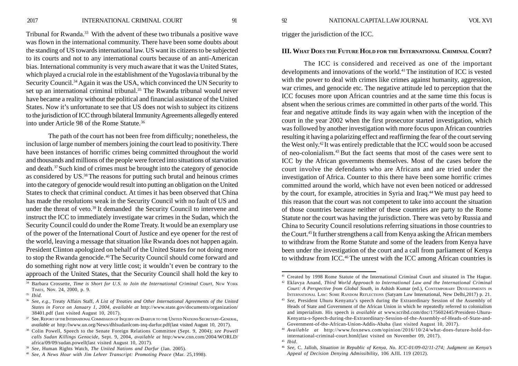2017 INTERNATIONAL CRIMINAL COURT 91 92 NATIONAL CAPITAL LAW JOURNAL VOL XVI

trigger the jurisdiction of the ICC.

# **III. WHAT DOES THE FUTURE HOLD FOR THE INTERNATIONAL CRIMINAL COURT?**

The ICC is considered and received as one of the important developments and innovations of the world.41 The institution of ICC is vested with the power to deal with crimes like crimes against humanity, aggression, war crimes, and genocide etc. The negative attitude led to perception that the ICC focuses more upon African countries and at the same time this focus is absent when the serious crimes are committed in other parts of the world. This fear and negative attitude finds its way again when with the inception of the court in the year 2002 when the first prosecutor started investigation, which was followed by another investigation with more focus upon African countries resulting it having a polarizing effect and reaffirming the fear of the court serving the West only.42 It was entirely predictable that the ICC would soon be accused of neo-colonialism.43 But the fact seems that most of the cases were sent to ICC by the African governments themselves. Most of the cases before the court involve the defendants who are Africans and are tried under the investigation of Africa. Counter to this there have been some horrific crimes committed around the world, which have not even been noticed or addressed by the court, for example, atrocities in Syria and Iraq.44 We must pay heed to this reason that the court was not competent to take into account the situation of those countries because neither of these countries are party to the Rome Statute nor the court was having the jurisdiction. There was veto by Russia and China to Security Council resolutions referring situations in those countries to the Court.45 It further strengthens a call from Kenya asking the African members to withdraw from the Rome Statute and some of the leaders from Kenya have been under the investigation of the court and a call from parliament of Kenya to withdraw from ICC.<sup>46</sup> The unrest with the ICC among African countries is

<sup>45</sup> *Ibid.*

Tribunal for Rwanda.33 With the advent of these two tribunals a positive wave was flown in the international community. There have been some doubts about the standing of US towards international law. US want its citizens to be subjected to its courts and not to any international courts because of an anti-American bias. International community is very much aware that it was the United States, which played a crucial role in the establishment of the Yugoslavia tribunal by the Security Council.34 Again it was the USA, which convinced the UN Security to set up an international criminal tribunal.<sup>35</sup> The Rwanda tribunal would never have became a reality without the political and financial assistance of the United States. Now it's unfortunate to see that US does not wish to subject its citizens to the jurisdiction of ICC through bilateral Immunity Agreements allegedly entered into under Article 98 of the Rome Statute.36

The path of the court has not been free from difficulty; nonetheless, the inclusion of large number of members joining the court lead to positivity. There have been instances of horrific crimes being committed throughout the world and thousands and millions of the people were forced into situations of starvation and death.37 Such kind of crimes must be brought into the category of genocide as considered by US.38 The reasons for putting such brutal and heinous crimes into the category of genocide would result into putting an obligation on the United States to check that criminal conduct. At times it has been observed that China has made the resolutions weak in the Security Council with no fault of US and under the threat of veto.<sup>39</sup> It demanded the Security Council to intervene and instruct the ICC to immediately investigate war crimes in the Sudan, which the Security Council could do under the Rome Treaty. It would be an exemplary use of the power of the International Court of Justice and eye opener for the rest of the world, leaving a message that situation like Rwanda does not happen again. President Clinton apologized on behalf of the United States for not doing more to stop the Rwanda genocide.40 The Security Council should come forward and do something right now at very little cost; it wouldn't even be contrary to the approach of the United States, that the Security Council shall hold the key to

<sup>41</sup> Created by 1998 Rome Statute of the International Criminal Court and situated in The Hague.

<sup>42</sup> Eklavya Anand, *Third World Approach to International Law and the International Criminal Court: A Perspective from Global South*, in Ashish Kumar (ed.), CONTEMPORARY DEVELOPMENTS IN INTERNATIONAL LAW: SOME RANDOM REFLECTIONS (Satyam Law International, New Delhi,2017) p. 21.

<sup>43</sup> *See,* President Uhuru Kenyatta's speech during the Extraordinary Session of the Assembly of Heads of State and Government of the African Union in which he repeatedly referred to colonialism and imperialism. His speech is *available at* www.scribd.com/doc/175602445/President-Uhuru-Kenyatta-s-Speech-during-the-Extraordinary-Session-of-the-Assembly-of-Heads-of-State-and-Government-of-the-African-Union-Addis-Ababa (last visited August 10, 2017).

<sup>44</sup> *Available at* http://www.foxnews.com/opinion/2016/10/24/what-does-future-hold-forinternational-criminal-court.html(last visited on November 09, 2017).

<sup>46</sup> *See,* C. Jalloh, *Situation in Republic of Kenya, No. ICC-01/09-02/11-274; Judgment on Kenya's Appeal of Decision Denying Admissibility*, 106 AJIL 119 (2012).

<sup>&</sup>lt;sup>34</sup> Barbara Crossette, *Time is Short for U.S. to Join the International Criminal Court*, New York TIMES, Nov. 24, 2000, p. 9.

<sup>35</sup> *Ibid.*

<sup>36</sup> *See, e.g.,* Treaty Affairs Staff, *A List of Treaties and Other International Agreements of the United States in Force on January 1, 2004, available at* http://www.state.gov/documents/organization/ 38401.pdf (last visited August 10, 2017).

<sup>37</sup> See. REPORT OFTHE INTERNATIONAL COMMISSION OF INQUIRY ON DARFUR TO THE UNITED NATIONS SECRETARY-GENERAL*, available at* http:/lwww.un.org/News/dhlsudanlcom-inq-darfur.pdf(last visited August 10, 2017).

<sup>38</sup> Colin Powell, Speech to the Senate Foreign Relations Committee (Sept. 9, 2004); *see Powell calls Sudan Killings Genocide,* Sept. 9, 2004, *available at* http:/www.cnn.com/2004/WORLD/ africa/09/09/sudan.powell(last visited August 10, 2017).

<sup>39</sup> *See,* Human Rights Watch, *The United Nations and Darfur* (Jan. 2005).

<sup>40</sup> *See*, *A News Hour with Jim Lehrer Transcript: Promoting Peace* (Mar. 25,1998).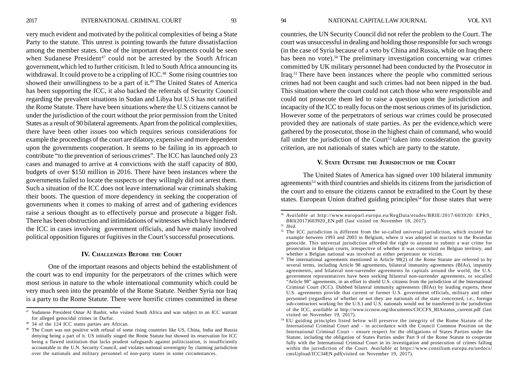very much evident and motivated by the political complexities of being a State Party to the statute. This unrest is pointing towards the future dissatisfaction among the member states. One of the important developments could be seen when Sudanese President<sup>47</sup> could not be arrested by the South African government,which led to further criticism. It led to South Africa announcing its withdrawal. It could prove to be a crippling of ICC.<sup>48</sup> Some rising countries too showed their unwillingness to be a part of it.49 The United States of America has been supporting the ICC, it also backed the referrals of Security Council regarding the prevalent situations in Sudan and Libya but U.S has not ratified the Rome Statute. There have been situations where the U.S citizens cannot be under the jurisdiction of the court without the prior permission from the United States as a result of 90 bilateral agreements. Apart from the political complexities, there have been other issues too which requires serious considerations for example the proceedings of the court are dilatory, expensive and more dependent upon the governments cooperation. It seems to be failing in its approach to contribute "to the prevention of serious crimes". The ICC has launched only 23 cases and managed to arrive at 4 convictions with the staff capacity of 800, budgets of over \$150 million in 2016. There have been instances where the governments failed to locate the suspects or they willingly did not arrest them. Such a situation of the ICC does not leave international war criminals shaking their boots. The question of more dependency in seeking the cooperation of governments when it comes to making of arrest and of gathering evidences raise a serious thought as to effectively pursue and prosecute a bigger fish. There has been obstruction and intimidations of witnesses which have hindered the ICC in cases involving government officials, and have mainly involved political opposition figures or fugitives in the Court's successful prosecutions.

# **IV. CHALLENGES BEFORE THE COURT**

One of the important reasons and objects behind the establishment of the court was to end impunity for the perpetrators of the crimes which were most serious in nature to the whole international community which could be very much seen into the preamble of the Rome Statute. Neither Syria nor Iraq is a party to the Rome Statute. There were horrific crimes committed in these

countries, the UN Security Council did not refer the problem to the Court. The court was unsuccessful in dealing and holding those responsible for such wrongs (in the case of Syria because of a veto by China and Russia, while on Iraq there has been no vote).<sup>50</sup> The preliminary investigation concerning war crimes committed by UK military personnel had been conducted by the Prosecutor in Iraq.51 There have been instances where the people who committed serious crimes had not been caught and such crimes had not been nipped in the bud. This situation where the court could not catch those who were responsible and could not prosecute them led to raise a question upon the jurisdiction and incapacity of the ICC to really focus on the most serious crimes of its jurisdiction. However some of the perpetrators of serious war crimes could be prosecuted provided they are nationals of state parties. As per the evidence,which were gathered by the prosecutor, those in the highest chain of command, who would fall under the jurisdiction of the Court<sup>52</sup> taken into consideration the gravity criterion, are not nationals of states which are party to the statute.

## **V. STATE OUTSIDE THE JURISDICTION OF THE COURT**

The United States of America has signed over 100 bilateral immunity agreements<sup>53</sup> with third countries and shields its citizens from the jurisdiction of the court and to ensure the citizens cannot be extradited to the Court by these states. European Union drafted guiding principles<sup>54</sup> for those states that were

<sup>47</sup> Sudanese President Omar Al Bashir, who visited South Africa and was subject to an ICC warrant for alleged genocidal crimes in Darfur.

<sup>48</sup> 34 of the 124 ICC states parties are African.

<sup>49</sup> The Court was not positive with refusal of some rising countries like US, China, India and Russia denying being a part of it. US initially singed the Rome Statute but showed its reservation for ICC being a flawed institution that lacks prudent safeguards against politicization, is insufficiently accountable to the U.N. Security Council, and violates national sovereignty by claiming jurisdiction over the nationals and military personnel of non-party states in some circumstances.

<sup>50</sup> *Available at* http://www.europarl.europa.eu/RegData/etudes/BRIE/2017/603920/ EPRS\_ BRI(2017)603920\_EN.pdf (last visited on November 18, 2017).

<sup>51</sup> *Ibid.*

<sup>&</sup>lt;sup>52</sup> The ICC jurisdiction is different from the so-called universal jurisdiction, which existed for example between 1993 and 2003 in Belgium, where it was adopted in reaction to the Rwandan genocide. This universal jurisdiction afforded the right to anyone to submit a war crime for prosecution in Belgian courts, irrespective of whether it was committed on Belgian territory, and whether a Belgian national was involved as either perpetrator or victim.

<sup>&</sup>lt;sup>53</sup> The international agreements mentioned in Article 98(2) of the Rome Statute are referred to by several terms, including Article 98 agreements, bilateral immunity agreements (BIAs), impunity agreements, and bilateral non-surrender agreements In capitals around the world, the U.S. government representatives have been seeking bilateral non-surrender agreements, or socalled "Article 98" agreements, in an effort to shield U.S. citizens from the jurisdiction of the International Criminal Court (ICC). Dubbed bilateral immunity agreements (BIAs) by leading experts, these U.S. agreements provide that current or former U.S. government officials, military and other personnel (regardless of whether or not they are nationals of the state concerned, i.e., foreign sub-contractors working for the U.S.) and U.S. nationals would not be transferred to the jurisdiction of the ICC, *available* at http://www.iccnow.org/documents/CICCFS\_BIAstatus\_current.pdf (last visited on November 19, 2017).

<sup>&</sup>lt;sup>54</sup> EU guiding principles listed below will preserve the integrity of the Rome Statute of the International Criminal Court and – in accordance with the Council Common Position on the International Criminal Court – ensure respect for the obligations of States Parties under the Statute, including the obligation of States Parties under Part 9 of the Rome Statute to cooperate fully with the International Criminal Court in its investigation and prosecution of crimes falling within the jurisdiction of the Court. *Available at* https://www.consilium.europa.eu/uedocs/ cmsUpload/ICC34EN.pdf(visited on November 19, 2017).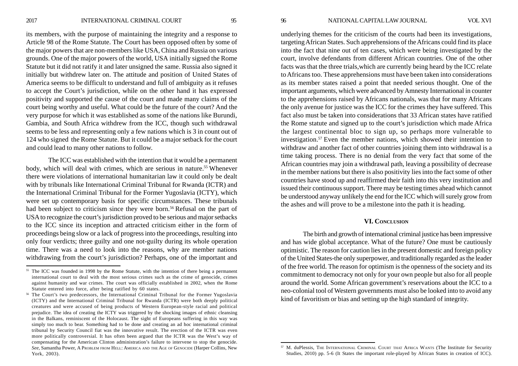2017 INTERNATIONAL CRIMINAL COURT 95 96 NATIONAL CAPITAL LAW JOURNAL VOL XVI

its members, with the purpose of maintaining the integrity and a response to Article 98 of the Rome Statute. The Court has been opposed often by some of the major powers that are non-members like USA, China and Russia on various grounds. One of the major powers of the world, USA initially signed the Rome Statute but it did not ratify it and later unsigned the same. Russia also signed it initially but withdrew later on. The attitude and position of United States of America seems to be difficult to understand and full of ambiguity as it refuses to accept the Court's jurisdiction, while on the other hand it has expressed positivity and supported the cause of the court and made many claims of the court being worthy and useful. What could be the future of the court? And the very purpose for which it was established as some of the nations like Burundi, Gambia, and South Africa withdrew from the ICC, though such withdrawal seems to be less and representing only a few nations which is 3 in count out of 124 who signed the Rome Statute. But it could be a major setback for the court and could lead to many other nations to follow.

The ICC was established with the intention that it would be a permanent body, which will deal with crimes, which are serious in nature.<sup>55</sup> Whenever there were violations of international humanitarian law it could only be dealt with by tribunals like International Criminal Tribunal for Rwanda (ICTR) and the International Criminal Tribunal for the Former Yugoslavia (ICTY), which were set up contemporary basis for specific circumstances. These tribunals had been subject to criticism since they were born.<sup>56</sup> Refusal on the part of USA to recognize the court's jurisdiction proved to be serious and major setbacks to the ICC since its inception and attracted criticism either in the form of proceedings being slow or a lack of progress into the proceedings, resulting into only four verdicts; three guilty and one not-guilty during its whole operation time. There was a need to look into the reasons, why are member nations withdrawing from the court's jurisdiction? Perhaps, one of the important and

underlying themes for the criticism of the courts had been its investigations, targeting African States. Such apprehensions of the Africans could find its place into the fact that nine out of ten cases, which were being investigated by the court, involve defendants from different African countries. One of the other facts was that the three trials,which are currently being heard by the ICC relate to Africans too. These apprehensions must have been taken into considerations as its member states raised a point that needed serious thought. One of the important arguments, which were advanced by Amnesty International in counter to the apprehensions raised by Africans nationals, was that for many Africans the only avenue for justice was the ICC for the crimes they have suffered. This fact also must be taken into considerations that 33 African states have ratified the Rome statute and signed up to the court's jurisdiction which made Africa the largest continental bloc to sign up, so perhaps more vulnerable to investigation.57 Even the member nations, which showed their intention to withdraw and another fact of other countries joining them into withdrawal is a time taking process. There is no denial from the very fact that some of the African countries may join a withdrawal path, leaving a possibility of decrease in the member nations but there is also positivity lies into the fact some of other countries have stood up and reaffirmed their faith into this very institution and issued their continuous support. There may be testing times ahead which cannot be understood anyway unlikely the end for the ICC which will surely grow from the ashes and will prove to be a milestone into the path it is heading.

# **VI. CONCLUSION**

The birth and growth of international criminal justice has been impressive and has wide global acceptance. What of the future? One must be cautiously optimistic. The reason for caution lies in the present domestic and foreign policy of the United States-the only superpower, and traditionally regarded as the leader of the free world. The reason for optimism is the openness of the society and its commitment to democracy not only for your own people but also for all people around the world. Some African government's reservations about the ICC to a neo-colonial tool of Western governments must also be looked into to avoid any kind of favoritism or bias and setting up the high standard of integrity.

<sup>&</sup>lt;sup>55</sup> The ICC was founded in 1998 by the Rome Statute, with the intention of there being a permanent international court to deal with the most serious crimes such as the crime of genocide, crimes against humanity and war crimes. The court was officially established in 2002, when the Rome Statute entered into force, after being ratified by 60 states.

<sup>56</sup> The Court's two predecessors, the International Criminal Tribunal for the Former Yugoslavia (ICTY) and the International Criminal Tribunal for Rwanda (ICTR) were both deeply political creatures and were accused of being products of Western European-style racial and political prejudice. The idea of creating the ICTY was triggered by the shocking images of ethnic cleansing in the Balkans, reminiscent of the Holocaust. The sight of Europeans suffering in this way was simply too much to bear. Something had to be done and creating an ad hoc international criminal tribunal by Security Council fiat was the innovative result. The erection of the ICTR was even more politically controversial. It has often been argued that the ICTR was the West's way of compensating for the American Clinton administration's failure to intervene to stop the genocide. *See*, Samantha Power, A PROBLEM FROM HELL: AMERICA AND THE AGE OF GENOCIDE (Harper Collins, New York, 2003).

<sup>57</sup> M. duPlessis, THE INTERNATIONAL CRIMINAL COURT THAT AFRICA WANTS (The Institute for Security Studies, 2010) pp. 5-6 (It States the important role-played by African States in creation of ICC).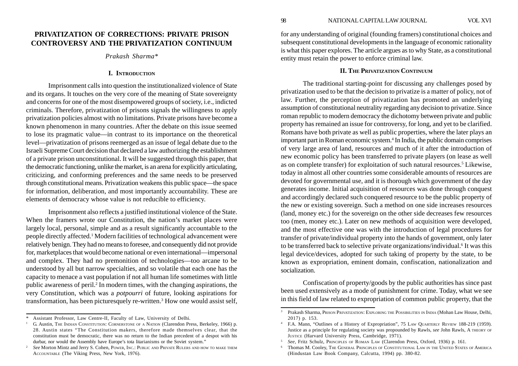# **PRIVATIZATION OF CORRECTIONS: PRIVATE PRISON CONTROVERSY AND THE PRIVATIZATION CONTINUUM**

*Prakash Sharma\**

## **I. INTRODUCTION**

Imprisonment calls into question the institutionalized violence of State and its organs. It touches on the very core of the meaning of State sovereignty and concerns for one of the most disempowered groups of society, i.e., indicted criminals. Therefore, privatization of prisons signals the willingness to apply privatization policies almost with no limitations. Private prisons have become a known phenomenon in many countries. After the debate on this issue seemed to lose its pragmatic value—in contrast to its importance on the theoretical level—privatization of prisons reemerged as an issue of legal debate due to the Israeli Supreme Court decision that declared a law authorizing the establishment of a private prison unconstitutional. It will be suggested through this paper, that the democratic functioning, unlike the market, is an arena for explicitly articulating, criticizing, and conforming preferences and the same needs to be preserved through constitutional means. Privatization weakens this public space—the space for information, deliberation, and most importantly accountability. These are elements of democracy whose value is not reducible to efficiency.

Imprisonment also reflects a justified institutional violence of the State. When the framers wrote our Constitution, the nation's market places were largely local, personal, simple and as a result significantly accountable to the people directly affected.1 Modern facilities of technological advancement were relatively benign. They had no means to foresee, and consequently did not provide for, marketplaces that would become national or even international—impersonal and complex. They had no premonition of technologies—too arcane to be understood by all but narrow specialties, and so volatile that each one has the capacity to menace a vast population if not all human life sometimes with little public awareness of peril.2 In modern times, with the changing aspirations, the very Constitution, which was a *potpourri* of future, looking aspirations for transformation, has been picturesquely re-written.3 How one would assist self,

for any understanding of original (founding framers) constitutional choices and subsequent constitutional developments in the language of economic rationality is what this paper explores. The article argues as to why State, as a constitutional entity must retain the power to enforce criminal law.

# **II. THE PRIVATIZATION CONTINUUM**

The traditional starting-point for discussing any challenges posed by privatization used to be that the decision to privatize is a matter of policy, not of law. Further, the perception of privatization has promoted an underlying assumption of constitutional neutrality regarding any decision to privatize. Since roman republic to modern democracy the dichotomy between private and public property has remained an issue for controversy, for long, and yet to be clarified. Romans have both private as well as public properties, where the later plays an important part in Roman economic system.4 In India, the public domain comprises of very large area of land, resources and much of it after the introduction of new economic policy has been transferred to private players (on lease as well as on complete transfer) for exploitation of such natural resources.<sup>5</sup> Likewise, today in almost all other countries some considerable amounts of resources are devoted for governmental use, and it is thorough which government of the day generates income. Initial acquisition of resources was done through conquest and accordingly declared such conquered resource to be the public property of the new or existing sovereign. Such a method on one side increases resources (land, money etc.) for the sovereign on the other side decreases few resources too (men, money etc.). Later on new methods of acquisition were developed, and the most effective one was with the introduction of legal procedures for transfer of private/individual property into the hands of government, only later to be transferred back to selective private organizations/individual.<sup>6</sup> It was this legal device/devices, adopted for such taking of property by the state, to be known as expropriation, eminent domain, confiscation, nationalization and socialization.

Confiscation of property/goods by the public authorities has since past been used extensively as a mode of punishment for crime. Today, what we see in this field of law related to expropriation of common public property, that the

<sup>\*</sup>Assistant Professor, Law Centre-II, Faculty of Law, University of Delhi.

<sup>1</sup> G. Austin, THE INDIAN CONSTITUTION: CORNERSTONE OF A NATION (Clarendon Press, Berkeley, 1966) p. 28. Austin states "The Constitution makers, therefore made themselves clear, that the constitution must be democratic, there was no return to the Indian precedent of a despot with his durbar, nor would the Assembly have Europe's tota litarianisms or the Soviet system."

<sup>2</sup> *See* Morton Mintz and Jerry S. Cohen, POWER, INC.: PUBLIC AND PRIVATE RULERS AND HOW TO MAKE THEM ACCOUNTABLE (The Viking Press, New York, 1976).

<sup>3</sup> Prakash Sharma, PRISON PRIVATIZATION: EXPLORING THE POSSIBILITIES IN INDIA (Mohan Law House, Delhi, 2017) p. 153.

<sup>4</sup> F.A. Mann, "Outlines of a History of Expropriation", 75 LAW QUARTERLY REVIEW 188-219 (1959). Justice as a principle for regulating society was propounded by Rawls, *see* John Rawls, A THEORY OF JUSTICE (Harvard University Press, Cambridge, 1971).

<sup>5</sup> *See,* Fritz Schulz, PRINCIPLES OF ROMAN LAW (Clarendon Press, Oxford, 1936) p. 161.

<sup>6</sup> Thomas M. Cooley, THE GENERAL PRINCIPLES OF CONSTITUTIONAL LAW IN THE UNITED STATES OF AMERICA (Hindustan Law Book Company, Calcutta, 1994) pp. 380-82.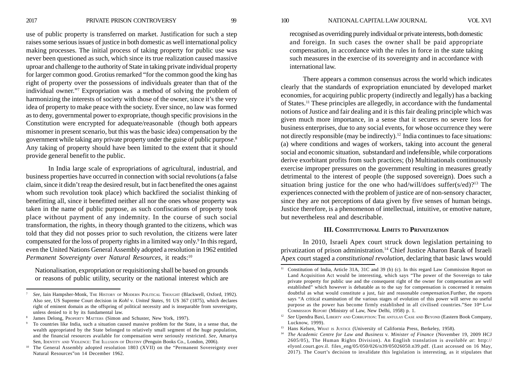2017 PRIVATE PRISON CONTROVERSY 99 100 NATIONAL CAPITAL LAW JOURNAL VOL XVI

use of public property is transferred on market. Justification for such a step raises some serious issues of justice in both domestic as well international policy making processes. The initial process of taking property for public use was never been questioned as such, which since its true realization caused massive uproar and challenge to the authority of State in taking private individual property for larger common good. Grotius remarked "for the common good the king has right of property over the possessions of individuals greater than that of the individual owner."7 Expropriation was a method of solving the problem of harmonizing the interests of society with those of the owner, since it's the very idea of property to make peace with the society. Ever since, no law was formed as to deny, governmental power to expropriate, though specific provisions in the Constitution were encrypted for adequate/reasonable (though both appears misnomer in present scenario, but this was the basic idea) compensation by the government while taking any private property under the guise of public purpose.8 Any taking of property should have been limited to the extent that it should provide general benefit to the public.

In India large scale of expropriations of agricultural, industrial, and business properties have occurred in connection with social revolutions (a false claim, since it didn't reap the desired result, but in fact benefited the ones against whom such revolution took place) which backfired the socialist thinking of benefitting all, since it benefitted neither all nor the ones whose property was taken in the name of public purpose, as such confiscations of property took place without payment of any indemnity. In the course of such social transformation, the rights, in theory though granted to the citizens, which was told that they did not posses prior to such revolution, the citizens were later compensated for the loss of property rights in a limited way only.9 In this regard, even the United Nations General Assembly adopted a resolution in 1962 entitled *Permanent Sovereignty over Natural Resources*, it reads:<sup>10</sup>

Nationalisation, expropriation or requisitioning shall be based on grounds or reasons of public utility, security or the national interest which are recognised as overriding purely individual or private interests, both domestic and foreign. In such cases the owner shall be paid appropriate compensation, in accordance with the rules in force in the state taking such measures in the exercise of its sovereignty and in accordance with international law.

There appears a common consensus across the world which indicates clearly that the standards of expropriation enunciated by developed market economies, for acquiring public property (indirectly and legally) has a backing of States.11 These principles are allegedly, in accordance with the fundamental notions of Justice and fair dealing and it is this fair dealing principle which was given much more importance, in a sense that it secures no severe loss for business enterprises, due to any social events, for whose occurrence they were not directly responsible (may be indirectly).<sup>12</sup> India continues to face situations: (a) where conditions and wages of workers, taking into account the general social and economic situation, substandard and indefensible, while corporations derive exorbitant profits from such practices; (b) Multinationals continuously exercise improper pressures on the government resulting in measures greatly detrimental to the interest of people (the supposed sovereign). Does such a situation bring justice for the one who had/will/does suffer(s/ed)?<sup>13</sup> The experiences connected with the problem of justice are of non-sensory character, since they are not perceptions of data given by five senses of human beings. Justice therefore, is a phenomenon of intellectual, intuitive, or emotive nature, but nevertheless real and describable.

# **III. CONSTITUTIONAL LIMITS TO PRIVATIZATION**

In 2010, Israeli Apex court struck down legislation pertaining to privatization of prison administration.14 Chief Justice Aharon Barak of Israeli Apex court staged a *constitutional revolution*, declaring that basic laws would

<sup>7</sup> *See,* Iain Hampsher-Monk, THE HISTORY OF MODERN POLITICAL THOUGHT (Blackwell, Oxford, 1992). Also *see,* US Supreme Court decision in *Kohl* v. *United States*, 91 US 367 (1875), which declares right of eminent domain as the offspring of political necessity and is inseparable from sovereignty, unless denied to it by its fundamental law.

James Delong, PROPERTY MATTERS (Simon and Schuster, New York, 1997).

<sup>9</sup> To countries like India, such a situation caused massive problem for the State, in a sense that, the wealth appropriated by the State belonged to relatively small segment of the huge population, and the financial resources available for compensation were seriously restricted. *See*, Amartya Sen, IDENTITY AND VIOLENCE: THE ILLUSION OF DESTINY (Penguin Books Co., London, 2006).

<sup>10</sup> The General Assembly adopted resolution 1803 (XVII) on the "Permanent Sovereignty over Natural Resources"on 14 December 1962.

<sup>11</sup> Constitution of India, Article 31A, 31C and 39 (b) (c). In this regard Law Commission Report on Land Acquisition Act would be interesting, which says "The power of the Sovereign to take private property for public use and the consequent right of the owner for compensation are well established" which however is debatable as to the say for compensation is concerned it remains doubtful as what would constitute a just, fair and reasonable *compensation*.Further, the reports says "A critical examination of the various stages of evolution of this power will serve no useful purpose as the power has become firmly established in all civilised countries."See  $10<sup>th</sup>$  LAW COMMISSION REPORT (Ministry of Law, New Delhi, 1958) p. 1.

<sup>&</sup>lt;sup>12</sup> See Upendra Baxi, LIBERTY AND CORRUPTION: THE ANTULAY CASE AND BEYOND (Eastern Book Company, Lucknow, 1999).

<sup>&</sup>lt;sup>13</sup> Hans Kelsen, WHAT IS JUSTICE (University of California Press, Berkeley, 1958).

<sup>14</sup> *The Academic Centre for Law and Business* v. *Minister of Finance* (November 19, 2009 HCJ 2605/05), The Human Rights Division). An English translation is *available at*: http:// eIyonl.court.gov.il. files\_eng/05/050/026/n39/05026050.n39.pdf. (Last accessed on 16 May, 2017). The Court's decision to invalidate this legislation is interesting, as it stipulates that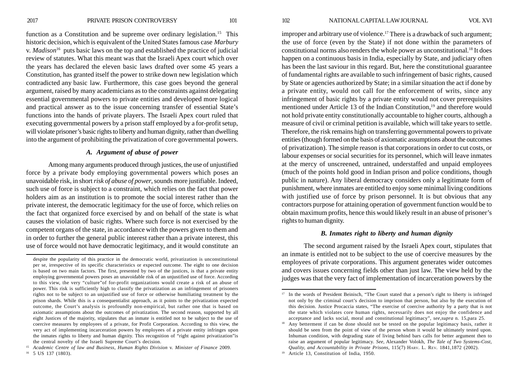function as a Constitution and be supreme over ordinary legislation.<sup>15</sup> This historic decision, which is equivalent of the United States famous case *Marbury* v. *Madison*16 puts basic laws on the top and established the practice of judicial review of statutes. What this meant was that the Israeli Apex court which over the years has declared the eleven basic laws drafted over some 45 years a Constitution, has granted itself the power to strike down new legislation which contradicted any basic law. Furthermore, this case goes beyond the general argument, raised by many academicians as to the constraints against delegating essential governmental powers to private entities and developed more logical and practical answer as to the issue concerning transfer of essential State's functions into the hands of private players. The Israeli Apex court ruled that executing governmental powers by a prison staff employed by a for-profit setup, will violate prisoner's basic rights to liberty and human dignity, rather than dwelling into the argument of prohibiting the privatization of core governmental powers.

# *A. Argument of abuse of power*

Among many arguments produced through justices, the use of unjustified force by a private body employing governmental powers which poses an unavoidable risk, in short *risk of abuse of power*, sounds more justifiable. Indeed, such use of force is subject to a constraint, which relies on the fact that power holders aim as an institution is to promote the social interest rather than the private interest, the democratic legitimacy for the use of force, which relies on the fact that organized force exercised by and on behalf of the state is what causes the violation of basic rights. Where such force is not exercised by the competent organs of the state, in accordance with the powers given to them and in order to further the general public interest rather than a private interest, this use of force would not have democratic legitimacy, and it would constitute an improper and arbitrary use of violence.<sup>17</sup> There is a drawback of such argument; the use of force (even by the State) if not done within the parameters of constitutional norms also renders the whole power as unconstitutional.18 It does happen on a continuous basis in India, especially by State, and judiciary often has been the last saviour in this regard. But, here the constitutional guarantee of fundamental rights are available to such infringement of basic rights, caused by State or agencies authorized by State; in a similar situation the act if done by a private entity, would not call for the enforcement of writs, since any infringement of basic rights by a private entity would not cover prerequisites mentioned under Article 13 of the Indian Constitution,<sup>19</sup> and therefore would not hold private entity constitutionally accountable to higher courts, although a measure of civil or criminal petition is available, which will take years to settle. Therefore, the risk remains high on transferring governmental powers to private entities (though formed on the basis of axiomatic assumptions about the outcomes of privatization). The simple reason is that corporations in order to cut costs, or labour expenses or social securities for its personnel, which will leave inmates at the mercy of unscreened, untrained, understaffed and unpaid employees (much of the points hold good in Indian prison and police conditions, though public in nature). Any liberal democracy considers only a legitimate form of punishment, where inmates are entitled to enjoy some minimal living conditions with justified use of force by prison personnel. It is but obvious that any contractors purpose for attaining operation of government function would be to obtain maximum profits, hence this would likely result in an abuse of prisoner's rights to human dignity.

# *B. Inmates right to liberty and human dignity*

The second argument raised by the Israeli Apex court, stipulates that an inmate is entitled not to be subject to the use of coercive measures by the employees of private corporations. This argument generates wider outcomes and covers issues concerning fields other than just law. The view held by the judges was that the very fact of implementation of incarceration powers by the

despite the popularity of this practice in the democratic world, privatization is unconstitutional per se, irrespective of its specific characteristics or expected outcome. The eight to one decision is based on two main factors. The first, presented by two of the justices, is that a private entity employing governmental powers poses an unavoidable risk of an unjustified use of force. According to this view, the very "culture"of for-profit organizations would create a risk of an abuse of power. This risk is sufficiently high to classify the privatization as an infringement of prisoners rights not to be subject to an unjustified use of force or otherwise humiliating treatment by the prison shards. While this is a consequentialist approach, as it points to the privatization expected outcome, the Court's analysis is profoundly non-empirical, but rather one that is based on axiomatic assumptions about the outcomes of privatization. The second reason, supported by all eight Justices of the majority, stipulates that an inmate is entitled not to be subject to the use of coercive measures by employees of a private, for Profit Corporation. According to this view, the very act of implementing incarceration powers by employees of a private entity infringes upon the inmates rights to liberty and human dignity. This recognition of "right against privatization"is the central novelty of the Israeli Supreme Court's decision.

<sup>15</sup> *Academic Centre of law and Business, Human Rights Division* v. *Minister of Finance* 2009. <sup>16</sup> 5 US 137 (1803).

<sup>&</sup>lt;sup>17</sup> In the words of President Beinisch, "The Court stated that a person's right to liberty is infringed not only by the criminal court's decision to imprison that person, but also by the execution of this decision*.* Justice Procaccia states, "The exercise of coercive authority by a party that is not the state which violates core human rights, necessarily does not enjoy the confidence and acceptance and lacks social, moral and constitutional legitimacy", *see,supra* n. 15,para 25.

<sup>&</sup>lt;sup>18</sup> Any betterment if can be done should not be tested on the popular legitimacy basis, rather it should be seen from the point of view of the person whom it would be ultimately tested upon. Inhuman condition, with degrading state of living behind bars calls for better argument then to raise an argument of popular legitimacy. *See,* Alexander Volokh, *The Tale of Two Systems-Cost, Quality, and Accountability in Private Prisons*, 115(7) HARV. L. REV. 1841,1872 (2002).

<sup>&</sup>lt;sup>19</sup> Article 13, Constitution of India, 1950.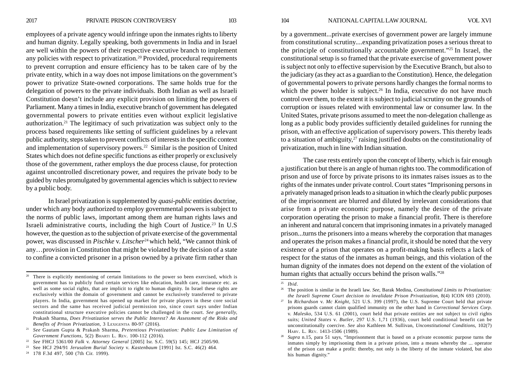2017 PRIVATE PRISON CONTROVERSY 103 104 NATIONAL CAPITAL LAW JOURNAL VOL XVI

employees of a private agency would infringe upon the inmates rights to liberty and human dignity. Legally speaking, both governments in India and in Israel are well within the powers of their respective executive branch to implement any policies with respect to privatization.20 Provided, procedural requirements to prevent corruption and ensure efficiency has to be taken care of by the private entity, which in a way does not impose limitations on the government's power to privatize State-owned corporations. The same holds true for the delegation of powers to the private individuals. Both Indian as well as Israeli Constitution doesn't include any explicit provision on limiting the powers of Parliament. Many a times in India, executive branch of government has delegated governmental powers to private entities even without explicit legislative authorization.21 The legitimacy of such privatization was subject only to the process based requirements like setting of sufficient guidelines by a relevant public authority, steps taken to prevent conflicts of interests in the specific context and implementation of supervisory powers.22 Similar is the position of United States which does not define specific functions as either properly or exclusively those of the government, rather employs the due process clause, for protection against uncontrolled discretionary power, and requires the private body to be guided by rules promulgated by governmental agencies which is subject to review by a public body.

In Israel privatization is supplemented by *quasi-public* entities doctrine, under which any body authorized to employ governmental powers is subject to the norms of public laws, important among them are human rights laws and Israeli administrative courts, including the high Court of Justice.23 In U.S however, the question as to the subjection of private exercise of the governmental power, was discussed in *Pischke* v. *Litscher*24 which held, "We cannot think of any…provision in Constitution that might be violated by the decision of a state to confine a convicted prisoner in a prison owned by a private firm rather than by a government...private exercises of government power are largely immune from constitutional scrutiny....expanding privatization poses a serious threat to the principle of constitutionally accountable government."25 In Israel, the constitutional setup is so framed that the private exercise of government power is subject not only to effective supervision by the Executive Branch, but also to the judiciary (as they act as a guardian to the Constitution). Hence, the delegation of governmental powers to private persons hardly changes the formal norms to which the power holder is subject.<sup>26</sup> In India, executive do not have much control over them, to the extent it is subject to judicial scrutiny on the grounds of corruption or issues related with environmental law or consumer law. In the United States, private prisons assumed to meet the non-delegation challenge as long as a public body provides sufficiently detailed guidelines for running the prison, with an effective application of supervisory powers. This thereby leads to a situation of ambiguity, $27$  raising justified doubts on the constitutionality of privatization, much in line with Indian situation.

The case rests entirely upon the concept of liberty, which is fair enough a justification but there is an angle of human rights too. The commodification of prison and use of force by private prisons to its inmates raises issues as to the rights of the inmates under private control. Court states "Imprisoning persons in a privately managed prison leads to a situation in which the clearly public purposes of the imprisonment are blurred and diluted by irrelevant considerations that arise from a private economic purpose, namely the desire of the private corporation operating the prison to make a financial profit. There is therefore an inherent and natural concern that imprisoning inmates in a privately managed prison...turns the prisoners into a means whereby the corporation that manages and operates the prison makes a financial profit, it should be noted that the very existence of a prison that operates on a profit-making basis reflects a lack of respect for the status of the inmates as human beings, and this violation of the human dignity of the inmates does not depend on the extent of the violation of  $\frac{1}{20}$  There is explicitly mentioning of certain limitations to the power so been exercised, which is human rights that actually occurs behind the prison walls."<sup>28</sup>

government has to publicly fund certain services like education, health care, insurance etc. as well as some social rights, that are implicit to right to human dignity. In Israel these rights are exclusively within the domain of government and cannot be exclusively transferred to private players. In India, government has opened up market for private players in these core social sectors and the same has received judicial permission too, since court says under Indian constitutional structure executive policies cannot be challenged in the court. *See generally,* Prakash Sharma, *Does Privatization serves the Public Interest? An Assessment of the Risks and Benefits of Prison Privatization*, 3 LEXIGENTIA 80-97 (2016).

<sup>21</sup> *See* Gautam Gupta & Prakash Sharma, *Pretentious Privatization: Public Law Limitation of Government Functions*, 5(2) BHARTI L. REV. 100-112 (2016).

<sup>22</sup> *See* FHCJ 5361/00 *Falk* v. *Attorney General* [2005] Isr. S.C. 59(5) 145; HCJ 2505/90.

<sup>23</sup> See HCJ 294/91 *Jerusalem Burial Society* v. *Kastenbaum* [1991] Ist. S.C. 46(2) 464.

<sup>24</sup> 178 F.3d 497, 500 (7th Cir. 1999).

<sup>25</sup> *Ibid*.

<sup>26</sup> The position is similar in the Israeli law. *See*, Barak Medina, *Constitutional Limits to Privatization: the Israeli Supreme Court decision to invalidate Prison Privatization*, 8(4) ICON 693 (2010).

<sup>27</sup> In *Richardson* v. *Mc Knight*, 521 U.S. 399 (1997), the U.S. Supreme Court held that private prisons guards cannot claim qualified immunity on the other hand in *Correctional Services Corp.* v. *Malesko*, 534 U.S. 61 (2001), court held that private entities are not subject to civil rights suits; *United States* v. *Butler*, 297 U.S. 1,71 (1936), court held conditional benefit can be unconstitutionally coercive. *See* also Kathleen M. Sullivan, *Unconstitutional Conditions*, 102(7) HARV. L. REV. 1413-1506 (1989).

<sup>28</sup> *Supra* n.15, para 51 says, "Imprisonment that is based on a private economic purpose turns the inmates simply by imprisoning them in a private prison, into a means whereby the ... operator of the prison can make a profit: thereby, not only is the liberty of the inmate violated, but also his human dignity."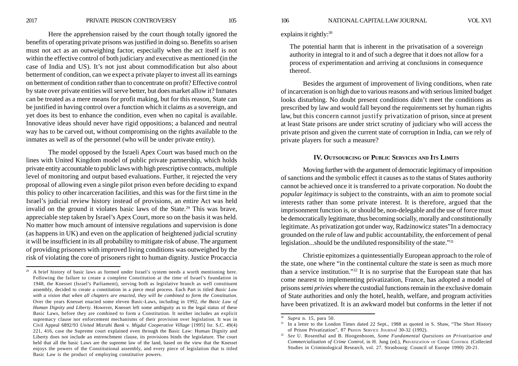Here the apprehension raised by the court though totally ignored the benefits of operating private prisons was justified in doing so. Benefits so arisen must not act as an outweighing factor, especially when the act itself is not within the effective control of both judiciary and executive as mentioned (in the case of India and US). It's not just about commodification but also about betterment of condition, can we expect a private player to invest all its earnings on betterment of condition rather than to concentrate on profit? Effective control by state over private entities will serve better, but does market allow it? Inmates can be treated as a mere means for profit making, but for this reason, State can be justified in having control over a function which it claims as a sovereign, and yet does its best to enhance the condition, even when no capital is available. Innovative ideas should never have rigid oppositions; a balanced and neutral way has to be carved out, without compromising on the rights available to the inmates as well as of the personnel (who will be under private entity).

The model opposed by the Israeli Apex Court was based much on the lines with United Kingdom model of public private partnership, which holds private entity accountable to public laws with high prescriptive contracts, multiple level of monitoring and output based evaluations. Further, it rejected the very proposal of allowing even a single pilot prison even before deciding to expand this policy to other incarceration facilities, and this was for the first time in the Israel's judicial review history instead of provisions, an entire Act was held invalid on the ground it violates basic laws of the State.<sup>29</sup> This was brave, appreciable step taken by Israel's Apex Court, more so on the basis it was held. No matter how much amount of intensive regulations and supervision is done (as happens in UK) and even on the application of heightened judicial scrutiny it will be insufficient in its all probability to mitigate risk of abuse. The argument of providing prisoners with improved living conditions was outweighed by the risk of violating the core of prisoners right to human dignity. Justice Procaccia

explains it rightly:<sup>30</sup>

The potential harm that is inherent in the privatisation of a sovereign authority in integral to it and of such a degree that it does not allow for a process of experimentation and arriving at conclusions in consequence thereof.

Besides the argument of improvement of living conditions, when rate of incarceration is on high due to various reasons and with serious limited budget looks disturbing. No doubt present conditions didn't meet the conditions as prescribed by law and would fall beyond the requirements set by human rights law, but this concern cannot justify privatization of prison, since at present at least State prisons are under strict scrutiny of judiciary who will access the private prison and given the current state of corruption in India, can we rely of private players for such a measure?

# **IV. OUTSOURCING OF PUBLIC SERVICES AND ITS LIMITS**

Moving further with the argument of democratic legitimacy of imposition of sanctions and the symbolic effect it causes as to the status of States authority cannot be achieved once it is transferred to a private corporation. No doubt the *popular legitimacy* is subject to the constraints, with an aim to promote social interests rather than some private interest. It is therefore, argued that the imprisonment function is, or should be, non-delegable and the use of force must be democratically legitimate, thus becoming socially, morally and constitutionally legitimate. As privatization got under way, Radzinowicz states"In a democracy grounded on the rule of law and public accountability, the enforcement of penal legislation...should be the undiluted responsibility of the state."31

Christie epitomizes a quintessentially European approach to the role of the state, one where "in the continental culture the state is seen as much more than a service institution."32 It is no surprise that the European state that has come nearest to implementing privatization, France, has adopted a model of prisons *semi privies* where the custodial functions remain in the exclusive domain of State authorities and only the hotel, health, welfare, and program activities have been privatized. It is an awkward model but conforms in the letter if not

<sup>29</sup> A brief history of basic laws as formed under Israel's system needs a worth mentioning here. Following the failure to create a complete Constitution at the time of Israel's foundation in 1948, the Knesset (Israel's Parliament), serving both as legislative branch as well constituent assembly, decided to create a constitution in a piece meal process. Each Part is titled *Basic Law with a vision that when all chapters are enacted, they will be combined to form the Constitution.* Over the years Knesset enacted some eleven Basic-Laws, including in 1992, *the Basic Law of Human Dignity and Liberty*. However, Knesset left some ambiguity as to the legal status of these Basic Laws, before they are combined to form a Constitution. It neither includes an explicit supremacy clause nor enforcement mechanisms of their provision over legislation. It was in Civil Appeal 6892/93 *United Mizrahi Bank* v. *Migdal Cooperative Village* [1995] Isr. S.C. 49(4) 221, 416, case the Supreme court explained even through the Basic Law: Human Dignity and Liberty does not include an entrenchment clause, its provisions binds the legislature. The court held that all the basic Laws are the supreme law of the land, based on the view that the Knesset enjoys the powers of the Constitutional assembly, and every piece of legislation that is titled Basic Law is the product of employing constitutive powers.

<sup>30</sup> *Supra* n. 15, para 50.

<sup>&</sup>lt;sup>31</sup> In a letter to the London Times dated 22 Sept., 1988 as quoted in S. Shaw, "The Short History of Prison Privatization", 87 PRISON SERVICE JOURNA*l* 30-32 (1992).

<sup>32</sup> *See* U. Rosenthal and B. Hoogenboom, *Some Fundamental Questions on Privatisation and Commercialization of Crime Control,* in H. Jung (ed.), PRIVATIZATION OF CRIME CONTROL (Collected Studies in Criminological Research, vol. 27. Strasbourg: Council of Europe 1990) 20-21.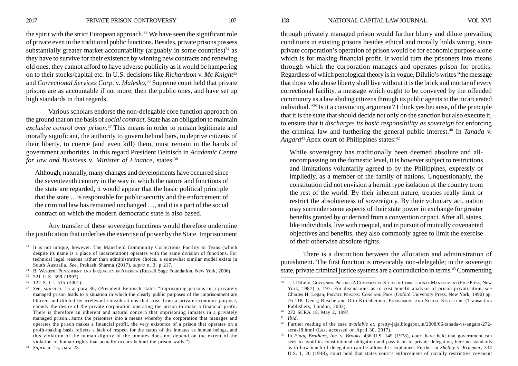2017 PRIVATE PRISON CONTROVERSY 107 108 NATIONAL CAPITAL LAW JOURNAL VOL XVI

the spirit with the strict European approach.33 We have seen the significant role of private even in the traditional public functions. Besides, private prisons possess substantially greater market accountability (arguably in some countries)<sup>34</sup> as they have to survive for their existence by winning new contracts and renewing old ones, they cannot afford to have adverse publicity as it would be hampering on to their stocks/capital etc. In U.S. decisions like *Richardson* v. *Mc Knight35* and *Correctional Services Corp*. v. *Malesko*,36 Supreme court held that private prisons are as accountable if not more, then the public ones, and have set up high standards in that regards.

Various scholars endorse the non-delegable core function approach on the ground that on the basis of *social contract*, State has an obligation to maintain *exclusive control over prison*.37 This means in order to remain legitimate and morally significant, the authority to govern behind bars, to deprive citizens of their liberty, to coerce (and even kill) them, must remain in the hands of government authorities. In this regard President Beinisch in *Academic Centre for law and Business v. Minister of Finance, states:*<sup>38</sup>

Although, naturally, many changes and developments have occurred since the seventeenth century in the way in which the nature and functions of the state are regarded, it would appear that the basic political principle that the state …is responsible for public security and the enforcement of the criminal law has remained unchanged …, and it is a part of the social contract on which the modern democratic state is also based.

Any transfer of these sovereign functions would therefore undermine the justification that underlies the exercise of power by the State. Imprisonment

<sup>36</sup> 122 S. Ct. 515 (2001).

through privately managed prison would further blurry and dilute prevailing conditions in existing prisons besides ethical and morally holds wrong, since private corporation's operation of prison would be for economic purpose alone which is for making financial profit. It would turn the prisoners into means through which the corporation manages and operates prison for profits. Regardless of which penological theory is in vogue, DiIulio's writes "the message that those who abuse liberty shall live without it is the brick and mortar of every correctional facility, a message which ought to be conveyed by the offended community as a law abiding citizens through its public agents to the incarcerated individual."39 Is it a convincing argument? I think yes because, of the principle that it is the state that should decide not only on the sanction but also execute it, to ensure that it *discharges its basic responsibility as sovereign* for enforcing the criminal law and furthering the general public interest.40 In *Tanada* v. *Angara*<sup>41</sup> Apex court of Philippines states:<sup>42</sup>

While sovereignty has traditionally been deemed absolute and allencompassing on the domestic level, it is however subject to restrictions and limitations voluntarily agreed to by the Philippines, expressly or impliedly, as a member of the family of nations. Unquestionably, the constitution did not envision a hermit type isolation of the country from the rest of the world. By their inherent nature, treaties really limit or restrict the absoluteness of sovereignty. By their voluntary act, nation may surrender some aspects of their state power in exchange for greater benefits granted by or derived from a convention or pact. After all, states, like individuals, live with coequal, and in pursuit of mutually covenanted objectives and benefits, they also commonly agree to limit the exercise of their otherwise absolute rights.

There is a distinction between the allocation and administration of punishment. The first function is irrevocably non-delegable; in the sovereign state, private criminal justice systems are a contradiction in terms.43 Commenting

<sup>33</sup> It is not unique, however. The Mansfield Community Corrections Facility in Texas (which despite its name is a place of incarceration) operates with the same division of functions. For technical legal reasons rather than administrative choice, a somewhat similar model exists in South Australia. *See,* Prakash Sharma (2017), *supra* n. 3, p 217.

<sup>&</sup>lt;sup>34</sup> B. Western, PUNISHMENT AND INEQUALITY IN AMERICA (Russell Sage Foundation, New York, 2006).

<sup>35</sup> 521 U.S. 399 (1997).

<sup>37</sup> *See*. *supra* n. 15 at para 36, (President Beinisch states "Imprisoning persons in a privately managed prison leads to a situation in which the clearly public purposes of the imprisonment are blurred and diluted by irrelevant considerations that arise from a private economic purpose, namely the desire of the private corporation operating the prison to make a financial profit. There is therefore an inherent and natural concern that imprisoning inmates in a privately managed prison…turns the prisoners into a means whereby the corporation that manages and operates the prison makes a financial profit, the very existence of a prison that operates on a profit-making basis reflects a lack of respect for the status of the inmates as human beings, and this violation of the human dignity of the inmates does not depend on the extent of the violation of human rights that actually occurs behind the prison walls.").

<sup>38</sup> *Supra* n. 15, para 23.

<sup>39</sup> J. J. DiIulio, GOVERNING PRISONS: A COMPARATIVE STUDY OF CORRECTIONAL MANAGEMENT (Free Press, New York, 1987) p. 197. For discussions as to cost benefit analysis of prison privatisation, *see* Charles H. Logan, PRIVATE PRISONS: CONS AND PROS (Oxford University Press, New York, 1990) pp. 76-118. Georg Rusche and Otto Kirchheimer, PUNISHMENT AND SOCIAL STRUCTURE (Transaction Publishers, London, 2003).

<sup>40</sup> 272 SCRA 18, May 2, 1997.

<sup>41</sup> *Ibid*.

<sup>42</sup> Further reading of the case *available at:* pretty-jaja.blogspot.in/2008/06/tanada-vs-angara-272 scra-18.html (Last accessed on April 30, 2017).

<sup>43</sup> In *Flagg Brothers, Inc*. v. *Brooks*, 436 U.S. 149 (1978), court have held that government can seek to avoid its constitutional obligation and pass it on to private delegation, here no standards as to how much of delegation can be allowed is explained. Further in *Shelley* v. *Kraemer*, 334 U.S. 1, 20 (1948), court held that states court's enforcement of racially restrictive covenant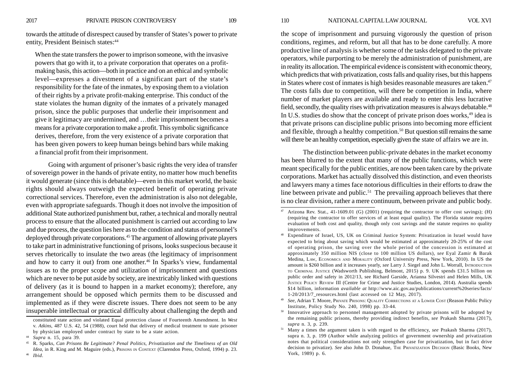towards the attitude of disrespect caused by transfer of States's power to private entity, President Beinisch states: 44

When the state transfers the power to imprison someone, with the invasive powers that go with it, to a private corporation that operates on a profitmaking basis, this action—both in practice and on an ethical and symbolic level—expresses a divestment of a significant part of the state's responsibility for the fate of the inmates, by exposing them to a violation of their rights by a private profit-making enterprise. This conduct of the state violates the human dignity of the inmates of a privately managed prison, since the public purposes that underlie their imprisonment and give it legitimacy are undermined, and …their imprisonment becomes a means for a private corporation to make a profit. This symbolic significance derives, therefore, from the very existence of a private corporation that has been given powers to keep human beings behind bars while making a financial profit from their imprisonment.

Going with argument of prisoner's basic rights the very idea of transfer of sovereign power in the hands of private entity, no matter how much benefits it would generate (since this is debatable)—even in this market world, the basic rights should always outweigh the expected benefit of operating private correctional services. Therefore, even the administration is also not delegable, even with appropriate safeguards. Though it does not involve the imposition of additional State authorized punishment but, rather, a technical and morally neutral process to ensure that the allocated punishment is carried out according to law and due process, the question lies here as to the condition and status of personnel's deployed through private corporations.45 The argument of allowing private players to take part in administrative functioning of prisons, looks suspecious because it serves rhetorically to insulate the two areas (the legitimacy of imprisonment and how to carry it out) from one another.<sup>46</sup> In Sparks's view, fundamental issues as to the proper scope and utilization of imprisonment and questions which are never to be put aside by society, are inextricably linked with questions of delivery (as it is bound to happen in a market economy); therefore, any arrangement should be opposed which permits them to be discussed and implemented as if they were discrete issues. There does not seem to be any insuperable intellectual or practical difficulty about challenging the depth and

the scope of imprisonment and pursuing vigorously the question of prison conditions, regimes, and reform, but all that has to be done carefully. A more productive line of analysis is whether some of the tasks delegated to the private operators, while purporting to be merely the administration of punishment, are in reality its allocation. The empirical evidence is consistent with economic theory, which predicts that with privatization, costs falls and quality rises, but this happens in States where cost of inmates is high besides reasonable measures are taken.<sup>47</sup> The costs falls due to competition, will there be competition in India, where number of market players are available and ready to enter this less lucrative field, secondly, the quality rises with privatization measures is always debatable.<sup>48</sup> In U.S. studies do show that the concept of private prison does works,<sup>49</sup> idea is that private prisons can discipline public prisons into becoming more efficient and flexible, through a healthy competition.<sup>50</sup> But question still remains the same will there be an healthy competition, especially given the state of affairs we are in.

The distinction between public-private debates in the market economy has been blurred to the extent that many of the public functions, which were meant specifically for the public entities, are now been taken care by the private corporations. Market has actually dissolved this distinction, and even theorists and lawyers many a times face notorious difficulties in their efforts to draw the line between private and public.<sup>51</sup> The prevailing approach believes that there is no clear division, rather a mere continuum, between private and public body.

constituted state action and violated Equal protection clause of Fourteenth Amendment. In *West* v. *Atkins*, 487 U.S. 42, 54 (1988), court held that delivery of medical treatment to state prisoner by physician employed under contract by state to be a state action.

<sup>44</sup> *Supra* n. 15, para 39.

<sup>45</sup> R. Sparks, *Can Prisons Be Legitimate? Penal Politics, Privatization and the Timeliness of an Old Idea*, in R. King and M. Maguire (eds.), PRISONS IN CONTEXT (Clarendon Press, Oxford, 1994) p. 23. <sup>46</sup> *Ibid.*

<sup>47</sup> Arizona Rev. Stat., 41-1609.01 (G) (2001) (requiring the contractor to offer cost savings); (H) (requiring the contractor to offer services of at least equal quality). The Florida statute requires evaluation of both cost and quality, though only cost savings and the statute requires no quality improvements.

<sup>48</sup> Expenditure of Israel, US, UK on Criminal Justice System: Privatization in Israel would have expected to bring about saving which would be estimated at approximately 20-25% of the cost of operating prison, the saving over the whole period of the concession is estimated at approximately 350 million NIS (close to 100 million US dollars), *see* Eyal Zamir & Barak Medina, LAW, ECONOMICS AND MORALITY (Oxford University Press, New York, 2010). In US the amount is \$260 billion and it increases yearly, *see* Larry J. Siegel and John L. Worrall, INTRODUCTION TO CRIMINAL JUSTICE (Wadsworth Publishing, Belmont, 2015) p. 9. UK spends £31.5 billion on public order and safety in 2012/13, see Richard Garside, Arianna Silvestri and Helen Mills, UK JUSTICE POLICY REVIEW III (Centre for Crime and Justice Studies, London, 2014). Australia spends \$14 billion, information *available at* http://www.aic.gov.au/publications/current%20series/facts/ 1-20/2013/7\_resources.html (last accessed on 12 May, 2017).

<sup>49</sup> *See,* Adrian T. Moore, PRIVATE PRISONS: QUALITY CORRECTIONS AT A LOWER COST (Reason Public Policy Institute, Policy Study No. 240, 1998) pp. 33-44.

<sup>&</sup>lt;sup>50</sup> Innovative approach to personnel management adopted by private prisons will be adopted by the remaining public prisons, thereby providing indirect benefits, *see* Prakash Sharma (2017), *supra* n. 3, p. 239.

<sup>51</sup> Many a times the argument taken is with regard to the efficiency, *see* Prakash Sharma (2017), supra n. 3, p. 199 (Author while analyzing politics of government ownership and privatization notes that political considerations not only strengthen case for privatization, but in fact drive decision to privatize). *See* also John D. Donahue, THE PRIVATIZATION DECISION (Basic Books, New York, 1989) p. 6.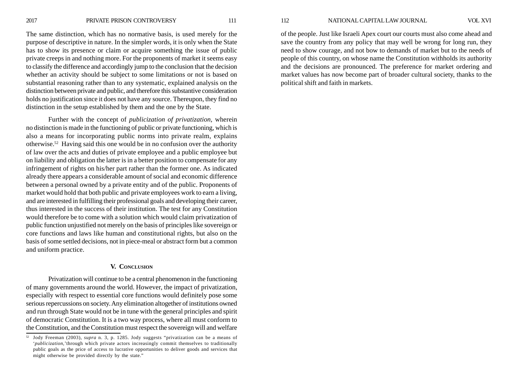2017 PRIVATE PRISON CONTROVERSY 111 112 NATIONAL CAPITAL LAW JOURNAL VOL XVI

The same distinction, which has no normative basis, is used merely for the purpose of descriptive in nature. In the simpler words, it is only when the State has to show its presence or claim or acquire something the issue of public private creeps in and nothing more. For the proponents of market it seems easy to classify the difference and accordingly jump to the conclusion that the decision whether an activity should be subject to some limitations or not is based on substantial reasoning rather than to any systematic, explained analysis on the distinction between private and public, and therefore this substantive consideration holds no justification since it does not have any source. Thereupon, they find no distinction in the setup established by them and the one by the State.

Further with the concept of *publicization of privatization*, wherein no distinction is made in the functioning of public or private functioning, which is also a means for incorporating public norms into private realm, explains otherwise.52 Having said this one would be in no confusion over the authority of law over the acts and duties of private employee and a public employee but on liability and obligation the latter is in a better position to compensate for any infringement of rights on his/her part rather than the former one. As indicated already there appears a considerable amount of social and economic difference between a personal owned by a private entity and of the public. Proponents of market would hold that both public and private employees work to earn a living, and are interested in fulfilling their professional goals and developing their career, thus interested in the success of their institution. The test for any Constitution would therefore be to come with a solution which would claim privatization of public function unjustified not merely on the basis of principles like sovereign or core functions and laws like human and constitutional rights, but also on the basis of some settled decisions, not in piece-meal or abstract form but a common and uniform practice.

## **V. CONCLUSION**

Privatization will continue to be a central phenomenon in the functioning of many governments around the world. However, the impact of privatization, especially with respect to essential core functions would definitely pose some serious repercussions on society. Any elimination altogether of institutions owned and run through State would not be in tune with the general principles and spirit of democratic Constitution. It is a two way process, where all must conform to the Constitution, and the Constitution must respect the sovereign will and welfare of the people. Just like Israeli Apex court our courts must also come ahead and save the country from any policy that may well be wrong for long run, they need to show courage, and not bow to demands of market but to the needs of people of this country, on whose name the Constitution withholds its authority and the decisions are pronounced. The preference for market ordering and market values has now become part of broader cultural society, thanks to the political shift and faith in markets.

<sup>52</sup> Jody Freeman (2003), *supra* n. 3, p. 1285. Jody suggests "privatization can be a means of '*publicization*,'through which private actors increasingly commit themselves to traditionally public goals as the price of access to lucrative opportunities to deliver goods and services that might otherwise be provided directly by the state."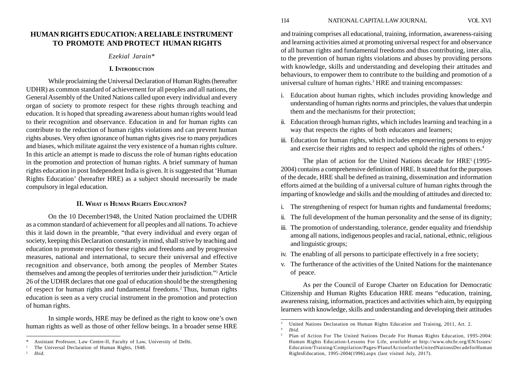# **HUMAN RIGHTS EDUCATION: A RELIABLE INSTRUMENT TO PROMOTE AND PROTECT HUMAN RIGHTS**

# *Ezekial Jarain\**

# **I. INTRODUCTION**

While proclaiming the Universal Declaration of Human Rights (hereafter UDHR) as common standard of achievement for all peoples and all nations, the General Assembly of the United Nations called upon every individual and every organ of society to promote respect for these rights through teaching and education. It is hoped that spreading awareness about human rights would lead to their recognition and observance. Education in and for human rights can contribute to the reduction of human rights violations and can prevent human rights abuses. Very often ignorance of human rights gives rise to many prejudices and biases, which militate against the very existence of a human rights culture. In this article an attempt is made to discuss the role of human rights education in the promotion and protection of human rights. A brief summary of human rights education in post Independent India is given. It is suggested that 'Human Rights Education' (hereafter HRE) as a subject should necessarily be made compulsory in legal education.

# **II. WHAT IS HUMAN RIGHTS EDUCATION?**

On the 10 December1948, the United Nation proclaimed the UDHR as a common standard of achievement for all peoples and all nations. To achieve this it laid down in the preamble, "that every individual and every organ of society, keeping this Declaration constantly in mind, shall strive by teaching and education to promote respect for these rights and freedoms and by progressive measures, national and international, to secure their universal and effective recognition and observance, both among the peoples of Member States themselves and among the peoples of territories under their jurisdiction."1 Article 26 of the UDHR declares that one goal of education should be the strengthening of respect for human rights and fundamental freedoms.2 Thus, human rights education is seen as a very crucial instrument in the promotion and protection of human rights.

In simple words, HRE may be defined as the right to know one's own human rights as well as those of other fellow beings. In a broader sense HRE

<sup>2</sup> *Ibid*.

and training comprises all educational, training, information, awareness-raising and learning activities aimed at promoting universal respect for and observance of all human rights and fundamental freedoms and thus contributing, inter alia, to the prevention of human rights violations and abuses by providing persons with knowledge, skills and understanding and developing their attitudes and behaviours, to empower them to contribute to the building and promotion of a universal culture of human rights.3 HRE and training encompasses:

- i. Education about human rights, which includes providing knowledge and understanding of human rights norms and principles, the values that underpin them and the mechanisms for their protection;
- ii. Education through human rights, which includes learning and teaching in a way that respects the rights of both educators and learners;
- iii. Education for human rights, which includes empowering persons to enjoy and exercise their rights and to respect and uphold the rights of others.4

The plan of action for the United Nations decade for HRE<sup>5</sup> (1995-2004) contains a comprehensive definition of HRE. It stated that for the purposes of the decade, HRE shall be defined as training, dissemination and information efforts aimed at the building of a universal culture of human rights through the imparting of knowledge and skills and the moulding of attitudes and directed to:

- i. The strengthening of respect for human rights and fundamental freedoms;
- ii. The full development of the human personality and the sense of its dignity;
- iii. The promotion of understanding, tolerance, gender equality and friendship among all nations, indigenous peoples and racial, national, ethnic, religious and linguistic groups;
- iv. The enabling of all persons to participate effectively in a free society;
- v. The furtherance of the activities of the United Nations for the maintenance of peace.

As per the Council of Europe Charter on Education for Democratic Citizenship and Human Rights Education HRE means "education, training, awareness raising, information, practices and activities which aim, by equipping learners with knowledge, skills and understanding and developing their attitudes

<sup>\*</sup>Assistant Professor, Law Centre-II, Faculty of Law, University of Delhi.

<sup>1</sup> The Universal Declaration of Human Rights, 1948.

<sup>3</sup> United Nations Declaration on Human Rights Education and Training, 2011, Art. 2.

<sup>4</sup> *Ibid*.

<sup>5</sup> Plan of Action For The United Nations Decade For Human Rights Education, 1995-2004: Human Rights Education-Lessons For Life, *available at* http://www.ohchr.org/EN/Issues/ Education/Training/Compilation/Pages/PlanofActionfortheUnitedNationsDecadeforHuman RightsEducation, 1995-2004(1996).aspx (last visited July, 2017).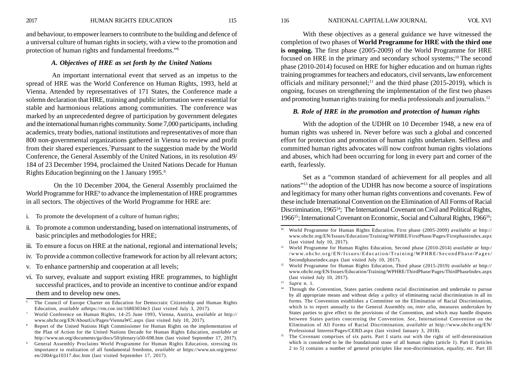and behaviour, to empower learners to contribute to the building and defence of a universal culture of human rights in society, with a view to the promotion and protection of human rights and fundamental freedoms."6

# *A. Objectives of HRE as set forth by the United Nations*

An important international event that served as an impetus to the spread of HRE was the World Conference on Human Rights, 1993, held at Vienna. Attended by representatives of 171 States, the Conference made a solemn declaration that HRE, training and public information were essential for stable and harmonious relations among communities. The conference was marked by an unprecedented degree of participation by government delegates and the international human rights community. Some 7,000 participants, including academics, treaty bodies, national institutions and representatives of more than 800 non-governmental organizations gathered in Vienna to review and profit from their shared experiences.7Pursuant to the suggestion made by the World Conference, the General Assembly of the United Nations, in its resolution 49/ 184 of 23 December 1994, proclaimed the United Nations Decade for Human Rights Education beginning on the 1 January 1995.8

On the 10 December 2004, the General Assembly proclaimed the World Programme for HRE<sup>9</sup> to advance the implementation of HRE programmes in all sectors. The objectives of the World Programme for HRE are:

- i. To promote the development of a culture of human rights;
- ii. To promote a common understanding, based on international instruments, of basic principles and methodologies for HRE;
- iii. To ensure a focus on HRE at the national, regional and international levels;
- iv. To provide a common collective framework for action by all relevant actors;
- v. To enhance partnership and cooperation at all levels;
- vi. To survey, evaluate and support existing HRE programmes, to highlight successful practices, and to provide an incentive to continue and/or expand them and to develop new ones.

With these objectives as a general guidance we have witnessed the completion of two phases of **World Programme for HRE with the third one is ongoing.** The first phase (2005-2009) of the World Programme for HRE focused on HRE in the primary and secondary school systems;10 The second phase (2010-2014) focused on HRE for higher education and on human rights training programmes for teachers and educators, civil servants, law enforcement officials and military personnel;<sup>11</sup> and the third phase (2015-2019), which is ongoing, focuses on strengthening the implementation of the first two phases and promoting human rights training for media professionals and journalists.12

# *B. Role of HRE in the promotion and protection of human rights*

With the adoption of the UDHR on 10 December 1948, a new era of human rights was ushered in. Never before was such a global and concerted effort for protection and promotion of human rights undertaken. Selfless and committed human rights advocates will now confront human rights violations and abuses, which had been occurring for long in every part and corner of the earth, fearlessly.

Set as a "common standard of achievement for all peoples and all nations"13 the adoption of the UDHR has now become a source of inspirations and legitimacy for many other human rights conventions and covenants. Few of these include International Convention on the Elimination of All Forms of Racial Discrimination, 1965<sup>14</sup>; The International Covenant on Civil and Political Rights, 196615; International Covenant on Economic, Social and Cultural Rights, 196616;

The Council of Europe Charter on Education for Democratic Citizenship and Human Rights Education, *available at*https://rm.coe.int/16803034e3 (last visited July 3, 2017).

<sup>7</sup> World Conference on Human Rights, 14-25 June 1993, Vienna, Austria, *available at* http:// www.ohchr.org/EN/AboutUs/Pages/ViennaWC.aspx (last visited July 10, 2017).

<sup>8</sup> Report of the United Nations High Commissioner for Human Rights on the implementation of the Plan of Action for the United Nations Decade for Human Rights Education, *available at* http://www.un.org/documents/ga/docs/50/plenary/a50-698.htm (last visited September 17, 2017).

<sup>9</sup> General Assembly Proclaims World Programme for Human Rights Education, stressing its importance to realization of all fundamental freedoms, *available at* https://www.un.org/press/ en/2004/ga10317.doc.htm (last visited September 17, 2017).

<sup>10</sup> World Programme for Human Rights Education, First phase (2005-2009) *available at* http:// www.ohchr.org/EN/Issues/Education/Training/WPHRE/FirstPhase/Pages/Firstphaseindex.aspx (last visited July 10, 2017).

<sup>11</sup> World Programme for Human Rights Education, Second phase (2010-2014) *available at* http:/ /www.ohchr.org/EN/Issues/Education/Training/WPHRE/SecondPhase/Pages/ Secondphaseindex.aspx (last visited July 10, 2017).

<sup>12</sup> World Programme for Human Rights Education, Third phase (2015-2019) *available at* http:// www.ohchr.org/EN/Issues/Education/Training/WPHRE/ThirdPhase/Pages/ThirdPhaseIndex.aspx (last visited July 10, 2017).

<sup>13</sup> *Supra* n. 1.

<sup>&</sup>lt;sup>14</sup> Through the Convention, States parties condemn racial discrimination and undertake to pursue by all appropriate means and without delay a policy of eliminating racial discrimination in all its forms. The Convention establishes a Committee on the Elimination of Racial Discrimination, which is to report annually to the General Assembly on, *inter alia,* measures undertaken by States parties to give effect to the provisions of the Convention, and which may handle disputes between States parties concerning the Convention. *See*, International Convention on the Elimination of All Forms of Racial Discrimination, *available at* http://www.ohchr.org/EN/ Professional Interest/Pages/CERD.aspx (last visited January 3, 2018).

<sup>15</sup> The Covenant comprises of six parts. Part I starts out with the right of self-determination which is considered to be the foundational stone of all human rights (article 1). Part II (articles 2 to 5) contains a number of general principles like non-discrimination, equality, etc. Part III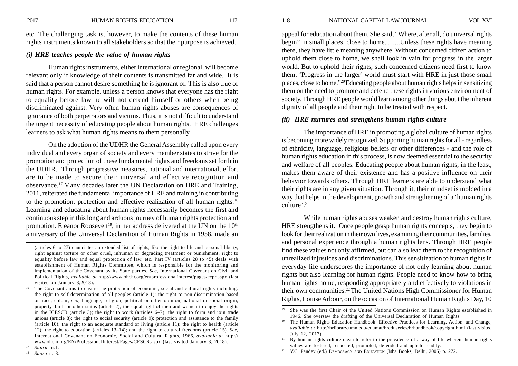etc. The challenging task is, however, to make the contents of these human rights instruments known to all stakeholders so that their purpose is achieved.

## *(i) HRE teaches people the value of human rights*

Human rights instruments, either international or regional, will become relevant only if knowledge of their contents is transmitted far and wide. It is said that a person cannot desire something he is ignorant of. This is also true of human rights. For example, unless a person knows that everyone has the right to equality before law he will not defend himself or others when being discriminated against. Very often human rights abuses are consequences of ignorance of both perpetrators and victims. Thus, it is not difficult to understand the urgent necessity of educating people about human rights. HRE challenges learners to ask what human rights means to them personally.

On the adoption of the UDHR the General Assembly called upon every individual and every organ of society and every member states to strive for the promotion and protection of these fundamental rights and freedoms set forth in the UDHR. Through progressive measures, national and international, effort are to be made to secure their universal and effective recognition and observance.17 Many decades later the UN Declaration on HRE and Training, 2011, reiterated the fundamental importance of HRE and training in contributing to the promotion, protection and effective realization of all human rights.<sup>18</sup> Learning and educating about human rights necessarily becomes the first and continuous step in this long and arduous journey of human rights protection and promotion. Eleanor Roosevelt<sup>19</sup>, in her address delivered at the UN on the 10<sup>th</sup> anniversary of the Universal Declaration of Human Rights in 1958, made an

appeal for education about them. She said, "Where, after all, do universal rights begin? In small places, close to home...…..Unless these rights have meaning there, they have little meaning anywhere. Without concerned citizen action to uphold them close to home, we shall look in vain for progress in the larger world. But to uphold their rights, such concerned citizens need first to know them. 'Progress in the larger' world must start with HRE in just those small places, close to home."20 Educating people about human rights helps in sensitizing them on the need to promote and defend these rights in various environment of society. Through HRE people would learn among other things about the inherent dignity of all people and their right to be treated with respect.

# *(ii) HRE nurtures and strengthens human rights culture*

The importance of HRE in promoting a global culture of human rights is becoming more widely recognized. Supporting human rights for all - regardless of ethnicity, language, religious beliefs or other differences - and the role of human rights education in this process, is now deemed essential to the security and welfare of all peoples. Educating people about human rights, in the least, makes them aware of their existence and has a positive influence on their behavior towards others. Through HRE learners are able to understand what their rights are in any given situation. Through it, their mindset is molded in a way that helps in the development, growth and strengthening of a 'human rights culture'.21

While human rights abuses weaken and destroy human rights culture, HRE strengthens it. Once people grasp human rights concepts, they begin to look for their realization in their own lives, examining their communities, families, and personal experience through a human rights lens. Through HRE people find these values not only affirmed, but can also lead them to the recognition of unrealized injustices and discriminations. This sensitization to human rights in everyday life underscores the importance of not only learning about human rights but also learning for human rights. People need to know how to bring human rights home, responding appropriately and effectively to violations in their own communities.22 The United Nations High Commissioner for Human Rights, Louise Arbour, on the occasion of International Human Rights Day, 10

<sup>(</sup>articles 6 to 27) enunciates an extended list of rights, like the right to life and personal liberty, right against torture or other cruel, inhuman or degrading treatment or punishment, right to equality before law and equal protection of law, etc. Part IV (articles 28 to 45) deals with establishment of Human Rights Committee, which is responsible for the monitoring and implementation of the Covenant by its State parties. *See*, International Covenant on Civil and Political Rights, *available at* http://www.ohchr.org/en/professionalinterest/pages/ccpr.aspx (last visited on January 3,2018).

<sup>16</sup> The Covenant aims to ensure the protection of economic, social and cultural rights including: the right to self-determination of all peoples (article 1); the right to non-discrimination based on race, colour, sex, language, religion, political or other opinion, national or social origin, property, birth or other status (article 2); the equal right of men and women to enjoy the rights in the ICESCR (article 3); the right to work (articles  $6-7$ ); the right to form and join trade unions (article 8); the right to social security (article 9); protection and assistance to the family (article 10); the right to an adequate standard of living (article 11); the right to health (article 12); the right to education (articles 13–14); and the right to cultural freedoms (article 15). *See*, International Covenant on Economic, Social and Cultural Rights, 1966, *available at* http:// www.ohchr.org/EN/ProfessionalInterest/Pages/CESCR.aspx (last visited January 3, 2018).

 $\frac{17}{18}$  *Supra*. n.1.

<sup>18</sup> *Supra* n. 3.

<sup>19</sup> She was the first Chair of the United Nations Commission on Human Rights established in 1946. She oversaw the drafting of the Universal Declaration of Human Rights.

<sup>&</sup>lt;sup>20</sup> The Human Rights Education Handbook: Effective Practices for Learning, Action, and Change, *available at* http://hrlibrary.umn.edu/edumat/hreduseries/hrhandbook/copyright.html (last visited July 12, 2017)

<sup>21</sup> By human rights culture mean to refer to the prevalence of a way of life wherein human rights values are fostered, respected, promoted, defended and upheld readily.

<sup>&</sup>lt;sup>22</sup> V.C. Pandey (ed.) DEMOCRACY AND EDUCATION (Isha Books, Delhi, 2005) p. 272.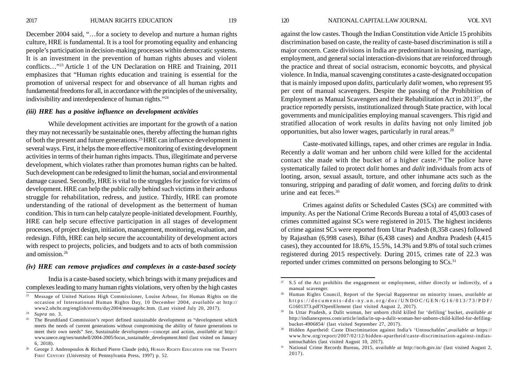December 2004 said, "…for a society to develop and nurture a human rights culture, HRE is fundamental. It is a tool for promoting equality and enhancing people's participation in decision-making processes within democratic systems. It is an investment in the prevention of human rights abuses and violent conflicts…"23 Article 1 of the UN Declaration on HRE and Training, 2011 emphasizes that "Human rights education and training is essential for the promotion of universal respect for and observance of all human rights and fundamental freedoms for all, in accordance with the principles of the universality, indivisibility and interdependence of human rights."24

# *(iii) HRE has a positive influence on development activities*

While development activities are important for the growth of a nation they may not necessarily be sustainable ones, thereby affecting the human rights of both the present and future generations.25 HRE can influence development in several ways. First, it helps the more effective monitoring of existing development activities in terms of their human rights impacts. Thus, illegitimate and perverse development, which violates rather than promotes human rights can be halted. Such development can be redesigned to limit the human, social and environmental damage caused. Secondly, HRE is vital to the struggles for justice for victims of development. HRE can help the public rally behind such victims in their arduous struggle for rehabilitation, redress, and justice. Thirdly, HRE can promote understanding of the rational of development as the betterment of human condition. This in turn can help catalyze people-initiated development. Fourthly, HRE can help secure effective participation in all stages of development processes, of project design, initiation, management, monitoring, evaluation, and redesign. Fifth, HRE can help secure the accountability of development actors with respect to projects, policies, and budgets and to acts of both commission and omission.26

# *(iv) HRE can remove prejudices and complexes in a caste-based society*

India is a caste-based society, which brings with it many prejudices and complexes leading to many human rights violations, very often by the high castes against the low castes. Though the Indian Constitution vide Article 15 prohibits discrimination based on caste, the reality of caste-based discrimination is still a major concern. Caste divisions in India are predominant in housing, marriage, employment, and general social interaction-divisions that are reinforced through the practice and threat of social ostracism, economic boycotts, and physical violence. In India, manual scavenging constitutes a caste-designated occupation that is mainly imposed upon *dalits*, particularly *dalit* women, who represent 95 per cent of manual scavengers. Despite the passing of the Prohibition of Employment as Manual Scavengers and their Rehabilitation Act in 201327, the practice reportedly persists, institutionalized through State practice, with local governments and municipalities employing manual scavengers. This rigid and stratified allocation of work results in *dalits* having not only limited job opportunities, but also lower wages, particularly in rural areas.28

Caste-motivated killings, rapes, and other crimes are regular in India. Recently a *dalit* woman and her unborn child were killed for the accidental contact she made with the bucket of a higher caste.<sup>29</sup> The police have systematically failed to protect *dalit* homes and *dalit* individuals from acts of looting, arson, sexual assault, torture, and other inhumane acts such as the tonsuring, stripping and parading of *dalit* women, and forcing *dalits* to drink urine and eat feces.30

Crimes against *dalits* or Scheduled Castes (SCs) are committed with impunity. As per the National Crime Records Bureau a total of 45,003 cases of crimes committed against SCs were registered in 2015. The highest incidents of crime against SCs were reported from Uttar Pradesh (8,358 cases) followed by Rajasthan (6,998 cases), Bihar (6,438 cases) and Andhra Pradesh (4,415 cases), they accounted for 18.6%, 15.5%, 14.3% and 9.8% of total such crimes registered during 2015 respectively. During 2015, crimes rate of 22.3 was reported under crimes committed on persons belonging to SCs.<sup>31</sup>

<sup>&</sup>lt;sup>23</sup> Message of United Nations High Commissioner, Louise Arbour, for Human Rights on the occasion of International Human Rights Day, 10 December 2004, *available at* http:// www2.ohchr.org/english/events/day2004/messagehc.htm. (Last visited July 20, 2017).

 $\frac{24}{25}$  *Supra* no. 3.

<sup>25</sup> The Brundtland Commission's report defined sustainable development as "development which meets the needs of current generations without compromising the ability of future generations to meet their own needs" *See*, Sustainable development—concept and action, *available at* http:// www.unece.org/oes/nutshell/2004-2005/focus\_sustainable\_development.html (last visited on January 6, 2018).

<sup>&</sup>lt;sup>26</sup> George J. Andreopoulos & Richard Pierre Claude (eds), HUMAN RIGHTS EDUCATION FOR THE TWENTY FIRST CENTURY (University of Pennsylvania Press, 1997) p. 52.

<sup>27</sup> S.5 of the Act prohibits the engagement or employment, either directly or indirectly, of a manual scavenger.

<sup>28</sup> Human Rights Council, Report of the Special Rapporteur on minority issues, *available at* https://documents-dds-ny.un.org/doc/UNDOC/GEN/G16/013/73/PDF/ G1601373.pdf?OpenElement (last visited August 2, 2017).

<sup>29</sup> In Uttar Pradesh, a Dalit woman, her unborn child killed for 'defiling' bucket, *available at* http://indianexpress.com/article/india/in-up-a-dalit-woman-her-unborn-child-killed-for-defilingbucket-4906854/ (last visited September 27, 2017).

<sup>30</sup> Hidden Apartheid: Caste Discrimination against India's 'Untouchables',*available at* https:// www.hrw.org/report/2007/02/12/hidden-apartheid/caste-discrimination-against-indiasuntouchables (last visited August 10, 2017).

<sup>31</sup> National Crime Records Bureau, 2015, *available at* http://ncrb.gov.in/ (last visited August 2, 2017).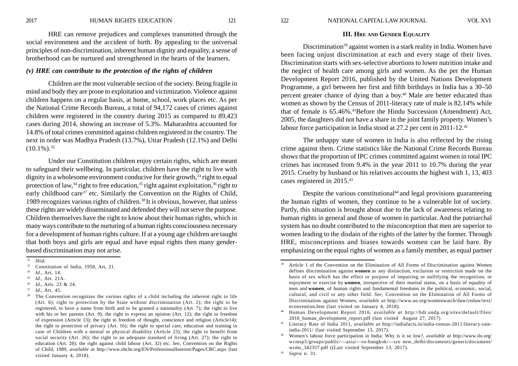HRE can remove prejudices and complexes transmitted through the social environment and the accident of birth. By appealing to the universal principles of non-discrimination, inherent human dignity and equality, a sense of brotherhood can be nurtured and strengthened in the hearts of the learners.

# *(v) HRE can contribute to the protection of the rights of children*

Children are the most vulnerable section of the society. Being fragile in mind and body they are prone to exploitation and victimization. Violence against children happens on a regular basis, at home, school, work places etc. As per the National Crime Records Bureau, a total of 94,172 cases of crimes against children were registered in the country during 2015 as compared to 89,423 cases during 2014, showing an increase of 5.3%. Maharashtra accounted for 14.8% of total crimes committed against children registered in the country. The next in order was Madhya Pradesh (13.7%), Uttar Pradesh (12.1%) and Delhi  $(10.1\%)$ .  $32$ 

Under our Constitution children enjoy certain rights, which are meant to safeguard their wellbeing. In particular, children have the right to live with dignity in a wholesome environment conducive for their growth, $33$  right to equal protection of law,<sup>34</sup> right to free education,<sup>35</sup> right against exploitation,<sup>36</sup> right to early childhood care<sup>37</sup> etc. Similarly the Convention on the Rights of Child, 1989 recognizes various rights of children.38 It is obvious, however, that unless these rights are widely disseminated and defended they will not serve the purpose. Children themselves have the right to know about their human rights, which in many ways contribute to the nurturing of a human rights consciousness necessary for a development of human rights culture. If at a young age children are taught that both boys and girls are equal and have equal rights then many genderbased discrimination may not arise.

# **III. HRE AND GENDER EQUALITY**

Discrimination<sup>39</sup> against women is a stark reality in India. Women have been facing unjust discrimination at each and every stage of their lives. Discrimination starts with sex-selective abortions to lower nutrition intake and the neglect of health care among girls and women. As the per the Human Development Report 2016, published by the United Nations Development Programme, a girl between her first and fifth birthdays in India has a 30–50 percent greater chance of dying than a boy.40 Male are better educated than women as shown by the Census of 2011-literacy rate of male is 82.14% while that of female is 65.46%.<sup>41</sup>Before the Hindu Succession (Amendment) Act, 2005, the daughters did not have a share in the joint family property. Women's labour force participation in India stood at 27.2 per cent in 2011-12.<sup>42</sup>

The unhappy state of women in India is also reflected by the rising crime against them. Crime statistics like the National Crime Records Bureau shows that the proportion of IPC crimes committed against women in total IPC crimes has increased from 9.4% in the year 2011 to 10.7% during the year 2015. Cruelty by husband or his relatives accounts the highest with 1, 13, 403 cases registered in 2015.43

Despite the various constitutional<sup>44</sup> and legal provisions guaranteeing the human rights of women, they continue to be a vulnerable lot of society. Partly, this situation is brought about due to the lack of awareness relating to human rights in general and those of women in particular. And the patriarchal system has no doubt contributed to the misconception that men are superior to women leading to the disdain of the rights of the latter by the former. Through HRE, misconceptions and biases towards women can be laid bare. By emphasizing on the equal rights of women as a family member, as equal partner

<sup>32</sup> *Ibid*.

<sup>33</sup> Constitution of India, 1950, Art, 21.

<sup>34</sup> *Id*., Art, 14. <sup>35</sup> *Id*., Art. 21A.

<sup>36</sup> *Id*., Arts. 23 & 24.

<sup>37</sup> *Id*., Art. 45.

<sup>&</sup>lt;sup>38</sup> The Convention recognizes the various rights of a child including the inherent right to life (Art. 6); right to protection by the State without discrimination (Art. 2); the right to be registered, to have a name from birth and to be granted a nationality (Art. 7); the right to live with his or her parents (Art. 9); the right to express an opinion (Art. 12); the right to freedom of expression (Article 13); the right to freedom of thought, conscience and religion (Article14); the right to protection of privacy (Art. 16); the right to special care, education and training in case of Children with a mental or physical disability (Article 23); the right to benefit from social security (Art. 26); the right to an adequate standard of living (Art. 27); the right to education (Art. 28); the right against child labour (Art. 32) etc. *See*, Convention on the Rights of Child, 1989, *available at* http://www.ohchr.org/EN/ProfessionalInterest/Pages/CRC.aspx (last visited January 4, 2018).

Article 1 of the Convention on the Elimination of All Forms of Discrimination against Women defines discrimination against **women** as any distinction, exclusion or restriction made on the basis of sex which has the effect or purpose of impairing or nullifying the recognition, or enjoyment or exercise by **women**, irrespective of their marital status, on a basis of equality of men and **women**, of human rights and fundamental freedoms in the political, economic, social, cultural, and civil or any other field. *See*, Convention on the Elimination of All Forms of Discrimination against Women, *available at* http://www.un.org/womenwatch/daw/cedaw/text/ econvention.htm (last visited on January 4, 2018).

<sup>40</sup> Human Development Report 2016, *available at* http://hdr.undp.org/sites/default/files/ 2016\_human\_development\_report.pdf (last visited August 27, 2017)

<sup>41</sup> Literacy Rate of India 2011, *available at* http://indiafacts.in/india-census-2011/literacy-rateindia-2011/ (last visited September 13, 2017).

<sup>42</sup> Women's labour force participation in India: Why is it so low?, a*vailable at* http://www.ilo.org/ wcmsp5/groups/public/—asia/—ro-bangkok/—sro new\_delhi/documents/genericdocument/ wcms\_342357.pdf ((Last visited September 13, 2017).

<sup>43</sup> *Supra* n. 31.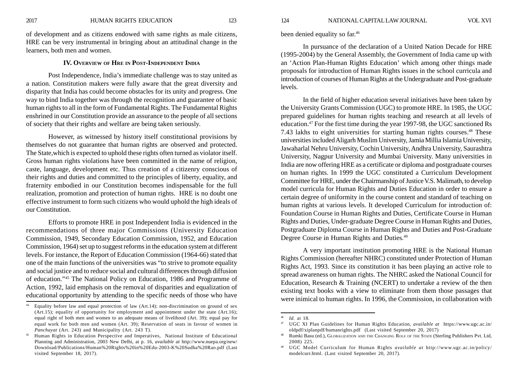of development and as citizens endowed with same rights as male citizens, HRE can be very instrumental in bringing about an attitudinal change in the learners, both men and women.

## **IV. OVERVIEW OF HRE IN POST-INDEPENDENT INDIA**

Post Independence, India's immediate challenge was to stay united as a nation. Constitution makers were fully aware that the great diversity and disparity that India has could become obstacles for its unity and progress. One way to bind India together was through the recognition and guarantee of basic human rights to all in the form of Fundamental Rights. The Fundamental Rights enshrined in our Constitution provide an assurance to the people of all sections of society that their rights and welfare are being taken seriously.

However, as witnessed by history itself constitutional provisions by themselves do not guarantee that human rights are observed and protected. The State,which is expected to uphold these rights often turned as violator itself. Gross human rights violations have been committed in the name of religion, caste, language, development etc. Thus creation of a citizenry conscious of their rights and duties and committed to the principles of liberty, equality, and fraternity embodied in our Constitution becomes indispensable for the full realization, promotion and protection of human rights. HRE is no doubt one effective instrument to form such citizens who would uphold the high ideals of our Constitution.

Efforts to promote HRE in post Independent India is evidenced in the recommendations of three major Commissions (University Education Commission, 1949, Secondary Education Commission, 1952, and Education Commission, 1964) set up to suggest reforms in the education system at different levels. For instance, the Report of Education Commission (1964-66) stated that one of the main functions of the universities was "to strive to promote equality and social justice and to reduce social and cultural differences through diffusion of education."45 The National Policy on Education, 1986 and Programme of Action, 1992, laid emphasis on the removal of disparities and equalization of educational opportunity by attending to the specific needs of those who have

been denied equality so far.46

In pursuance of the declaration of a United Nation Decade for HRE (1995-2004) by the General Assembly, the Government of India came up with an 'Action Plan-Human Rights Education' which among other things made proposals for introduction of Human Rights issues in the school curricula and introduction of courses of Human Rights at the Undergraduate and Post-graduate levels.

In the field of higher education several initiatives have been taken by the University Grants Commission (UGC) to promote HRE. In 1985, the UGC prepared guidelines for human rights teaching and research at all levels of education.47 For the first time during the year 1997-98, the UGC sanctioned Rs 7.43 lakhs to eight universities for starting human rights courses.<sup>48</sup> These universities included Aligarh Muslim University, Jamia Millia Islamia University, Jawaharlal Nehru University, Cochin University, Andhra University, Saurashtra University, Nagpur University and Mumbai University. Many universities in India are now offering HRE as a certificate or diploma and postgraduate courses on human rights. In 1999 the UGC constituted a Curriculum Development Committee for HRE, under the Chairmanship of Justice V.S. Malimath, to develop model curricula for Human Rights and Duties Education in order to ensure a certain degree of uniformity in the course content and standard of teaching on human rights at various levels. It developed Curriculum for introduction of: Foundation Course in Human Rights and Duties, Certificate Course in Human Rights and Duties, Under-graduate Degree Course in Human Rights and Duties, Postgraduate Diploma Course in Human Rights and Duties and Post-Graduate Degree Course in Human Rights and Duties.<sup>49</sup>

A very important institution promoting HRE is the National Human Rights Commission (hereafter NHRC) constituted under Protection of Human Rights Act, 1993. Since its constitution it has been playing an active role to spread awareness on human rights. The NHRC asked the National Council for Education, Research & Training (NCERT) to undertake a review of the then existing text books with a view to eliminate from them those passages that were inimical to human rights. In 1996, the Commission, in collaboration with

Equality before law and equal protection of law  $(Art.14)$ ; non-discrimination on ground of sex (Art.15); equality of opportunity for employment and appointment under the state (Art.16); equal right of both men and women to an adequate means of livelihood (Art. 39); equal pay for equal work for both men and women (Art. 39); Reservation of seats in favour of women in *Panchayat* (Art. 243) and Municipality (Art. 243 T).

<sup>45</sup> Human Rights in Education Perspective and Imperatives, National Institute of Educational Planning and Administration, 2003 New Delhi, at p. 16, *available at* http://www.nuepa.org/new/ Download/Publications/Human%20Rights%20in%20Edu-2003-K%20Sudha%20Rao.pdf (Last visited September 18, 2017).

<sup>46</sup> *Id.* at 18.

<sup>47</sup> UGC XI Plan Guidelines for Human Rights Education, *available at* https://www.ugc.ac.in/ oldpdf/xiplanpdf/humanrights.pdf (Last visited September 20, 2017)

<sup>48</sup> Rumki Basu (ed.), GLOBALIZATION AND THE CHANGING ROLE OF THE STATE (Sterling Publishers Pvt. Ltd, 2008) 225.

<sup>49</sup> UGC Model Curriculum for Human Rights *available at* http://www.ugc.ac.in/policy/ modelcurr.html. (Last visited September 20, 2017).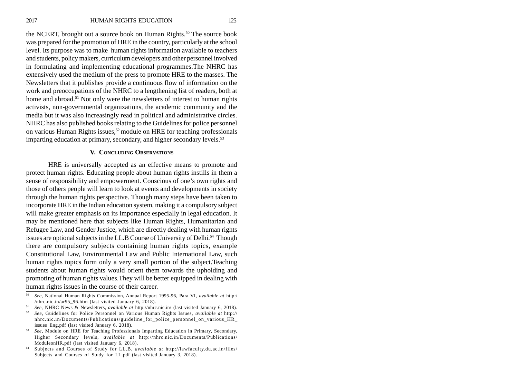the NCERT, brought out a source book on Human Rights.<sup>50</sup> The source book was prepared for the promotion of HRE in the country, particularly at the school level. Its purpose was to make human rights information available to teachers and students, policy makers, curriculum developers and other personnel involved in formulating and implementing educational programmes.The NHRC has extensively used the medium of the press to promote HRE to the masses. The Newsletters that it publishes provide a continuous flow of information on the work and preoccupations of the NHRC to a lengthening list of readers, both at home and abroad.<sup>51</sup> Not only were the newsletters of interest to human rights activists, non-governmental organizations, the academic community and the media but it was also increasingly read in political and administrative circles. NHRC has also published books relating to the Guidelines for police personnel on various Human Rights issues,<sup>52</sup> module on HRE for teaching professionals imparting education at primary, secondary, and higher secondary levels.<sup>53</sup>

# **V. CONCLUDING OBSERVATIONS**

HRE is universally accepted as an effective means to promote and protect human rights. Educating people about human rights instills in them a sense of responsibility and empowerment. Conscious of one's own rights and those of others people will learn to look at events and developments in society through the human rights perspective. Though many steps have been taken to incorporate HRE in the Indian education system, making it a compulsory subject will make greater emphasis on its importance especially in legal education. It may be mentioned here that subjects like Human Rights, Humanitarian and Refugee Law, and Gender Justice, which are directly dealing with human rights issues are optional subjects in the LL.B Course of University of Delhi.<sup>54</sup> Though there are compulsory subjects containing human rights topics, example Constitutional Law, Environmental Law and Public International Law, such human rights topics form only a very small portion of the subject.Teaching students about human rights would orient them towards the upholding and promoting of human rights values.They will be better equipped in dealing with human rights issues in the course of their career.

<sup>50</sup> *See*, National Human Rights Commission, Annual Report 1995-96, Para VI, *available at* http:/ /nhrc.nic.in/ar95\_96.htm (last visited January 6, 2018).

<sup>51</sup> *See*, NHRC News & Newsletters, *available at* http://nhrc.nic.in/ (last visited January 6, 2018).

<sup>52</sup> *See*, Guidelines for Police Personnel on Various Human Rights Issues, *available at* http:// nhrc.nic.in/Documents/Publications/guideline\_for\_police\_personnel\_on\_various\_HR\_ issues\_Eng.pdf (last visited January 6, 2018).

<sup>53</sup> *See*, Module on HRE for Teaching Professionals Imparting Education in Primary, Secondary, Higher Secondary levels, *available at* http://nhrc.nic.in/Documents/Publications/ ModuleonHR.pdf (last visited January 6, 2018).

<sup>54</sup> Subjects and Courses of Study for LL.B, *available at* http://lawfaculty.du.ac.in/files/ Subjects and Courses of Study for LL.pdf (last visited January 3, 2018).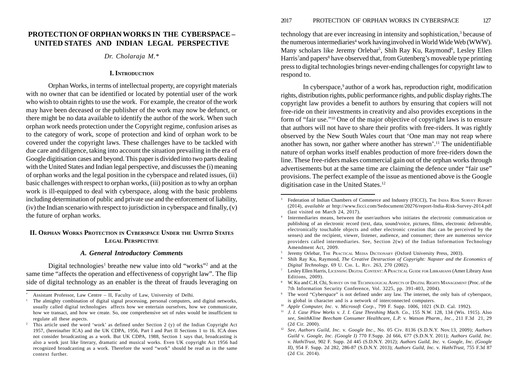# **PROTECTION OF ORPHAN WORKS IN THE CYBERSPACE – UNITED STATES AND INDIAN LEGAL PERSPECTIVE**

*Dr. Cholaraja M.\**

## **I. INTRODUCTION**

Orphan Works, in terms of intellectual property, are copyright materials with no owner that can be identified or located by potential user of the work who wish to obtain rights to use the work. For example, the creator of the work may have been deceased or the publisher of the work may now be defunct, or there might be no data available to identify the author of the work. When such orphan work needs protection under the Copyright regime, confusion arises as to the category of work, scope of protection and kind of orphan work to be covered under the copyright laws. These challenges have to be tackled with due care and diligence, taking into account the situation prevailing in the era of Google digitisation cases and beyond. This paper is divided into two parts dealing with the United States and Indian legal perspective, and discusses the (i) meaning of orphan works and the legal position in the cyberspace and related issues, (ii) basic challenges with respect to orphan works, (iii) position as to why an orphan work is ill-equipped to deal with cyberspace, along with the basic problems including determination of public and private use and the enforcement of liability, (iv) the Indian scenario with respect to jurisdiction in cyberspace and finally, (v) the future of orphan works.

# **II. ORPHAN WORKS PROTECTION IN CYBERSPACE UNDER THE UNITED STATES LEGAL PERSPECTIVE**

# *A. General Introductory Comments*

Digital technologies<sup>1</sup> breathe new value into old "works"<sup>2</sup> and at the same time "affects the operation and effectiveness of copyright law". The flip side of digital technology as an enabler is the threat of frauds leveraging on

technology that are ever increasing in intensity and sophistication,<sup>3</sup> because of the numerous intermediaries<sup>4</sup> work having involved in World Wide Web (WWW). Many scholars like Jeremy Orlebar<sup>5</sup>, Shih Ray Ku, Raymond<sup>6</sup>, Lesley Ellen Harris<sup>7</sup> and papers<sup>8</sup> have observed that, from Gutenberg's moveable type printing press to digital technologies brings never-ending challenges for copyright law to respond to.

In cyberspace,<sup>9</sup> author of a work has, reproduction right, modification rights, distribution rights, public performance rights, and public display rights.The copyright law provides a benefit to authors by ensuring that copiers will not free-ride on their investments in creativity and also provides exceptions in the form of "fair use."10 One of the major objective of copyright laws is to ensure that authors will not have to share their profits with free-riders. It was rightly observed by the New South Wales court that 'One man may not reap where another has sown, nor gather where another has strewn'.11 The unidentifiable nature of orphan works itself enables production of more free-riders down the line. These free-riders makes commercial gain out of the orphan works through advertisements but at the same time are claiming the defence under "fair use" provisions. The perfect example of the issue as mentioned above is the Google digitisation case in the United States.<sup>12</sup>

- Jeremy Orlebar, THE PRACTICAL MEDIA DICTIONARY (Oxford University Press, 2003).
- <sup>6</sup> Shih Ray Ku, Raymond, *The Creative Destruction of Copyright: Napster and the Economics of Digital Technology*, 69 U. CHI. L. REV. 263, 270 (2002).
- <sup>7</sup> Lesley Ellen Harris, LICENSING DIGITAL CONTENT: A PRACTICAL GUIDE FOR LIBRARIANS (Amer Library Assn Editions, 2009).
- W. Ku and C.H. Chi, SURVEY ON THE TECHNOLOGICAL ASPECTS OF DIGITAL RIGHTS MANAGEMENT (Proc. of the 7th Information Security Conference, Vol. 3225, pp. 391-403, 2004).
- <sup>9</sup> The word "Cyberspace" is not defined under any law. The internet, the only bais of cyberspace, is global in character and is a network of interconnected computers.
- <sup>10</sup> *Apple Computer, Inc.* v. *Microsoft Corp.*, 799 F. Supp. 1006, 1021 (N.D. Cal. 1992).
- <sup>11</sup> *J. I. Case Plow Works* v. *J. I. Case Threshing Mach. Co.*, 155 N.W. 128, 134 (Wis. 1915). Also *see*, *SmithKline Beecham Consumer Healthcare, L.P.* v. *Watson Pharm., Inc.*, 211 F.3d 21, 29 (2d Cir. 2000).
- <sup>12</sup> *See*, *Authors Guild, Inc.* v. *Google Inc.,* No. 05 Civ. 8136 (S.D.N.Y. Nov.13, 2009); *Authors Guild* v. *Google, Inc. (Google I)* 770 F.Supp. 2d 666, 677 (S.D.N.Y. 2011); *Authors Guild, Inc.* v. *HathiTrust*, 902 F. Supp. 2d 445 (S.D.N.Y. 2012); *Authors Guild, Inc.* v. *Google, Inc. (Google II),* 954 F. Supp. 2d 282, 286-87 (S.D.N.Y. 2013); *Authors Guild, Inc.* v. *HathiTrust*, 755 F.3d 87 (2d Cir. 2014).

<sup>\*</sup>Assistant Professor, Law Centre – II, Faculty of Law, University of Delhi.

<sup>1</sup> The almighty combination of digital signal processing, personal computers, and digital networks, usually called digital technologies affects how we entertain ourselves, how we communicate, how we transact, and how we create. So, one comprehensive set of rules would be insufficient to regulate all these aspects.

<sup>2</sup> This article used the word 'work' as defined under Section 2 (y) of the Indian Copyright Act 1957, (hereinafter ICA) and the UK CDPA, 1956, Part I and Part II Sections 1 to 16. ICA does not consider broadcasting as a work. But UK CDPA, 1988, Section 1 says that, broadcasting is also a work just like literary, dramatic and musical works. Even UK copyright Act 1956 had recognized broadcasting as a work. Therefore the word "work" should be read as in the same context further.

<sup>3</sup> Federation of Indian Chambers of Commerce and Industry (FICCI), THE INDIA RISK SURVEY REPORT (2014), *available at* http://www.ficci.com/Sedocument/20276/report-India-Risk-Survey-2014.pdf (last visited on March 24, 2017).

Intermediaries means, between the user/authors who initiates the electronic communication or publishing of an electronic record (text, data, sound/voice, pictures, films, electronic deliverable, electronically touchable objects and other electronic creation that can be perceived by the senses) and the recipient, viewer, listener, audience, and consumer; there are numerous service providers called intermediaries. See, Section 2(w) of the Indian Information Technology Amendment Act, 2009.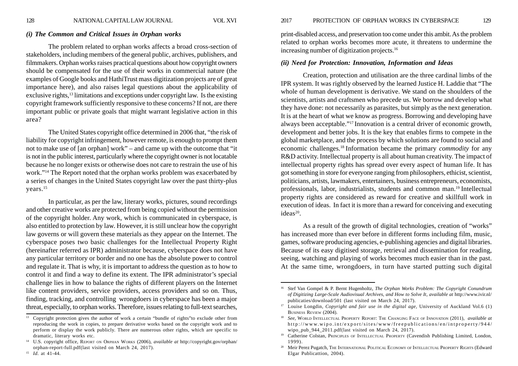## *(i) The Common and Critical Issues in Orphan works*

The problem related to orphan works affects a broad cross-section of stakeholders, including members of the general public, archives, publishers, and filmmakers. Orphan works raises practical questions about how copyright owners should be compensated for the use of their works in commercial nature (the examples of Google books and HathiTrust mass digitization projects are of great importance here), and also raises legal questions about the applicability of exclusive rights,13 limitations and exceptions under copyright law. Is the existing copyright framework sufficiently responsive to these concerns? If not, are there important public or private goals that might warrant legislative action in this area?

The United States copyright office determined in 2006 that, "the risk of liability for copyright infringement, however remote, is enough to prompt them not to make use of [an orphan] work" – and came up with the outcome that "it is not in the public interest, particularly where the copyright owner is not locatable because he no longer exists or otherwise does not care to restrain the use of his work."14 The Report noted that the orphan works problem was exacerbated by a series of changes in the United States copyright law over the past thirty-plus years.<sup>15</sup>

In particular, as per the law, literary works, pictures, sound recordings and other creative works are protected from being copied without the permission of the copyright holder. Any work, which is communicated in cyberspace, is also entitled to protection by law. However, it is still unclear how the copyright law governs or will govern these materials as they appear on the Internet. The cyberspace poses two basic challenges for the Intellectual Property Right (hereinafter referred as IPR) administrator because, cyberspace does not have any particular territory or border and no one has the absolute power to control and regulate it. That is why, it is important to address the question as to how to control it and find a way to define its extent. The IPR administrator's special challenge lies in how to balance the rights of different players on the Internet like content providers, service providers, access providers and so on. Thus, finding, tracking, and controlling wrongdoers in cyberspace has been a major threat, especially, to orphan works. Therefore, issues relating to full-text searches,

print-disabled access, and preservation too come under this ambit. As the problem related to orphan works becomes more acute, it threatens to undermine the increasing number of digitization projects.16

## *(ii) Need for Protection: Innovation, Information and Ideas*

Creation, protection and utilisation are the three cardinal limbs of the IPR system. It was rightly observed by the learned Justice H. Laddie that "The whole of human development is derivative. We stand on the shoulders of the scientists, artists and craftsmen who precede us. We borrow and develop what they have done: not necessarily as parasites, but simply as the next generation. It is at the heart of what we know as progress. Borrowing and developing have always been acceptable."17 Innovation is a central driver of economic growth, development and better jobs. It is the key that enables firms to compete in the global marketplace, and the process by which solutions are found to social and economic challenges.18 Information became the primary *commodity* for any R&D activity. Intellectual property is all about human creativity. The impact of intellectual property rights has spread over every aspect of human life. It has got something in store for everyone ranging from philosophers, ethicist, scientist, politicians, artists, lawmakers, entertainers, business entrepreneurs, economists, professionals, labor, industrialists, students and common man.19 Intellectual property rights are considered as reward for creative and skillfull work in execution of ideas. In fact it is more than a reward for conceiving and executing  $ideas<sup>20</sup>$ .

As a result of the growth of digital technologies, creation of "works" has increased more than ever before in different forms including film, music, games, software producing agencies, e-publishing agencies and digital libraries. Because of its easy digitised storage, retrieval and dissemination for reading, seeing, watching and playing of works becomes much easier than in the past. At the same time, wrongdoers, in turn have started putting such digital

<sup>&</sup>lt;sup>13</sup> Copyright protection gives the author of work a certain "bundle of rights"to exclude other from reproducing the work in copies, to prepare derivative works based on the copyright work and to perform or display the work publicly. There are numerous other rights, which are specific to dramatic, literary works etc.

<sup>14</sup> U.S. copyright office, REPORT ON ORPHAN WORKS (2006), *available at* http://copyright.gov/orphan/ orphan-report-full.pdf(last visited on March 24, 2017). <sup>15</sup> *Id*. at 41-44.

<sup>16</sup> Stef Van Gompel & P. Bernt Hugenholtz, *The Orphan Works Problem: The Copyright Conundrum of Digitizing Large-Scale Audiovisual Archives, and How to Solve It*, *available at* http://www.ivir.nl/ publicaties/download/501 (last visited on March 24, 2017).

<sup>17</sup> Louise Longdin, *Copyright and fair use in the digital age,* University of Auckland Vol.6 (1) BUSINESS REVIEW (2004).

<sup>18</sup> *See*, WORLD INTELLECTUAL PROPERTY REPORT: THE CHANGING FACE OF INNOVATION (2011), *available at* http://www.wipo.int/export/sites/www/freepublications/en/intproperty/944/ wipo\_pub\_944\_2011.pdf(last visited on March 24, 2017).

<sup>&</sup>lt;sup>19</sup> Catherine Colstan, PRINCIPLES OF INTELLECTUAL PROPERTY (Cavendish Publishing Limited, London, 1999).

<sup>&</sup>lt;sup>20</sup> Meir Perez Pugatch, The INTERNATIONAL POLITICAL ECONOMY OF INTELLECTUAL PROPERTY RIGHTS (Edward Elgar Publicattion, 2004).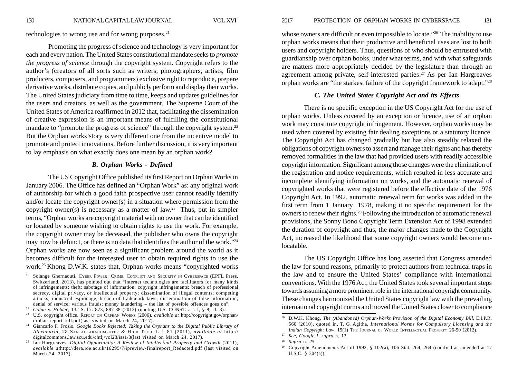technologies to wrong use and for wrong purposes.<sup>21</sup>

Promoting the progress of science and technology is very important for each and every nation. The United States constitutional mandate seeks to *promote the progress of science* through the copyright system. Copyright refers to the author's (creators of all sorts such as writers, photographers, artists, film producers, composers, and programmers) exclusive right to reproduce, prepare derivative works, distribute copies, and publicly perform and display their works. The United States judiciary from time to time, keeps and updates guidelines for the users and creators, as well as the government. The Supreme Court of the United States of America reaffirmed in 2012 that, facilitating the dissemination of creative expression is an important means of fulfilling the constitutional mandate to "promote the progress of science" through the copyright system.<sup>22</sup> But the Orphan works'story is very different one from the incentive model to promote and protect innovations. Before further discussion, it is very important to lay emphasis on what exactly does one mean by an orphan work?

## *B. Orphan Works - Defined*

The US Copyright Office published its first Report on Orphan Works in January 2006. The Office has defined an "Orphan Work" as: any original work of authorship for which a good faith prospective user cannot readily identify and/or locate the copyright owner(s) in a situation where permission from the copyright owner(s) is necessary as a matter of law.<sup>23</sup> Thus, put in simpler terms, "Orphan works are copyright material with no owner that can be identified or located by someone wishing to obtain rights to use the work. For example, the copyright owner may be deceased, the publisher who owns the copyright may now be defunct, or there is no data that identifies the author of the work."24 Orphan works are now seen as a significant problem around the world as it becomes difficult for the interested user to obtain required rights to use the work.25 Khong D.W.K. states that, Orphan works means "copyrighted works

130 NATIONAL CAPITAL LAW JOURNAL VOL XVI 2017 PROTECTION OF ORPHAN WORKS IN CYBERSPACE 131

whose owners are difficult or even impossible to locate."<sup>26</sup> The inability to use orphan works means that their productive and beneficial uses are lost to both users and copyright holders. Thus, questions of who should be entrusted with guardianship over orphan books, under what terms, and with what safeguards are matters more appropriately decided by the legislature than through an agreement among private, self-interested parties.27 As per Ian Hargreaves orphan works are "the starkest failure of the copyright framework to adapt."28

# *C. The United States Copyright Act and its Effects*

There is no specific exception in the US Copyright Act for the use of orphan works. Unless covered by an exception or licence, use of an orphan work may constitute copyright infringement. However, orphan works may be used when covered by existing fair dealing exceptions or a statutory licence. The Copyright Act has changed gradually but has also steadily relaxed the obligations of copyright owners to assert and manage their rights and has thereby removed formalities in the law that had provided users with readily accessible copyright information. Significant among those changes were the elimination of the registration and notice requirements, which resulted in less accurate and incomplete identifying information on works, and the automatic renewal of copyrighted works that were registered before the effective date of the 1976 Copyright Act. In 1992, automatic renewal term for works was added in the first term from 1 January 1978, making it no specific requirement for the owners to renew their rights.29 Following the introduction of automatic renewal provisions, the Sonny Bono Copyright Term Extension Act of 1998 extended the duration of copyright and thus, the major changes made to the Copyright Act, increased the likelihood that some copyright owners would become unlocatable.

The US Copyright Office has long asserted that Congress amended the law for sound reasons, primarily to protect authors from technical traps in the law and to ensure the United States' compliance with international conventions. With the 1976 Act, the United States took several important steps towards assuming a more prominent role in the international copyright community. These changes harmonized the United States copyright law with the prevailing international copyright norms and moved the United States closer to compliance

<sup>&</sup>lt;sup>21</sup> Solange Ghernaouti, CYBER POWER: CRIME, CONFLICT AND SECURITY IN CYBERSPACE (EPFL Press, Switzerland, 2013), has pointed out that "internet technologies are facilitators for many kinds of infringements: theft; sabotage of information; copyright infringements; breach of professional secrecy, digital privacy, or intellectual property; dissemination of illegal contents; competing attacks; industrial espionage; breach of trademark laws; dissemination of false information; denial of service; various frauds; money laundering – the list of possible offences goes on".

<sup>22</sup> *Golan* v. *Holder*, 132 S. Ct. 873, 887-88 (2012) (quoting U.S. CONST. art. I, § 8, cl. 8).

<sup>23</sup> U.S. copyright office, REPORT ON ORPHAN WORKS (2006), *available at* http://copyright.gov/orphan/ orphan-report-full.pdf(last visited on March 24, 2017).

<sup>24</sup> Giancarlo F. Frosio, *Google Books Rejected: Taking the Orphans to the Digital Public Library of Alexandria*, 28 SANTACLARACOMPUTER & HIGH TECH. L.J. 81 (2011), *available at* http:// digitalcommons.law.scu.edu/chtlj/vol28/iss1/3(last visited on March 24, 2017).

<sup>25</sup> Ian Hargreaves, *Digital Opportunity: A Review of Intellectual Property and Growth* (2011), *available at*http://dera.ioe.ac.uk/16295/7/ipreview-finalreport\_Redacted.pdf (last visited on March 24, 2017).

<sup>&</sup>lt;sup>26</sup> D.W.K. Khong, *The (Abandoned) Orphan-Works Provision of the Digital Economy Bill, E.I.P.R.* 560 (2010), quoted in, T. G. Agitha, *International Norms for Compulsory Licensing and the Indian Copyright Law*, 15(1) THE JOURNAL OF WORLD INTELLECTUAL PROPERTY 26-50 (2012).

<sup>27</sup> *See*, *Google I*, *supra* n. 12.

<sup>28</sup> *Supra* n*. 25.*

<sup>&</sup>lt;sup>29</sup> Copyright Amendments Act of 1992,  $\S$  102(a), 106 Stat. 264, 264 (codified as amended at 17 U.S.C. § 304(a)).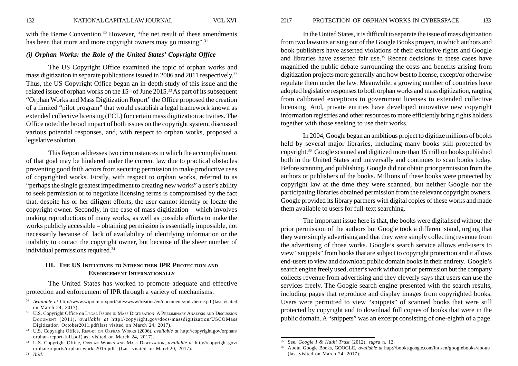with the Berne Convention.<sup>30</sup> However, "the net result of these amendments has been that more and more copyright owners may go missing".<sup>31</sup>

# *(i) Orphan Works: the Role of the United States' Copyright Office*

The US Copyright Office examined the topic of orphan works and mass digitization in separate publications issued in 2006 and 2011 respectively.32 Thus, the US Copyright Office began an in-depth study of this issue and the related issue of orphan works on the  $15<sup>th</sup>$  of June 2015.<sup>33</sup> As part of its subsequent "Orphan Works and Mass Digitization Report" the Office proposed the creation of a limited "pilot program" that would establish a legal framework known as extended collective licensing (ECL) for certain mass digitization activities. The Office noted the broad impact of both issues on the copyright system, discussed various potential responses, and, with respect to orphan works, proposed a legislative solution.

This Report addresses two circumstances in which the accomplishment of that goal may be hindered under the current law due to practical obstacles preventing good faith actors from securing permission to make productive uses of copyrighted works. Firstly, with respect to orphan works, referred to as "perhaps the single greatest impediment to creating new works" a user's ability to seek permission or to negotiate licensing terms is compromised by the fact that, despite his or her diligent efforts, the user cannot identify or locate the copyright owner. Secondly, in the case of mass digitization – which involves making reproductions of many works, as well as possible efforts to make the works publicly accessible – obtaining permission is essentially impossible, not necessarily because of lack of availability of identifying information or the inability to contact the copyright owner, but because of the sheer number of individual permissions required.34

# **III. THE US INITIATIVES TO STRENGTHEN IPR PROTECTION AND ENFORCEMENT INTERNATIONALLY**

The United States has worked to promote adequate and effective protection and enforcement of IPR through a variety of mechanisms.

132 NATIONAL CAPITAL LAW JOURNAL VOL XVI 2017 PROTECTION OF ORPHAN WORKS IN CYBERSPACE 133

In the United States, it is difficult to separate the issue of mass digitization from two lawsuits arising out of the Google Books project, in which authors and book publishers have asserted violations of their exclusive rights and Google and libraries have asserted fair use.<sup>35</sup> Recent decisions in these cases have magnified the public debate surrounding the costs and benefits arising from digitization projects more generally and how best to license, except/or otherwise regulate them under the law. Meanwhile, a growing number of countries have adopted legislative responses to both orphan works and mass digitization, ranging from calibrated exceptions to government licenses to extended collective licensing. And, private entities have developed innovative new copyright information registries and other resources to more efficiently bring rights holders together with those seeking to use their works.

In 2004, Google began an ambitious project to digitize millions of books held by several major libraries, including many books still protected by copyright.36 Google scanned and digitized more than 15 million books published both in the United States and universally and continues to scan books today. Before scanning and publishing, Google did not obtain prior permission from the authors or publishers of the books. Millions of these books were protected by copyright law at the time they were scanned, but neither Google nor the participating libraries obtained permission from the relevant copyright owners. Google provided its library partners with digital copies of these works and made them available to users for full-text searching.

The important issue here is that, the books were digitalised without the prior permission of the authors but Google took a different stand, urging that they were simply advertising and that they were simply collecting revenue from the advertising of those works. Google's search service allows end-users to view "snippets" from books that are subject to copyright protection and it allows end-users to view and download public domain books in their entirety. Google's search engine freely used, other's work without prior permission but the company collects revenue from advertising and they cleverly says that users can use the services freely. The Google search engine presented with the search results, including pages that reproduce and display images from copyrighted books. Users were permitted to view "snippets" of scanned books that were still protected by copyright and to download full copies of books that were in the public domain. A "snippets" was an excerpt consisting of one-eighth of a page.

<sup>30</sup> *Available at* http://www.wipo.int/export/sites/www/treaties/en/documents/pdf/berne.pdf(last visited on March 24, 2017).

<sup>&</sup>lt;sup>31</sup> U.S. Copyright Office on Legal Issues in Mass Digitization: A Preliminary Analysis and Discussion DOCUMENT (2011), *available at* http://copyright.gov/docs/massdigitization/USCOMass Digitization\_October2011.pdf(last visited on March 24, 2017).

<sup>32</sup> U.S. Copyright Office, REPORT ON ORPHAN WORKS (2006), *available at* http://copyright.gov/orphan/ orphan-report-full.pdf(last visited on March 24, 2017).

<sup>33</sup> U.S. Copyright Office, ORPHAN WORKS AND MASS DIGITIZATION, *available at* http://copyright.gov/ orphan/reports/orphan-works2015.pdf (Last visited on March20, 2017). <sup>34</sup> *Ibid*.

<sup>35</sup> See, *Google I & Hathi Trust* (2012), *supra* n. 12.

<sup>36</sup> About Google Books, GOOGLE, *available at* http://books.google.com/intl/en/googlebooks/about/. (last visited on March 24, 2017).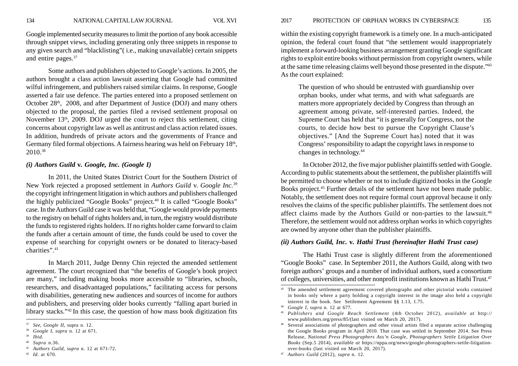Google implemented security measures to limit the portion of any book accessible through snippet views, including generating only three snippets in response to any given search and "blacklisting"( i.e., making unavailable) certain snippets and entire pages.37

Some authors and publishers objected to Google's actions. In 2005, the authors brought a class action lawsuit asserting that Google had committed wilful infringement, and publishers raised similar claims. In response, Google asserted a fair use defence. The parties entered into a proposed settlement on October  $28<sup>th</sup>$ ,  $2008$ , and after Department of Justice (DOJ) and many others objected to the proposal, the parties filed a revised settlement proposal on November 13<sup>th</sup>, 2009. DOJ urged the court to reject this settlement, citing concerns about copyright law as well as antitrust and class action related issues. In addition, hundreds of private actors and the governments of France and Germany filed formal objections. A fairness hearing was held on February 18th, 2010.38

## *(i) Authors Guild*  **<sup>v</sup>***. Google, Inc. (Google I)*

In 2011, the United States District Court for the Southern District of New York rejected a proposed settlement in *Authors Guild* v. *Google Inc.39* the copyright infringement litigation in which authors and publishers challenged the highly publicized "Google Books" project.40 It is called "Google Books" case. In the Authors Guild case it was held that, "Google would provide payments to the registry on behalf of rights holders and, in turn, the registry would distribute the funds to registered rights holders. If no rights holder came forward to claim the funds after a certain amount of time, the funds could be used to cover the expense of searching for copyright owners or be donated to literacy-based charities".<sup>41</sup>

In March 2011, Judge Denny Chin rejected the amended settlement agreement. The court recognized that "the benefits of Google's book project are many," including making books more accessible to "libraries, schools, researchers, and disadvantaged populations," facilitating access for persons with disabilities, generating new audiences and sources of income for authors and publishers, and preserving older books currently "falling apart buried in library stacks."42 In this case, the question of how mass book digitization fits

within the existing copyright framework is a timely one. In a much-anticipated opinion, the federal court found that "the settlement would inappropriately implement a forward-looking business arrangement granting Google significant rights to exploit entire books without permission from copyright owners, while at the same time releasing claims well beyond those presented in the dispute."43 As the court explained:

The question of who should be entrusted with guardianship over orphan books, under what terms, and with what safeguards are matters more appropriately decided by Congress than through an agreement among private, self-interested parties. Indeed, the Supreme Court has held that "it is generally for Congress, not the courts, to decide how best to pursue the Copyright Clause's objectives." [And the Supreme Court has] noted that it was Congress' responsibility to adapt the copyright laws in response to changes in technology.44

In October 2012, the five major publisher plaintiffs settled with Google. According to public statements about the settlement, the publisher plaintiffs will be permitted to choose whether or not to include digitized books in the Google Books project.45 Further details of the settlement have not been made public. Notably, the settlement does not require formal court approval because it only resolves the claims of the specific publisher plaintiffs. The settlement does not affect claims made by the Authors Guild or non-parties to the lawsuit.46 Therefore, the settlement would not address orphan works in which copyrights are owned by anyone other than the publisher plaintiffs.

## *(ii) Authors Guild, Inc.*  **<sup>v</sup>***. Hathi Trust (hereinafter Hathi Trust case)*

The Hathi Trust case is slightly different from the aforementioned "Google Books" case. In September 2011, the Authors Guild, along with two foreign authors' groups and a number of individual authors, sued a consortium of colleges, universities, and other nonprofit institutions known as Hathi Trust.47

<sup>37</sup> *See*, *Google II*, supra n. 12.

<sup>38</sup> *Google I*, *supra* n. 12 at 671.

<sup>39</sup> *Ibid*.

<sup>40</sup> *Supra* n.36.

<sup>41</sup> *Authors Guild*, *supra* n. 12 at 671-72. <sup>42</sup> *Id*. at 670.

<sup>&</sup>lt;sup>43</sup> The amended settlement agreement covered photographs and other pictorial works contained in books only where a party holding a copyright interest in the image also held a copyright interest in the book. See Settlement Agreement §§ 1.13, 1.75.

<sup>44</sup> *Google I*, *supra* n. 12 at 677.

<sup>45</sup> *Publishers and Google Reach Settlement* (4th October 2012), *available at* http:// www.publishers.org/press/85/(last visited on March 20, 2017).

<sup>46</sup> Several associations of photographers and other visual artists filed a separate action challenging the Google Books program in April 2010. That case was settled in September 2014. See Press Release, *National Press Photographers Ass'n Google, Photographers Settle Litigation Over Books* (Sep.5 2014), *available at* https://nppa.org/news/google-photographers-settle-litigationover-books (last visited on March 20, 2017).

<sup>47</sup> *Authors Guild* (2012), *supra* n. 12.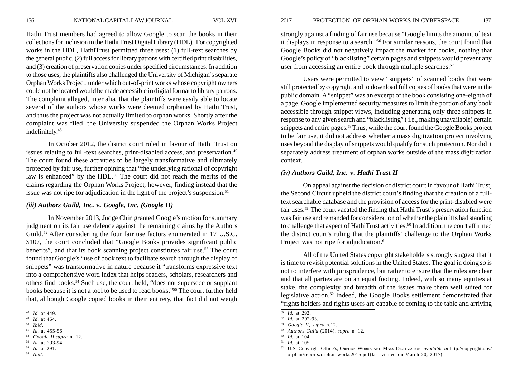Hathi Trust members had agreed to allow Google to scan the books in their collections for inclusion in the Hathi Trust Digital Library (HDL). For copyrighted works in the HDL, HathiTrust permitted three uses: (1) full-text searches by the general public, (2) full access for library patrons with certified print disabilities, and (3) creation of preservation copies under specified circumstances. In addition to those uses, the plaintiffs also challenged the University of Michigan's separate Orphan Works Project, under which out-of-print works whose copyright owners could not be located would be made accessible in digital format to library patrons. The complaint alleged, inter alia, that the plaintiffs were easily able to locate several of the authors whose works were deemed orphaned by Hathi Trust, and thus the project was not actually limited to orphan works. Shortly after the complaint was filed, the University suspended the Orphan Works Project indefinitely.<sup>48</sup>

In October 2012, the district court ruled in favour of Hathi Trust on issues relating to full-text searches, print-disabled access, and preservation.<sup>49</sup> The court found these activities to be largely transformative and ultimately protected by fair use, further opining that "the underlying rational of copyright law is enhanced" by the HDL.<sup>50</sup> The court did not reach the merits of the claims regarding the Orphan Works Project, however, finding instead that the issue was not ripe for adjudication in the light of the project's suspension.<sup>51</sup>

# *(iii) Authors Guild, Inc.*  **<sup>v</sup>***. Google, Inc. (Google II)*

In November 2013, Judge Chin granted Google's motion for summary judgment on its fair use defence against the remaining claims by the Authors Guild.<sup>52</sup> After considering the four fair use factors enumerated in 17 U.S.C. \$107, the court concluded that "Google Books provides significant public benefits", and that its book scanning project constitutes fair use.53 The court found that Google's "use of book text to facilitate search through the display of snippets" was transformative in nature because it "transforms expressive text into a comprehensive word index that helps readers, scholars, researchers and others find books.54 Such use, the court held, "does not supersede or supplant books because it is not a tool to be used to read books."55 The court further held that, although Google copied books in their entirety, that fact did not weigh

<sup>55</sup> *Ibid*.

strongly against a finding of fair use because "Google limits the amount of text it displays in response to a search."56 For similar reasons, the court found that Google Books did not negatively impact the market for books, nothing that Google's policy of "blacklisting" certain pages and snippets would prevent any user from accessing an entire book through multiple searches.<sup>57</sup>

Users were permitted to view "snippets" of scanned books that were still protected by copyright and to download full copies of books that were in the public domain. A "snippet" was an excerpt of the book consisting one-eighth of a page. Google implemented security measures to limit the portion of any book accessible through snippet views, including generating only three snippets in response to any given search and "blacklisting" ( i.e., making unavailable) certain snippets and entire pages.58 Thus, while the court found the Google Books project to be fair use, it did not address whether a mass digitization project involving uses beyond the display of snippets would qualify for such protection. Nor did it separately address treatment of orphan works outside of the mass digitization context.

## *(iv) Authors Guild, Inc.*  **<sup>v</sup>***. Hathi Trust II*

On appeal against the decision of district court in favour of Hathi Trust, the Second Circuit upheld the district court's finding that the creation of a fulltext searchable database and the provision of access for the print-disabled were fair uses.59 The court vacated the finding that Hathi Trust's preservation function was fair use and remanded for consideration of whether the plaintiffs had standing to challenge that aspect of HathiTrust activities.<sup>60</sup> In addition, the court affirmed the district court's ruling that the plaintiffs' challenge to the Orphan Works Project was not ripe for adjudication.<sup>61</sup>

All of the United States copyright stakeholders strongly suggest that it is time to revisit potential solutions in the United States. The goal in doing so is not to interfere with jurisprudence, but rather to ensure that the rules are clear and that all parties are on an equal footing. Indeed, with so many equities at stake, the complexity and breadth of the issues make them well suited for legislative action.62 Indeed, the Google Books settlement demonstrated that "rights holders and rights users are capable of coming to the table and arriving

<sup>48</sup> *Id*. at 449.

<sup>49</sup> *Id*. at 464.

<sup>50</sup> *Ibid.*

<sup>51</sup> *Id*. at 455-56.

<sup>52</sup> *Google II*,*supra* n. 12.

<sup>53</sup> *Id*. at 293-94.

<sup>54</sup> *Id*. at 291.

<sup>56</sup> *Id*. at 292.

<sup>57</sup> *Id*. at 292-93.

<sup>58</sup> *Google II*, *supra* n.12.

<sup>59</sup> *Authors Guild* (2014), *supra* n. 12..

<sup>60</sup> *Id*. at 104.

<sup>61</sup> *Id*. at 105.

<sup>62</sup> U.S. Copyright Office's, ORPHAN WORKS AND MASS DIGITIZATION, *available at* http://copyright.gov/ orphan/reports/orphan-works2015.pdf(last visited on March 20, 2017).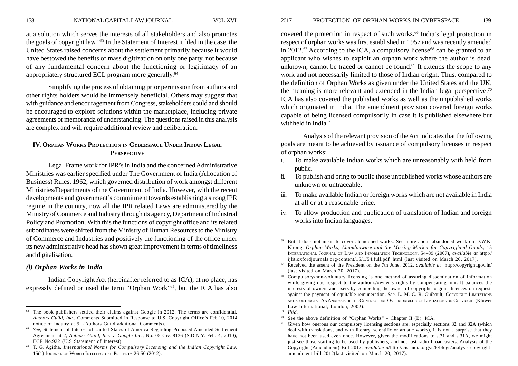at a solution which serves the interests of all stakeholders and also promotes the goals of copyright law."63 In the Statement of Interest it filed in the case, the United States raised concerns about the settlement primarily because it would have bestowed the benefits of mass digitization on only one party, not because of any fundamental concern about the functioning or legitimacy of an appropriately structured ECL program more generally.64

Simplifying the process of obtaining prior permission from authors and other rights holders would be immensely beneficial. Others may suggest that with guidance and encouragement from Congress, stakeholders could and should be encouraged to explore solutions within the marketplace, including private agreements or memoranda of understanding. The questions raised in this analysis are complex and will require additional review and deliberation.

# **IV. ORPHAN WORKS PROTECTION IN CYBERSPACE UNDER INDIAN LEGAL PERSPECTIVE**

Legal Frame work for IPR's in India and the concerned Administrative Ministries was earlier specified under The Government of India (Allocation of Business) Rules, 1962, which governed distribution of work amongst different Ministries/Departments of the Government of India. However, with the recent developments and government's commitment towards establishing a strong IPR regime in the country, now all the IPR related Laws are administered by the Ministry of Commerce and Industry through its agency, Department of Industrial Policy and Promotion. With this the functions of copyright office and its related subordinates were shifted from the Ministry of Human Resources to the Ministry of Commerce and Industries and positively the functioning of the office under its new administrative head has shown great improvement in terms of timeliness and digitalisation.

# *(i) Orphan Works in India*

Indian Copyright Act (hereinafter referred to as ICA), at no place, has expressly defined or used the term "Orphan Work"65, but the ICA has also

covered the protection in respect of such works.<sup>66</sup> India's legal protection in respect of orphan works was first established in 1957 and was recently amended in 2012.<sup>67</sup> According to the ICA, a compulsory license<sup>68</sup> can be granted to an applicant who wishes to exploit an orphan work where the author is dead, unknown, cannot be traced or cannot be found. $69$  It extends the scope to any work and not necessarily limited to those of Indian origin. Thus, compared to the definition of Orphan Works as given under the United States and the UK, the meaning is more relevant and extended in the Indian legal perspective.<sup>70</sup> ICA has also covered the published works as well as the unpublished works which originated in India. The amendment provision covered foreign works capable of being licensed compulsorily in case it is published elsewhere but withheld in India $71$ 

Analysis of the relevant provision of the Act indicates that the following goals are meant to be achieved by issuance of compulsory licenses in respect of orphan works:

- i. To make available Indian works which are unreasonably with held from public.
- ii. To publish and bring to public those unpublished works whose authors are unknown or untraceable.
- iii. To make available Indian or foreign works which are not available in India at all or at a reasonable price.
- iv. To allow production and publication of translation of Indian and foreign works into Indian languages.

 $63$  The book publishers settled their claims against Google in 2012. The terms are confidential. *Authors Guild, Inc.*, Comments Submitted in Response to U.S. Copyright Office's Feb.10, 2014 notice of Inquiry at 9 (Authors Guild additional Comments).

<sup>64</sup> *See*, Statement of Interest of United States of America Regarding Proposed Amended Settlement Agreement at 2, *Authors Guild, Inc*. v. *Google Inc.*, No. 05 Civ. 8136 (S.D.N.Y. Feb. 4, 2010), ECF No.922 (U.S Statement of Interest).

<sup>65</sup> T. G. Agitha, *International Norms for Compulsory Licensing and the Indian Copyright Law*, 15(1) JOURNAL OF WORLD INTELLECTUAL PROPERTY 26-50 (2012).

<sup>66</sup> But it does not mean to cover abandoned works. See more about abandoned work on D.W.K. Khong, *Orphan Works, Abandonware and the Missing Market for Copyrighted Goods*, 15 INTERNATIONAL JOURNAL OF LAW AND INFORMATION TECHNOLOGY, 54–89 (2007), *available at* http:// ijlit.oxfordjournals.org/content/15/1/54.full.pdf+html (last visited on March 20, 2017).

<sup>67</sup> Received the assent of the President on the 7th June, 2012, *available at* http://copyright.gov.in/ (last visited on March 20, 2017).

<sup>68</sup> Compulsory/non-voluntary licensing is one method of assuring dissemination of information while giving due respect to the author's/owner's rights by compensating him. It balances the interests of owners and users by compelling the owner of copyright to grant licences on request, against the payment of equitable remuneration. *See*, L. M. C. R. Guibault, COPYRIGHT LIMITATIONS AND CONTRACTS - AN ANALYSIS OF THE CONTRACTUAL OVERRIDABILITY OF LIMITATIONS ON COPYRIGHT (Kluwer Law International, London, 2002).

<sup>69</sup> *Ibid*.

<sup>&</sup>lt;sup>70</sup> See the above definition of "Orphan Works" – Chapter II (B), ICA.

Given how onerous our compulsory licensing sections are, especially sections 32 and 32A (which deal with translations, and with literary, scientific or artistic works), it is not a surprise that they have not been used even once. However, given the modifications to s.31 and s.31A, we might just see those starting to be used by publishers, and not just radio broadcasters. Analysis of the Copyright (Amendment) Bill 2012, *available at*http://cis-india.org/a2k/blogs/analysis-copyrightamendment-bill-2012(last visited on March 20, 2017).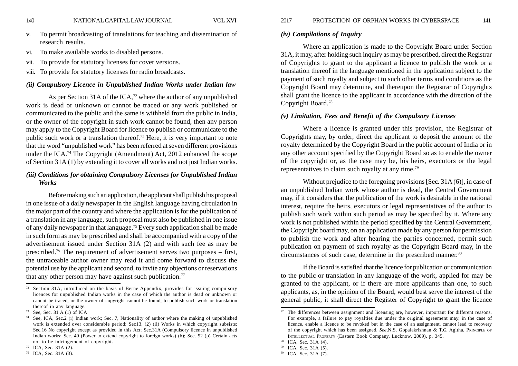- v. To permit broadcasting of translations for teaching and dissemination of research results.
- vi. To make available works to disabled persons.
- vii. To provide for statutory licenses for cover versions.
- viii. To provide for statutory licenses for radio broadcasts.

## *(ii) Compulsory Licence in Unpublished Indian Works under Indian law*

As per Section 31A of the ICA,<sup>72</sup> where the author of any unpublished work is dead or unknown or cannot be traced or any work published or communicated to the public and the same is withheld from the public in India, or the owner of the copyright in such work cannot be found, then any person may apply to the Copyright Board for licence to publish or communicate to the public such work or a translation thereof.73 Here, it is very important to note that the word "unpublished work" has been referred at seven different provisions under the ICA.<sup>74</sup> The Copyright (Amendment) Act, 2012 enhanced the scope of Section 31A (1) by extending it to cover all works and not just Indian works.

# *(iii) Conditions for obtaining Compulsory Licenses for Unpublished Indian Works*

Before making such an application, the applicant shall publish his proposal in one issue of a daily newspaper in the English language having circulation in the major part of the country and where the application is for the publication of a translation in any language, such proposal must also be published in one issue of any daily newspaper in that language.75 Every such application shall be made in such form as may be prescribed and shall be accompanied with a copy of the advertisement issued under Section 31A (2) and with such fee as may be prescribed.76 The requirement of advertisement serves two purposes – first, the untraceable author owner may read it and come forward to discuss the potential use by the applicant and second, to invite any objections or reservations that any other person may have against such publication.<sup>77</sup>

#### *(iv) Compilations of Inquiry*

Where an application is made to the Copyright Board under Section 31A, it may, after holding such inquiry as may be prescribed, direct the Registrar of Copyrights to grant to the applicant a licence to publish the work or a translation thereof in the language mentioned in the application subject to the payment of such royalty and subject to such other terms and conditions as the Copyright Board may determine, and thereupon the Registrar of Copyrights shall grant the licence to the applicant in accordance with the direction of the Copyright Board.78

## *(v) Limitation, Fees and Benefit of the Compulsory Licenses*

Where a licence is granted under this provision, the Registrar of Copyrights may, by order, direct the applicant to deposit the amount of the royalty determined by the Copyright Board in the public account of India or in any other account specified by the Copyright Board so as to enable the owner of the copyright or, as the case may be, his heirs, executors or the legal representatives to claim such royalty at any time.79

Without prejudice to the foregoing provisions [Sec. 31A (6)], in case of an unpublished Indian work whose author is dead, the Central Government may, if it considers that the publication of the work is desirable in the national interest, require the heirs, executors or legal representatives of the author to publish such work within such period as may be specified by it. Where any work is not published within the period specified by the Central Government, the Copyright board may, on an application made by any person for permission to publish the work and after hearing the parties concerned, permit such publication on payment of such royalty as the Copyright Board may, in the circumstances of such case, determine in the prescribed manner.<sup>80</sup>

If the Board is satisfied that the licence for publication or communication to the public or translation in any language of the work, applied for may be granted to the applicant, or if there are more applicants than one, to such applicants, as, in the opinion of the Board, would best serve the interest of the general public, it shall direct the Register of Copyright to grant the licence

Section 31A, introduced on the basis of Berne Appendix, provides for issuing compulsory licences for unpublished Indian works in the case of which the author is dead or unknown or cannot be traced, or the owner of copyright cannot be found, to publish such work or translation thereof in any language.

<sup>73</sup> See, Sec. 31 A (1) of ICA

See, ICA, Sec.2 (i) Indian work; Sec. 7, Nationality of author where the making of unpublished work is extended over considerable period; Sec13, (2) (ii) Works in which copyright subsists; Sec.16 No copyright except as provided in this Act; Sec.31A (Compulsory licence in unpublished Indian works; Sec. 40 (Power to extend copyright to foreign works) (b); Sec. 52 (p) Certain acts not to be infringement of copyright.

<sup>75</sup> ICA, Sec. 31A (2).

<sup>76</sup> ICA, Sec. 31A (3).

The differences between assignment and licensing are, however, important for different reasons. For example, a failure to pay royalties due under the original agreement may, in the case of licence, enable a licence to be revoked but in the case of an assignment, cannot lead to recovery of the copyright which has been assigned. *See*,N.S. Gopalakrishnan & T.G. Agitha, PRINCIPLE OF INTELLECTUAL PROPERTY (Eastern Book Company, Lucknow, 2009), p. 345.

<sup>78</sup> ICA, Sec. 31A (4).

<sup>79</sup> ICA, Sec. 31A (5).

<sup>80</sup> ICA, Sec. 31A (7).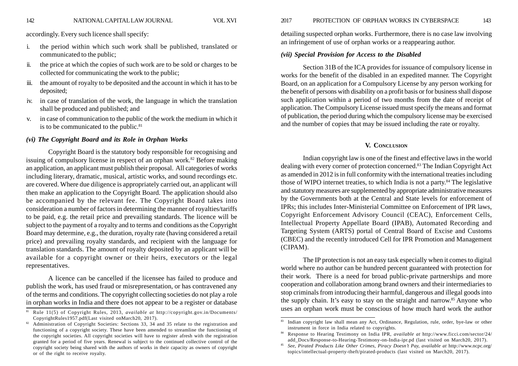accordingly. Every such licence shall specify:

- i. the period within which such work shall be published, translated or communicated to the public;
- ii. the price at which the copies of such work are to be sold or charges to be collected for communicating the work to the public;
- iii. the amount of royalty to be deposited and the account in which it has to be deposited;
- iv. in case of translation of the work, the language in which the translation shall be produced and published; and
- v. in case of communication to the public of the work the medium in which it is to be communicated to the public.<sup>81</sup>

### *(vi) The Copyright Board and its Role in Orphan Works*

Copyright Board is the statutory body responsible for recognising and issuing of compulsory license in respect of an orphan work.<sup>82</sup> Before making an application, an applicant must publish their proposal. All categories of works including literary, dramatic, musical, artistic works, and sound recordings etc. are covered. Where due diligence is appropriately carried out, an applicant will then make an application to the Copyright Board. The application should also be accompanied by the relevant fee. The Copyright Board takes into consideration a number of factors in determining the manner of royalties/tariffs to be paid, e.g. the retail price and prevailing standards. The licence will be subject to the payment of a royalty and to terms and conditions as the Copyright Board may determine, e.g., the duration, royalty rate (having considered a retail price) and prevailing royalty standards, and recipient with the language for translation standards. The amount of royalty deposited by an applicant will be available for a copyright owner or their heirs, executors or the legal representatives.

A licence can be cancelled if the licensee has failed to produce and publish the work, has used fraud or misrepresentation, or has contravened any of the terms and conditions. The copyright collecting societies do not play a role in orphan works in India and there does not appear to be a register or database

detailing suspected orphan works. Furthermore, there is no case law involving an infringement of use of orphan works or a reappearing author.

#### *(vii) Special Provision for Access to the Disabled*

Section 31B of the ICA provides for issuance of compulsory license in works for the benefit of the disabled in an expedited manner. The Copyright Board, on an application for a Compulsory License by any person working for the benefit of persons with disability on a profit basis or for business shall dispose such application within a period of two months from the date of receipt of application. The Compulsory License issued must specify the means and format of publication, the period during which the compulsory license may be exercised and the number of copies that may be issued including the rate or royalty.

### **V. CONCLUSION**

Indian copyright law is one of the finest and effective laws in the world dealing with every corner of protection concerned.83 The Indian Copyright Act as amended in 2012 is in full conformity with the international treaties including those of WIPO internet treaties, to which India is not a party.<sup>84</sup> The legislative and statutory measures are supplemented by appropriate administrative measures by the Governments both at the Central and State levels for enforcement of IPRs; this includes Inter-Ministerial Committee on Enforcement of IPR laws, Copyright Enforcement Advisory Council (CEAC), Enforcement Cells, Intellectual Property Appellate Board (IPAB), Automated Recording and Targeting System (ARTS) portal of Central Board of Excise and Customs (CBEC) and the recently introduced Cell for IPR Promotion and Management (CIPAM).

The IP protection is not an easy task especially when it comes to digital world where no author can be hundred percent guaranteed with protection for their work. There is a need for broad public-private partnerships and more cooperation and collaboration among brand owners and their intermediaries to stop criminals from introducing their harmful, dangerous and illegal goods into the supply chain. It's easy to stay on the straight and narrow.<sup>85</sup> Anyone who uses an orphan work must be conscious of how much hard work the author<br><sup>81</sup> Rule 11(5) of Copyright Rules, 2013, *available at http://copyright.gov.in/Documents/* 

CopyrightRules1957.pdf(Last visited onMarch20, 2017).

<sup>&</sup>lt;sup>82</sup> Administration of Copyright Societies: Sections 33, 34 and 35 relate to the registration and functioning of a copyright society. These have been amended to streamline the functioning of the copyright societies. All copyright societies will have to register afresh with the registration granted for a period of five years. Renewal is subject to the continued collective control of the copyright society being shared with the authors of works in their capacity as owners of copyright or of the right to receive royalty.

<sup>83</sup> Indian copyright law shall mean any Act, Ordinance, Regulation, rule, order, bye-law or other instrument in force in India related to copyrights.

<sup>84</sup> Response to Hearing Testimony on India IPR, *available at* http://www.ficci.com/sector/24/ add\_Docs/Response-to-Hearing-Testimony-on-India-ipr.pd (last visited on March20, 2017).

<sup>85</sup> *See*, *Pirated Products Like Other Crimes, Piracy Doesn't Pay, available at* http://www.ncpc.org/ topics/intellectual-property-theft/pirated-products (last visited on March20, 2017).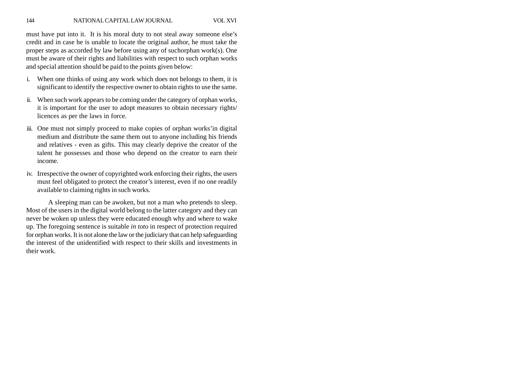must have put into it. It is his moral duty to not steal away someone else's credit and in case he is unable to locate the original author, he must take the proper steps as accorded by law before using any of suchorphan work(s). One must be aware of their rights and liabilities with respect to such orphan works and special attention should be paid to the points given below:

- i. When one thinks of using any work which does not belongs to them, it is significant to identify the respective owner to obtain rights to use the same.
- ii. When such work appears to be coming under the category of orphan works, it is important for the user to adopt measures to obtain necessary rights/ licences as per the laws in force.
- iii. One must not simply proceed to make copies of orphan works'in digital medium and distribute the same them out to anyone including his friends and relatives - even as gifts. This may clearly deprive the creator of the talent he possesses and those who depend on the creator to earn their income.
- iv. Irrespective the owner of copyrighted work enforcing their rights, the users must feel obligated to protect the creator's interest, even if no one readily available to claiming rights in such works.

A sleeping man can be awoken, but not a man who pretends to sleep. Most of the users in the digital world belong to the latter category and they can never be woken up unless they were educated enough why and where to wake up. The foregoing sentence is suitable *in toto* in respect of protection required for orphan works. It is not alone the law or the judiciary that can help safeguarding the interest of the unidentified with respect to their skills and investments in their work.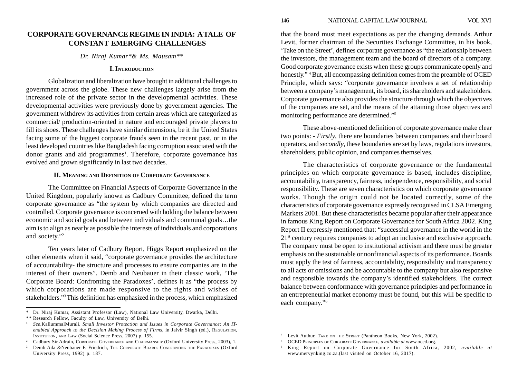# **CORPORATE GOVERNANCE REGIME IN INDIA: A TALE OF CONSTANT EMERGING CHALLENGES**

### *Dr. Niraj Kumar\*& Ms. Mausam\*\**

### **I. INTRODUCTION**

Globalization and liberalization have brought in additional challenges to government across the globe. These new challenges largely arise from the increased role of the private sector in the developmental activities. These developmental activities were previously done by government agencies. The government withdrew its activities from certain areas which are categorized as commercial/ production-oriented in nature and encouraged private players to fill its shoes. These challenges have similar dimensions, be it the United States facing some of the biggest corporate frauds seen in the recent past, or in the least developed countries like Bangladesh facing corruption associated with the donor grants and aid programmes<sup>1</sup>. Therefore, corporate governance has evolved and grown significantly in last two decades.

# **II. MEANING AND DEFINITION OF CORPORATE GOVERNANCE**

The Committee on Financial Aspects of Corporate Governance in the United Kingdom, popularly known as Cadbury Committee, defined the term corporate governance as "the system by which companies are directed and controlled. Corporate governance is concerned with holding the balance between economic and social goals and between individuals and communal goals…the aim is to align as nearly as possible the interests of individuals and corporations and society."2

Ten years later of Cadbury Report, Higgs Report emphasized on the other elements when it said, "corporate governance provides the architecture of accountability- the structure and processes to ensure companies are in the interest of their owners". Demb and Neubauer in their classic work, 'The Corporate Board: Confronting the Paradoxes', defines it as "the process by which corporations are made responsive to the rights and wishes of stakeholders."3 This definition has emphasized in the process, which emphasized that the board must meet expectations as per the changing demands. Arthur Levit, former chairman of the Securities Exchange Committee, in his book, 'Take on the Street', defines corporate governance as "the relationship between the investors, the management team and the board of directors of a company. Good corporate governance exists when these groups communicate openly and honestly." 4 But, all encompassing definition comes from the preamble of OCED Principle, which says: "corporate governance involves a set of relationship between a company's management, its board, its shareholders and stakeholders. Corporate governance also provides the structure through which the objectives of the companies are set, and the means of the attaining those objectives and monitoring performance are determined."5

These above-mentioned definition of corporate governance make clear two points: - *Firstly*, there are boundaries between companies and their board operators, and *secondly*, these boundaries are set by laws, regulations investors, shareholders, public opinion, and companies themselves.

The characteristics of corporate governance or the fundamental principles on which corporate governance is based, includes discipline, accountability, transparency, fairness, independence, responsibility, and social responsibility. These are seven characteristics on which corporate governance works. Though the origin could not be located correctly, some of the characteristics of corporate governance expressly recognised in CLSA Emerging Markets 2001. But these characteristics became popular after their appearance in famous King Report on Corporate Governance for South Africa 2002. King Report II expressly mentioned that: "successful governance in the world in the 21<sup>st</sup> century requires companies to adopt an inclusive and exclusive approach. The company must be open to institutional activism and there must be greater emphasis on the sustainable or nonfinancial aspects of its performance. Boards must apply the test of fairness, accountability, responsibility and transparency to all acts or omissions and be accountable to the company but also responsive and responsible towards the company's identified stakeholders. The correct balance between conformance with governance principles and performance in an entrepreneurial market economy must be found, but this will be specific to each company."6

<sup>\*</sup> Dr. Niraj Kumar, Assistant Professor (Law), National Law University, Dwarka, Delhi.

<sup>\*\*</sup> Research Fellow, Faculty of Law, University of Delhi.

<sup>1</sup> *See,*KallummalMurali, *Small Investor Protection and Issues in Corporate Governance: An ITenabled Approach to the Decision Making Process of Firms*, in Jaivir Singh (ed.), REGULATION, INSTITUTION, AND LAW (Social Science Press, 2007) p. 155.

<sup>&</sup>lt;sup>2</sup> Cadbury Sir Adrain, CORPORATE GOVERNANCE AND CHAIRMANSHIP (Oxford University Press, 2003), 1.

<sup>3</sup> Demb Ada &Neubauer F. Friedrich, THE CORPORATE BOARD: CONFRONTING THE PARADOXES (Oxford University Press, 1992) p. 187.

Levit Authur, TAKE ON THE STREET (Pantheon Books, New York, 2002).

<sup>5</sup> OCED PRINCIPLES OF CORPORATE GOVERNANCE, *available at* www.oced.org.

<sup>6</sup> King Report on Corporate Governance for South Africa, 2002, *available at* www.mervynking.co.za.(last visited on October 16, 2017).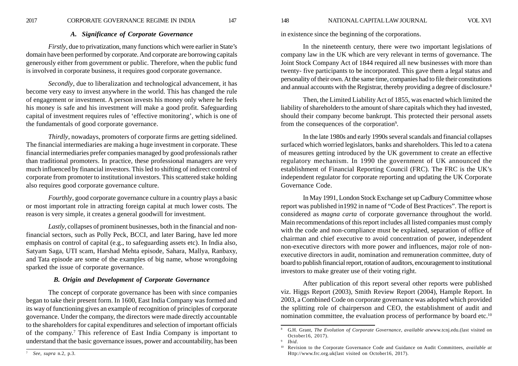#### *A. Significance of Corporate Governance*

*Firstly*, due to privatization, many functions which were earlier in State's domain have been performed by corporate. And corporate are borrowing capitals generously either from government or public. Therefore, when the public fund is involved in corporate business, it requires good corporate governance.

*Secondly*, due to liberalization and technological advancement, it has become very easy to invest anywhere in the world. This has changed the rule of engagement or investment. A person invests his money only where he feels his money is safe and his investment will make a good profit. Safeguarding capital of investment requires rules of 'effective monitoring', which is one of the fundamentals of good corporate governance.

*Thirdly*, nowadays, promoters of corporate firms are getting sidelined. The financial intermediaries are making a huge investment in corporate. These financial intermediaries prefer companies managed by good professionals rather than traditional promoters. In practice, these professional managers are very much influenced by financial investors. This led to shifting of indirect control of corporate from promoter to institutional investors. This scattered stake holding also requires good corporate governance culture.

*Fourthly*, good corporate governance culture in a country plays a basic or most important role in attracting foreign capital at much lower costs. The reason is very simple, it creates a general goodwill for investment.

*Lastly*, collapses of prominent businesses, both in the financial and nonfinancial sectors, such as Polly Peck, BCCI, and later Baring, have led more emphasis on control of capital (e.g., to safeguarding assets etc). In India also, Satyam Saga, UTI scam, Harshad Mehta episode, Sahara, Mallya, Ranbaxy, and Tata episode are some of the examples of big name, whose wrongdoing sparked the issue of corporate governance.

# *B. Origin and Development of Corporate Governance*

The concept of corporate governance has been with since companies began to take their present form. In 1600, East India Company was formed and its way of functioning gives an example of recognition of principles of corporate governance. Under the company, the directors were made directly accountable to the shareholders for capital expenditures and selection of important officials of the company.7 This reference of East India Company is important to understand that the basic governance issues, power and accountability, has been

in existence since the beginning of the corporations.

In the nineteenth century, there were two important legislations of company law in the UK which are very relevant in terms of governance. The Joint Stock Company Act of 1844 required all new businesses with more than twenty- five participants to be incorporated. This gave them a legal status and personality of their own. At the same time, companies had to file their constitutions and annual accounts with the Registrar, thereby providing a degree of disclosure.<sup>8</sup>

Then, the Limited Liability Act of 1855, was enacted which limited the liability of shareholders to the amount of share capitals which they had invested, should their company become bankrupt. This protected their personal assets from the consequences of the corporation<sup>9</sup>.

In the late 1980s and early 1990s several scandals and financial collapses surfaced which worried legislators, banks and shareholders. This led to a catena of measures getting introduced by the UK government to create an effective regulatory mechanism. In 1990 the government of UK announced the establishment of Financial Reporting Council (FRC). The FRC is the UK's independent regulator for corporate reporting and updating the UK Corporate Governance Code.

In May 1991, London Stock Exchange set up Cadbury Committee whose report was published in1992 in name of "Code of Best Practices". The report is considered as *magna carta* of corporate governance throughout the world. Main recommendations of this report includes all listed companies must comply with the code and non-compliance must be explained, separation of office of chairman and chief executive to avoid concentration of power, independent non-executive directors with more power and influences, major role of nonexecutive directors in audit, nomination and remuneration committee, duty of board to publish financial report, rotation of auditors, encouragement to institutional investors to make greater use of their voting right.

After publication of this report several other reports were published viz. Higgs Report (2003), Smith Review Report (2004), Hample Report. In 2003, a Combined Code on corporate governance was adopted which provided the splitting role of chairperson and CEO, the establishment of audit and nomination committee, the evaluation process of performance by board etc.<sup>10</sup>

<sup>7</sup> *See*, *supra* n.2, p.3.

<sup>8</sup> G.H. Grant, *The Evolution of Corporate Governance*, *available at*www.tcnj.edu.(last visited on October16, 2017).

<sup>9</sup> *Ibid*.

<sup>10</sup> Revision to the Corporate Governance Code and Guidance on Audit Committees, *available at* Http://www.frc.org.uk(last visited on October16, 2017).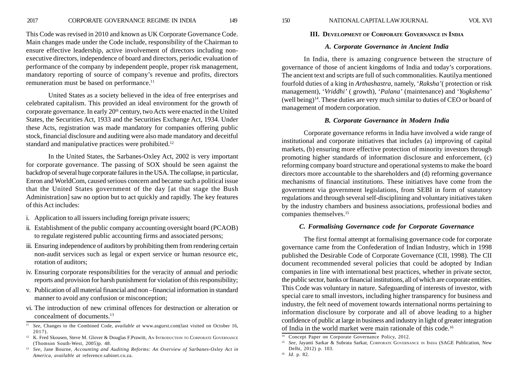This Code was revised in 2010 and known as UK Corporate Governance Code. Main changes made under the Code include, responsibility of the Chairman to ensure effective leadership, active involvement of directors including nonexecutive directors, independence of board and directors, periodic evaluation of performance of the company by independent people, proper risk management, mandatory reporting of source of company's revenue and profits, directors remuneration must be based on performance.<sup>11</sup>

United States as a society believed in the idea of free enterprises and celebrated capitalism. This provided an ideal environment for the growth of corporate governance. In early 20<sup>th</sup> century, two Acts were enacted in the United States, the Securities Act, 1933 and the Securities Exchange Act, 1934. Under these Acts, registration was made mandatory for companies offering public stock, financial disclosure and auditing were also made mandatory and deceitful standard and manipulative practices were prohibited.<sup>12</sup>

In the United States, the Sarbanes-Oxley Act, 2002 is very important for corporate governance. The passing of SOX should be seen against the backdrop of several huge corporate failures in the USA. The collapse, in particular, Enron and WorldCom, caused serious concern and became such a political issue that the United States government of the day [at that stage the Bush Administration] saw no option but to act quickly and rapidly. The key features of this Act includes:

- i. Application to all issuers including foreign private issuers;
- ii. Establishment of the public company accounting oversight board (PCAOB) to regulate registered public accounting firms and associated persons;
- iii. Ensuring independence of auditors by prohibiting them from rendering certain non-audit services such as legal or expert service or human resource etc, rotation of auditors;
- iv. Ensuring corporate responsibilities for the veracity of annual and periodic reports and provision for harsh punishment for violation of this responsibility;
- v. Publication of all material financial and non –financial information in standard manner to avoid any confusion or misconception;
- vi. The introduction of new criminal offences for destruction or alteration or concealment of documents.13

#### **III. DEVELOPMENT OF CORPORATE GOVERNANCE IN INDIA**

### *A. Corporate Governance in Ancient India*

In India, there is amazing congruence between the structure of governance of those of ancient kingdoms of India and today's corporations. The ancient text and scripts are full of such commonalities. Kautilya mentioned fourfold duties of a king in *Arthashastra*, namely, '*Raksha'*( protection or risk management), '*Vriddhi'* ( growth), '*Palana'* (maintenance) and '*Yogkshema'* (well being)<sup>14</sup>. These duties are very much similar to duties of CEO or board of management of modern corporation.

# *B. Corporate Governance in Modern India*

Corporate governance reforms in India have involved a wide range of institutional and corporate initiatives that includes (a) improving of capital markets, (b) ensuring more effective protection of minority investors through promoting higher standards of information disclosure and enforcement, (c) reforming company board structure and operational systems to make the board directors more accountable to the shareholders and (d) reforming governance mechanisms of financial institutions. These initiatives have come from the government via government legislations, from SEBI in form of statutory regulations and through several self-disciplining and voluntary initiatives taken by the industry chambers and business associations, professional bodies and companies themselves.15

# *C. Formalising Governance code for Corporate Governance*

The first formal attempt at formalising governance code for corporate governance came from the Confederation of Indian Industry, which in 1998 published the Desirable Code of Corporate Governance (CII, 1998). The CII document recommended several policies that could be adopted by Indian companies in line with international best practices, whether in private sector, the public sector, banks or financial institutions, all of which are corporate entities. This Code was voluntary in nature. Safeguarding of interests of investor, with special care to small investors, including higher transparency for business and industry, the felt need of movement towards international norms pertaining to information disclosure by corporate and all of above leading to a higher confidence of public at large in business and industry in light of greater integration

<sup>&</sup>lt;sup>11</sup> See, Changes to the Combined Code, *available at* www.asgurst.com(last visited on October 16, 2017).<br>2017).

<sup>&</sup>lt;sup>12</sup> K. Fred Skousen, Steve M. Glover & Douglas F.Prawitt, AN INTRODUCTION TO CORPORATE GOVERNANCE (Thomson South-West, 2005)p. 48.

<sup>13</sup> *See*, Jane Bourne, *Accounting and Auditing Reforms: An Overview of Sarbanes-Oxley Act in America*, *available at* reference.sabinet.co.za.

<sup>&</sup>lt;sup>14</sup> Concept Paper on Corporate Governance Policy, 2012.

<sup>15</sup> *See*, Jayanti Sarkar & Subrata Sarkar, CORPORATE GOVERNANCE IN INDIA (SAGE Publication, New Delhi, 2012) p. 103.

<sup>16</sup> *Id*. p. 82.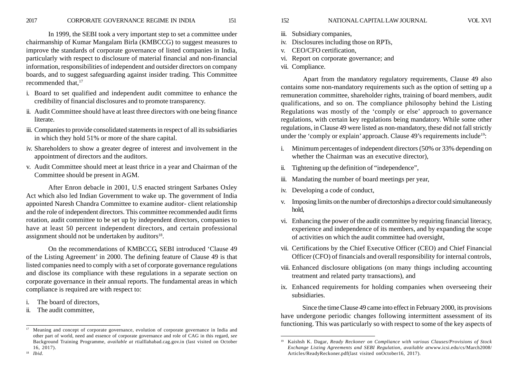#### 2017 CORPORATE GOVERNANCE REGIME IN INDIA 151 152 NATIONAL CAPITAL LAW JOURNAL VOL XVI

In 1999, the SEBI took a very important step to set a committee under chairmanship of Kumar Mangalam Birla (KMBCCG) to suggest measures to improve the standards of corporate governance of listed companies in India, particularly with respect to disclosure of material financial and non-financial information, responsibilities of independent and outsider directors on company boards, and to suggest safeguarding against insider trading. This Committee recommended that.<sup>17</sup>

- i. Board to set qualified and independent audit committee to enhance the credibility of financial disclosures and to promote transparency.
- ii. Audit Committee should have at least three directors with one being finance literate.
- iii. Companies to provide consolidated statements in respect of all its subsidiaries in which they hold 51% or more of the share capital.
- iv. Shareholders to show a greater degree of interest and involvement in the appointment of directors and the auditors.
- v. Audit Committee should meet at least thrice in a year and Chairman of the Committee should be present in AGM.

After Enron debacle in 2001, U.S enacted stringent Sarbanes Oxley Act which also led Indian Government to wake up. The government of India appointed Naresh Chandra Committee to examine auditor- client relationship and the role of independent directors. This committee recommended audit firms rotation, audit committee to be set up by independent directors, companies to have at least 50 percent independent directors, and certain professional assignment should not be undertaken by auditors $18$ .

On the recommendations of KMBCCG, SEBI introduced 'Clause 49 of the Listing Agreement' in 2000. The defining feature of Clause 49 is that listed companies need to comply with a set of corporate governance regulations and disclose its compliance with these regulations in a separate section on corporate governance in their annual reports. The fundamental areas in which compliance is required are with respect to:

- i. The board of directors,
- ii. The audit committee,
- iii. Subsidiary companies,
- iv. Disclosures including those on RPTs,
- v. CEO/CFO certification,
- vi. Report on corporate governance; and
- vii. Compliance.

Apart from the mandatory regulatory requirements, Clause 49 also contains some non-mandatory requirements such as the option of setting up a remuneration committee, shareholder rights, training of board members, audit qualifications, and so on. The compliance philosophy behind the Listing Regulations was mostly of the 'comply or else' approach to governance regulations, with certain key regulations being mandatory. While some other regulations, in Clause 49 were listed as non-mandatory, these did not fall strictly under the 'comply or explain' approach. Clause  $49$ 's requirements include<sup>19</sup>:

- i. Minimum percentages of independent directors (50% or 33% depending on whether the Chairman was an executive director).
- ii. Tightening up the definition of "independence",
- iii. Mandating the number of board meetings per year,
- iv. Developing a code of conduct,
- v. Imposing limits on the number of directorships a director could simultaneously hold,
- vi. Enhancing the power of the audit committee by requiring financial literacy, experience and independence of its members, and by expanding the scope of activities on which the audit committee had oversight,
- vii. Certifications by the Chief Executive Officer (CEO) and Chief Financial Officer (CFO) of financials and overall responsibility for internal controls,
- viii. Enhanced disclosure obligations (on many things including accounting treatment and related party transactions), and
- ix. Enhanced requirements for holding companies when overseeing their subsidiaries.

Since the time Clause 49 came into effect in February 2000, its provisions have undergone periodic changes following intermittent assessment of its functioning. This was particularly so with respect to some of the key aspects of

<sup>18</sup> *Ibid*.

<sup>17</sup> Meaning and concept of corporate governance, evolution of corporate governance in India and other part of world, need and essence of corporate governance and role of CAG in this regard, *see* Background Training Programme, *available at* rtialllahabad.cag.gov.in (last visited on October 16, 2017).

<sup>19</sup> Kaishsh K. Dagar, *Ready Reckoner on Compliance with various Clauses/Provisions of Stock Exchange Listing Agreements and SEBI Regulation*, *available at*www.icsi.edu/cs/March2008/ Articles/ReadyReckoner.pdf(last visited onOctober16, 2017).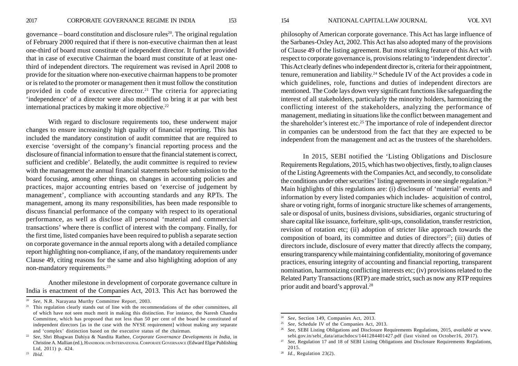governance – board constitution and disclosure rules<sup>20</sup>. The original regulation of February 2000 required that if there is non-executive chairman then at least one-third of board must constitute of independent director. It further provided that in case of executive Chairman the board must constitute of at least onethird of independent directors. The requirement was revised in April 2008 to provide for the situation where non-executive chairman happens to be promoter or is related to the promoter or management then it must follow the constitution provided in code of executive director.<sup>21</sup> The criteria for appreciating 'independence' of a director were also modified to bring it at par with best international practices by making it more objective.<sup>22</sup>

With regard to disclosure requirements too, these underwent major changes to ensure increasingly high quality of financial reporting. This has included the mandatory constitution of audit committee that are required to exercise 'oversight of the company's financial reporting process and the disclosure of financial information to ensure that the financial statement is correct, sufficient and credible'. Belatedly, the audit committee is required to review with the management the annual financial statements before submission to the board focusing, among other things, on changes in accounting policies and practices, major accounting entries based on 'exercise of judgement by managemen<sup>t</sup>', compliance with accounting standards and any RPTs. The management, among its many responsibilities, has been made responsible to discuss financial performance of the company with respect to its operational performance, as well as disclose all personal 'material and commercial transactions' where there is conflict of interest with the company. Finally, for the first time, listed companies have been required to publish a separate section on corporate governance in the annual reports along with a detailed compliance report highlighting non-compliance, if any, of the mandatory requirements under Clause 49, citing reasons for the same and also highlighting adoption of any non-mandatory requirements.23

Another milestone in development of corporate governance culture in India is enactment of the Companies Act, 2013. This Act has borrowed the

2017 CORPORATE GOVERNANCE REGIME IN INDIA 153 154 NATIONAL CAPITAL LAW JOURNAL VOL XVI

philosophy of American corporate governance. This Act has large influence of the Sarbanes-Oxley Act, 2002. This Act has also adopted many of the provisions of Clause 49 of the listing agreement. But most striking feature of this Act with respect to corporate governance is, provisions relating to 'independent director'. This Act clearly defines who independent director is, criteria for their appointment, tenure, remuneration and liability.24 Schedule IV of the Act provides a code in which guidelines, role, functions and duties of independent directors are mentioned. The Code lays down very significant functions like safeguarding the interest of all stakeholders, particularly the minority holders, harmonizing the conflicting interest of the stakeholders, analyzing the performance of management, mediating in situations like the conflict between management and the shareholder's interest etc.25 The importance of role of independent director in companies can be understood from the fact that they are expected to be independent from the management and act as the trustees of the shareholders.

In 2015, SEBI notified the 'Listing Obligations and Disclosure Requirements Regulations, 2015, which has two objectives, firstly, to align clauses of the Listing Agreements with the Companies Act, and secondly, to consolidate the conditions under other securities' listing agreements in one single regulation.<sup>26</sup> Main highlights of this regulations are: (i) disclosure of 'material' events and information by every listed companies which includes- acquisition of control, share or voting right, forms of inorganic structure like schemes of arrangements, sale or disposal of units, business divisions, subsidiaries, organic structuring of share capital like issuance, forfeiture, split-ups, consolidation, transfer restriction, revision of rotation etc; (ii) adoption of stricter like approach towards the composition of board, its committee and duties of directors<sup>27</sup>; (iii) duties of directors include, disclosure of every matter that directly affects the company, ensuring transparency while maintaining confidentiality, monitoring of governance practices, ensuring integrity of accounting and financial reporting, transparent nomination, harmonizing conflicting interests etc; (iv) provisions related to the Related Party Transactions (RTP) are made strict, such as now any RTP requires prior audit and board's approval.28

<sup>20</sup> *See*, N.R. Narayana Murthy Committee Report, 2003.

 $21$  This regulation clearly stands out of line with the recommendations of the other committees, all of which have not seen much merit in making this distinction. For instance, the Naresh Chandra Committee, which has proposed that not less than 50 per cent of the board be constituted of independent directors [as in the case with the NYSE requirement] without making any separate and 'complex' distinction based on the executive status of the chairman.

<sup>22</sup> *See*, Shri Bhagwan Dahiya & Nandita Rathee, *Corporate Governance Developments in India*, in Christine A. Mallian (ed.), HANDBOOK ON INTERNATIONAL CORPORATE GOVERNANCE (Edward Elgar Publishing Ltd, 2011) p. 424.

<sup>23</sup> *Ibid*.

<sup>24</sup> *See*, Section 149, Companies Act, 2013.

<sup>&</sup>lt;sup>25</sup> *See*, Schedule IV of the Companies Act, 2013.

<sup>26</sup> *See*, SEBI Listing Obligations and Disclosure Requirements Regulations, 2015, *available at* www. sebi.gov.in/sebi\_data/attachdocs/1441284401427.pdf (last visited on October16, 2017).

<sup>&</sup>lt;sup>27</sup> *See*, Regulation 17 and 18 of SEBI Listing Obligations and Disclosure Requirements Regulations, 2015.

<sup>28</sup> *Id.*, Regulation 23(2).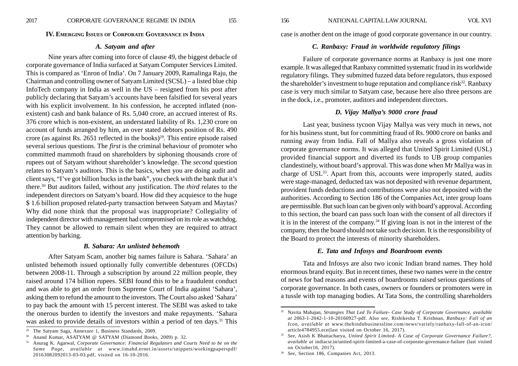### **IV. EMERGING ISSUES OF CORPORATE GOVERNANCE IN INDIA**

### *A. Satyam and after*

Nine years after coming into force of clause 49, the biggest debacle of corporate governance of India surfaced at Satyam Computer Services Limited. This is compared as 'Enron of India'. On 7 January 2009, Ramalinga Raju, the Chairman and controlling owner of Satyam Limited (SCSL) – a listed blue chip InfoTech company in India as well in the US – resigned from his post after publicly declaring that Satyam's accounts have been falsified for several years with his explicit involvement. In his confession, he accepted inflated (nonexistent) cash and bank balance of Rs. 5,040 crore, an accrued interest of Rs. 376 crore which is non-existent, an understated liability of Rs. 1,230 crore on account of funds arranged by him, an over stated debtors position of Rs. 490 crore (as against Rs. 2651 reflected in the books)<sup>29</sup>. This entire episode raised several serious questions. The *first* is the criminal behaviour of promoter who committed mammoth fraud on shareholders by siphoning thousands crore of rupees out of Satyam without shareholder's knowledge. The *second* question relates to Satyam's auditors. This is the basics, when you are doing audit and client says, "I've got billion bucks in the bank", you check with the bank that it's there.30 But auditors failed, without any justification. The *third* relates to the independent directors on Satyam's board. How did they acquiesce to the huge \$ 1.6 billion proposed related-party transaction between Satyam and Maytas? Why did none think that the proposal was inappropriate? Collegiality of independent director with management had compromised on its role as watchdog. They cannot be allowed to remain silent when they are required to attract attention by barking.

### *B. Sahara: An unlisted behemoth*

After Satyam Scam, another big names failure is Sahara. 'Sahara' an unlisted behemoth issued optionally fully convertible debentures (OFCDs) between 2008-11. Through a subscription by around 22 million people, they raised around 174 billion rupees. SEBI found this to be a fraudulent conduct and was able to get an order from Supreme Court of India against 'Sahara', asking them to refund the amount to the investors. The Court also asked 'Sahara' to pay back the amount with 15 percent interest. The SEBI was asked to take the onerous burden to identify the investors and make repayments. 'Sahara was asked to provide details of investors within a period of ten days.<sup>31</sup> This

case is another dent on the image of good corporate governance in our country.

#### *C. Ranbaxy: Fraud in worldwide regulatory filings*

Failure of corporate governance norms at Ranbaxy is just one more example. It was alleged that Ranbaxy committed systematic fraud in its worldwide regulatory filings. They submitted fuzzed data before regulators, thus exposed the shareholder's investment to huge reputation and compliance risk<sup>32</sup>. Ranbaxy case is very much similar to Satyam case, because here also three persons are in the dock, i.e., promoter, auditors and independent directors.

### *D. Vijay Mallya's 9000 crore fraud*

Last year, business tycoon Vijay Mallya was very much in news, not for his business stunt, but for committing fraud of Rs. 9000 crore on banks and running away from India. Fall of Mallya also reveals a gross violation of corporate governance norms. It was alleged that United Spirit Limited (USL) provided financial support and diverted its funds to UB group companies clandestinely, without board's approval. This was done when Mr Mallya was in charge of USL33. Apart from this, accounts were improperly stated, audits were stage-managed, deducted tax was not deposited with revenue department, provident funds deductions and contributions were also not deposited with the authorities. According to Section 186 of the Companies Act, inter group loans are permissible. But such loan can be given only with board's approval. According to this section, the board can pass such loan with the consent of all directors if it is in the interest of the company.34 If giving loan is not in the interest of the company, then the board should not take such decision. It is the responsibility of the Board to protect the interests of minority shareholders.

### *E. Tata and Infosys and Boardroom events*

Tata and Infosys are also two iconic Indian brand names. They hold enormous brand equity. But in recent times, these two names were in the centre of news for bad reasons and events of boardrooms raised serious questions of corporate governance. In both cases, owners or founders or promoters were in a tussle with top managing bodies. At Tata Sons, the controlling shareholders

<sup>29</sup> The Satyam Saga, Annexure 1, Business Standards, 2009.

<sup>30</sup> Anand Kumar, ASATYAM @ SATYAM (Diamond Books, 2009) p. 32.

<sup>31</sup> Anurag K. Agarwal, *Corporate Governance: Financial Regulators and Courts Need to be on the Same Page*, *available at* www.iimahd.ernet.in/assets/snippets/workingpaperspdf/ 20163082092013-03-03.pdf, visited on 16-10-2016.

<sup>32</sup> Navita Mahajan, *Strategies That Led To Failure- Case Study of Corporate Governance*, *available at* 2063-1-2042-1-10-20160927-pdf. Also *see*, Rishikesha T. Krishnan, *Ranbaxy: Fall of an Icon*, *available at* www.thehindubusinessline.com/news/variely/ranbaxy-fall-of-an-icon/ article4784955.ece(last visited on October 16, 2017).

<sup>33</sup> *See*, Asish K Bhattacharya, *United Spirit Limited- A Case of Corporate Governance Failure?, available at* indiacsr.in/united-spirit-limited-a-case-of-corporate-governance-failure (last visited on October16, 2017).

<sup>34</sup> *See*, Section 186, Companies Act, 2013.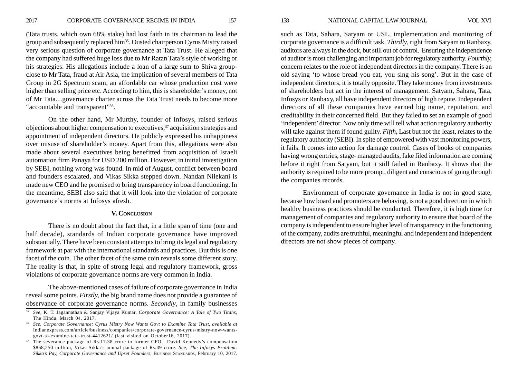(Tata trusts, which own 68% stake) had lost faith in its chairman to lead the group and subsequently replaced him35. Ousted chairperson Cyrus Mistry raised very serious question of corporate governance at Tata Trust. He alleged that the company had suffered huge loss due to Mr Ratan Tata's style of working or his strategies. His allegations include a loan of a large sum to Shiva groupclose to Mr Tata, fraud at Air Asia, the implication of several members of Tata Group in 2G Spectrum scam, an affordable car whose production cost were higher than selling price etc. According to him, this is shareholder's money, not of Mr Tata…governance charter across the Tata Trust needs to become more "accountable and transparent"36.

On the other hand, Mr Murthy, founder of Infosys, raised serious objections about higher compensation to executives,  $37$  acquisition strategies and appointment of independent directors. He publicly expressed his unhappiness over misuse of shareholder's money. Apart from this, allegations were also made about several executives being benefitted from acquisition of Israeli automation firm Panaya for USD 200 million. However, in initial investigation by SEBI, nothing wrong was found. In mid of August, conflict between board and founders escalated, and Vikas Sikka stepped down. Nandan Nilekani is made new CEO and he promised to bring transparency in board functioning. In the meantime, SEBI also said that it will look into the violation of corporate governance's norms at Infosys afresh.

#### **V. CONCLUSION**

There is no doubt about the fact that, in a little span of time (one and half decade), standards of Indian corporate governance have improved substantially. There have been constant attempts to bring its legal and regulatory framework at par with the international standards and practices. But this is one facet of the coin. The other facet of the same coin reveals some different story. The reality is that, in spite of strong legal and regulatory framework, gross violations of corporate governance norms are very common in India.

The above-mentioned cases of failure of corporate governance in India reveal some points. *Firstly*, the big brand name does not provide a guarantee of observance of corporate governance norms. *Secondly*, in family businesses

such as Tata, Sahara, Satyam or USL, implementation and monitoring of corporate governance is a difficult task. *Thirdly*, right from Satyam to Ranbaxy, auditors are always in the dock, but still out of control. Ensuring the independence of auditor is most challenging and important job for regulatory authority. *Fourthly,* concern relates to the role of independent directors in the company. There is an old saying 'to whose bread you eat, you sing his song'. But in the case of independent directors, it is totally opposite. They take money from investments of shareholders but act in the interest of management. Satyam, Sahara, Tata, Infosys or Ranbaxy, all have independent directors of high repute. Independent directors of all these companies have earned big name, reputation, and creditability in their concerned field. But they failed to set an example of good 'independent' director. Now only time will tell what action regulatory authority will take against them if found guilty. *Fifth***,** Last but not the least, relates to the regulatory authority (SEBI). In spite of empowered with vast monitoring powers, it fails. It comes into action for damage control. Cases of books of companies having wrong entries, stage- managed audits, fake filed information are coming before it right from Satyam, but it still failed in Ranbaxy. It shows that the authority is required to be more prompt, diligent and conscious of going through the companies records.

Environment of corporate governance in India is not in good state, because how board and promoters are behaving, is not a good direction in which healthy business practices should be conducted. Therefore, it is high time for management of companies and regulatory authority to ensure that board of the company is independent to ensure higher level of transparency in the functioning of the company, audits are truthful, meaningful and independent and independent directors are not show pieces of company.

<sup>35</sup> *See*, K. T. Jagannathan & Sanjay Vijaya Kumar, *Corporate Governance: A Tale of Two Titans*, The Hindu, March 04, 2017.

<sup>36</sup> *See*, *Corporate Governance: Cyrus Mistry Now Wants Govt to Examine Tata Trust*, *available at* Indianexpress.com/article/business/companies/corporate-governance-cyrus-mistry-now-wantsgovt-to-examine-tata-trust-4412621/ (last visited on October16, 2017).

<sup>&</sup>lt;sup>37</sup> The severance package of Rs.17.38 crore to former CFO, David Kennedy's compensation \$868,250 million, Vikas Sikka's annual package of Rs.49 crore. *See*, *The Infosys Problem: Sikka's Pay, Corporate Governance and Upset Founders,* BUSINESS STANDARDS, February 10, 2017.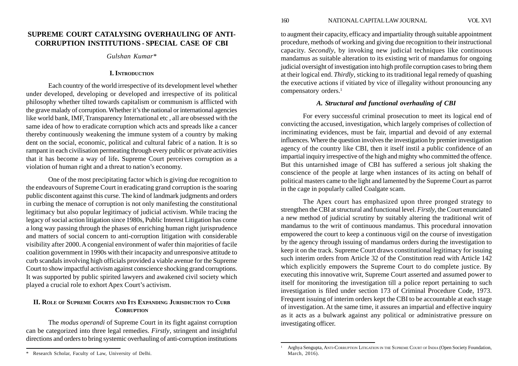# **SUPREME COURT CATALYSING OVERHAULING OF ANTI-CORRUPTION INSTITUTIONS - SPECIAL CASE OF CBI**

*Gulshan Kumar\**

### **I. INTRODUCTION**

Each country of the world irrespective of its development level whether under developed, developing or developed and irrespective of its political philosophy whether tilted towards capitalism or communism is afflicted with the grave malady of corruption. Whether it's the national or international agencies like world bank, IMF, Transparency International etc , all are obsessed with the same idea of how to eradicate corruption which acts and spreads like a cancer thereby continuously weakening the immune system of a country by making dent on the social, economic, political and cultural fabric of a nation. It is so rampant in each civilisation permeating through every public or private activities that it has become a way of life**.** Supreme Court perceives corruption as a violation of human right and a threat to nation's economy.

One of the most precipitating factor which is giving due recognition to the endeavours of Supreme Court in eradicating grand corruption is the soaring public discontent against this curse. The kind of landmark judgments and orders in curbing the menace of corruption is not only manifesting the constitutional legitimacy but also popular legitimacy of judicial activism. While tracing the legacy of social action litigation since 1980s, Public Interest Litigation has come a long way passing through the phases of enriching human right jurisprudence and matters of social concern to anti-corruption litigation with considerable visibility after 2000. A congenial environment of wafer thin majorities of facile coalition government in 1990s with their incapacity and unresponsive attitude to curb scandals involving high officials provided a viable avenue for the Supreme Court to show impactful activism against conscience shocking grand corruptions. It was supported by public spirited lawyers and awakened civil society which played a crucial role to exhort Apex Court's activism.

# **II. ROLE OF SUPREME COURTS AND ITS EXPANDING JURISDICTION TO CURB CORRUPTION**

The *modus operandi* of Supreme Court in its fight against corruption can be categorized into three legal remedies. *Firstly*, stringent and insightful directions and orders to bring systemic overhauling of anti-corruption institutions to augment their capacity, efficacy and impartiality through suitable appointment procedure, methods of working and giving due recognition to their instructional capacity. *Secondly*, by invoking new judicial techniques like continuous mandamus as suitable alteration to its existing writ of mandamus for ongoing judicial oversight of investigation into high profile corruption cases to bring them at their logical end. *Thirdly*, sticking to its traditional legal remedy of quashing the executive actions if vitiated by vice of illegality without pronouncing any compensatory orders.<sup>1</sup>

# *A. Structural and functional overhauling of CBI*

For every successful criminal prosecution to meet its logical end of convicting the accused, investigation, which largely comprises of collection of incriminating evidences, must be fair, impartial and devoid of any external influences. Where the question involves the investigation by premier investigation agency of the country like CBI, then it itself instil a public confidence of an impartial inquiry irrespective of the high and mighty who committed the offence. But this untarnished image of CBI has suffered a serious jolt shaking the conscience of the people at large when instances of its acting on behalf of political masters came to the light and lamented by the Supreme Court as parrot in the cage in popularly called Coalgate scam.

The Apex court has emphasized upon three pronged strategy to strengthen the CBI at structural and functional level. *Firstly*, the Court enunciated a new method of judicial scrutiny by suitably altering the traditional writ of mandamus to the writ of continuous mandamus. This procedural innovation empowered the court to keep a continuous vigil on the course of investigation by the agency through issuing of mandamus orders during the investigation to keep it on the track. Supreme Court draws constitutional legitimacy for issuing such interim orders from Article 32 of the Constitution read with Article 142 which explicitly empowers the Supreme Court to do complete justice. By executing this innovative writ, Supreme Court asserted and assumed power to itself for monitoring the investigation till a police report pertaining to such investigation is filed under section 173 of Criminal Procedure Code, 1973. Frequent issuing of interim orders kept the CBI to be accountable at each stage of investigation. At the same time, it assures an impartial and effective inquiry as it acts as a bulwark against any political or administrative pressure on investigating officer.

<sup>\*</sup> Research Scholar, Faculty of Law, University of Delhi.

<sup>1</sup> Arghya Sengupta, ANTI-CORRUPTION LITIGATION IN THE SUPREME COURT OF INDIA (Open Society Foundation, March, 2016)*.*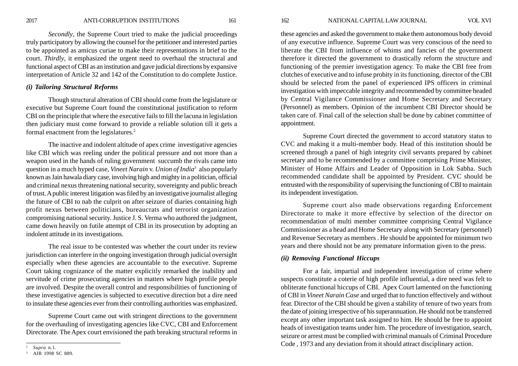*Secondly*, the Supreme Court tried to make the judicial proceedings truly participatory by allowing the counsel for the petitioner and interested parties to be appointed as amicus curiae to make their representations in brief to the court. *Thirdly*, it emphasized the urgent need to overhaul the structural and functional aspect of CBI as an institution and gave judicial directions by expansive interpretation of Article 32 and 142 of the Constitution to do complete Justice.

### *(i) Tailoring Structural Reforms*

Though structural alteration of CBI should come from the legislature or executive but Supreme Court found the constitutional justification to reform CBI on the principle that where the executive fails to fill the lacuna in legislation then judiciary must come forward to provide a reliable solution till it gets a formal enactment from the legislatures.<sup>2</sup>

The inactive and indolent altitude of apex crime investigative agencies like CBI which was reeling under the political pressure and not more than a weapon used in the hands of ruling government succumb the rivals came into question in a much hyped case, *Vineet Narain* v. *Union of India3* also popularly known as Jain hawala diary case, involving high and mighty in a politician, official and criminal nexus threatening national security, sovereignty and public breach of trust. A public interest litigation was filed by an investigative journalist alleging the future of CBI to nab the culprit on after seizure of diaries containing high profit nexus between politicians, bureaucrats and terrorist organization compromising national security. Justice J. S. Verma who authored the judgment, came down heavily on futile attempt of CBI in its prosecution by adopting an indolent attitude in its investigations.

The real issue to be contested was whether the court under its review jurisdiction can interfere in the ongoing investigation through judicial oversight especially when these agencies are accountable to the executive. Supreme Court taking cognizance of the matter explicitly remarked the inability and servitude of crime prosecuting agencies in matters where high profile people are involved. Despite the overall control and responsibilities of functioning of these investigative agencies is subjected to executive direction but a dire need to insulate these agencies ever from their controlling authorities was emphasized.

Supreme Court came out with stringent directions to the government for the overhauling of investigating agencies like CVC, CBI and Enforcement Directorate. The Apex court envisioned the path breaking structural reforms in

these agencies and asked the government to make them autonomous body devoid of any executive influence. Supreme Court was very conscious of the need to liberate the CBI from influence of whims and fancies of the government therefore it directed the government to drastically reform the structure and functioning of the premier investigation agency. To make the CBI free from clutches of executive and to infuse probity in its functioning, director of the CBI should be selected from the panel of experienced IPS officers in criminal investigation with impeccable integrity and recommended by committee headed by Central Vigilance Commissioner and Home Secretary and Secretary (Personnel) as members. Opinion of the incumbent CBI Director should be taken care of. Final call of the selection shall be done by cabinet committee of appointment.

Supreme Court directed the government to accord statutory status to CVC and making it a multi-member body. Head of this institution should be screened through a panel of high integrity civil servants prepared by cabinet secretary and to be recommended by a committee comprising Prime Minister, Minister of Home Affairs and Leader of Opposition in Lok Sabha. Such recommended candidate shall be appointed by President. CVC should be entrusted with the responsibility of supervising the functioning of CBI to maintain its independent investigation.

Supreme court also made observations regarding Enforcement Directorate to make it more effective by selection of the director on recommendation of multi member committee comprising Central Vigilance Commissioner as a head and Home Secretary along with Secretary (personnel) and Revenue Secretary as members . He should be appointed for minimum two years and there should not be any premature information given to the press.

# *(ii) Removing Functional Hiccups*

For a fair, impartial and independent investigation of crime where suspects constitute a coterie of high profile influential, a dire need was felt to obliterate functional hiccups of CBI. Apex Court lamented on the functioning of CBI in *Vineet Narain Case* and urged that to function effectively and without fear. Director of the CBI should be given a stability of tenure of two years from the date of joining irrespective of his superannuation. He should not be transferred except any other important task assigned to him. He should be free to appoint heads of investigation teams under him. The procedure of investigation, search, seizure or arrest must be complied with criminal manuals of Criminal Procedure  $\frac{1}{2}$  *Supra* n.1.

<sup>3</sup> AIR 1998 SC 889.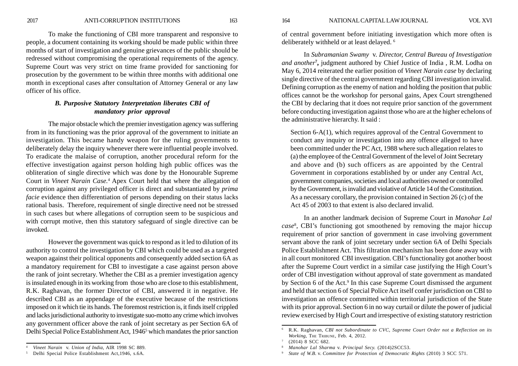To make the functioning of CBI more transparent and responsive to people, a document containing its working should be made public within three months of start of investigation and genuine grievances of the public should be redressed without compromising the operational requirements of the agency. Supreme Court was very strict on time frame provided for sanctioning for prosecution by the government to be within three months with additional one month in exceptional cases after consultation of Attorney General or any law officer of his office.

# *B. Purposive Statutory Interpretation liberates CBI of mandatory prior approval*

The major obstacle which the premier investigation agency was suffering from in its functioning was the prior approval of the government to initiate an investigation. This became handy weapon for the ruling governments to deliberately delay the inquiry whenever there were influential people involved. To eradicate the malaise of corruption, another procedural reform for the effective investigation against person holding high public offices was the obliteration of single directive which was done by the Honourable Supreme Court in *Vineet Narain Case.*4 Apex Court held that where the allegation of corruption against any privileged officer is direct and substantiated by *prima facie* evidence then differentiation of persons depending on their status lacks rational basis. Therefore, requirement of single directive need not be stressed in such cases but where allegations of corruption seem to be suspicious and with corrupt motive, then this statutory safeguard of single directive can be invoked.

However the government was quick to respond as it led to dilution of its authority to control the investigation by CBI which could be used as a targeted weapon against their political opponents and consequently added section 6A as a mandatory requirement for CBI to investigate a case against person above the rank of joint secretary. Whether the CBI as a premier investigation agency is insulated enough in its working from those who are close to this establishment, R.K. Raghavan, the former Director of CBI, answered it in negative. He described CBI as an appendage of the executive because of the restrictions imposed on it which tie its hands. The foremost restriction is, it finds itself crippled and lacks jurisdictional authority to investigate suo-motto any crime which involves any government officer above the rank of joint secretary as per Section 6A of Delhi Special Police Establishment Act, 1946<sup>5</sup> which mandates the prior sanction

of central government before initiating investigation which more often is deliberately withheld or at least delayed. 6

In *Subramanian Swamy* v. *Director, Central Bureau of Investigation and another***7,** judgment authored by Chief Justice of India , R.M. Lodha on May 6, 2014 reiterated the earlier position of *Vineet Narain case* by declaring single directive of the central government regarding CBI investigation invalid. Defining corruption as the enemy of nation and holding the position that public offices cannot be the workshop for personal gains, Apex Court strengthened the CBI by declaring that it does not require prior sanction of the government before conducting investigation against those who are at the higher echelons of the administrative hierarchy. It said :

Section 6-A(1), which requires approval of the Central Government to conduct any inquiry or investigation into any offence alleged to have been committed under the PC Act, 1988 where such allegation relates to (a) the employee of the Central Government of the level of Joint Secretary and above and (b) such officers as are appointed by the Central Government in corporations established by or under any Central Act, government companies, societies and local authorities owned or controlled by the Government, is invalid and violative of Article 14 of the Constitution. As a necessary corollary, the provision contained in Section 26 (c) of the Act 45 of 2003 to that extent is also declared invalid.

In an another landmark decision of Supreme Court in *Manohar Lal case*8, CBI's functioning got smoothened by removing the major hiccup requirement of prior sanction of government in case involving government servant above the rank of joint secretary under section 6A of Delhi Specials Police Establishment Act. This filtration mechanism has been done away with in all court monitored CBI investigation. CBI's functionality got another boost after the Supreme Court verdict in a similar case justifying the High Court's order of CBI investigation without approval of state government as mandated by Section 6 of the Act.<sup>9</sup> In this case Supreme Court dismissed the argument and held that section 6 of Special Police Act itself confer jurisdiction on CBI to investigation an offence committed within territorial jurisdiction of the State with its prior approval. Section 6 in no way curtail or dilute the power of judicial review exercised by High Court and irrespective of existing statutory restriction

<sup>4</sup> *Vineet Narain* v. *Union of India,* AIR 1998 SC 889.

<sup>5</sup> Delhi Special Police Establishment Act,1946, s.6A.

<sup>6</sup> R.K. Raghavan, *CBI not Subordinate to CVC, Supreme Court Order not a Reflection on its Working*, THE TRIBUNE, Feb. 4, 2012.

<sup>(2014) 8</sup> SCC 682.

<sup>8</sup> *Manohar Lal Sharma* v. *Principal Secy.* (2014)2SCC53.

<sup>9</sup> *State of W.B.* v. *Committee for Protection of Democratic Rights* (2010) 3 SCC 571.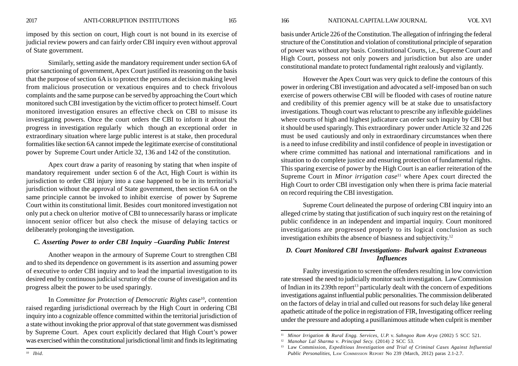imposed by this section on court, High court is not bound in its exercise of judicial review powers and can fairly order CBI inquiry even without approval of State government.

Similarly, setting aside the mandatory requirement under section 6A of prior sanctioning of government, Apex Court justified its reasoning on the basis that the purpose of section 6A is to protect the persons at decision making level from malicious prosecution or vexatious enquires and to check frivolous complaints and the same purpose can be served by approaching the Court which monitored such CBI investigation by the victim officer to protect himself. Court monitored investigation ensures an effective check on CBI to misuse its investigating powers. Once the court orders the CBI to inform it about the progress in investigation regularly which though an exceptional order in extraordinary situation where large public interest is at stake, then procedural formalities like section 6A cannot impede the legitimate exercise of constitutional power by Supreme Court under Article 32, 136 and 142 of the constitution.

Apex court draw a parity of reasoning by stating that when inspite of mandatory requirement under section 6 of the Act, High Court is within its jurisdiction to order CBI injury into a case happened to be in its territorial's jurisdiction without the approval of State government, then section 6A on the same principle cannot be invoked to inhibit exercise of power by Supreme Court within its constitutional limit. Besides court monitored investigation not only put a check on ulterior motive of CBI to unnecessarily harass or implicate innocent senior officer but also check the misuse of delaying tactics or deliberately prolonging the investigation.

# *C. Asserting Power to order CBI Inquiry –Guarding Public Interest*

Another weapon in the armoury of Supreme Court to strengthen CBI and to shed its dependence on government is its assertion and assuming power of executive to order CBI inquiry and to lead the impartial investigation to its desired end by continuous judicial scrutiny of the course of investigation and its progress albeit the power to be used sparingly.

In *Committee for Protection of Democratic Rights* case<sup>10</sup>, contention raised regarding jurisdictional overreach by the High Court in ordering CBI inquiry into a cognizable offence committed within the territorial jurisdiction of a state without invoking the prior approval of that state government was dismissed by Supreme Court. Apex court explicitly declared that High Court's power was exercised within the constitutional jurisdictional limit and finds its legitimating

basis under Article 226 of the Constitution. The allegation of infringing the federal structure of the Constitution and violation of constitutional principle of separation of power was without any basis. Constitutional Courts, i.e., Supreme Court and High Court, possess not only powers and jurisdiction but also are under constitutional mandate to protect fundamental right zealously and vigilantly.

However the Apex Court was very quick to define the contours of this power in ordering CBI investigation and advocated a self-imposed ban on such exercise of powers otherwise CBI will be flooded with cases of routine nature and credibility of this premier agency will be at stake due to unsatisfactory investigations. Though court was reluctant to prescribe any inflexible guidelines where courts of high and highest judicature can order such inquiry by CBI but it should be used sparingly. This extraordinary power under Article 32 and 226 must be used cautiously and only in extraordinary circumstances when there is a need to infuse credibility and instil confidence of people in investigation or where crime committed has national and international ramifications and in situation to do complete justice and ensuring protection of fundamental rights. This sparing exercise of power by the High Court is an earlier reiteration of the Supreme Court in *Minor irrigation case*<sup>11</sup> where Apex court directed the High Court to order CBI investigation only when there is prima facie material on record requiring the CBI investigation.

Supreme Court delineated the purpose of ordering CBI inquiry into an alleged crime by stating that justification of such inquiry rest on the retaining of public confidence in an independent and impartial inquiry. Court monitored investigations are progressed properly to its logical conclusion as such investigation exhibits the absence of biasness and subjectivity.12

# *D. Court Monitored CBI Investigations- Bulwark against Extraneous Influences*

Faulty investigation to screen the offenders resulting in low conviction rate stressed the need to judicially monitor such investigation. Law Commission of Indian in its 239th report<sup>13</sup> particularly dealt with the concern of expeditions investigations against influential public personalities. The commission deliberated on the factors of delay in trial and culled out reasons for such delay like general apathetic attitude of the police in registration of FIR, Investigating officer reeling under the pressure and adopting a pusillanimous attitude when culprit is member

<sup>10</sup> *Ibid.*

<sup>11</sup> *Minor Irrigation & Rural Engg. Services, U.P.* v. *Sahngoo Ram Arya* (2002) 5 SCC 521.

<sup>12</sup> *Manohar Lal Sharma* v*. Principal Secy.* (2014) 2 SCC 53.

<sup>13</sup> Law Commission, *Expeditious Investigation and Trial of Criminal Cases Against Influential Public Personalities*, LAW COMMISSION REPORT No 239 (March, 2012) paras 2.1-2.7.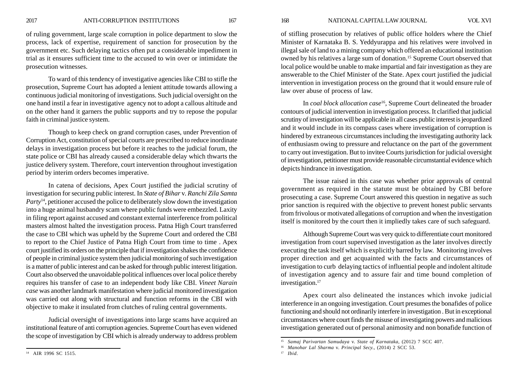2017 ANTI-CORRUPTION INSTITUTIONS 167 168 NATIONAL CAPITAL LAW JOURNAL VOL XVI

of ruling government, large scale corruption in police department to slow the process, lack of expertise, requirement of sanction for prosecution by the government etc. Such delaying tactics often put a considerable impediment in trial as it ensures sufficient time to the accused to win over or intimidate the prosecution witnesses.

To ward of this tendency of investigative agencies like CBI to stifle the prosecution, Supreme Court has adopted a lenient attitude towards allowing a continuous judicial monitoring of investigations. Such judicial oversight on the one hand instil a fear in investigative agency not to adopt a callous altitude and on the other hand it garners the public supports and try to repose the popular faith in criminal justice system.

Though to keep check on grand corruption cases, under Prevention of Corruption Act, constitution of special courts are prescribed to reduce inordinate delays in investigation process but before it reaches to the judicial forum, the state police or CBI has already caused a considerable delay which thwarts the justice delivery system. Therefore, court intervention throughout investigation period by interim orders becomes imperative.

In catena of decisions, Apex Court justified the judicial scrutiny of investigation for securing public interest. In *State of Bihar* v. *Ranchi Zila Samta Party*14, petitioner accused the police to deliberately slow down the investigation into a huge animal husbandry scam where public funds were embezzled. Laxity in filing report against accused and constant external interference from political masters almost halted the investigation process. Patna High Court transferred the case to CBI which was upheld by the Supreme Court and ordered the CBI to report to the Chief Justice of Patna High Court from time to time . Apex court justified its orders on the principle that if investigation shakes the confidence of people in criminal justice system then judicial monitoring of such investigation is a matter of public interest and can be asked for through public interest litigation. Court also observed the unavoidable political influences over local police thereby requires his transfer of case to an independent body like CBI. *Vineet Narain case* was another landmark manifestation where judicial monitored investigation was carried out along with structural and function reforms in the CBI with objective to make it insulated from clutches of ruling central governments.

Judicial oversight of investigations into large scams have acquired an institutional feature of anti corruption agencies. Supreme Court has even widened the scope of investigation by CBI which is already underway to address problem

of stifling prosecution by relatives of public office holders where the Chief Minister of Karnataka B. S. Yeddyurappa and his relatives were involved in illegal sale of land to a mining company which offered an educational institution owned by his relatives a large sum of donation.15 Supreme Court observed that local police would be unable to make impartial and fair investigation as they are answerable to the Chief Minister of the State. Apex court justified the judicial intervention in investigation process on the ground that it would ensure rule of law over abuse of process of law.

In *coal block allocation case*16, Supreme Court delineated the broader contours of judicial intervention in investigation process. It clarified that judicial scrutiny of investigation will be applicable in all cases public interest is jeopardized and it would include in its compass cases where investigation of corruption is hindered by extraneous circumstances including the investigating authority lack of enthusiasm owing to pressure and reluctance on the part of the government to carry out investigation. But to invitee Courts jurisdiction for judicial oversight of investigation, petitioner must provide reasonable circumstantial evidence which depicts hindrance in investigation.

The issue raised in this case was whether prior approvals of central government as required in the statute must be obtained by CBI before prosecuting a case. Supreme Court answered this question in negative as such prior sanction is required with the objective to prevent honest public servants from frivolous or motivated allegations of corruption and when the investigation itself is monitored by the court then it impliedly takes care of such safeguard.

Although Supreme Court was very quick to differentiate court monitored investigation from court supervised investigation as the later involves directly executing the task itself which is explicitly barred by law. Monitoring involves proper direction and get acquainted with the facts and circumstances of investigation to curb delaying tactics of influential people and indolent altitude of investigation agency and to assure fair and time bound completion of investigation.<sup>17</sup>

Apex court also delineated the instances which invoke judicial interference in an ongoing investigation. Court presumes the bonafides of police functioning and should not ordinarily interfere in investigation . But in exceptional circumstances where court finds the misuse of investigating powers and malicious investigation generated out of personal animosity and non bonafide function of

<sup>15</sup> *Samaj Parivartan Samudaya* v. *State of Karnataka,* (2012) 7 SCC 407.

<sup>16</sup> *Manohar Lal Sharma* v. *Principal Secy.*, (2014) 2 SCC 53.

<sup>17</sup> *Ibid.*

<sup>14</sup> AIR 1996 SC 1515.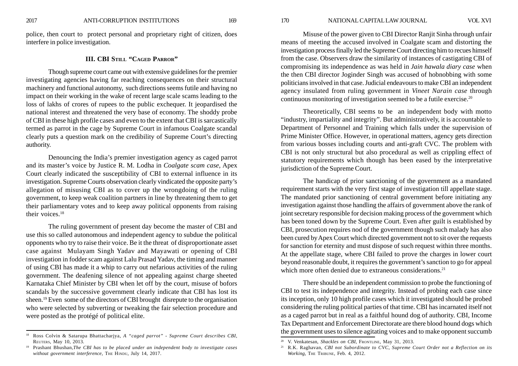police, then court to protect personal and proprietary right of citizen, does interfere in police investigation.

#### **III. CBI STILL "CAGED PARROR "**

Though supreme court came out with extensive guidelines for the premier investigating agencies having far reaching consequences on their structural machinery and functional autonomy, such directions seems futile and having no impact on their working in the wake of recent large scale scams leading to the loss of lakhs of crores of rupees to the public exchequer. It jeopardised the national interest and threatened the very base of economy. The shoddy probe of CBI in these high profile cases and even to the extent that CBI is sarcastically termed as parrot in the cage by Supreme Court in infamous Coalgate scandal clearly puts a question mark on the credibility of Supreme Court's directing authority.

Denouncing the India's premier investigation agency as caged parrot and its master's voice by Justice R. M. Lodha in *Coalgate scam case*, Apex Court clearly indicated the susceptibility of CBI to external influence in its investigation. Supreme Courts observation clearly vindicated the opposite party's allegation of misusing CBI as to cover up the wrongdoing of the ruling government, to keep weak coalition partners in line by threatening them to get their parliamentary votes and to keep away political opponents from raising their voices.<sup>18</sup>

The ruling government of present day become the master of CBI and use this so called autonomous and independent agency to subdue the political opponents who try to raise their voice. Be it the threat of disproportionate asset case against Mulayam Singh Yadav and Mayawati or opening of CBI investigation in fodder scam against Lalu Prasad Yadav, the timing and manner of using CBI has made it a whip to carry out nefarious activities of the ruling government. The deafening silence of not appealing against charge sheeted Karnataka Chief Minister by CBI when let off by the court, misuse of bofors scandals by the successive government clearly indicate that CBI has lost its sheen.19 Even some of the directors of CBI brought disrepute to the organisation who were selected by subverting or tweaking the fair selection procedure and were posted as the protégé of political elite.

2017 ANTI-CORRUPTION INSTITUTIONS 169 170 NATIONAL CAPITAL LAW JOURNAL VOL XVI

Misuse of the power given to CBI Director Ranjit Sinha through unfair means of meeting the accused involved in Coalgate scam and distorting the investigation process finally led the Supreme Court directing him to recues himself from the case. Observers draw the similarity of instances of castigating CBI of compromising its independence as was held in *Jain hawala diary case* when the then CBI director Joginder Singh was accused of hobnobbing with some politicians involved in that case. Judicial endeavours to make CBI an independent agency insulated from ruling government in *Vineet Narain case* through continuous monitoring of investigation seemed to be a futile exercise.<sup>20</sup>

Theoretically, CBI seems to be an independent body with motto "industry, impartiality and integrity". But administratively, it is accountable to Department of Personnel and Training which falls under the supervision of Prime Minister Office. However, in operational matters, agency gets direction from various bosses including courts and anti-graft CVC. The problem with CBI is not only structural but also procedural as well as crippling effect of statutory requirements which though has been eased by the interpretative jurisdiction of the Supreme Court.

The handicap of prior sanctioning of the government as a mandated requirement starts with the very first stage of investigation till appellate stage. The mandated prior sanctioning of central government before initiating any investigation against those handling the affairs of government above the rank of joint secretary responsible for decision making process of the government which has been toned down by the Supreme Court. Even after guilt is established by CBI, prosecution requires nod of the government though such malady has also been cured by Apex Court which directed government not to sit over the requests for sanction for eternity and must dispose of such request within three months. At the appellate stage, where CBI failed to prove the charges in lower court beyond reasonable doubt, it requires the government's sanction to go for appeal which more often denied due to extraneous considerations.<sup>21</sup>

There should be an independent commission to probe the functioning of CBI to test its independence and integrity. Instead of probing each case since its inception, only 10 high profile cases which it investigated should be probed considering the ruling political parties of that time. CBI has incarnated itself not as a caged parrot but in real as a faithful hound dog of authority. CBI, Income Tax Department and Enforcement Directorate are there blood hound dogs which Ross Colvin & Satarupa Bhattacharjya, *A "caged parrot" - Supreme Court describes CBI*, the government uses to silence agitating voices and to make opponent succumb

REUTERS, May 10, 2013.

<sup>19</sup> Prashant Bhushan,*The CBI has to be placed under an independent body to investigate cases* without government interference, THE HINDU, July 14, 2017.

<sup>20</sup> V. Venkatesan, *Shackles on CBI*, FRONTLINE, May 31, 2013.

<sup>21</sup> R.K. Raghavan, *CBI not Subordinate to CVC, Supreme Court Order not a Reflection on its Working*, THE TRIBUNE, Feb. 4, 2012.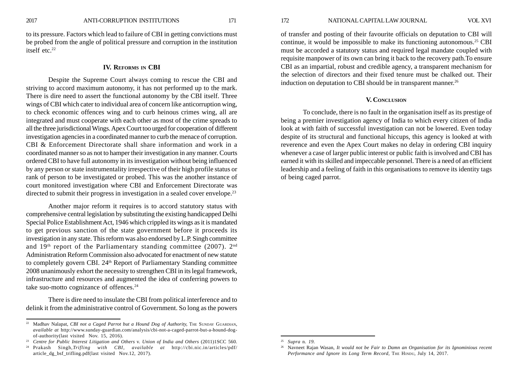to its pressure. Factors which lead to failure of CBI in getting convictions must be probed from the angle of political pressure and corruption in the institution itself etc.<sup>22</sup>

#### **IV. REFORMS IN CBI**

Despite the Supreme Court always coming to rescue the CBI and striving to accord maximum autonomy, it has not performed up to the mark. There is dire need to assert the functional autonomy by the CBI itself. Three wings of CBI which cater to individual area of concern like anticorruption wing, to check economic offences wing and to curb heinous crimes wing, all are integrated and must cooperate with each other as most of the crime spreads to all the three jurisdictional Wings. Apex Court too urged for cooperation of different investigation agencies in a coordinated manner to curb the menace of corruption. CBI & Enforcement Directorate shall share information and work in a coordinated manner so as not to hamper their investigation in any manner. Courts ordered CBI to have full autonomy in its investigation without being influenced by any person or state instrumentality irrespective of their high profile status or rank of person to be investigated or probed. This was the another instance of court monitored investigation where CBI and Enforcement Directorate was directed to submit their progress in investigation in a sealed cover envelope.<sup>23</sup>

Another major reform it requires is to accord statutory status with comprehensive central legislation by substituting the existing handicapped Delhi Special Police Establishment Act, 1946 which crippled its wings as it is mandated to get previous sanction of the state government before it proceeds its investigation in any state. This reform was also endorsed by L.P. Singh committee and  $19<sup>th</sup>$  report of the Parliamentary standing committee (2007).  $2<sup>nd</sup>$ Administration Reform Commission also advocated for enactment of new statute to completely govern CBI. 24<sup>th</sup> Report of Parliamentary Standing committee 2008 unanimously exhort the necessity to strengthen CBI in its legal framework, infrastructure and resources and augmented the idea of conferring powers to take suo-motto cognizance of offences.<sup>24</sup>

There is dire need to insulate the CBI from political interference and to delink it from the administrative control of Government. So long as the powers

of transfer and posting of their favourite officials on deputation to CBI will continue, it would be impossible to make its functioning autonomous.25 CBI must be accorded a statutory status and required legal mandate coupled with requisite manpower of its own can bring it back to the recovery path.To ensure CBI as an impartial, robust and credible agency, a transparent mechanism for the selection of directors and their fixed tenure must be chalked out. Their induction on deputation to CBI should be in transparent manner.<sup>26</sup>

#### **V. CONCLUSION**

To conclude, there is no fault in the organisation itself as its prestige of being a premier investigation agency of India to which every citizen of India look at with faith of successful investigation can not be lowered. Even today despite of its structural and functional hiccups, this agency is looked at with reverence and even the Apex Court makes no delay in ordering CBI inquiry whenever a case of larger public interest or public faith is involved and CBI has earned it with its skilled and impeccable personnel. There is a need of an efficient leadership and a feeling of faith in this organisations to remove its identity tags of being caged parrot.

<sup>&</sup>lt;sup>22</sup> Madhav Nalapat, *CBI not a Caged Parrot but a Hound Dog of Authority*, THE SUNDAY GUARDIAN, *available at* http://www.sunday-guardian.com/analysis/cbi-not-a-caged-parrot-but-a-hound-dogof-authority(last visited Nov. 15, 2016).

<sup>23</sup> *Centre for Public Interest Litigation and Others* v. *Union of India and Others* (2011)1SCC 560.

<sup>24</sup> Prakash Singh,*Trifling with CBI*, *available at* http://cbi.nic.in/articles/pdf/ article\_dg\_bsf\_trifling.pdf(last visited Nov.12, 2017).

<sup>25</sup> *Supra* n*. 19.*

<sup>26</sup> Navneet Rajan Wasan, *It would not be Fair to Damn an Organisation for its Ignominious recent Performance and Ignore its Long Term Record, THE HINDU, July 14, 2017.*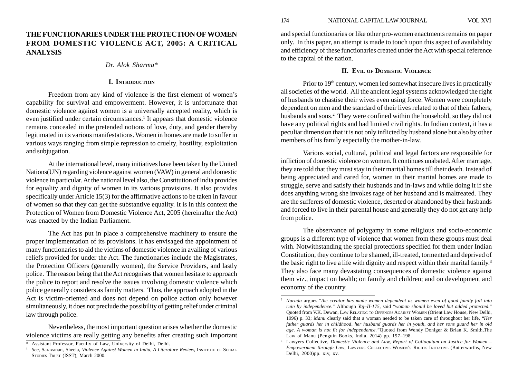*Dr. Alok Sharma\**

### **I. INTRODUCTION**

Freedom from any kind of violence is the first element of women's capability for survival and empowerment. However, it is unfortunate that domestic violence against women is a universally accepted reality, which is even justified under certain circumstances.<sup>1</sup> It appears that domestic violence remains concealed in the pretended notions of love, duty, and gender thereby legitimated in its various manifestations. Women in homes are made to suffer in various ways ranging from simple repression to cruelty, hostility, exploitation and subjugation.

At the international level, many initiatives have been taken by the United Nations(UN) regarding violence against women (VAW) in general and domestic violence in particular. At the national level also, the Constitution of India provides for equality and dignity of women in its various provisions. It also provides specifically under Article 15(3) for the affirmative actions to be taken in favour of women so that they can get the substantive equality. It is in this context the Protection of Women from Domestic Violence Act, 2005 (hereinafter the Act) was enacted by the Indian Parliament.

The Act has put in place a comprehensive machinery to ensure the proper implementation of its provisions. It has envisaged the appointment of many functionaries to aid the victims of domestic violence in availing of various reliefs provided for under the Act. The functionaries include the Magistrates, the Protection Officers (generally women), the Service Providers, and lastly police. The reason being that the Act recognises that women hesitate to approach the police to report and resolve the issues involving domestic violence which police generally considers as family matters. Thus, the approach adopted in the Act is victim-oriented and does not depend on police action only however simultaneously, it does not preclude the possibility of getting relief under criminal law through police.

Nevertheless, the most important question arises whether the domestic violence victims are really getting any benefits after creating such important and special functionaries or like other pro-women enactments remains on paper only. In this paper, an attempt is made to touch upon this aspect of availability and efficiency of these functionaries created under the Act with special reference to the capital of the nation.

### **II. EVIL OF DOMESTIC VIOLENCE**

Prior to 19<sup>th</sup> century, women led somewhat insecure lives in practically all societies of the world. All the ancient legal systems acknowledged the right of husbands to chastise their wives even using force. Women were completely dependent on men and the standard of their lives related to that of their fathers, husbands and sons.2 They were confined within the household, so they did not have any political rights and had limited civil rights. In Indian context, it has a peculiar dimension that it is not only inflicted by husband alone but also by other members of his family especially the mother-in-law.

Various social, cultural, political and legal factors are responsible for infliction of domestic violence on women. It continues unabated. After marriage, they are told that they must stay in their marital homes till their death*.* Instead of being appreciated and cared for, women in their marital homes are made to struggle, serve and satisfy their husbands and in-laws and while doing it if she does anything wrong she invokes rage of her husband and is maltreated. They are the sufferers of domestic violence, deserted or abandoned by their husbands and forced to live in their parental house and generally they do not get any help from police.

The observance of polygamy in some religious and socio-economic groups is a different type of violence that women from these groups must deal with. Notwithstanding the special protections specified for them under Indian Constitution, they continue to be shamed, ill-treated, tormented and deprived of the basic right to live a life with dignity and respect within their marital family.<sup>3</sup> They also face many devastating consequences of domestic violence against them viz., impact on health; on family and children; and on development and economy of the country.

<sup>\*</sup> Assistant Professor, Faculty of Law, University of Delhi, Delhi.

<sup>1</sup> *See*, Saravanan, Sheela, *Violence Against Women in India, A Literature Review,* INSTITUTE OF SOCIAL STUDIES TRUST (ISST), March 2000.

<sup>2</sup> *Narada* argues "*the creator has made women dependent as women even of good family fall into ruin by independence."* Although *Yaj–II-175*, said "*woman should be loved but added protected*." Quoted from V.K. Dewan, LAW RELATING TO OFFENCES AGAINST WOMEN (Orient Law House, New Delhi, 1996) p. 33; *Manu* clearly said that a woman needed to be taken care of throughout her life, "*Her father guards her in childhood, her husband guards her in youth, and her sons guard her in old age. A woman is not fit for independence."*Quoted from Wendy Doniger & Brian K. Smith*,*The Law of Manu (Penguin Books, India, 2014) pp. 197–198.

<sup>3</sup> Lawyers Collective, *Domestic Violence and Law, Report of Colloquium on Justice for Women – Empowerment through Law*, LAWYERS COLLECTIVE WOMEN'S RIGHTS INITIATIVE (Butterworths, New Delhi, 2000)pp. xiv, xv.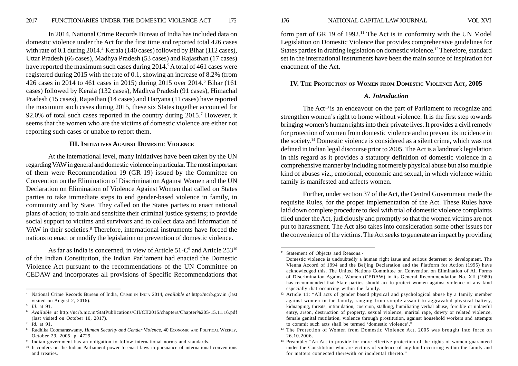In 2014, National Crime Records Bureau of India has included data on domestic violence under the Act for the first time and reported total 426 cases with rate of 0.1 during 2014.<sup>4</sup> Kerala (140 cases) followed by Bihar (112 cases), Uttar Pradesh (66 cases), Madhya Pradesh (53 cases) and Rajasthan (17 cases) have reported the maximum such cases during 2014.<sup>5</sup> A total of 461 cases were registered during 2015 with the rate of 0.1, showing an increase of 8.2% (from 426 cases in 2014 to 461 cases in 2015) during 2015 over 2014.6 Bihar (161 cases) followed by Kerala (132 cases), Madhya Pradesh (91 cases), Himachal Pradesh (15 cases), Rajasthan (14 cases) and Haryana (11 cases) have reported the maximum such cases during 2015, these six States together accounted for 92.0% of total such cases reported in the country during 2015.7 However, it seems that the women who are the victims of domestic violence are either not reporting such cases or unable to report them.

### **III. INITIATIVES AGAINST DOMESTIC VIOLENCE**

At the international level, many initiatives have been taken by the UN regarding VAW in general and domestic violence in particular. The most important of them were Recommendation 19 (GR 19) issued by the Committee on Convention on the Elimination of Discrimination Against Women and the UN Declaration on Elimination of Violence Against Women that called on States parties to take immediate steps to end gender-based violence in family, in community and by State. They called on the States parties to enact national plans of action; to train and sensitize their criminal justice systems; to provide social support to victims and survivors and to collect data and information of VAW in their societies.<sup>8</sup> Therefore, international instruments have forced the nations to enact or modify the legislation on prevention of domestic violence.

As far as India is concerned, in view of Article 51-C<sup>9</sup> and Article 253<sup>10</sup> of the Indian Constitution, the Indian Parliament had enacted the Domestic Violence Act pursuant to the recommendations of the UN Committee on CEDAW and incorporates all provisions of Specific Recommendations that

form part of GR 19 of 1992.11 The Act is in conformity with the UN Model Legislation on Domestic Violence that provides comprehensive guidelines for States parties in drafting legislation on domestic violence.12 Therefore, standard set in the international instruments have been the main source of inspiration for enactment of the Act.

#### **IV. THE PROTECTION OF WOMEN FROM DOMESTIC VIOLENCE ACT, 2005**

#### *A. Introduction*

The Act<sup>13</sup> is an endeavour on the part of Parliament to recognize and strengthen women's right to home without violence. It is the first step towards bringing women's human rights into their private lives. It provides a civil remedy for protection of women from domestic violence and to prevent its incidence in the society.14 Domestic violence is considered as a silent crime, which was not defined in Indian legal discourse prior to 2005. The Act is a landmark legislation in this regard as it provides a statutory definition of domestic violence in a comprehensive manner by including not merely physical abuse but also multiple kind of abuses viz., emotional, economic and sexual, in which violence within family is manifested and affects women.

Further, under section 37 of the Act, the Central Government made the requisite Rules, for the proper implementation of the Act. These Rules have laid down complete procedure to deal with trial of domestic violence complaints filed under the Act, judiciously and promptly so that the women victims are not put to harassment. The Act also takes into consideration some other issues for the convenience of the victims. The Act seeks to generate an impact by providing

<sup>4</sup> National Crime Records Bureau of India, CRIME IN INDIA 2014*, available at* http://ncrb.gov.in (last visited on August 2, 2016).

<sup>5</sup> *Id.* at 91.

<sup>6</sup> *Available at* http://ncrb.nic.in/StatPublications/CII/CII2015/chapters/Chapter%205-15.11.16.pdf (last visited on October 10, 2017).

<sup>7</sup> *Id.* at 91.

<sup>8</sup> Radhika Coomaraswamy, *Human Security and Gender Violence*, 40 ECONOMIC AND POLITICAL WEEKLY, October 29, 2005, p. 4729.

<sup>9</sup> Indian government has an obligation to follow international norms and standards.

<sup>&</sup>lt;sup>10</sup> It confers on the Indian Parliament power to enact laws in pursuance of international conventions and treaties.

<sup>&</sup>lt;sup>11</sup> Statement of Objects and Reasons.-

Domestic violence is undoubtedly a human right issue and serious deterrent to development. The Vienna Accord of 1994 and the Beijing Declaration and the Platform for Action (1995) have acknowledged this. The United Nations Committee on Convention on Elimination of All Forms of Discrimination Against Women (CEDAW) in its General Recommendation No. XII (1989) has recommended that State parties should act to protect women against violence of any kind especially that occurring within the family.

<sup>&</sup>lt;sup>12</sup> Article 11: "All acts of gender based physical and psychological abuse by a family member against women in the family, ranging from simple assault to aggravated physical battery, kidnapping, threats, intimidation, coercion, stalking, humiliating verbal abuse, forcible or unlawful entry, arson, destruction of property, sexual violence, marital rape, dowry or related violence, female genital mutilation, violence through prostitution, against household workers and attempts to commit such acts shall be termed 'domestic violence'."

<sup>&</sup>lt;sup>13</sup> The Protection of Women from Domestic Violence Act, 2005 was brought into force on 26.10.2006.

<sup>&</sup>lt;sup>14</sup> Preamble: "An Act to provide for more effective protection of the rights of women guaranteed under the Constitution who are victims of violence of any kind occurring within the family and for matters connected therewith or incidental thereto."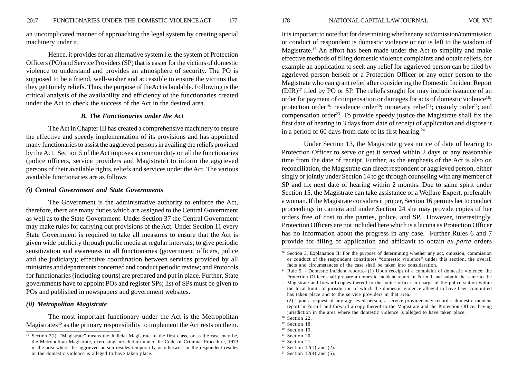an uncomplicated manner of approaching the legal system by creating special machinery under it.

Hence, it provides for an alternative system i.e. the system of Protection Officers (PO) and Service Providers (SP) that is easier for the victims of domestic violence to understand and provides an atmosphere of security. The PO is supposed to be a friend, well-wisher and accessible to ensure the victims that they get timely reliefs. Thus, the purpose of theAct is laudable. Following is the critical analysis of the availability and efficiency of the functionaries created under the Act to check the success of the Act in the desired area.

### *B. The Functionaries under the Act*

The Act in Chapter III has created a comprehensive machinery to ensure the effective and speedy implementation of its provisions and has appointed many functionaries to assist the aggrieved persons in availing the reliefs provided by the Act. Section 5 of the Act imposes a common duty on all the functionaries (police officers, service providers and Magistrate) to inform the aggrieved persons of their available rights, reliefs and services under the Act. The various available functionaries are as follows

#### *(i) Central Government and State Governments*

The Government is the administrative authority to enforce the Act, therefore, there are many duties which are assigned to the Central Government as well as to the State Government. Under Section 37 the Central Government may make rules for carrying out provisions of the Act. Under Section 11 every State Government is required to take all measures to ensure that the Act is given wide publicity through public media at regular intervals; to give periodic sensitization and awareness to all functionaries (government officers, police and the judiciary); effective coordination between services provided by all ministries and departments concerned and conduct periodic review; and Protocols for functionaries (including courts) are prepared and put in place. Further, State governments have to appoint POs and register SPs; list of SPs must be given to POs and published in newspapers and government websites.

### *(ii) Metropolitan Magistrate*

The most important functionary under the Act is the Metropolitan Magistrates<sup>15</sup> as the primary responsibility to implement the Act rests on them.

It is important to note that for determining whether any act/omission/commission or conduct of respondent is domestic violence or not is left to the wisdom of Magistrate.16 An effort has been made under the Act to simplify and make effective methods of filing domestic violence complaints and obtain reliefs, for example an application to seek any relief for aggrieved person can be filed by aggrieved person herself or a Protection Officer or any other person to the Magistrate who can grant relief after considering the Domestic Incident Report (DIR)17 filed by PO or SP. The reliefs sought for may include issuance of an order for payment of compensation or damages for acts of domestic violence<sup>18</sup>; protection order<sup>19</sup>; residence order<sup>20</sup>; monetary relief<sup>21</sup>; custody order<sup>22</sup>; and compensation order<sup>23</sup>. To provide speedy justice the Magistrate shall fix the first date of hearing in 3 days from date of receipt of application and dispose it in a period of 60 days from date of its first hearing.<sup>24</sup>

Under Section 13, the Magistrate gives notice of date of hearing to Protection Officer to serve or get it served within 2 days or any reasonable time from the date of receipt. Further, as the emphasis of the Act is also on reconciliation, the Magistrate can direct respondent or aggrieved person, either singly or jointly under Section 14 to go through counseling with any member of SP and fix next date of hearing within 2 months. Due to same spirit under Section 15, the Magistrate can take assistance of a Welfare Expert, preferably a woman. If the Magistrate considers it proper, Section 16 permits her to conduct proceedings in camera and under Section 24 she may provide copies of her orders free of cost to the parties, police, and SP. However, interestingly, Protection Officers are not included here which is a lacuna as Protection Officer has no information about the progress in any case. Further Rules 6 and 7 provide for filing of application and affidavit to obtain *ex parte* orders

<sup>&</sup>lt;sup>15</sup> Section 2(i): "Magistrate" means the Judicial Magistrate of the first class, or as the case may be, the Metropolitan Magistrate, exercising jurisdiction under the Code of Criminal Procedure, 1973 in the area where the aggrieved person resides temporarily or otherwise or the respondent resides or the domestic violence is alleged to have taken place.

<sup>&</sup>lt;sup>16</sup> Section 3, Explanation II: For the purpose of determining whether any act, omission, commission or conduct of the respondent constitutes "domestic violence" under this section, the overall facts and circumstances of the case shall be taken into consideration.

<sup>&</sup>lt;sup>17</sup> Rule 5. - Domestic incident reports.- (1) Upon receipt of a complaint of domestic violence, the Protection Officer shall prepare a domestic incident report in Form 1 and submit the same to the Magistrate and forward copies thereof to the police officer in charge of the police station within the local limits of jurisdiction of which the domestic violence alleged to have been committed has taken place and to the service providers in that area.

<sup>(2)</sup> Upon a request of any aggrieved person, a service provider may record a domestic incident report in Form I and forward a copy thereof to the Magistrate and the Protection Officer having jurisdiction in the area where the domestic violence is alleged to have taken place.

<sup>&</sup>lt;sup>18</sup> Section 22.

<sup>&</sup>lt;sup>19</sup> Section 18.

<sup>20</sup> Section 19.

 $21$  Section 20.

 $22$  Section 21.

<sup>&</sup>lt;sup>23</sup> Section 12(1) and (2).

<sup>&</sup>lt;sup>24</sup> Section 12(4) and (5).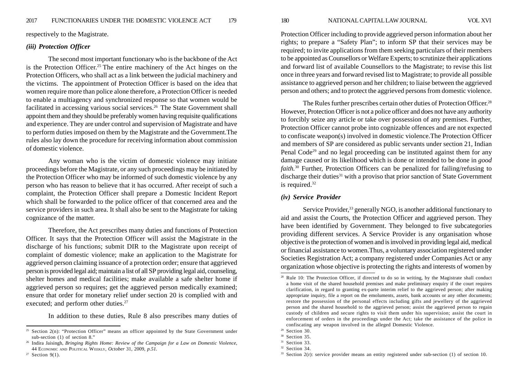respectively to the Magistrate.

#### *(iii) Protection Officer*

The second most important functionary who is the backbone of the Act is the Protection Officer.25 The entire machinery of the Act hinges on the Protection Officers, who shall act as a link between the judicial machinery and the victims. The appointment of Protection Officer is based on the idea that women require more than police alone therefore, a Protection Officer is needed to enable a multiagency and synchronized response so that women would be facilitated in accessing various social services.26 The State Government shall appoint them and they should be preferably women having requisite qualifications and experience. They are under control and supervision of Magistrate and have to perform duties imposed on them by the Magistrate and the Government.The rules also lay down the procedure for receiving information about commission of domestic violence.

Any woman who is the victim of domestic violence may initiate proceedings before the Magistrate, or any such proceedings may be initiated by the Protection Officer who may be informed of such domestic violence by any person who has reason to believe that it has occurred. After receipt of such a complaint, the Protection Officer shall prepare a Domestic Incident Report which shall be forwarded to the police officer of that concerned area and the service providers in such area. It shall also be sent to the Magistrate for taking cognizance of the matter.

Therefore, the Act prescribes many duties and functions of Protection Officer. It says that the Protection Officer will assist the Magistrate in the discharge of his functions; submit DIR to the Magistrate upon receipt of complaint of domestic violence; make an application to the Magistrate for aggrieved person claiming issuance of a protection order; ensure that aggrieved person is provided legal aid; maintain a list of all SP providing legal aid, counseling, shelter homes and medical facilities; make available a safe shelter home if aggrieved person so requires; get the aggrieved person medically examined; ensure that order for monetary relief under section 20 is complied with and executed; and perform other duties.<sup>27</sup>

In addition to these duties, Rule 8 also prescribes many duties of

Protection Officer including to provide aggrieved person information about her rights; to prepare a "Safety Plan"; to inform SP that their services may be required; to invite applications from them seeking particulars of their members to be appointed as Counsellors or Welfare Experts; to scrutinize their applications and forward list of available Counsellors to the Magistrate; to revise this list once in three years and forward revised list to Magistrate; to provide all possible assistance to aggrieved person and her children; to liaise between the aggrieved person and others; and to protect the aggrieved persons from domestic violence.

The Rules further prescribes certain other duties of Protection Officer.<sup>28</sup> However, Protection Officer is not a police officer and does not have any authority to forcibly seize any article or take over possession of any premises. Further, Protection Officer cannot probe into cognizable offences and are not expected to confiscate weapon(s) involved in domestic violence.The Protection Officer and members of SP are considered as public servants under section 21, Indian Penal Code<sup>29</sup> and no legal proceeding can be instituted against them for any damage caused or its likelihood which is done or intended to be done in *good faith.*<sup>30</sup> Further, Protection Officers can be penalized for failing/refusing to discharge their duties $31$  with a proviso that prior sanction of State Government is required.32

#### *(iv) Service Provider*

Service Provider,<sup>33</sup> generally NGO, is another additional functionary to aid and assist the Courts, the Protection Officer and aggrieved person. They have been identified by Government. They belonged to five subcategories providing different services. A Service Provider is any organisation whose objective is the protection of women and is involved in providing legal aid, medical or financial assistance to women.Thus, a voluntary association registered under Societies Registration Act; a company registered under Companies Act or any organization whose objective is protecting the rights and interests of women by

<sup>&</sup>lt;sup>25</sup> Section 2(n): "Protection Officer" means an officer appointed by the State Government under sub-section (1) of section 8."

<sup>26</sup> Indira Jaisingh, *Bringing Rights Home: Review of the Campaign for a Law on Domestic Violence*, 44 ECONOMIC AND POLITICAL WEEKLY*, October* 31, 2009, *p.51.*

 $27$  Section 9(1).

 $28$  Rule 10: The Protection Officer, if directed to do so in writing, by the Magistrate shall conduct a home visit of the shared household premises and make preliminary enquiry if the court requires clarification, in regard to granting ex-parte interim relief to the aggrieved person; after making appropriate inquiry, file a report on the emoluments, assets, bank accounts or any other documents; restore the possession of the personal effects including gifts and jewellery of the aggrieved person and the shared household to the aggrieved person; assist the aggrieved person to regain custody of children and secure rights to visit them under his supervision; assist the court in enforcement of orders in the proceedings under the Act; take the assistance of the police in confiscating any weapon involved in the alleged Domestic Violence.

<sup>29</sup> Section 30.

<sup>30</sup> Section 35.

<sup>&</sup>lt;sup>31</sup> Section 33.

<sup>&</sup>lt;sup>32</sup> Section 34.

<sup>33</sup> Section 2(r): service provider means an entity registered under sub-section (1) of section 10.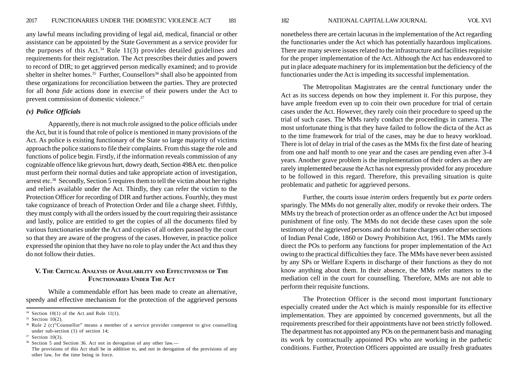any lawful means including providing of legal aid, medical, financial or other assistance can be appointed by the State Government as a service provider for the purposes of this Act.<sup>34</sup> Rule 11(3) provides detailed guidelines and requirements for their registration. The Act prescribes their duties and powers to record of DIR; to get aggrieved person medically examined; and to provide shelter in shelter homes.<sup>35</sup> Further, Counsellors<sup>36</sup> shall also be appointed from these organizations for reconciliation between the parties. They are protected for all *bona fide* actions done in exercise of their powers under the Act to prevent commission of domestic violence.37

#### *(v) Police Officials*

Apparently, there is not much role assigned to the police officials under the Act, but it is found that role of police is mentioned in many provisions of the Act. As police is existing functionary of the State so large majority of victims approach the police stations to file their complaints. From this stage the role and functions of police begin. Firstly, if the information reveals commission of any cognizable offence like grievous hurt, dowry death, Section 498A etc. then police must perform their normal duties and take appropriate action of investigation, arrest etc.38 Secondly, Section 5 requires them to tell the victim about her rights and reliefs available under the Act. Thirdly, they can refer the victim to the Protection Officer for recording of DIR and further actions. Fourthly, they must take cognizance of breach of Protection Order and file a charge sheet. Fifthly, they must comply with all the orders issued by the court requiring their assistance and lastly, police are entitled to get the copies of all the documents filed by various functionaries under the Act and copies of all orders passed by the court so that they are aware of the progress of the cases. However, in practice police expressed the opinion that they have no role to play under the Act and thus they do not follow their duties.

## **V. THE CRITICAL ANALYSIS OF AVAILABILITY AND EFFECTIVENESS OF THE FUNCTIONARIES UNDER THE ACT**

While a commendable effort has been made to create an alternative, speedy and effective mechanism for the protection of the aggrieved persons nonetheless there are certain lacunas in the implementation of the Act regarding the functionaries under the Act which has potentially hazardous implications. There are many severe issues related to the infrastructure and facilities requisite for the proper implementation of the Act. Although the Act has endeavored to put in place adequate machinery for its implementation but the deficiency of the functionaries under the Act is impeding its successful implementation.

The Metropolitan Magistrates are the central functionary under the Act as its success depends on how they implement it. For this purpose, they have ample freedom even up to coin their own procedure for trial of certain cases under the Act. However, they rarely coin their procedure to speed up the trial of such cases. The MMs rarely conduct the proceedings in camera. The most unfortunate thing is that they have failed to follow the dicta of the Act as to the time framework for trial of the cases, may be due to heavy workload. There is lot of delay in trial of the cases as the MMs fix the first date of hearing from one and half month to one year and the cases are pending even after 3-4 years. Another grave problem is the implementation of their orders as they are rarely implemented because the Act has not expressly provided for any procedure to be followed in this regard. Therefore, this prevailing situation is quite problematic and pathetic for aggrieved persons.

Further, the courts issue *interim* orders frequently but *ex parte* orders sparingly. The MMs do not generally alter, modify or revoke their orders. The MMs try the breach of protection order as an offence under the Act but imposed punishment of fine only. The MMs do not decide these cases upon the sole testimony of the aggrieved persons and do not frame charges under other sections of Indian Penal Code, 1860 or Dowry Prohibition Act, 1961. The MMs rarely direct the POs to perform any functions for proper implementation of the Act owing to the practical difficulties they face. The MMs have never been assisted by any SPs or Welfare Experts in discharge of their functions as they do not know anything about them. In their absence, the MMs refer matters to the mediation cell in the court for counselling. Therefore, MMs are not able to perform their requisite functions.

The Protection Officer is the second most important functionary especially created under the Act which is mainly responsible for its effective implementation. They are appointed by concerned governments, but all the requirements prescribed for their appointments have not been strictly followed. The department has not appointed any POs on the permanent basis and managing its work by contractually appointed POs who are working in the pathetic conditions. Further, Protection Officers appointed are usually fresh graduates

 $34$  Section 10(1) of the Act and Rule 11(1).

 $35$  Section 10(2).

<sup>36</sup> Rule 2 (c)"Counsellor" means a member of a service provider competent to give counselling under sub-section (1) of section 14;

 $37$  Section 10(3).

<sup>38</sup> Section 5 and Section 36. Act not in derogation of any other law.— The provisions of this Act shall be in addition to, and not in derogation of the provisions of any other law, for the time being in force.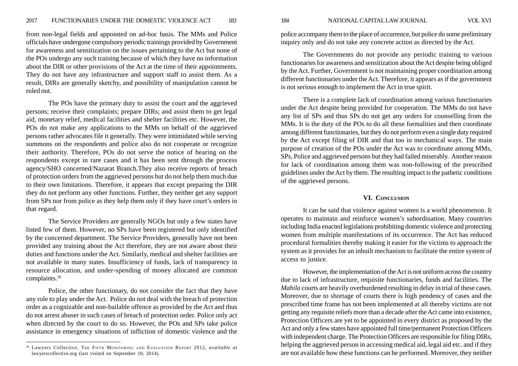from non-legal fields and appointed on ad-hoc basis. The MMs and Police officials have undergone compulsory periodic trainings provided by Government for awareness and sensitization on the issues pertaining to the Act but none of the POs undergo any such training because of which they have no information about the DIR or other provisions of the Act at the time of their appointments. They do not have any infrastructure and support staff to assist them. As a result, DIRs are generally sketchy, and possibility of manipulation cannot be ruled out.

The POs have the primary duty to assist the court and the aggrieved persons; receive their complaints; prepare DIRs; and assist them to get legal aid, monetary relief, medical facilities and shelter facilities etc. However, the POs do not make any applications to the MMs on behalf of the aggrieved persons rather advocates file it generally. They were intimidated while serving summons on the respondents and police also do not cooperate or recognize their authority. Therefore, POs do not serve the notice of hearing on the respondents except in rare cases and it has been sent through the process agency/SHO concerned/Nazarat Branch.They also receive reports of breach of protection orders from the aggrieved persons but do not help them much due to their own limitations. Therefore, it appears that except preparing the DIR they do not perform any other functions. Further, they neither get any support from SPs nor from police as they help them only if they have court's orders in that regard.

The Service Providers are generally NGOs but only a few states have listed few of them. However, no SPs have been registered but only identified by the concerned department. The Service Providers, generally have not been provided any training about the Act therefore, they are not aware about their duties and functions under the Act. Similarly, medical and shelter facilities are not available in many states. Insufficiency of funds, lack of transparency in resource allocation, and under-spending of money allocated are common complaints.39

Police, the other functionary, do not consider the fact that they have any role to play under the Act. Police do not deal with the breach of protection order as a cognizable and non-bailable offence as provided by the Act and thus do not arrest abuser in such cases of breach of protection order. Police only act when directed by the court to do so. However, the POs and SPs take police assistance in emergency situations of infliction of domestic violence and the

police accompany them to the place of occurrence, but police do some preliminary inquiry only and do not take any concrete action as directed by the Act.

The Governments do not provide any periodic training to various functionaries for awareness and sensitization about the Act despite being obliged by the Act. Further, Government is not maintaining proper coordination among different functionaries under the Act. Therefore, it appears as if the government is not serious enough to implement the Act in true spirit.

There is a complete lack of coordination among various functionaries under the Act despite being provided for cooperation. The MMs do not have any list of SPs and thus SPs do not get any orders for counselling from the MMs. It is the duty of the POs to do all these formalities and then coordinate among different functionaries, but they do not perform even a single duty required by the Act except filing of DIR and that too in mechanical ways. The main purpose of creation of the POs under the Act was to coordinate among MMs, SPs, Police and aggrieved persons but they had failed miserably. Another reason for lack of coordination among them was non-following of the prescribed guidelines under the Act by them. The resulting impact is the pathetic conditions of the aggrieved persons.

#### **VI. CONCLUSION**

It can be said that violence against women is a world phenomenon. It operates to maintain and reinforce women's subordination. Many countries including India enacted legislations prohibiting domestic violence and protecting women from multiple manifestations of its occurrence. The Act has reduced procedural formalities thereby making it easier for the victims to approach the system as it provides for an inbuilt mechanism to facilitate the entire system of access to justice.

However, the implementation of the Act is not uniform across the country due to lack of infrastructure, requisite functionaries, funds and facilities. The *Mahila* courts are heavily overburdened resulting in delay in trial of these cases. Moreover, due to shortage of courts there is high pendency of cases and the prescribed time frame has not been implemented at all thereby victims are not getting any requisite reliefs more than a decade after the Act came into existence, Protection Officers are yet to be appointed in every district as proposed by the Act and only a few states have appointed full time/permanent Protection Officers with independent charge. The Protection Officers are responsible for filing DIRs, helping the aggrieved person in accessing medical aid, legal aid etc. and if they are not available how these functions can be performed. Moreover, they neither

<sup>39</sup> Lawyers Collective, THE FIFTH MONITORING AND EVALUATION REPORT 2012, *available at* lawyerscollective.org (last visited on September 10, 2014).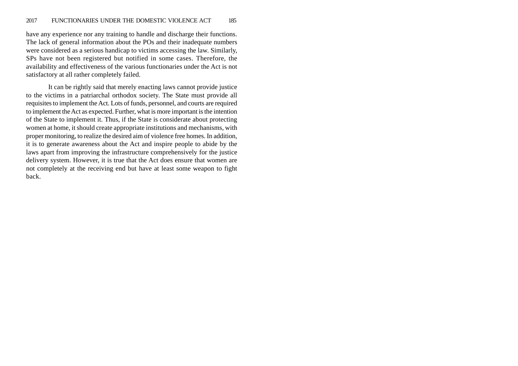have any experience nor any training to handle and discharge their functions. The lack of general information about the POs and their inadequate numbers were considered as a serious handicap to victims accessing the law. Similarly, SPs have not been registered but notified in some cases. Therefore, the availability and effectiveness of the various functionaries under the Act is not satisfactory at all rather completely failed.

It can be rightly said that merely enacting laws cannot provide justice to the victims in a patriarchal orthodox society. The State must provide all requisites to implement the Act. Lots of funds, personnel, and courts are required to implement the Act as expected. Further, what is more important is the intention of the State to implement it. Thus, if the State is considerate about protecting women at home, it should create appropriate institutions and mechanisms, with proper monitoring, to realize the desired aim of violence free homes. In addition, it is to generate awareness about the Act and inspire people to abide by the laws apart from improving the infrastructure comprehensively for the justice delivery system. However, it is true that the Act does ensure that women are not completely at the receiving end but have at least some weapon to fight back.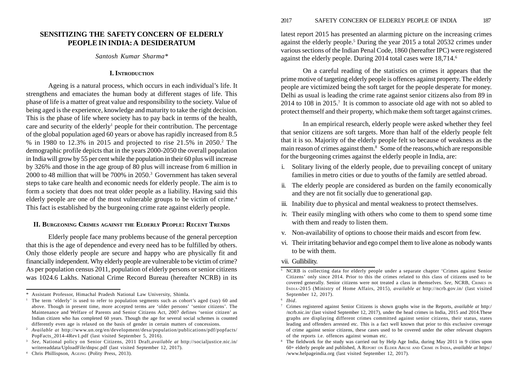# **SENSITIZING THE SAFETY CONCERN OF ELDERLY PEOPLE IN INDIA: A DESIDERATUM**

*Santosh Kumar Sharma\**

#### **I. INTRODUCTION**

Ageing is a natural process, which occurs in each individual's life. It strengthens and emaciates the human body at different stages of life. This phase of life is a matter of great value and responsibility to the society. Value of being aged is the experience, knowledge and maturity to take the right decision. This is the phase of life where society has to pay back in terms of the health, care and security of the elderly<sup>1</sup> people for their contribution. The percentage of the global population aged 60 years or above has rapidly increased from 8.5 % in 1980 to 12.3% in 2015 and projected to rise 21.5% in 2050.2 The demographic profile depicts that in the years 2000-2050 the overall population in India will grow by 55 per cent while the population in their 60 plus will increase by 326% and those in the age group of 80 plus will increase from 6 million in 2000 to 48 million that will be 700% in 2050.3 Government has taken several steps to take care health and economic needs for elderly people. The aim is to form a society that does not treat older people as a liability. Having said this elderly people are one of the most vulnerable groups to be victim of crime.<sup>4</sup> This fact is established by the burgeoning crime rate against elderly people.

#### **II. BURGEONING CRIMES AGAINST THE ELDERLY PEOPLE: RECENT TRENDS**

Elderly people face many problems because of the general perception that this is the age of dependence and every need has to be fulfilled by others. Only those elderly people are secure and happy who are physically fit and financially independent. Why elderly people are vulnerable to be victim of crime? As per population census 2011, population of elderly persons or senior citizens was 1024.6 Lakhs. National Crime Record Bureau (hereafter NCRB) in its latest report 2015 has presented an alarming picture on the increasing crimes against the elderly people.5 During the year 2015 a total 20532 crimes under various sections of the Indian Penal Code, 1860 (hereafter IPC) were registered against the elderly people. During 2014 total cases were 18,714.<sup>6</sup>

On a careful reading of the statistics on crimes it appears that the prime motive of targeting elderly people is offences against property. The elderly people are victimized being the soft target for the people desperate for money. Delhi as usual is leading the crime rate against senior citizens also from 89 in 2014 to 108 in 2015.7 It is common to associate old age with not so abled to protect themself and their property, which make them soft target against crimes.

In an empirical research, elderly people were asked whether they feel that senior citizens are soft targets. More than half of the elderly people felt that it is so. Majority of the elderly people felt so because of weakness as the main reason of crimes against them.8 Some of the reasons,which are responsible for the burgeoning crimes against the elderly people in India, are:

- i. Solitary living of the elderly people, due to prevailing concept of unitary families in metro cities or due to youths of the family are settled abroad.
- ii. The elderly people are considered as burden on the family economically and they are not fit socially due to generational gap.
- iii. Inability due to physical and mental weakness to protect themselves.
- iv. Their easily mingling with others who come to them to spend some time with them and ready to listen them.
- v. Non-availability of options to choose their maids and escort from few.
- vi. Their irritating behavior and ego compel them to live alone as nobody wants to be with them.

#### vii. Gullibility.

<sup>\*</sup> Assistant Professor, Himachal Pradesh National Law University, Shimla.

<sup>&</sup>lt;sup>1</sup> The term 'elderly' is used to refer to population segments such as cohort's aged (say) 60 and above. Though in present time, more accepted terms are 'older persons' 'senior citizens'. The Maintenance and Welfare of Parents and Senior Citizens Act, 2007 defines 'senior citizen' as Indian citizen who has completed 60 years. Though the age for several social schemes is counted differently even age is relaxed on the basis of gender in certain matters of concessions.

<sup>2</sup> *Available at* http://www.un.org/en/development/desa/population/publications/pdf/popfacts/ PopFacts 2014-4Rev1.pdf (last visited September 5, 2016).

<sup>3</sup> *See*, National policy on Senior Citizens, 2011 Draft,*available at* http://socialjustice.nic.in/ writereaddata/UploadFile/dnpsc.pdf (last visited September 12, 2017).

<sup>4</sup> Chris Phillispson, AGEING (Polity Press, 2013).

<sup>5</sup> NCRB is collecting data for elderly people under a separate chapter 'Crimes against Senior Citizens' only since 2014. Prior to this the crimes related to this class of citizens used to be covered generally. Senior citizens were not treated a class in themselves. *See,* NCRB, CRIMES IN INDIA-2015 (Ministry of Home Affairs, 2015), *available at* http://ncrb.gov.in/ (last visited September 12, 2017).

<sup>6</sup> *Ibid*.

<sup>7</sup> Crimes registered against Senior Citizens is shown graphs wise in the Reports, *available at* http:/ /ncrb.nic.in/ (last visited September 12, 2017), under the head crimes in India, 2015 and 2014.These graphs are displaying different crimes committed against senior citizens, their status, states leading and offenders arrested etc. This is a fact well known that prior to this exclusive coverage of crime against senior citizens, these cases used to be covered under the other relevant chapters of the reports i.e. offences against woman etc.

<sup>8</sup> The fieldwork for the study was carried out by Help Age India, during May 2011 in 9 cities upon 60+ elderly people and published, A REPORT ON ELDER ABUSE AND CRIME IN INDIA, *available at* https:/ /www.helpageindia.org (last visited September 12, 2017).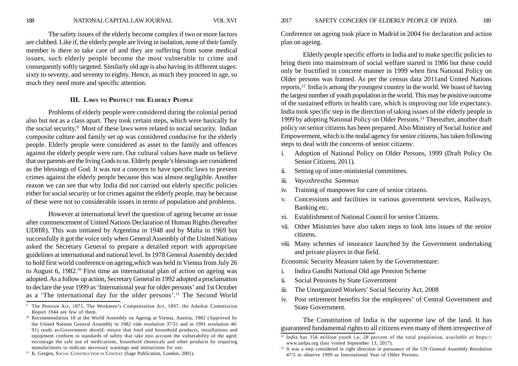The safety issues of the elderly become complex if two or more factors are clubbed. Like if, the elderly people are living in isolation, none of their family member is there to take care of and they are suffering from some medical issues, such elderly people become the most vulnerable to crime and consequently softly targeted. Similarly old age is also having its different stages: sixty to seventy, and seventy to eighty. Hence, as much they proceed in age, so much they need more and specific attention.

#### **III. LAWS TO PROTECT THE ELDERLY PEOPLE**

Problems of elderly people were considered during the colonial period also but not as a class apart. They took certain steps, which were basically for the social security.<sup>9</sup> Most of these laws were related to social security. Indian composite culture and family set up was considered conducive for the elderly people. Elderly people were considered as asset to the family and offences against the elderly people were rare. Our cultural values have made us believe that our parents are the living Gods to us. Elderly people's blessings are considered as the blessings of God. It was not a concern to have specific laws to prevent crimes against the elderly people because this was almost negligible. Another reason we can see that why India did not carried out elderly specific policies either for social security or for crimes against the elderly people, may be because of these were not so considerable issues in terms of population and problems.

However at international level the question of ageing became an issue after commencement of United Nations Declaration of Human Rights (hereafter UDHR). This was initiated by Argentina in 1948 and by Malta in 1969 but successfully it got the voice only when General Assembly of the United Nations asked the Secretary General to prepare a detailed report with appropriate guidelines at international and national level. In 1978 General Assembly decided to hold first world conference on ageing,which was held in Vienna from July 26 to August 6, 1982.10 First time an international plan of action on ageing was adopted. As a follow up action, Secretary General in 1992 adopted a proclamation to declare the year 1999 as 'International year for older persons' and 1st October as a 'The international day for the older persons'.11 The Second World

<sup>11</sup> K. Gergen, Social Construction in Context (Sage Publication, London, 2001).

Conference on ageing took place in Madrid in 2004 for declaration and action plan on ageing.

Elderly people specific efforts in India and to make specific policies to bring them into mainstream of social welfare started in 1986 but these could only be fructified in concrete manner in 1999 when first National Policy on Older persons was framed. As per the census data 2011and United Nations reports,12 India is among the youngest country in the world. We boast of having the largest number of youth population in the world. This may be positive outcome of the sustained efforts in health care, which is improving our life expectancy. India took specific step in the direction of taking issues of the elderly people in 1999 by adopting National Policy on Older Persons.13 Thereafter, another draft policy on senior citizens has been prepared. Also Ministry of Social Justice and Empowerment, which is the nodal agency for senior citizens, has taken following steps to deal with the concerns of senior citizens:

- i. Adoption of National Policy on Older Persons, 1999 (Draft Policy On Senior Citizens, 2011).
- ii. Setting up of inter-ministerial committees.
- iii. *Vayoshrestha Samman*
- iv. Training of manpower for care of senior citizens.
- v. Concessions and facilities in various government services, Railways, Banking etc.
- vi. Establishment of National Council for senior Citizens.
- vii. Other Ministries have also taken steps to look into issues of the senior citizens.
- viii. Many schemes of insurance launched by the Government undertaking and private players in that field.

Economic Security Measure taken by the Governmentare:

- i. Indira Gandhi National Old age Pension Scheme
- ii. Social Pensions by State Government
- iii. The Unorganized Workers' Social Security Act, 2008
- iv. Post retirement benefits for the employees' of Central Government and State Government.

The Constitution of India is the supreme law of the land. It has guaranteed fundamental rights to all citizens even many of them irrespective of

<sup>9</sup> The Pension Act, 1871, The Workmen's Compensation Act, 1897, the Adarkar Commission Report 1944 are few of them.

<sup>&</sup>lt;sup>10</sup> Recommendation 18 at the World Assembly on Ageing at Vienna, Austria, 1982 (Approved by the United Nations General Assembly in 1982 vide resolution 37/51 and in 1991 resolution 46/ 91) reads as:Government should: ensure that food and household products, installations and equipment conform to standards of safety that take into account the vulnerability of the aged; encourage the safe use of medications, household chemicals and other products by requiring manufacturers to indicate necessary warnings and instructions for use.

<sup>12</sup> India has 356 million youth i,e, 28 percent of the total population, *available at* https:// www.unfpa.org (last visited September 13, 2017).

<sup>&</sup>lt;sup>13</sup> It was a step considered in right direction in pursuance of the UN General Assembly Resolution 47/5 to observe 1999 as International Year of Older Persons.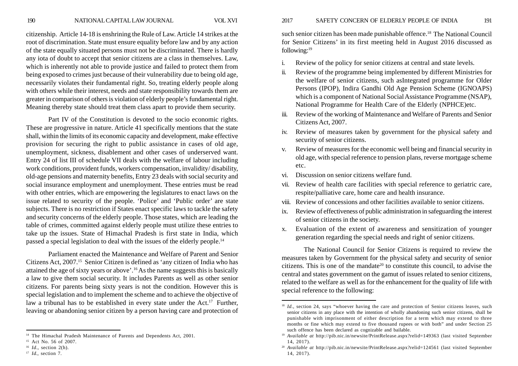citizenship. Article 14-18 is enshrining the Rule of Law. Article 14 strikes at the root of discrimination. State must ensure equality before law and by any action of the state equally situated persons must not be discriminated. There is hardly any iota of doubt to accept that senior citizens are a class in themselves. Law, which is inherently not able to provide justice and failed to protect them from being exposed to crimes just because of their vulnerability due to being old age, necessarily violates their fundamental right. So, treating elderly people along with others while their interest, needs and state responsibility towards them are greater in comparison of others is violation of elderly people's fundamental right. Meaning thereby state should treat them class apart to provide them security.

Part IV of the Constitution is devoted to the socio economic rights. These are progressive in nature. Article 41 specifically mentions that the state shall, within the limits of its economic capacity and development, make effective provision for securing the right to public assistance in cases of old age, unemployment, sickness, disablement and other cases of underserved want. Entry 24 of list III of schedule VII deals with the welfare of labour including work conditions, provident funds, workers compensation, invalidity/ disability, old-age pensions and maternity benefits, Entry 23 deals with social security and social insurance employment and unemployment. These entries must be read with other entries, which are empowering the legislatures to enact laws on the issue related to security of the people. 'Police' and 'Public order' are state subjects. There is no restriction if States enact specific laws to tackle the safety and security concerns of the elderly people. Those states, which are leading the table of crimes, committed against elderly people must utilize these entries to take up the issues. State of Himachal Pradesh is first state in India, which passed a special legislation to deal with the issues of the elderly people.14

Parliament enacted the Maintenance and Welfare of Parent and Senior Citizens Act, 2007.15 Senior Citizen is defined as 'any citizen of India who has attained the age of sixty years or above'.16 As the name suggests this is basically a law to give them social security. It includes Parents as well as other senior citizens. For parents being sixty years is not the condition. However this is special legislation and to implement the scheme and to achieve the objective of law a tribunal has to be established in every state under the Act.<sup>17</sup> Further, leaving or abandoning senior citizen by a person having care and protection of

such senior citizen has been made punishable offence.<sup>18</sup> The National Council

for Senior Citizens' in its first meeting held in August 2016 discussed as following:19

- i. Review of the policy for senior citizens at central and state levels.
- ii. Review of the programme being implemented by different Ministries for the welfare of senior citizens, such asIntegrated programme for Older Persons (IPOP), Indira Gandhi Old Age Pension Scheme (IGNOAPS) which is a component of National Social Assistance Programme (NSAP), National Programme for Health Care of the Elderly (NPHCE)etc.
- iii. Review of the working of Maintenance and Welfare of Parents and Senior Citizens Act, 2007.
- iv. Review of measures taken by government for the physical safety and security of senior citizens.
- v. Review of measures for the economic well being and financial security in old age, with special reference to pension plans, reverse mortgage scheme etc.
- vi. Discussion on senior citizens welfare fund.
- vii. Review of health care facilities with special reference to geriatric care, respite/palliative care, home care and health insurance.
- viii. Review of concessions and other facilities available to senior citizens.
- ix. Review of effectiveness of public administration in safeguarding the interest of senior citizens in the society.
- x. Evaluation of the extent of awareness and sensitization of younger generation regarding the special needs and right of senior citizens.

The National Council for Senior Citizens is required to review the measures taken by Government for the physical safety and security of senior citizens. This is one of the mandate<sup>20</sup> to constitute this council, to advise the central and states government on the gamut of issues related to senior citizens, related to the welfare as well as for the enhancement for the quality of life with special reference to the following:

<sup>&</sup>lt;sup>14</sup> The Himachal Pradesh Maintenance of Parents and Dependents Act, 2001.

<sup>&</sup>lt;sup>15</sup> Act No. 56 of 2007.

<sup>16</sup> *Id*., section 2(h).

<sup>17</sup> *Id*., section 7.

<sup>&</sup>lt;sup>18</sup> *Id.*, section 24, says "whoever having the care and protection of Senior citizens leaves, such senior citizens in any place with the intention of wholly abandoning such senior citizens, shall be punishable with imprisonment of either description for a term which may extend to three months or fine which may extend to five thousand rupees or with both" and under Section 25 such offence has been declared as cognizable and bailable.

<sup>19</sup> *Available at* http://pib.nic.in/newsite/PrintRelease.aspx?relid=149363 (last visited September 14, 2017).

<sup>20</sup> *Available at* http://pib.nic.in/newsite/PrintRelease.aspx?relid=124561 (last visited September 14, 2017).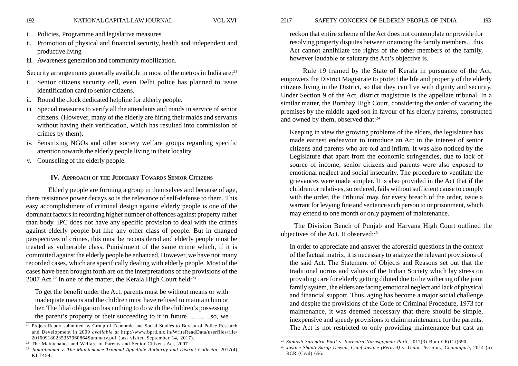- i. Policies, Programme and legislative measures
- ii. Promotion of physical and financial security, health and independent and productive living
- iii. Awareness generation and community mobilization.

Security arrangements generally available in most of the metros in India are:<sup>21</sup>

- i. Senior citizens security cell, even Delhi police has planned to issue identification card to senior citizens.
- ii. Round the clock dedicated helpline for elderly people.
- iii. Special measures to verify all the attendants and maids in service of senior citizens. (However, many of the elderly are hiring their maids and servants without having their verification, which has resulted into commission of crimes by them).
- iv. Sensitizing NGOs and other society welfare groups regarding specific attention towards the elderly people living in their locality.
- v. Counseling of the elderly people.

#### **IV. APPROACH OF THE JUDICIARY TOWARDS SENIOR CITIZENS**

Elderly people are forming a group in themselves and because of age, there resistance power decays so is the relevance of self-defense to them. This easy accomplishment of criminal design against elderly people is one of the dominant factors in recording higher number of offences against property rather than body. IPC does not have any specific provision to deal with the crimes against elderly people but like any other class of people. But in changed perspectives of crimes, this must be reconsidered and elderly people must be treated as vulnerable class. Punishment of the same crime which, if it is committed against the elderly people be enhanced. However, we have not many recorded cases, which are specifically dealing with elderly people. Most of the cases have been brought forth are on the interpretations of the provisions of the 2007 Act.<sup>22</sup> In one of the matter, the Kerala High Court held:<sup>23</sup>

To get the benefit under the Act, parents must be without means or with inadequate means and the children must have refused to maintain him or her. The filial obligation has nothing to do with the children's possessing the parent's property or their succeeding to it in future………..so, we

reckon that entire scheme of the Act does not contemplate or provide for resolving property disputes between or among the family members…this Act cannot annihilate the rights of the other members of the family, however laudable or salutary the Act's objective is.

Rule 19 framed by the State of Kerala in pursuance of the Act, empowers the District Magistrate to protect the life and property of the elderly citizens living in the District, so that they can live with dignity and security. Under Section 9 of the Act, district magistrate is the appellate tribunal. In a similar matter, the Bombay High Court, considering the order of vacating the premises by the middle aged son in favour of his elderly parents, constructed and owned by them, observed that:<sup>24</sup>

Keeping in view the growing problems of the elders, the legislature has made earnest endeavour to introduce an Act in the interest of senior citizens and parents who are old and infirm. It was also noticed by the Legislature that apart from the economic stringencies, due to lack of source of income, senior citizens and parents were also exposed to emotional neglect and social insecurity. The procedure to ventilate the grievances were made simpler. It is also provided in the Act that if the children or relatives, so ordered, fails without sufficient cause to comply with the order, the Tribunal may, for every breach of the order, issue a warrant for levying fine and sentence such person to imprisonment, which may extend to one month or only payment of maintenance.

The Division Bench of Punjab and Haryana High Court outlined the objectives of the Act. It observed:25

In order to appreciate and answer the aforesaid questions in the context of the factual matrix, it is necessary to analyze the relevant provisions of the said Act. The Statement of Objects and Reasons set out that the traditional norms and values of the Indian Society which lay stress on providing care for elderly getting diluted due to the withering of the joint family system, the elders are facing emotional neglect and lack of physical and financial support. Thus, aging has become a major social challenge and despite the provisions of the Code of Criminal Procedure, 1973 for maintenance, it was deemed necessary that there should be simple, inexpensive and speedy provisions to claim maintenance for the parents.

<sup>&</sup>lt;sup>21</sup> Project Report submitted by Group of Economic and Social Studies to Bureau of Police Research<br>and Development in 2009 available at http://www.bprd.nic.in/WriteReadData/userfiles/file/<br>**11 Development in 2009 available** 201609180235357960864Summary.pdf (last visited September 14, 2017).

 $22$  The Maintenance and Welfare of Parents and Senior Citizens Act, 2007

<sup>23</sup> *Janardhanan* v. *The Maintenance Tribunal Appellate Authority and District Collector,* 2017(4) KLT454.

<sup>24</sup> *Santosh Surendra Patil* v. *Surendra Narasgopnda Patil,* 2017(3) Bom CR(Cri)690.

<sup>25</sup> *Justice Shanti Sarup Dewan, Chief Justice (Retired)* v. *Union Territory, Chandigarh,* 2014 (5) RCR (Civil) 656.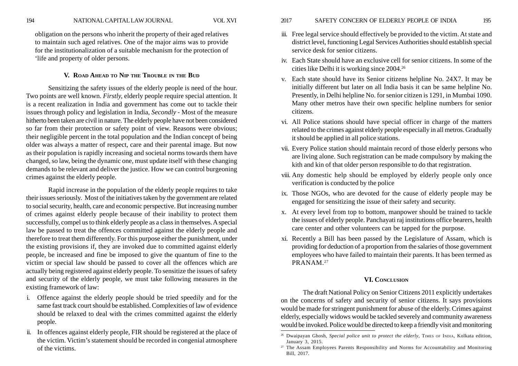obligation on the persons who inherit the property of their aged relatives to maintain such aged relatives. One of the major aims was to provide for the institutionalization of a suitable mechanism for the protection of 'life and property of older persons.

### **V. ROAD AHEAD TO NIP THE TROUBLE IN THE BUD**

Sensitizing the safety issues of the elderly people is need of the hour. Two points are well known. *Firstly,* elderly people require special attention. It is a recent realization in India and government has come out to tackle their issues through policy and legislation in India, *Secondly* - Most of the measure hitherto been taken are civil in nature. The elderly people have not been considered so far from their protection or safety point of view. Reasons were obvious; their negligible percent in the total population and the Indian concept of being older was always a matter of respect, care and their parental image. But now as their population is rapidly increasing and societal norms towards them have changed, so law, being the dynamic one, must update itself with these changing demands to be relevant and deliver the justice. How we can control burgeoning crimes against the elderly people.

Rapid increase in the population of the elderly people requires to take their issues seriously. Most of the initiatives taken by the government are related to social security, health, care and economic perspective. But increasing number of crimes against elderly people because of their inability to protect them successfully, compel us to think elderly people as a class in themselves. A special law be passed to treat the offences committed against the elderly people and therefore to treat them differently. For this purpose either the punishment, under the existing provisions if, they are invoked due to committed against elderly people, be increased and fine be imposed to give the quantum of fine to the victim or special law should be passed to cover all the offences which are actually being registered against elderly people. To sensitize the issues of safety and security of the elderly people, we must take following measures in the existing framework of law:

- i. Offence against the elderly people should be tried speedily and for the same fast track court should be established. Complexities of law of evidence should be relaxed to deal with the crimes committed against the elderly people.
- ii. In offences against elderly people, FIR should be registered at the place of the victim. Victim's statement should be recorded in congenial atmosphere of the victims.
- iii. Free legal service should effectively be provided to the victim. At state and district level, functioning Legal Services Authorities should establish special service desk for senior citizens.
- iv. Each State should have an exclusive cell for senior citizens. In some of the cities like Delhi it is working since 2004.26
- v. Each state should have its Senior citizens helpline No. 24X7. It may be initially different but later on all India basis it can be same helpline No. Presently, in Delhi helpline No. for senior citizen is 1291, in Mumbai 1090. Many other metros have their own specific helpline numbers for senior citizens.
- vi. All Police stations should have special officer in charge of the matters related to the crimes against elderly people especially in all metros. Gradually it should be applied in all police stations.
- vii. Every Police station should maintain record of those elderly persons who are living alone. Such registration can be made compulsory by making the kith and kin of that older person responsible to do that registration.
- viii. Any domestic help should be employed by elderly people only once verification is conducted by the police
- ix. Those NGOs, who are devoted for the cause of elderly people may be engaged for sensitizing the issue of their safety and security.
- x. At every level from top to bottom, manpower should be trained to tackle the issues of elderly people. Panchayati raj institutions office bearers, health care center and other volunteers can be tapped for the purpose.
- xi. Recently a Bill has been passed by the Legislature of Assam, which is providing for deduction of a proportion from the salaries of those government employees who have failed to maintain their parents. It has been termed as PRANAM.27

#### **VI. CONCLUSION**

The draft National Policy on Senior Citizens 2011 explicitly undertakes on the concerns of safety and security of senior citizens. It says provisions would be made for stringent punishment for abuse of the elderly. Crimes against elderly, especially widows would be tackled severely and community awareness would be invoked. Police would be directed to keep a friendly visit and monitoring

<sup>&</sup>lt;sup>26</sup> Dwaipayan Ghosh, *Special police unit to protect the elderly*, TIMES OF INDIA, Kolkata edition, January 3, 2015.

 $27$  The Assam Employees Parents Responsibility and Norms for Accountability and Monitoring Bill, 2017.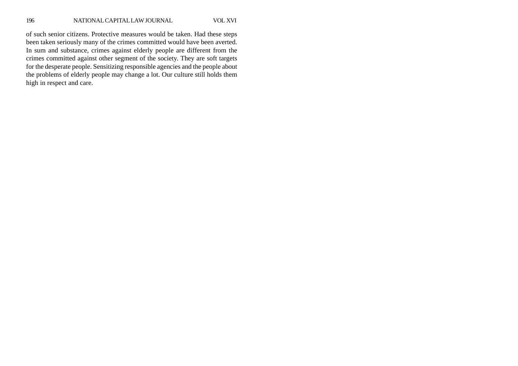of such senior citizens. Protective measures would be taken. Had these steps been taken seriously many of the crimes committed would have been averted. In sum and substance, crimes against elderly people are different from the crimes committed against other segment of the society. They are soft targets for the desperate people. Sensitizing responsible agencies and the people about the problems of elderly people may change a lot. Our culture still holds them high in respect and care.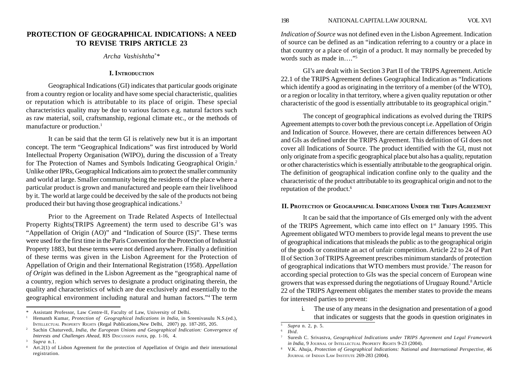# **PROTECTION OF GEOGRAPHICAL INDICATIONS: A NEED TO REVISE TRIPS ARTICLE 23**

*Archa Vashishtha\* \**

## **I. INTRODUCTION**

Geographical Indications (GI) indicates that particular goods originate from a country region or locality and have some special characteristic, qualities or reputation which is attributable to its place of origin. These special characteristics quality may be due to various factors e.g. natural factors such as raw material, soil, craftsmanship, regional climate etc., or the methods of manufacture or production.<sup>1</sup>

It can be said that the term GI is relatively new but it is an important concept. The term "Geographical Indications" was first introduced by World Intellectual Property Organisation (WIPO), during the discussion of a Treaty for The Protection of Names and Symbols Indicating Geographical Origin.2 Unlike other IPRs, Geographical Indications aim to protect the smaller community and world at large. Smaller community being the residents of the place where a particular product is grown and manufactured and people earn their livelihood by it. The world at large could be deceived by the sale of the products not being produced their but having those geographical indications.3

Prior to the Agreement on Trade Related Aspects of Intellectual Property Rights(TRIPS Agreement) the term used to describe GI's was "Appellation of Origin (AO)" and "Indication of Source (IS)". These terms were used for the first time in the Paris Convention for the Protection of Industrial Property 1883, but these terms were not defined anywhere. Finally a definition of these terms was given in the Lisbon Agreement for the Protection of Appellation of Origin and their International Registration (1958). *Appellation of Origin* was defined in the Lisbon Agreement as the "geographical name of a country, region which serves to designate a product originating therein, the quality and characteristics of which are due exclusively and essentially to the geographical environment including natural and human factors."4 The term

*Indication of Source* was not defined even in the Lisbon Agreement. Indication of source can be defined as an "indication referring to a country or a place in that country or a place of origin of a product. It may normally be preceded by words such as made in…."5

GI's are dealt with in Section 3 Part II of the TRIPS Agreement. Article 22.1 of the TRIPS Agreement defines Geographical Indication as "Indications which identify a good as originating in the territory of a member (of the WTO), or a region or locality in that territory, where a given quality reputation or other characteristic of the good is essentially attributable to its geographical origin."

The concept of geographical indications as evolved during the TRIPS Agreement attempts to cover both the previous concept i.e. Appellation of Origin and Indication of Source. However, there are certain differences between AO and GIs as defined under the TRIPS Agreement. This definition of GI does not cover all Indications of Source. The product identified with the GI, must not only originate from a specific geographical place but also has a quality, reputation or other characteristics which is essentially attributable to the geographical origin. The definition of geographical indication confine only to the quality and the characteristic of the product attributable to its geographical origin and not to the reputation of the product.6

### **II. PROTECTION OF GEOGRAPHICAL INDICATIONS UNDER THE TRIPS AGREEMENT**

It can be said that the importance of GIs emerged only with the advent of the TRIPS Agreement, which came into effect on 1st January 1995. This Agreement obligated WTO members to provide legal means to prevent the use of geographical indications that misleads the public as to the geographical origin of the goods or constitute an act of unfair competition. Article 22 to 24 of Part II of Section 3 of TRIPS Agreement prescribes minimum standards of protection of geographical indications that WTO members must provide.7 The reason for according special protection to GIs was the special concern of European wine growers that was expressed during the negotiations of Uruguay Round.8 Article 22 of the TRIPS Agreement obligates the member states to provide the means for interested parties to prevent:

i. The use of any means in the designation and presentation of a good Assistant Professor, Law Centre-II, Faculty of Law, University of Delhi.<br>
Hemanth Kumar, Protection of Geographical Indications in India, in Sreenivasulu N.S.(ed.). 
<br> **Hemanth Kumar, Protection of Geographical Indications** 

<sup>1</sup> Hemanth Kumar, *Protection of Geographical Indications in India*, in Sreenivasulu N.S.(ed.), INTELLECTUAL PROPERTY RIGHTS (Regal Publications,New Delhi, 2007) pp. 187-205, 205.

<sup>2</sup> Sachin Chaturvedi, *India, the European Unions and Geographical Indication: Convergence of Interests and Challenges Ahead,* RIS DISCUSSION PAPER, pp. 1-16, 4.

<sup>3</sup> *Supra* n.1.

Art.2(1) of Lisbon Agreement for the protection of Appellation of Origin and their international registration.

<sup>5</sup> *Supra* n. 2, p. 5.

<sup>6</sup> *Ibid.*

<sup>7</sup> Suresh C. Srivastva, *Geographical Indications under TRIPS Agreement and Legal Framework in India*, 9 JOURNAL OF INTELLECTUAL PROPERTY RIGHTS 9-23 (2004).

<sup>8</sup> V.K. Ahuja, *Protection of Geographical Indications: National and International Perspective*, 46 JOURNAL OF INDIAN LAW INSTITUTE 269-283 (2004).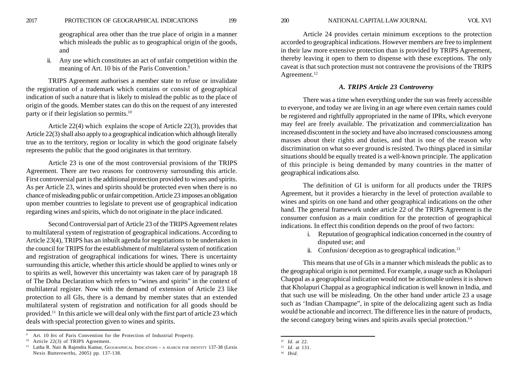geographical area other than the true place of origin in a manner which misleads the public as to geographical origin of the goods, and

ii. Any use which constitutes an act of unfair competition within the meaning of Art. 10 bis of the Paris Convention.<sup>9</sup>

TRIPS Agreement authorises a member state to refuse or invalidate the registration of a trademark which contains or consist of geographical indication of such a nature that is likely to mislead the public as to the place of origin of the goods. Member states can do this on the request of any interested party or if their legislation so permits.10

Article 22(4) which explains the scope of Article 22(3), provides that Article 22(3) shall also apply to a geographical indication which although literally true as to the territory, region or locality in which the good originate falsely represents the public that the good originates in that territory.

Article 23 is one of the most controversial provisions of the TRIPS Agreement. There are two reasons for controversy surrounding this article. First controversial part is the additional protection provided to wines and spirits. As per Article 23, wines and spirits should be protected even when there is no chance of misleading public or unfair competition. Article 23 imposes an obligation upon member countries to legislate to prevent use of geographical indication regarding wines and spirits, which do not originate in the place indicated.

Second Controversial part of Article 23 of the TRIPS Agreement relates to multilateral system of registration of geographical indications. According to Article 23(4), TRIPS has an inbuilt agenda for negotiations to be undertaken in the council for TRIPS for the establishment of multilateral system of notification and registration of geographical indications for wines. There is uncertainty surrounding this article, whether this article should be applied to wines only or to spirits as well, however this uncertainty was taken care of by paragraph 18 of The Doha Declaration which refers to "wines and spirits" in the context of multilateral register. Now with the demand of extension of Article 23 like protection to all GIs, there is a demand by member states that an extended multilateral system of registration and notification for all goods should be provided.11 In this article we will deal only with the first part of article 23 which deals with special protection given to wines and spirits.

Article 24 provides certain minimum exceptions to the protection accorded to geographical indications. However members are free to implement in their law more extensive protection than is provided by TRIPS Agreement, thereby leaving it open to them to dispense with these exceptions. The only caveat is that such protection must not contravene the provisions of the TRIPS Agreement.<sup>12</sup>

#### *A. TRIPS Article 23 Controversy*

There was a time when everything under the sun was freely accessible to everyone, and today we are living in an age where even certain names could be registered and rightfully appropriated in the name of IPRs, which everyone may feel are freely available. The privatization and commercialization has increased discontent in the society and have also increased consciousness among masses about their rights and duties, and that is one of the reason why discrimination on what so ever ground is resisted. Two things placed in similar situations should be equally treated is a well-known principle. The application of this principle is being demanded by many countries in the matter of geographical indications also.

The definition of GI is uniform for all products under the TRIPS Agreement, but it provides a hierarchy in the level of protection available to wines and spirits on one hand and other geographical indications on the other hand. The general framework under article 22 of the TRIPS Agreement is the consumer confusion as a main condition for the protection of geographical indications. In effect this condition depends on the proof of two factors:

- i. Reputation of geographical indication concerned in the country of disputed use; and
- ii. Confusion/ deception as to geographical indication.<sup>13</sup>

This means that use of GIs in a manner which misleads the public as to the geographical origin is not permitted. For example, a usage such as Kholapuri Chappal as a geographical indication would not be actionable unless it is shown that Kholapuri Chappal as a geographical indication is well known in India, and that such use will be misleading. On the other hand under article 23 a usage such as 'Indian Champagne", in spite of the delocalizing agent such as India would be actionable and incorrect. The difference lies in the nature of products, the second category being wines and spirits avails special protection.<sup>14</sup>

<sup>9</sup> Art. 10 *bis* of Paris Convention for the Protection of Industrial Property.

<sup>&</sup>lt;sup>10</sup> Article 22(3) of TRIPS Agreement.

Latha R. Nair & Rajendra Kumar, GEOGRAPHICAL INDICATIONS - A SEARCH FOR IDENTITY 137-38 (Lexis Nexis Butterowrths, 2005) pp. 137-138.

<sup>12</sup> *Id*. at 22.

<sup>13</sup> *Id*. at 131.

<sup>14</sup> *Ibid.*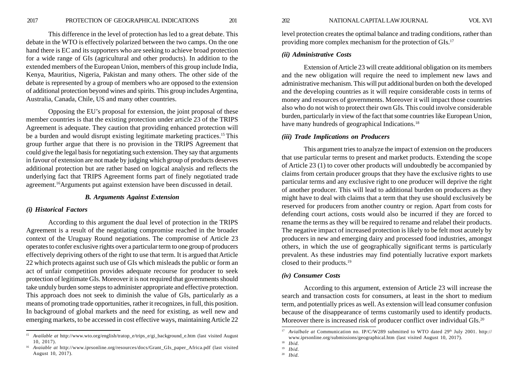This difference in the level of protection has led to a great debate. This debate in the WTO is effectively polarized between the two camps. On the one hand there is EC and its supporters who are seeking to achieve broad protection for a wide range of GIs (agricultural and other products). In addition to the extended members of the European Union, members of this group include India, Kenya, Mauritius, Nigeria, Pakistan and many others. The other side of the debate is represented by a group of members who are opposed to the extension of additional protection beyond wines and spirits. This group includes Argentina, Australia, Canada, Chile, US and many other countries.

Opposing the EU's proposal for extension, the joint proposal of these member countries is that the existing protection under article 23 of the TRIPS Agreement is adequate. They caution that providing enhanced protection will be a burden and would disrupt existing legitimate marketing practices.15 This group further argue that there is no provision in the TRIPS Agreement that could give the legal basis for negotiating such extension. They say that arguments in favour of extension are not made by judging which group of products deserves additional protection but are rather based on logical analysis and reflects the underlying fact that TRIPS Agreement forms part of finely negotiated trade agreement.16Arguments put against extension have been discussed in detail.

#### *B. Arguments Against Extension*

### *(i) Historical Factors*

According to this argument the dual level of protection in the TRIPS Agreement is a result of the negotiating compromise reached in the broader context of the Uruguay Round negotiations. The compromise of Article 23 operates to confer exclusive rights over a particular term to one group of producers effectively depriving others of the right to use that term. It is argued that Article 22 which protects against such use of GIs which misleads the public or form an act of unfair competition provides adequate recourse for producer to seek protection of legitimate GIs. Moreover it is not required that governments should take unduly burden some steps to administer appropriate and effective protection. This approach does not seek to diminish the value of GIs, particularly as a means of promoting trade opportunities, rather it recognizes, in full, this position. In background of global markets and the need for existing, as well new and emerging markets, to be accessed in cost effective ways, maintaining Article 22

level protection creates the optimal balance and trading conditions, rather than providing more complex mechanism for the protection of GIs.17

#### *(ii) Administrative Costs*

Extension of Article 23 will create additional obligation on its members and the new obligation will require the need to implement new laws and administrative mechanism. This will put additional burden on both the developed and the developing countries as it will require considerable costs in terms of money and resources of governments. Moreover it will impact those countries also who do not wish to protect their own GIs. This could involve considerable burden, particularly in view of the fact that some countries like European Union, have many hundreds of geographical Indications.<sup>18</sup>

## *(iii) Trade Implications on Producers*

This argument tries to analyze the impact of extension on the producers that use particular terms to present and market products. Extending the scope of Article 23 (1) to cover other products will undoubtedly be accompanied by claims from certain producer groups that they have the exclusive rights to use particular terms and any exclusive right to one producer will deprive the right of another producer. This will lead to additional burden on producers as they might have to deal with claims that a term that they use should exclusively be reserved for producers from another country or region. Apart from costs for defending court actions, costs would also be incurred if they are forced to rename the terms as they will be required to rename and relabel their products. The negative impact of increased protection is likely to be felt most acutely by producers in new and emerging dairy and processed food industries, amongst others, in which the use of geographically significant terms is particularly prevalent. As these industries may find potentially lucrative export markets closed to their products.19

#### *(iv) Consumer Costs*

According to this argument, extension of Article 23 will increase the search and transaction costs for consumers, at least in the short to medium term, and potentially prices as well. As extension will lead consumer confusion because of the disappearance of terms customarily used to identify products. Moreover there is increased risk of producer conflict over individual GIs.<sup>20</sup>

<sup>&</sup>lt;sup>15</sup> *Available at http://www.wto.org/english/tratop e/trips e/gi background e.htm (last visited August* 10, 2017).

<sup>16</sup> *Avaiable at* http://www.iprsonline.org/resources/docs/Grant\_GIs\_paper\_Africa.pdf (last visited August 10, 2017).

<sup>&</sup>lt;sup>17</sup> Avialbale at Communication no. IP/C/W289 submitted to WTO dated 29<sup>th</sup> July 2001. http:// www.iprsonline.org/submissions/geographical.htm (last visited August 10, 2017).

<sup>18</sup> *Ibid.*

<sup>19</sup> *Ibid.*

<sup>20</sup> *Ibid.*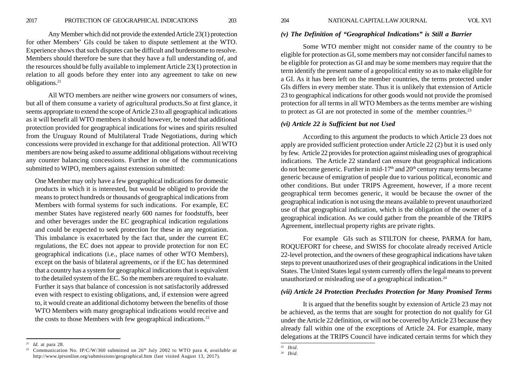Any Member which did not provide the extended Article 23(1) protection for other Members' GIs could be taken to dispute settlement at the WTO. Experience shows that such disputes can be difficult and burdensome to resolve. Members should therefore be sure that they have a full understanding of, and the resources should be fully available to implement Article 23(1) protection in relation to all goods before they enter into any agreement to take on new obligations.21

All WTO members are neither wine growers nor consumers of wines, but all of them consume a variety of agricultural products.So at first glance, it seems appropriate to extend the scope of Article 23 to all geographical indications as it will benefit all WTO members it should however, be noted that additional protection provided for geographical indications for wines and spirits resulted from the Uruguay Round of Multilateral Trade Negotiations, during which concessions were provided in exchange for that additional protection. All WTO members are now being asked to assume additional obligations without receiving any counter balancing concessions. Further in one of the communications submitted to WIPO, members against extension submitted:

One Member may only have a few geographical indications for domestic products in which it is interested, but would be obliged to provide the means to protect hundreds or thousands of geographical indications from Members with formal systems for such indications. For example, EC member States have registered nearly 600 names for foodstuffs, beer and other beverages under the EC geographical indication regulations and could be expected to seek protection for these in any negotiation. This imbalance is exacerbated by the fact that, under the current EC regulations, the EC does not appear to provide protection for non EC geographical indications (i.e., place names of other WTO Members), except on the basis of bilateral agreements, or if the EC has determined that a country has a system for geographical indications that is equivalent to the detailed system of the EC. So the members are required to evaluate. Further it says that balance of concession is not satisfactorily addressed even with respect to existing obligations, and, if extension were agreed to, it would create an additional dichotomy between the benefits of those WTO Members with many geographical indications would receive and the costs to those Members with few geographical indications.<sup>22</sup>

# *(v) The Definition of "Geographical Indications" is Still a Barrier*

Some WTO member might not consider name of the country to be eligible for protection as GI, some members may not consider fanciful names to be eligible for protection as GI and may be some members may require that the term identify the present name of a geopolitical entity so as to make eligible for a GI. As it has been left on the member countries, the terms protected under GIs differs in every member state. Thus it is unlikely that extension of Article 23 to geographical indications for other goods would not provide the promised protection for all terms in all WTO Members as the terms member are wishing to protect as GI are not protected in some of the member countries.<sup>23</sup>

### *(vi) Article 22 is Sufficient but not Used*

According to this argument the products to which Article 23 does not apply are provided sufficient protection under Article 22 (2) but it is used only by few. Article 22 provides for protection against misleading uses of geographical indications. The Article 22 standard can ensure that geographical indications do not become generic. Further in mid-17<sup>th</sup> and  $20<sup>th</sup>$  century many terms became generic because of emigration of people due to various political, economic and other conditions. But under TRIPS Agreement, however, if a more recent geographical term becomes generic, it would be because the owner of the geographical indication is not using the means available to prevent unauthorized use of that geographical indication, which is the obligation of the owner of a geographical indication. As we could gather from the preamble of the TRIPS Agreement, intellectual property rights are private rights.

For example GIs such as STILTON for cheese, PARMA for ham, ROQUEFORT for cheese, and SWISS for chocolate already received Article 22-level protection, and the owners of these geographical indications have taken steps to prevent unauthorized uses of their geographical indications in the United States. The United States legal system currently offers the legal means to prevent unauthorized or misleading use of a geographical indication.<sup>24</sup>

### *(vii) Article 24 Protection Precludes Protection for Many Promised Terms*

It is argued that the benefits sought by extension of Article 23 may not be achieved, as the terms that are sought for protection do not qualify for GI under the Article 22 definition, or will not be covered by Article 23 because they already fall within one of the exceptions of Article 24. For example, many delegations at the TRIPS Council have indicated certain terms for which they

 $\frac{21}{22}$  *Id.* at para 28.

<sup>22</sup> Communication No. IP/C/W/360 submitted on 26th July 2002 to WTO para 4, *available at* http://www.iprsonline.org/submissions/geographical.htm (last visited August 13, 2017).

<sup>23</sup> *Ibid*.

<sup>24</sup> *Ibid.*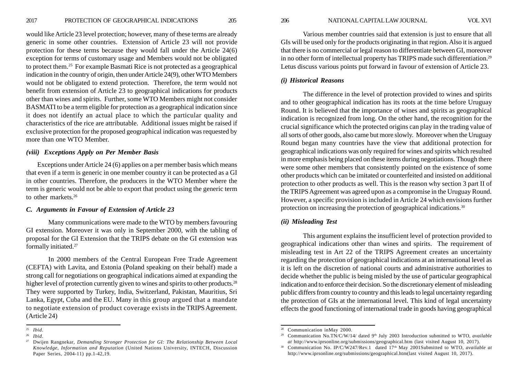would like Article 23 level protection; however, many of these terms are already generic in some other countries. Extension of Article 23 will not provide protection for these terms because they would fall under the Article 24(6) exception for terms of customary usage and Members would not be obligated to protect them.25 For example Basmati Rice is not protected as a geographical indication in the country of origin, then under Article 24(9), other WTO Members would not be obligated to extend protection. Therefore, the term would not benefit from extension of Article 23 to geographical indications for products other than wines and spirits. Further, some WTO Members might not consider BASMATI to be a term eligible for protection as a geographical indication since it does not identify an actual place to which the particular quality and characteristics of the rice are attributable. Additional issues might be raised if exclusive protection for the proposed geographical indication was requested by more than one WTO Member.

#### *(viii) Exceptions Apply on Per Member Basis*

Exceptions under Article 24 (6) applies on a per member basis which means that even if a term is generic in one member country it can be protected as a GI in other countries. Therefore, the producers in the WTO Member where the term is generic would not be able to export that product using the generic term to other markets.26

# *C. Arguments in Favour of Extension of Article 23*

Many communications were made to the WTO by members favouring GI extension. Moreover it was only in September 2000, with the tabling of proposal for the GI Extension that the TRIPS debate on the GI extension was formally initiated.27

In 2000 members of the Central European Free Trade Agreement (CEFTA) with Lavita, and Estonia (Poland speaking on their behalf) made a strong call for negotiations on geographical indications aimed at expanding the higher level of protection currently given to wines and spirits to other products.<sup>28</sup> They were supported by Turkey, India, Switzerland, Pakistan, Mauritius, Sri Lanka, Egypt, Cuba and the EU. Many in this group argued that a mandate to negotiate extension of product coverage exists in the TRIPS Agreement. (Article 24)

Various member countries said that extension is just to ensure that all GIs will be used only for the products originating in that region. Also it is argued that there is no commercial or legal reason to differentiate between GI, moreover in no other form of intellectual property has TRIPS made such differentiation.<sup>29</sup> Letus discuss various points put forward in favour of extension of Article 23.

### *(i) Historical Reasons*

The difference in the level of protection provided to wines and spirits and to other geographical indication has its roots at the time before Uruguay Round. It is believed that the importance of wines and spirits as geographical indication is recognized from long. On the other hand, the recognition for the crucial significance which the protected origins can play in the trading value of all sorts of other goods, also came but more slowly. Moreover when the Uruguay Round began many countries have the view that additional protection for geographical indications was only required for wines and spirits which resulted in more emphasis being placed on these items during negotiations. Though there were some other members that consistently pointed on the existence of some other products which can be imitated or counterfeited and insisted on additional protection to other products as well. This is the reason why section 3 part II of the TRIPS Agreement was agreed upon as a compromise in the Uruguay Round. However, a specific provision is included in Article 24 which envisions further protection on increasing the protection of geographical indications.30

#### *(ii) Misleading Test*

This argument explains the insufficient level of protection provided to geographical indications other than wines and spirits. The requirement of misleading test in Art 22 of the TRIPS Agreement creates an uncertainty regarding the protection of geographical indications at an international level as it is left on the discretion of national courts and administrative authorities to decide whether the public is being misled by the use of particular geographical indication and to enforce their decision. So the discretionary element of misleading public differs from country to country and this leads to legal uncertainty regarding the protection of GIs at the international level. This kind of legal uncertainty effects the good functioning of international trade in goods having geographical

<sup>25</sup> *Ibid.*

<sup>26</sup> *Ibid.*

<sup>27</sup> Dwijen Rangnekar, *Demanding Stronger Protection for GI: The Relationship Between Local Knowledge, Information and Reputation* (United Nations University, INTECH, Discussion Paper Series, 2004-11) pp.1-42,19.

<sup>28</sup> Communication inMay 2000.

<sup>29</sup> Communication No.TN/C/W/14/ dated 9th July 2003 Introduction submitted to WTO, *available at* http://www.iprsonline.org/submissions/geographical.htm (last visited August 10, 2017).

<sup>&</sup>lt;sup>30</sup> Communication No. IP/C/W247/Rev.1 dated 17<sup>th</sup> May 2001Submitted to WTO, *available at* http://www.iprsonline.org/submissions/geographical.htm(last visited August 10, 2017).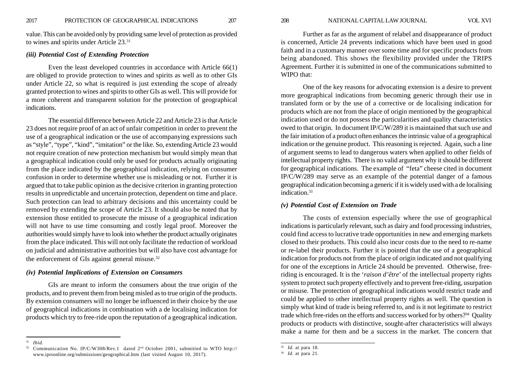value. This can be avoided only by providing same level of protection as provided to wines and spirits under Article 23.31

## *(iii) Potential Cost of Extending Protection*

Even the least developed countries in accordance with Article 66(1) are obliged to provide protection to wines and spirits as well as to other GIs under Article 22, so what is required is just extending the scope of already granted protection to wines and spirits to other GIs as well. This will provide for a more coherent and transparent solution for the protection of geographical indications.

The essential difference between Article 22 and Article 23 is that Article 23 does not require proof of an act of unfair competition in order to prevent the use of a geographical indication or the use of accompanying expressions such as "style", "type", "kind", "imitation" or the like. So, extending Article 23 would not require creation of new protection mechanism but would simply mean that a geographical indication could only be used for products actually originating from the place indicated by the geographical indication, relying on consumer confusion in order to determine whether use is misleading or not. Further it is argued that to take public opinion as the decisive criterion in granting protection results in unpredictable and uncertain protection, dependent on time and place. Such protection can lead to arbitrary decisions and this uncertainty could be removed by extending the scope of Article 23. It should also be noted that by extension those entitled to prosecute the misuse of a geographical indication will not have to use time consuming and costly legal proof. Moreover the authorities would simply have to look into whether the product actually originates from the place indicated. This will not only facilitate the reduction of workload on judicial and administrative authorities but will also have cost advantage for the enforcement of GIs against general misuse.<sup>32</sup>

# *(iv) Potential Implications of Extension on Consumers*

GIs are meant to inform the consumers about the true origin of the products, and to prevent them from being misled as to true origin of the products. By extension consumers will no longer be influenced in their choice by the use of geographical indications in combination with a de localising indication for products which try to free-ride upon the reputation of a geographical indication.

<sup>31</sup> *Ibid.*

Further as far as the argument of relabel and disappearance of product is concerned, Article 24 prevents indications which have been used in good faith and in a customary manner over some time and for specific products from being abandoned. This shows the flexibility provided under the TRIPS Agreement. Further it is submitted in one of the communications submitted to WIPO that:

One of the key reasons for advocating extension is a desire to prevent more geographical indications from becoming generic through their use in translated form or by the use of a corrective or de localising indication for products which are not from the place of origin mentioned by the geographical indication used or do not possess the particularities and quality characteristics owed to that origin. In document IP/C/W/289 it is maintained that such use and the fair imitation of a product often enhances the intrinsic value of a geographical indication or the genuine product. This reasoning is rejected. Again, such a line of argument seems to lead to dangerous waters when applied to other fields of intellectual property rights. There is no valid argument why it should be different for geographical indications. The example of "feta" cheese cited in document IP/C/W/289 may serve as an example of the potential danger of a famous geographical indication becoming a generic if it is widely used with a de localising indication.33

## *(v) Potential Cost of Extension on Trade*

The costs of extension especially where the use of geographical indications is particularly relevant, such as dairy and food processing industries, could find access to lucrative trade opportunities in new and emerging markets closed to their products. This could also incur costs due to the need to re-name or re-label their products. Further it is pointed that the use of a geographical indication for products not from the place of origin indicated and not qualifying for one of the exceptions in Article 24 should be prevented. Otherwise, freeriding is encouraged. It is the '*raison d'être*' of the intellectual property rights system to protect such property effectively and to prevent free-riding, usurpation or misuse. The protection of geographical indications would restrict trade and could be applied to other intellectual property rights as well. The question is simply what kind of trade is being referred to, and is it not legitimate to restrict trade which free-rides on the efforts and success worked for by others?<sup>34</sup> Quality products or products with distinctive, sought-after characteristics will always make a name for them and be a success in the market. The concern that

<sup>&</sup>lt;sup>32</sup> Communication No. IP/C/W308/Rev.1 dated 2<sup>nd</sup> October 2001, submitted to WTO http:// www.iprsonline.org/submissions/geographical.htm (last visited August 10, 2017).

<sup>33</sup> *Id.* at para 18.

<sup>34</sup> *Id*. at para 21.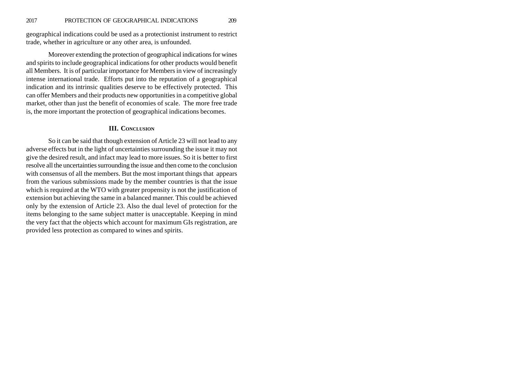geographical indications could be used as a protectionist instrument to restrict trade, whether in agriculture or any other area, is unfounded.

Moreover extending the protection of geographical indications for wines and spirits to include geographical indications for other products would benefit all Members. It is of particular importance for Members in view of increasingly intense international trade. Efforts put into the reputation of a geographical indication and its intrinsic qualities deserve to be effectively protected. This can offer Members and their products new opportunities in a competitive global market, other than just the benefit of economies of scale. The more free trade is, the more important the protection of geographical indications becomes.

#### **III. CONCLUSION**

So it can be said that though extension of Article 23 will not lead to any adverse effects but in the light of uncertainties surrounding the issue it may not give the desired result, and infact may lead to more issues. So it is better to first resolve all the uncertainties surrounding the issue and then come to the conclusion with consensus of all the members. But the most important things that appears from the various submissions made by the member countries is that the issue which is required at the WTO with greater propensity is not the justification of extension but achieving the same in a balanced manner. This could be achieved only by the extension of Article 23. Also the dual level of protection for the items belonging to the same subject matter is unacceptable. Keeping in mind the very fact that the objects which account for maximum GIs registration, are provided less protection as compared to wines and spirits.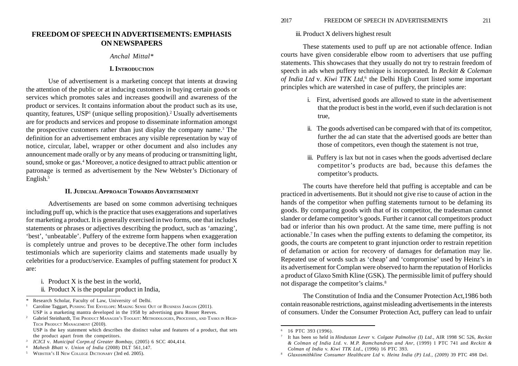# **FREEDOM OF SPEECH IN ADVERTISEMENTS: EMPHASIS ON NEWSPAPERS**

## *Anchal Mittal\**

## **I. INTRODUCTION**

Use of advertisement is a marketing concept that intents at drawing the attention of the public or at inducing customers in buying certain goods or services which promotes sales and increases goodwill and awareness of the product or services. It contains information about the product such as its use, quantity, features,  $USP<sup>1</sup>$  (unique selling proposition).<sup>2</sup> Usually advertisements are for products and services and propose to disseminate information amongst the prospective customers rather than just display the company name.3 The definition for an advertisement embraces any visible representation by way of notice, circular, label, wrapper or other document and also includes any announcement made orally or by any means of producing or transmitting light, sound, smoke or gas.4 Moreover, a notice designed to attract public attention or patronage is termed as advertisement by the New Webster's Dictionary of English.<sup>5</sup>

# **II. JUDICIAL APPROACH TOWARDS ADVERTISEMENT**

Advertisements are based on some common advertising techniques including puff up, which is the practice that uses exaggerations and superlatives for marketing a product. It is generally exercised in two forms, one that includes statements or phrases or adjectives describing the product, such as 'amazing', 'best', 'unbeatable'. Puffery of the extreme form happens when exaggeration is completely untrue and proves to be deceptive.The other form includes testimonials which are superiority claims and statements made usually by celebrities for a product/service. Examples of puffing statement for product X are:

- i. Product  $X$  is the best in the world.
- ii. Product X is the popular product in India,

- <sup>2</sup> Gabriel Steinhardt, The Product MANAGER's TOOLKIT: METHODOLOGIES, PROCESSES, AND TASKS IN HIGH-TECH PRODUCT MANAGEMENT (2010).
- USP is the key statement which describes the distinct value and features of a product, that sets the product apart from the competitors.
- *<sup>3</sup> ICICI* v*. Municipal Corpn.of Greater Bombay*, (2005) 6 SCC 404,414.
- <sup>4</sup> *Mahesh Bhatt* v*. Union of India* (2008) DLT 561,147.
- <sup>5</sup> WEBSTER'S II NEW COLLEGE DICTIONARY (3rd ed. 2005).

# iii. Product X delivers highest result

These statements used to puff up are not actionable offence. Indian courts have given considerable elbow room to advertisers that use puffing statements. This showcases that they usually do not try to restrain freedom of speech in ads when puffery technique is incorporated. In *Reckitt & Coleman of India Ltd*  <sup>v</sup>*. Kiwi TTK Ltd*,6 the Delhi High Court listed some important principles which are watershed in case of puffery, the principles are:

- i. First, advertised goods are allowed to state in the advertisement that the product is best in the world, even if such declaration is not true,
- ii. The goods advertised can be compared with that of its competitor, further the ad can state that the advertised goods are better than those of competitors, even though the statement is not true,
- iii. Puffery is lax but not in cases when the goods advertised declare competitor's products are bad, because this defames the competitor's products.

The courts have therefore held that puffing is acceptable and can be practiced in advertisements. But it should not give rise to cause of action in the hands of the competitor when puffing statements turnout to be defaming its goods. By comparing goods with that of its competitor, the tradesman cannot slander or defame competitor's goods. Further it cannot call competitors product bad or inferior than his own product. At the same time, mere puffing is not actionable.7 In cases when the puffing extents to defaming the competitor, its goods, the courts are competent to grant injunction order to restrain repetition of defamation or action for recovery of damages for defamation may lie. Repeated use of words such as 'cheap' and 'compromise' used by Heinz's in its advertisement for Complan were observed to harm the reputation of Horlicks a product of Glaxo Smith Kline (GSK). The permissible limit of puffery should not disparage the competitor's claims.<sup>8</sup>

The Constitution of India and the Consumer Protection Act,1986 both contain reasonable restrictions, against misleading advertisements in the interests of consumers. Under the Consumer Protection Act, puffery can lead to unfair

<sup>\*</sup>Research Scholar, Faculty of Law, University of Delhi.

Caroline Taggart, PUSHING THE ENVELOPE: MAKING SENSE OUT OF BUSINESS JARGON (2011). USP is a marketing mantra developed in the 1958 by advertising guru Rosser Reeves.

<sup>6</sup> 16 PTC 393 (1996).

<sup>7</sup> It has been so held in *Hindustan Lever* v. *Colgate Palmolive (I) Ltd*., AIR 1998 SC 526, *Reckitt & Colman of India Ltd.* v. *M.P. Ramchandran and Anr*, (1999) 1 PTC 741 and *Reckitt & Colman of India* v. *Kiwi TTK Ltd*., (1996) 16 PTC 393.

<sup>8</sup> *Glaxosmithkline Consumer Healthcare Ltd* v. *Heinz India (P) Ltd., (2009)* 39 PTC 498 Del.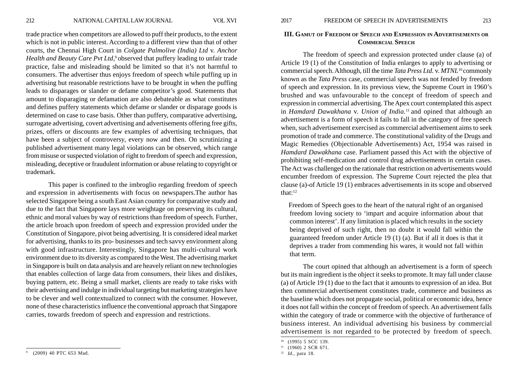trade practice when competitors are allowed to puff their products, to the extent which is not in public interest. According to a different view than that of other courts, the Chennai High Court in *Colgate Palmolive (India) Ltd* v. *Anchor Health and Beauty Care Pvt Ltd*,<sup>9</sup> observed that puffery leading to unfair trade practice, false and misleading should be limited so that it's not harmful to consumers. The advertiser thus enjoys freedom of speech while puffing up in advertising but reasonable restrictions have to be brought in when the puffing leads to disparages or slander or defame competitor's good. Statements that amount to disparaging or defamation are also debateable as what constitutes and defines puffery statements which defame or slander or disparage goods is determined on case to case basis. Other than puffery, comparative advertising, surrogate advertising, covert advertising and advertisements offering free gifts, prizes, offers or discounts are few examples of advertising techniques, that have been a subject of controversy, every now and then. On scrutinizing a published advertisement many legal violations can be observed, which range from misuse or suspected violation of right to freedom of speech and expression, misleading, deceptive or fraudulent information or abuse relating to copyright or trademark.

This paper is confined to the imbroglio regarding freedom of speech and expression in advertisements with focus on newspapers.The author has selected Singapore being a south East Asian country for comparative study and due to the fact that Singapore lays more weightage on preserving its cultural, ethnic and moral values by way of restrictions than freedom of speech. Further, the article broach upon freedom of speech and expression provided under the Constitution of Singapore, pivot being advertising. It is considered ideal market for advertising, thanks to its pro- businesses and tech savvy environment along with good infrastructure. Interestingly, Singapore has multi-cultural work environment due to its diversity as compared to the West. The advertising market in Singapore is built on data analysis and are heavely reliant on new technologies that enables collection of large data from consumers, their likes and dislikes, buying pattern, etc. Being a small market, clients are ready to take risks with their advertising and indulge in individual targeting but marketing strategies have to be clever and well contextualized to connect with the consumer. However, none of these characteristics influence the conventional approach that Singapore carries, towards freedom of speech and expression and restrictions.

#### **III. GAMUT OF FREEDOM OF SPEECH AND EXPRESSION IN ADVERTISEMENTS OR COMMERCIAL SPEECH**

The freedom of speech and expression protected under clause (a) of Article 19 (1) of the Constitution of India enlarges to apply to advertising or commercial speech. Although, till the time *Tata Press Ltd.* v. *MTNL*10 commonly known as the *Tata Press* case, commercial speech was not fended by freedom of speech and expression. In its previous view, the Supreme Court in 1960's brushed and was unfavourable to the concept of freedom of speech and expression in commercial advertising. The Apex court contemplated this aspect in *Hamdard Dawakhana* v. *Union of India.*11 and opined that although an advertisement is a form of speech it fails to fall in the category of free speech when, such advertisement exercised as commercial advertisement aims to seek promotion of trade and commerce. The constitutional validity of the Drugs and Magic Remedies (Objectionable Advertisements) Act, 1954 was raised in *Hamdard Dawakhana* case. Parliament passed this Act with the objective of prohibiting self-medication and control drug advertisements in certain cases. The Act was challenged on the rationale that restriction on advertisements would encumber freedom of expression. The Supreme Court rejected the plea that clause (a)-of Article 19 (1) embraces advertisements in its scope and observed that:12

Freedom of Speech goes to the heart of the natural right of an organised freedom loving society to 'impart and acquire information about that common interest'. If any limitation is placed which results in the society being deprived of such right, then no doubt it would fall within the guaranteed freedom under Article 19 (1) (a). But if all it does is that it deprives a trader from commending his wares, it would not fall within that term.

The court opined that although an advertisement is a form of speech but its main ingredient is the object it seeks to promote. It may fall under clause (a) of Article 19 (1) due to the fact that it amounts to expression of an idea. But then commercial advertisement constitutes trade, commerce and business as the baseline which does not propagate social, political or economic idea, hence it does not fall within the concept of freedom of speech. An advertisement falls within the category of trade or commerce with the objective of furtherance of business interest. An individual advertising his business by commercial advertisement is not regarded to be protected by freedom of speech.

<sup>212</sup> NATIONAL CAPITAL LAW JOURNAL VOL XVI 2017 FREEDOM OF SPEECH IN ADVERTISEMENTS 213

<sup>10</sup> (1995) 5 SCC 139.

 $11$  (1960) 2 SCR 671.

<sup>12</sup> *Id.,* para 18.

<sup>9</sup> (2009) 40 PTC 653 Mad.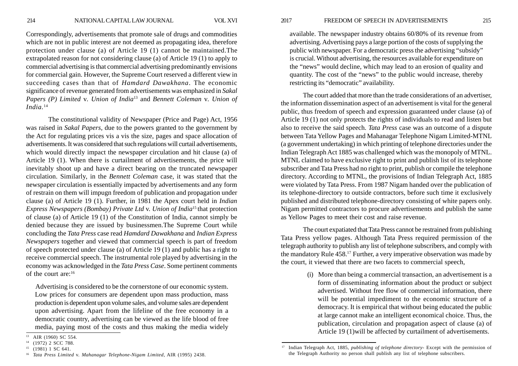Correspondingly, advertisements that promote sale of drugs and commodities which are not in public interest are not deemed as propagating idea, therefore protection under clause (a) of Article 19 (1) cannot be maintained.The extrapolated reason for not considering clause (a) of Article 19 (1) to apply to commercial advertising is that commercial advertising predominantly envisions for commercial gain. However, the Supreme Court reserved a different view in succeeding cases than that of *Hamdard Dawakhana*. The economic significance of revenue generated from advertisements was emphasized in *Sakal Papers (P) Limited v. Union of India*<sup>13</sup> and *Bennett Coleman v. Union of India.*<sup>14</sup>

The constitutional validity of Newspaper (Price and Page) Act, 1956 was raised in *Sakal Papers,* due to the powers granted to the government by the Act for regulating prices vis a vis the size, pages and space allocation of advertisements. It was considered that such regulations will curtail advertisements, which would directly impact the newspaper circulation and hit clause (a) of Article 19 (1). When there is curtailment of advertisements, the price will inevitably shoot up and have a direct bearing on the truncated newspaper circulation. Similarly, in the *Bennett Coleman* case, it was stated that the newspaper circulation is essentially impacted by advertisements and any form of restrain on them will impugn freedom of publication and propagation under clause (a) of Article 19 (1). Further, in 1981 the Apex court held in *Indian Express Newspapers (Bombay) Private Ltd* v. *Union of India*15 that protection of clause (a) of Article 19 (1) of the Constitution of India, cannot simply be denied because they are issued by businessmen.The Supreme Court while concluding the *Tata Press* case read *Hamdard Dawakhana* and *Indian Express Newspapers* together and viewed that commercial speech is part of freedom of speech protected under clause (a) of Article 19 (1) and public has a right to receive commercial speech. The instrumental role played by advertising in the economy was acknowledged in the *Tata Press Case*. Some pertinent comments of the court are:16

Advertising is considered to be the cornerstone of our economic system. Low prices for consumers are dependent upon mass production, mass production is dependent upon volume sales, and volume sales are dependent upon advertising. Apart from the lifeline of the free economy in a democratic country, advertising can be viewed as the life blood of free media, paying most of the costs and thus making the media widely

available. The newspaper industry obtains 60/80% of its revenue from advertising. Advertising pays a large portion of the costs of supplying the public with newspaper. For a democratic press the advertising "subsidy" is crucial. Without advertising, the resources available for expenditure on the "news" would decline, which may lead to an erosion of quality and quantity. The cost of the "news" to the public would increase, thereby restricting its "democratic" availability.

The court added that more than the trade considerations of an advertiser, the information dissemination aspect of an advertisement is vital for the general public, thus freedom of speech and expression guaranteed under clause (a) of Article 19 (1) not only protects the rights of individuals to read and listen but also to receive the said speech. *Tata Press* case was an outcome of a dispute between Tata Yellow Pages and Mahanagar Telephone Nigam Limited-MTNL (a government undertaking) in which printing of telephone directories under the Indian Telegraph Act 1885 was challenged which was the monopoly of MTNL. MTNL claimed to have exclusive right to print and publish list of its telephone subscriber and Tata Press had no right to print, publish or compile the telephone directory. According to MTNL, the provisions of Indian Telegraph Act, 1885 were violated by Tata Press. From 1987 Nigam handed over the publication of its telephone-directory to outside contractors, before such time it exclusively published and distributed telephone-directory consisting of white papers only. Nigam permitted contractors to procure advertisements and publish the same as Yellow Pages to meet their cost and raise revenue.

The court expatiated that Tata Press cannot be restrained from publishing Tata Press yellow pages. Although Tata Press required permission of the telegraph authority to publish any list of telephone subscribers, and comply with the mandatory Rule 458.17 Further, a very imperative observation was made by the court, it viewed that there are two facets to commercial speech,

> (i) More than being a commercial transaction, an advertisement is a form of disseminating information about the product or subject advertised. Without free flow of commercial information, there will be potential impediment to the economic structure of a democracy. It is empirical that without being educated the public at large cannot make an intelligent economical choice. Thus, the publication, circulation and propagation aspect of clause (a) of Article 19 (1)will be affected by curtailment of advertisements.

AIR (1960) SC 554.

<sup>14</sup> (1972) 2 SCC 788.

<sup>15</sup> (1981) 1 SC 641.

<sup>16</sup> *Tata Press Limited* v. *Mahanagar Telephone-Nigam Limited*, AIR (1995) 2438.

<sup>17</sup> Indian Telegraph Act, 1885, *publishing of telephone directory*- Except with the permission of the Telegraph Authority no person shall publish any list of telephone subscribers.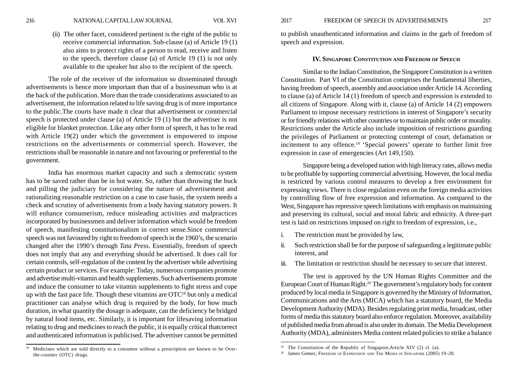(ii) The other facet, considered pertinent is the right of the public to receive commercial information. Sub-clause (a) of Article 19 (1) also aims to protect rights of a person to read, receive and listen to the speech, therefore clause (a) of Article 19 (1) is not only available to the speaker but also to the recipient of the speech.

The role of the receiver of the information so disseminated through advertisements is hence more important than that of a businessman who is at the back of the publication. More than the trade considerations associated to an advertisement, the information related to life saving drug is of more importance to the public.The courts have made it clear that advertisement or commercial speech is protected under clause (a) of Article 19 (1) but the advertiser is not eligible for blanket protection. Like any other form of speech, it has to be read with Article 19(2) under which the government is empowered to impose restrictions on the advertisements or commercial speech. However, the restrictions shall be reasonable in nature and not favouring or preferential to the government.

India has enormous market capacity and such a democratic system has to be saved rather than be in hot water. So, rather than throwing the buck and pilling the judiciary for considering the nature of advertisement and rationalizing reasonable restriction on a case to case basis, the system needs a check and scrutiny of advertisements from a body having statutory powers. It will enhance consumerism, reduce misleading activities and malpractices incorporated by businessmen and deliver information which would be freedom of speech, manifesting constitutionalism in correct sense.Since commercial speech was not favoured by right to freedom of speech in the 1960's, the scenario changed after the 1990's through *Tata Press*. Essentially, freedom of speech does not imply that any and everything should be advertised. It does call for certain controls, self-regulation of the content by the advertiser while advertising certain product or services. For example: Today, numerous companies promote and advertise multi-vitamin and health supplements. Such advertisements promote and induce the consumer to take vitamin supplements to fight stress and cope up with the fast pace life. Though these vitamins are  $\text{OTC}^{18}$  but only a medical practitioner can analyse which drug is required by the body, for how much duration, in what quantity the dosage is adequate, can the deficiency be bridged by natural food items, etc. Similarly, it is important for lifesaving information relating to drug and medicines to reach the public, it is equally critical thatcorrect and authenticated information is publicised. The advertiser cannot be permitted

to publish unauthenticated information and claims in the garb of freedom of speech and expression.

#### **IV. SINGAPORE CONSTITUTION AND FREEDOM OF SPEECH**

Similar to the Indian Constitution, the Singapore Constitution is a written Constitution. Part VI of the Constitution comprises the fundamental liberties, having freedom of speech, assembly and association under Article 14. According to clause (a) of Article 14 (1) freedom of speech and expression is extended to all citizens of Singapore. Along with it, clause (a) of Article 14 (2) empowers Parliament to impose necessary restrictions in interest of Singapore's security or for friendly relations with other countries or to maintain public order or morality. Restrictions under the Article also include imposition of restrictions guarding the privileges of Parliament or protecting contempt of court, defamation or incitement to any offence.19 'Special powers' operate to further limit free expression in case of emergencies (Art 149,150).

Singapore being a developed nation with high literacy rates, allows media to be profitable by supporting commercial advertising. However, the local media is restricted by various control measures to develop a free environment for expressing views. There is close regulation even on the foreign media activities by controlling flow of free expression and information. As compared to the West, Singapore has repressive speech limitations with emphasis on maintaining and preserving its cultural, social and moral fabric and ethnicity. A three-part test is laid on restrictions imposed on right to freedom of expression, i.e.,

- i. The restriction must be provided by law,
- ii. Such restriction shall be for the purpose of safeguarding a legitimate public interest, and
- iii. The limitation or restriction should be necessary to secure that interest.

The test is approved by the UN Human Rights Committee and the European Court of Human Right.20 The government's regulatory body for content produced by local media in Singapore is governed by the Ministry of Information, Communications and the Arts (MICA) which has a statutory board, the Media Development Authority (MDA). Besides regulating print media, broadcast, other forms of media this statutory board also enforce regulation. Moreover, availability of published media from abroad is also under its domain. The Media Development Authority (MDA), administers Media content related policies to strike a balance

<sup>&</sup>lt;sup>18</sup> Medicines which are sold directly to a consumer without a prescription are known to be Over-<br>the-counter (OTC) drugs.<br><sup>20</sup> James Gomez, FREEDOM OF EXPRESSION AND THE MEDIA IN SINGAPORE (2005) 19–20.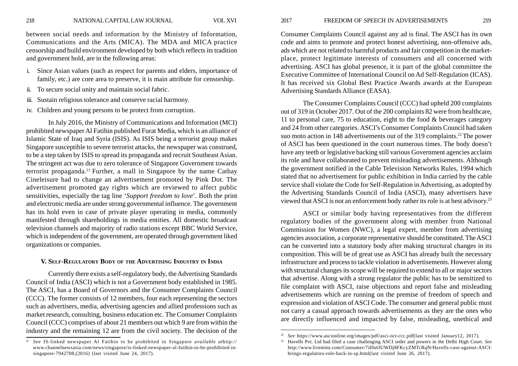between social needs and information by the Ministry of Information, Communications and the Arts (MICA). The MDA and MICA practice censorship and build environment developed by both which reflects its tradition and government hold, are in the following areas:

- i. Since Asian values (such as respect for parents and elders, importance of family, etc.) are core area to preserve, it is main attribute for censorship.
- ii. To secure social unity and maintain social fabric.
- iii. Sustain religious tolerance and conserve racial harmony.
- iv. Children and young persons to be protect from corruption.

In July 2016, the Ministry of Communications and Information (MCI) prohibited newspaper Al Fatihin published Furat Media, which is an alliance of Islamic State of Iraq and Syria (ISIS). As ISIS being a terrorist group makes Singapore susceptible to severe terrorist attacks, the newspaper was construed, to be a step taken by ISIS to spread its propaganda and recruit Southeast Asian. The stringent act was due to zero tolerance of Singapore Government towards terrorist propaganda.21 Further, a mall in Singapore by the name Cathay Cineleisure had to change an advertisement promoted by Pink Dot. The advertisement promoted gay rights which are reviewed to affect public sensitivities, especially the tag line '*Support freedom to love*'. Both the print and electronic media are under strong governmental influence. The government has its hold even in case of private player operating in media, commonly manifested through shareholdings in media entities. All domestic broadcast television channels and majority of radio stations except BBC World Service, which is independent of the government, are operated through government liked organizations or companies.

#### **V. SELF-REGULATORY BODY OF THE ADVERTISING INDUSTRY IN INDIA**

Currently there exists a self-regulatory body, the Advertising Standards Council of India (ASCI) which is not a Government body established in 1985. The ASCI, has a Board of Governors and the Consumer Complaints Council (CCC). The former consists of 12 members, four each representing the sectors such as advertisers, media, advertising agencies and allied professions such as market research, consulting, business education etc. The Consumer Complaints Council (CCC) comprises of about 21 members out which 9 are from within the industry and the remaining 12 are from the civil society. The decision of the

Consumer Complaints Council against any ad is final. The ASCI has its own code and aims to promote and protect honest advertising, non-offensive ads, ads which are not related to harmful products and fair competition in the marketplace, protect legitimate interests of consumers and all concerned with advertising. ASCI has global presence, it is part of the global committee the Executive Committee of International Council on Ad Self-Regulation (ICAS). It has received six Global Best Practice Awards awards at the European Advertising Standards Alliance (EASA).

The Consumer Complaints Council (CCC) had upheld 200 complaints out of 319 in October 2017. Out of the 200 complaints 82 were from healthcare, 11 to personal care, 75 to education, eight to the food  $\&$  beverages category and 24 from other categories. ASCI's Consumer Complaints Council had taken suo moto action in 148 advertisements out of the 319 complaints.<sup>22</sup> The power of ASCI has been questioned in the court numerous times. The body doesn't have any teeth or legislative backing still various Government agencies acclaim its role and have collaborated to prevent misleading advertisements. Although the government notified in the Cable Television Networks Rules, 1994 which stated that no advertisement for public exhibition in India carried by the cable service shall violate the Code for Self-Regulation in Advertising, as adopted by the Advertising Standards Council of India (ASCI), many advertisers have viewed that ASCI is not an enforcement body rather its role is at best advisory.23

ASCI or similar body having representatives from the different regulatory bodies of the government along with member from National Commission for Women (NWC), a legal expert, member from advertising agencies association, a corporate representative should be constituted. The ASCI can be converted into a statutory body after making structural changes in its composition. This will be of great use as ASCI has already built the necessary infrastructure and process to tackle violation in advertisements. However along with structural changes its scope will be required to extend to all or major sectors that advertise. Along with a strong regulator the public has to be sensitized to file complaint with ASCI, raise objections and report false and misleading advertisements which are running on the premise of freedom of speech and expression and violation of ASCI Code. The consumer and general public must not carry a casual approach towards advertisements as they are the ones who are directly influenced and impacted by false, misleading, unethical and

<sup>21</sup> *See* IS-linked newspaper Al Fatihin to be prohibited in Singapore *available at*http:// www.channelnewsasia.com/news/singapore/is-linked-newspaper-al-fatihin-to-be-prohibited-insingapore-7942708,(2016) (last visited June 24, 2017).

<sup>22</sup> *See* https://www.ascionline.org/images/pdf/asci-oct-ccc.pdf(last visited January12, 2017).

<sup>&</sup>lt;sup>23</sup> Havells Pvt. Ltd had filed a case challenging ASCI order and powers in the Delhi High Court. *See* http://www.livemint.com/Consumer/7iI0uOUWDj8FKcyZMTcRqN/Havells-case-against-ASCIbrings-regulators-role-back-in-sp.html(last visited June 26, 2017).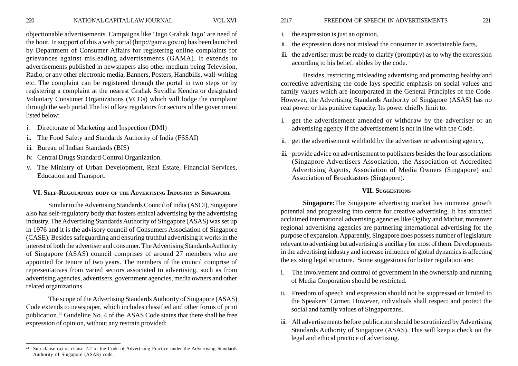objectionable advertisements. Campaigns like 'Jago Grahak Jago' are need of the hour. In support of this a web portal (http://gama.gov.in) has been launched by Department of Consumer Affairs for registering online complaints for grievances against misleading advertisements (GAMA). It extends to advertisements published in newspapers also other medium being Television, Radio, or any other electronic media, Banners, Posters, Handbills, wall-writing etc. The complaint can be registered through the portal in two steps or by registering a complaint at the nearest Grahak Suvidha Kendra or designated Voluntary Consumer Organizations (VCOs) which will lodge the complaint through the web portal.The list of key regulators for sectors of the government listed below:

- i. Directorate of Marketing and Inspection (DMI)
- ii. The Food Safety and Standards Authority of India (FSSAI)
- iii. Bureau of Indian Standards (BIS)
- iv. Central Drugs Standard Control Organization.
- v. The Ministry of Urban Development, Real Estate, Financial Services, Education and Transport.

## **VI. SELF-REGULATORY BODY OF THE ADVERTISING INDUSTRY IN SINGAPORE**

Similar to the Advertising Standards Council of India (ASCI), Singapore also has self-regulatory body that fosters ethical advertising by the advertising industry. The Advertising Standards Authority of Singapore (ASAS) was set up in 1976 and it is the advisory council of Consumers Association of Singapore (CASE). Besides safeguarding and ensuring truthful advertising it works in the interest of both the advertiser and consumer. The Advertising Standards Authority of Singapore (ASAS) council comprises of around 27 members who are appointed for tenure of two years. The members of the council comprise of representatives from varied sectors associated to advertising, such as from advertising agencies, advertisers, government agencies, media owners and other related organizations.

The scope of the Advertising Standards Authority of Singapore (ASAS) Code extends to newspaper, which includes classified and other forms of print publication.24 Guideline No. 4 of the ASAS Code states that there shall be free expression of opinion, without any restrain provided:

- i. the expression is just an opinion,
- ii. the expression does not mislead the consumer in ascertainable facts,
- iii. the advertiser must be ready to clarify (promptly) as to why the expression according to his belief, abides by the code.

Besides, restricting misleading advertising and promoting healthy and corrective advertising the code lays specific emphasis on social values and family values which are incorporated in the General Principles of the Code. However, the Advertising Standards Authority of Singapore (ASAS) has no real power or has punitive capacity. Its power chiefly limit to:

- i. get the advertisement amended or withdraw by the advertiser or an advertising agency if the advertisement is not in line with the Code.
- ii. get the advertisement withhold by the advertiser or advertising agency,
- iii. provide advice on advertisement to publishers besides the four associations (Singapore Advertisers Association, the Association of Accredited Advertising Agents, Association of Media Owners (Singapore) and Association of Broadcasters (Singapore).

## **VII. SUGGESTIONS**

**Singapore:**The Singapore advertising market has immense growth potential and progressing into centre for creative advertising. It has attracted acclaimed international advertising agencies like Ogilvy and Mathur, moreover regional advertising agencies are partnering international advertising for the purpose of expansion. Apparently, Singapore does possess number of legislature relevant to advertising but advertising is ancillary for most of them. Developments in the advertising industry and increase influence of global dynamics is affecting the existing legal structure. Some suggestions for better regulation are:

- i. The involvement and control of government in the ownership and running of Media Corporation should be restricted.
- ii. Freedom of speech and expression should not be suppressed or limited to the Speakers' Corner. However, individuals shall respect and protect the social and family values of Singaporeans.
- iii. All advertisements before publication should be scrutinized by Advertising Standards Authority of Singapore (ASAS). This will keep a check on the legal and ethical practice of advertising.

 $24$  Sub-clause (a) of clause 2.2 of the Code of Advertising Practice under the Advertising Standards Authority of Singapore (ASAS) code.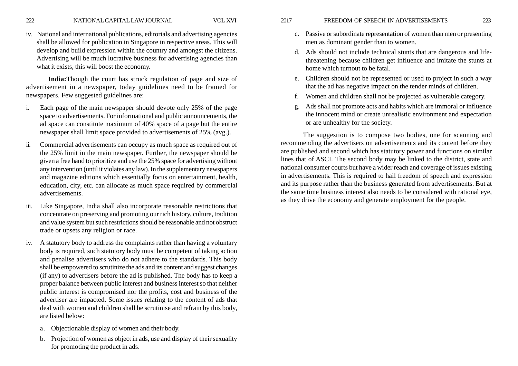iv. National and international publications, editorials and advertising agencies shall be allowed for publication in Singapore in respective areas. This will develop and build expression within the country and amongst the citizens. Advertising will be much lucrative business for advertising agencies than what it exists, this will boost the economy.

**India:**Though the court has struck regulation of page and size of advertisement in a newspaper, today guidelines need to be framed for newspapers. Few suggested guidelines are:

- i. Each page of the main newspaper should devote only 25% of the page space to advertisements. For informational and public announcements, the ad space can constitute maximum of 40% space of a page but the entire newspaper shall limit space provided to advertisements of 25% (avg.).
- ii. Commercial advertisements can occupy as much space as required out of the 25% limit in the main newspaper. Further, the newspaper should be given a free hand to prioritize and use the 25% space for advertising without any intervention (until it violates any law). In the supplementary newspapers and magazine editions which essentially focus on entertainment, health, education, city, etc. can allocate as much space required by commercial advertisements.
- iii. Like Singapore, India shall also incorporate reasonable restrictions that concentrate on preserving and promoting our rich history, culture, tradition and value system but such restrictions should be reasonable and not obstruct trade or upsets any religion or race.
- iv. A statutory body to address the complaints rather than having a voluntary body is required, such statutory body must be competent of taking action and penalise advertisers who do not adhere to the standards. This body shall be empowered to scrutinize the ads and its content and suggest changes (if any) to advertisers before the ad is published. The body has to keep a proper balance between public interest and business interest so that neither public interest is compromised nor the profits, cost and business of the advertiser are impacted. Some issues relating to the content of ads that deal with women and children shall be scrutinise and refrain by this body, are listed below:
	- a. Objectionable display of women and their body.
	- b. Projection of women as object in ads, use and display of their sexuality for promoting the product in ads.
- - c. Passive or subordinate representation of women than men or presenting men as dominant gender than to women.
	- d. Ads should not include technical stunts that are dangerous and lifethreatening because children get influence and imitate the stunts at home which turnout to be fatal.
	- e. Children should not be represented or used to project in such a way that the ad has negative impact on the tender minds of children.
	- f. Women and children shall not be projected as vulnerable category.
	- g. Ads shall not promote acts and habits which are immoral or influence the innocent mind or create unrealistic environment and expectation or are unhealthy for the society.

The suggestion is to compose two bodies, one for scanning and recommending the advertisers on advertisements and its content before they are published and second which has statutory power and functions on similar lines that of ASCI. The second body may be linked to the district, state and national consumer courts but have a wider reach and coverage of issues existing in advertisements. This is required to hail freedom of speech and expression and its purpose rather than the business generated from advertisements. But at the same time business interest also needs to be considered with rational eye, as they drive the economy and generate employment for the people.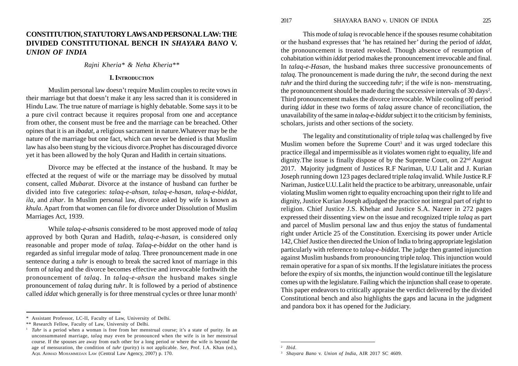# **CONSTITUTION, STATUTORY LAWS AND PERSONAL LAW: THE DIVIDED CONSTITUTIONAL BENCH IN** *SHAYARA BANO* **V.** *UNION OF INDIA*

*Rajni Kheria\* & Neha Kheria\*\**

#### **I. INTRODUCTION**

Muslim personal law doesn't require Muslim couples to recite vows in their marriage but that doesn't make it any less sacred than it is considered in Hindu Law. The true nature of marriage is highly debatable. Some says it to be a pure civil contract because it requires proposal from one and acceptance from other, the consent must be free and the marriage can be breached. Other opines that it is an *ibadat,* a religious sacrament in nature.Whatever may be the nature of the marriage but one fact, which can never be denied is that Muslim law has also been stung by the vicious divorce.Prophet has discouraged divorce yet it has been allowed by the holy Quran and Hadith in certain situations.

Divorce may be effected at the instance of the husband. It may be effected at the request of wife or the marriage may be dissolved by mutual consent, called *Mubarat*. Divorce at the instance of husband can further be divided into five categories: *talaq*-*e*-*ahsan*, *talaq-e-hasan*, *talaq-e-biddat*, *ila*, and *zihar*. In Muslim personal law, divorce asked by wife is known as *khula*. Apart from that women can file for divorce under Dissolution of Muslim Marriages Act, 1939.

While *talaq-e-ahsan*is considered to be most approved mode of *talaq* approved by both Quran and Hadith, *talaq-e-hasan*, is considered only reasonable and proper mode of *talaq*. *Talaq-e-biddat* on the other hand is regarded as sinful irregular mode of *talaq*. Three pronouncement made in one sentence during a *tuhr* is enough to break the sacred knot of marriage in this form of *talaq* and the divorce becomes effective and irrevocable forthwith the pronouncement of *talaq*. In *talaq-e-ahsan* the husband makes single pronouncement of *talaq* during *tuhr*. It is followed by a period of abstinence called *iddat* which generally is for three menstrual cycles or three lunar month<sup>1</sup>

This mode of *talaq* is revocable hence if the spouses resume cohabitation or the husband expresses that 'he has retained her' during the period of *iddat*, the pronouncement is treated revoked. Though absence of resumption of cohabitation within *iddat* period makes the pronouncement irrevocable and final. In *talaq-e-Hasan*, the husband makes three successive pronouncements of *talaq*. The pronouncement is made during the *tuhr*, the second during the next *tuhr* and the third during the succeeding *tuhr*; if the wife is non- menstruating, the pronouncement should be made during the successive intervals of 30 days<sup>2</sup>. Third pronouncement makes the divorce irrevocable. While cooling off period during *iddat* in these two forms of *talaq* assure chance of reconciliation, the unavailability of the same in *talaq-e-biddat* subject it to the criticism by feminists, scholars, jurists and other sections of the society.

The legality and constitutionality of triple *talaq* was challenged by five Muslim women before the Supreme Court<sup>3</sup> and it was urged todeclare this practice illegal and impermissible as it violates women right to equality, life and dignity. The issue is finally dispose of by the Supreme Court, on  $22<sup>nd</sup>$  August 2017. Majority judgment of Justices R.F Nariman, U.U Lalit and J. Kurian Joseph running down 123 pages declared triple *talaq* invalid. While Justice R.F Nariman, Justice U.U. Lalit held the practice to be arbitrary, unreasonable, unfair violating Muslim women right to equality encroaching upon their right to life and dignity, Justice Kurian Joseph adjudged the practice not integral part of right to religion. Chief Justice J.S. Khehar and Justice S.A. Nazeer in 272 pages expressed their dissenting view on the issue and recognized triple *talaq* as par<sup>t</sup> and parcel of Muslim personal law and thus enjoy the status of fundamental right under Article 25 of the Constitution. Exercising its power under Article 142, Chief Justice then directed the Union of India to bring appropriate legislation particularly with reference to *talaq-e-biddat*. The judge then granted injunction against Muslim husbands from pronouncing triple *talaq*. This injunction would remain operative for a span of six months. If the legislature initiates the process before the expiry of six months, the injunction would continue till the legislature comes up with the legislature. Failing which the injunction shall cease to operate. This paper endeavors to critically appraise the verdict delivered by the divided Constitutional bench and also highlights the gaps and lacuna in the judgment and pandora box it has opened for the Judiciary.

<sup>2</sup> *Ibid.*

<sup>\*</sup> Assistant Professor, LC-II, Faculty of Law, University of Delhi.

<sup>\*\*</sup> Research Fellow, Faculty of Law, University of Delhi.

<sup>&</sup>lt;sup>1</sup> *Tuhr* is a period when a woman is free from her menstrual course; it's a state of purity. In an unconsummated marriage, *talaq* may even be pronounced when the wife is in her menstrual course. If the spouses are away from each other for a long period or where the wife is beyond the age of mensuration, the condition of *tuhr* (purity) is not applicable. *See*, Prof. I.A. Khan (ed.), AQIL AHMAD MOHAMMEDAN LAW (Central Law Agency, 2007) p. 170.

<sup>3</sup> *Shayara Bano* v. *Union of India,* AIR 2017 SC 4609.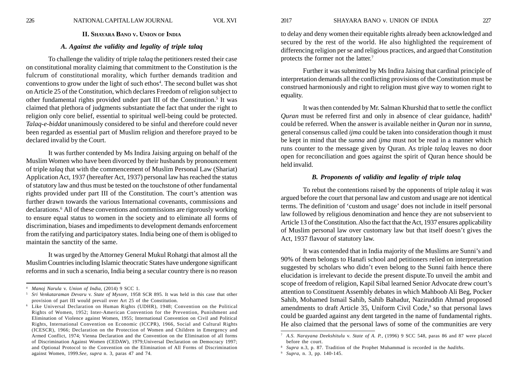# *A. Against the validity and legality of triple talaq*

To challenge the validity of triple *talaq* the petitioners rested their case on constitutional morality claiming that commitment to the Constitution is the fulcrum of constitutional morality, which further demands tradition and conventions to grow under the light of such ethos<sup>4</sup>. The second bullet was shot on Article 25 of the Constitution, which declares Freedom of religion subject to other fundamental rights provided under part III of the Constitution.<sup>5</sup> It was claimed that plethora of judgments substantiate the fact that under the right to religion only core belief, essential to spiritual well-being could be protected. *Talaq-e-biddat* unanimously considered to be sinful and therefore could never been regarded as essential part of Muslim religion and therefore prayed to be declared invalid by the Court.

It was further contended by Ms Indira Jaising arguing on behalf of the Muslim Women who have been divorced by their husbands by pronouncement of triple *talaq* that with the commencement of Muslim Personal Law (Shariat) Application Act, 1937 (hereafter Act, 1937) personal law has reached the status of statutory law and thus must be tested on the touchstone of other fundamental rights provided under part III of the Constitution. The court's attention was further drawn towards the various International covenants, commissions and declarations.6 All of these conventions and commissions are rigorously working to ensure equal status to women in the society and to eliminate all forms of discrimination, biases and impediments to development demands enforcement from the ratifying and participatory states. India being one of them is obliged to maintain the sanctity of the same.

It was urged by the Attorney General Mukul Rohatgi that almost all the Muslim Countries including Islamic theocratic States have undergone significant reforms and in such a scenario, India being a secular country there is no reason

to delay and deny women their equitable rights already been acknowledged and secured by the rest of the world. He also highlighted the requirement of differencing religion per se and religious practices, and argued that Constitution protects the former not the latter.7

Further it was submitted by Ms Indira Jaising that cardinal principle of interpretation demands all the conflicting provisions of the Constitution must be construed harmoniously and right to religion must give way to women right to equality.

It was then contended by Mr. Salman Khurshid that to settle the conflict *Quran* must be referred first and only in absence of clear guidance, hadith<sup>8</sup> could be referred. When the answer is available neither in *Quran* nor in *sunna*, general consensus called *ijma* could be taken into consideration though it must be kept in mind that the *sunna* and *ijma* must not be read in a manner which runs counter to the message given by Quran. As triple *talaq* leaves no door open for reconciliation and goes against the spirit of Quran hence should be held invalid.

## *B. Proponents of validity and legality of triple talaq*

To rebut the contentions raised by the opponents of triple *talaq* it was argued before the court that personal law and custom and usage are not identical terms. The definition of 'custom and usage' does not include in itself personal law followed by religious denomination and hence they are not subservient to Article 13 of the Constitution. Also the fact that the Act, 1937 ensures applicability of Muslim personal law over customary law but that itself doesn't gives the Act, 1937 flavour of statutory law.

It was contended that in India majority of the Muslims are Sunni's and 90% of them belongs to Hanafi school and petitioners relied on interpretation suggested by scholars who didn't even belong to the Sunni faith hence there elucidation is irrelevant to decide the present dispute.To unveil the ambit and scope of freedom of religion, Kapil Sibal learned Senior Advocate drew court's attention to Constituent Assembly debates in which Mahboob Ali Beg, Pocker Sahib, Mohamed Ismail Sahib, Sahib Bahadur, Naziruddin Ahmad proposed amendments to draft Article 35, Uniform Civil Code,<sup>9</sup> so that personal laws could be guarded against any dent targeted in the name of fundamental rights. He also claimed that the personal laws of some of the communities are very

<sup>4</sup> *Manoj Narula* v. *Union of India,* (2014) 9 SCC 1.

<sup>5</sup> *Sri Venkataraman Devaru* v. *State of Mysore*, 1958 SCR 895. It was held in this case that other provision of part III would prevail over Art 25 of the Constitution.

<sup>6</sup> Like Universal Declaration on Human Rights (UDHR), 1948; Convention on the Political Rights of Women, 1952; Inter-American Convention for the Prevention, Punishment and Elimination of Violence against Women, 1955; International Convention on Civil and Political Rights, International Convention on Economic (ICCPR), 1966, Social and Cultural Rights (ICESCR), 1966; Declaration on the Protection of Women and Children in Emergency and Armed Conflict, 1974; Vienna Declaration and the Convention on the Elimination of all forms of Discrimination Against Women (CEDAW), 1979;Universal Declaration on Democracy 1997; and Optional Protocol to the Convention on the Elimination of All Forms of Discrimination against Women, 1999.*See*, *supra* n. 3, paras 47 and 74.

<sup>7</sup> *A.S. Narayana Deekshitulu* v. *State of A. P.,* (1996) 9 SCC 548, paras 86 and 87 were placed before the court.

<sup>8</sup> *Supra* n.3, p. 87. Tradition of the Prophet Muhammad is recorded in the *hadiths*.

<sup>9</sup> *Supra*, n. 3, pp. 140-145.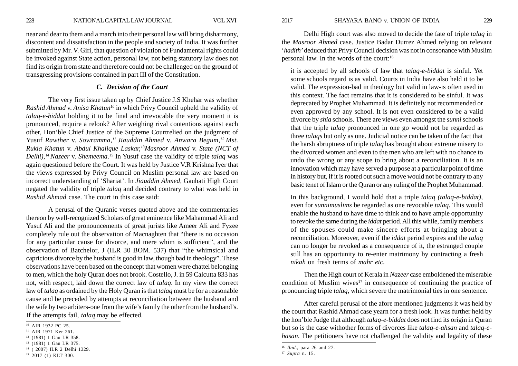near and dear to them and a march into their personal law will bring disharmony, discontent and dissatisfaction in the people and society of India. It was further submitted by Mr. V. Giri, that question of violation of Fundamental rights could be invoked against State action, personal law, not being statutory law does not find its origin from state and therefore could not be challenged on the ground of transgressing provisions contained in part III of the Constitution.

# *C. Decision of the Court*

The very first issue taken up by Chief Justice J.S Khehar was whether *Rashid Ahmad* v. *Anisa Khatun<sup>10</sup>* in which Privy Council upheld the validity of *talaq-e-biddat* holding it to be final and irrevocable the very moment it is pronounced, require a relook? After weighing rival contentions against each other, Hon'ble Chief Justice of the Supreme Courtrelied on the judgment of Yusuf *Rawther* v. *Sowramma*,<sup>11</sup> Jiauddin Ahmed v. Anwara Begum,<sup>12</sup> Mst. *Rukia Khatun* v. *Abdul Khalique Laskar,13Masroor Ahmed* v. *State (NCT of Delhi)*,<sup>14</sup>*Nazeer* v. *Shemeema*.15 In Yusuf case the validity of triple *talaq* was again questioned before the Court. It was held by Justice V.R Krishna Iyer that the views expressed by Privy Council on Muslim personal law are based on incorrect understanding of 'Shariat'. In *Jiauddin Ahmed,* Gauhati High Court negated the validity of triple *talaq* and decided contrary to what was held in *Rashid Ahmad* case. The court in this case said:

A perusal of the Quranic verses quoted above and the commentaries thereon by well-recognized Scholars of great eminence like Mahammad Ali and Yusuf Ali and the pronouncements of great jurists like Ameer Ali and Fyzee completely rule out the observation of Macnaghten that "there is no occasion for any particular cause for divorce, and mere whim is sufficient", and the observation of Batchelor, J (ILR 30 BOM. 537) that "the whimsical and capricious divorce by the husband is good in law, though bad in theology". These observations have been based on the concept that women were chattel belonging to men, which the holy Quran does not brook. Costello, J. in 59 Calcutta 833 has not, with respect, laid down the correct law of *talaq*. In my view the correct law of *talaq* as ordained by the Holy Quran is that *talaq* must be for a reasonable cause and be preceded by attempts at reconciliation between the husband and the wife by two arbiters-one from the wife's family the other from the husband's. If the attempts fail, *talaq* may be effected.

Delhi High court was also moved to decide the fate of triple *talaq* in the *Masroor Ahmed* case. Justice Badar Durrez Ahmed relying on relevant '*hadith'* deduced that Privy Council decision was not in consonance with Muslim personal law. In the words of the court:16

it is accepted by all schools of law that *talaq-e-biddat* is sinful. Yet some schools regard is as valid. Courts in India have also held it to be valid. The expression-bad in theology but valid in law-is often used in this context. The fact remains that it is considered to be sinful. It was deprecated by Prophet Muhammad. It is definitely not recommended or even approved by any school. It is not even considered to be a valid divorce by *shia* schools. There are views even amongst the *sunni* schools that the triple *talaq* pronounced in one go would not be regarded as three *talaqs* but only as one. Judicial notice can be taken of the fact that the harsh abruptness of triple *talaq* has brought about extreme misery to the divorced women and even to the men who are left with no chance to undo the wrong or any scope to bring about a reconciliation. It is an innovation which may have served a purpose at a particular point of time in history but, if it is rooted out such a move would not be contrary to any basic tenet of Islam or the Quran or any ruling of the Prophet Muhammad.

In this background, I would hold that a triple *talaq (talaq-e-biddat),* even for *sunnimuslims* be regarded as one revocable *talaq*. This would enable the husband to have time to think and to have ample opportunity to revoke the same during the *iddat* period. All this while, family members of the spouses could make sincere efforts at bringing about a reconciliation. Moreover, even if the *iddat* period expires and the *talaq* can no longer be revoked as a consequence of it, the estranged couple still has an opportunity to re-enter matrimony by contracting a fresh *nikah* on fresh terms of *mahr etc*.

Then the High court of Kerala in *Nazeer* case emboldened the miserable condition of Muslim wives $17$  in consequence of continuing the practice of pronouncing triple *talaq,* which severe the matrimonial ties in one sentence.

After careful perusal of the afore mentioned judgments it was held by the court that Rashid Ahmad case yearn for a fresh look. It was further held by the hon'ble Judge that although *talaq-e-biddat* does not find its origin in Quran <sup>10</sup> AIR 1932 PC 25.<br><sup>11</sup> AIR 1971 Ker 261.<br><sup>12</sup> (1981) 1 Gau LR 358.<br><sup>12</sup> (1981) 1 Gau LR 358.

<sup>13</sup> (1981) 1 Gau LR 375.

<sup>14</sup> ( 2007) ILR 2 Delhi 1329.

<sup>&</sup>lt;sup>15</sup> 2017 (1) KLT 300.

<sup>16</sup> *Ibid.*, para 26 and 27.

<sup>17</sup> *Supra* n. 15.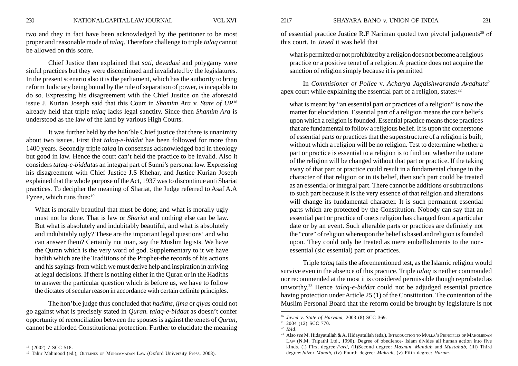two and they in fact have been acknowledged by the petitioner to be most proper and reasonable mode of *talaq*. Therefore challenge to triple *talaq* cannot be allowed on this score.

Chief Justice then explained that *sati*, *devadasi* and polygamy were sinful practices but they were discontinued and invalidated by the legislatures. In the present scenario also it is the parliament, which has the authority to bring reform Judiciary being bound by the rule of separation of power, is incapable to do so. Expressing his disagreement with the Chief Justice on the aforesaid issue J. Kurian Joseph said that this Court in *Shamim Ara* v. *State of UP*<sup>18</sup> already held that triple *talaq* lacks legal sanctity. Since then *Shamim Ara* is understood as the law of the land by various High Courts.

It was further held by the hon'ble Chief justice that there is unanimity about two issues. First that *talaq-e-biddat* has been followed for more than 1400 years. Secondly triple *talaq* in consensus acknowledged bad in theology but good in law. Hence the court can't held the practice to be invalid. Also it considers *talaq-e-biddat*as an integral part of Sunni's personal law. Expressing his disagreement with Chief Justice J.S Khehar, and Justice Kurian Joseph explained that the whole purpose of the Act, 1937 was to discontinue anti Shariat practices. To decipher the meaning of Shariat, the Judge referred to Asaf A.A Fyzee, which runs thus:<sup>19</sup>

What is morally beautiful that must be done; and what is morally ugly must not be done. That is law or *Shariat* and nothing else can be law. But what is absolutely and indubitably beautiful, and what is absolutely and indubitably ugly? These are the important legal questions' and who can answer them? Certainly not man, say the Muslim legists. We have the Quran which is the very word of god. Supplementary to it we have hadith which are the Traditions of the Prophet-the records of his actions and his sayings-from which we must derive help and inspiration in arriving at legal decisions. If there is nothing either in the Quran or in the Hadiths to answer the particular question which is before us, we have to follow the dictates of secular reason in accordance with certain definite principles.

The hon'ble judge thus concluded that *hadiths, ijma* or *qiyas* could not go against what is precisely stated in *Quran. talaq-e-biddat* as doesn't confer opportunity of reconciliation between the spouses is against the tenets of *Quran*, cannot be afforded Constitutional protection. Further to elucidate the meaning

of essential practice Justice R.F Nariman quoted two pivotal judgments<sup>20</sup> of this court. In *Javed* it was held that

what is permitted or not prohibited by a religion does not become a religious practice or a positive tenet of a religion. A practice does not acquire the sanction of religion simply because it is permitted

In *Commisioner of Police* v. *Acharya Jagdishwaranda Avadhuta*<sup>21</sup> apex court while explaining the essential part of a religion, states: $22$ 

what is meant by "an essential part or practices of a religion" is now the matter for elucidation. Essential part of a religion means the core beliefs upon which a religion is founded. Essential practice means those practices that are fundamental to follow a religious belief. It is upon the cornerstone of essential parts or practices that the superstructure of a religion is built, without which a religion will be no religion. Test to determine whether a part or practice is essential to a religion is to find out whether the nature of the religion will be changed without that part or practice. If the taking away of that part or practice could result in a fundamental change in the character of that religion or in its belief, then such part could be treated as an essential or integral part. There cannot be additions or subtractions to such part because it is the very essence of that religion and alterations will change its fundamental character. It is such permanent essential parts which are protected by the Constitution. Nobody can say that an essential part or practice of one;s religion has changed from a particular date or by an event. Such alterable parts or practices are definitely not the "core" of religion whereupon the belief is based and religion is founded upon. They could only be treated as mere embellishments to the nonessential (sic essential) part or practices.

Triple *talaq* fails the aforementioned test, as the Islamic religion would survive even in the absence of this practice. Triple *talaq* is neither commanded nor recommended at the most it is considered permissible though reprobated as unworthy.23 Hence *talaq-e-biddat* could not be adjudged essential practice having protection under Article 25 (1) of the Constitution. The contention of the Muslim Personal Board that the reform could be brought by legislature is not

<sup>&</sup>lt;sup>18</sup> (2002) 7 SCC 518.

<sup>&</sup>lt;sup>19</sup> Tahir Mahmood (ed.), OUTLINES OF MUHAMMADAN LAW (Oxford University Press, 2008).

<sup>20</sup> *Javed* v. *State of Haryana*, 2003 (8) SCC 369.

 $21$  2004 (12) SCC 770.

<sup>22</sup> *Ibid*.

<sup>&</sup>lt;sup>23</sup> Also *see* M. Hidayatullah & A. Hidayatullah (eds.), INTRODUCTION TO MULLA'S PRINCIPLES OF MAHOMEDAN LAW (N.M. Tripathi Ltd., 1990). Degree of obedience- Islam divides all human action into five kinds. (i) First degree:*Fard*, (ii)Second degree: *Masnun, Mandub* and *Mustahab*, (iii) Third degree:*Jaiz*or *Mubah*, (iv) Fourth degree: *Makruh*, (v) Fifth degree: *Haram.*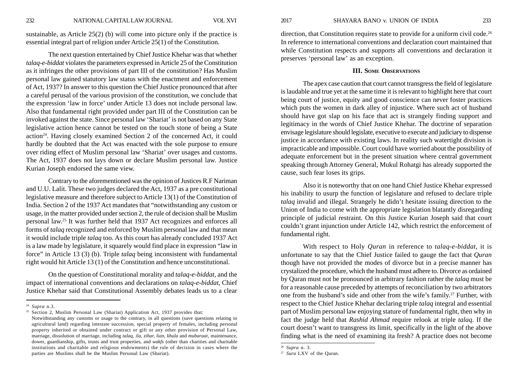sustainable, as Article 25(2) (b) will come into picture only if the practice is essential integral part of religion under Article 25(1) of the Constitution.

The next question entertained by Chief Justice Khehar was that whether *talaq-e-biddat* violates the parameters expressed in Article 25 of the Constitution as it infringes the other provisions of part III of the constitution? Has Muslim personal law gained statutory law status with the enactment and enforcement of Act, 1937? In answer to this question the Chief Justice pronounced that after a careful perusal of the various provision of the constitution, we conclude that the expression 'law in force' under Article 13 does not include personal law. Also that fundamental right provided under part III of the Constitution can be invoked against the state. Since personal law 'Shariat' is not based on any State legislative action hence cannot be tested on the touch stone of being a State  $action<sup>24</sup>$ . Having closely examined Section 2 of the concerned Act, it could hardly be doubted that the Act was enacted with the sole purpose to ensure over riding effect of Muslim personal law 'Shariat' over usages and customs. The Act, 1937 does not lays down or declare Muslim personal law. Justice Kurian Joseph endorsed the same view.

Contrary to the aforementioned was the opinion of Justices R.F Nariman and U.U. Lalit. These two judges declared the Act, 1937 as a pre constitutional legislative measure and therefore subject to Article 13(1) of the Constitution of India. Section 2 of the 1937 Act mandates that "notwithstanding any custom or usage, in the matter provided under section 2, the rule of decision shall be Muslim personal law.25 It was further held that 1937 Act recognizes and enforces all forms of *talaq* recognized and enforced by Muslim personal law and that mean it would include triple *talaq* too. As this court has already concluded 1937 Act is a law made by legislature, it squarely would find place in expression "law in force" in Article 13 (3) (b). Triple *talaq* being inconsistent with fundamental right would hit Article 13 (1) of the Constitution and hence unconstitutional.

On the question of Constitutional morality and *talaq-e-biddat*, and the impact of international conventions and declarations on *talaq-e-biddat*, Chief Justice Khehar said that Constitutional Assembly debates leads us to a clear direction, that Constitution requires state to provide for a uniform civil code.<sup>26</sup> In reference to international conventions and declaration court maintained that while Constitution respects and supports all conventions and declaration it preserves 'personal law' as an exception.

#### **III. SOME OBSERVATIONS**

The apex case caution that court cannot transgress the field of legislature is laudable and true yet at the same time it is relevant to highlight here that court being court of justice, equity and good conscience can never foster practices which puts the women in dark alley of injustice. Where such act of husband should have got slap on his face that act is strangely finding support and legitimacy in the words of Chief Justice Khehar. The doctrine of separation envisage legislature should legislate, executive to execute and judiciary to dispense justice in accordance with existing laws. In reality such watertight division is impracticable and impossible. Court could have worried about the possibility of adequate enforcement but in the present situation where central government speaking through Attorney General, Mukul Rohatgi has already supported the cause, such fear loses its grips.

Also it is noteworthy that on one hand Chief Justice Khehar expressed his inability to usurp the function of legislature and refused to declare triple *talaq* invalid and illegal. Strangely he didn't hesitate issuing direction to the Union of India to come with the appropriate legislation blatantly disregarding principle of judicial restraint. On this Justice Kurian Joseph said that court couldn't grant injunction under Article 142, which restrict the enforcement of fundamental right.

With respect to Holy *Quran* in reference to *talaq-e-biddat*, it is unfortunate to say that the Chief Justice failed to gauge the fact that *Quran* though have not provided the modes of divorce but in a precise manner has crystalized the procedure, which the husband must adhere to. Divorce as ordained by Quran must not be pronounced in arbitrary fashion rather the *talaq* must be for a reasonable cause preceded by attempts of reconciliation by two arbitrators one from the husband's side and other from the wife's family.<sup>27</sup> Further, with respect to the Chief Justice Khehar declaring triple *talaq* integral and essential part of Muslim personal law enjoying stature of fundamental right, then why in fact the judge held that *Rashid Ahmad* require relook at triple *talaq*. If the court doesn't want to transgress its limit, specifically in the light of the above finding what is the need of examining ita fresh? A practice does not become

<sup>24</sup> *Supra* n.3.

 $25$  Section 2, Muslim Personal Law (Shariat) Application Act, 1937 provides that:

Notwithstanding any customs or usage to the contrary, in all questions (save questions relating to agricultural land) regarding intestate succession, special property of females, including personal property inherited or obtained under contract or gift or any other provision of Personal Law, marriage, dissolution of marriage, including *talaq, ila, zihar, lian, khula* and *mubaraat*, maintenance, dower, guardianship, gifts, trusts and trust properties, and *wakfs* (other than charities and charitable institutions and charitable and religious endowments) the rule of decision in cases where the parties are Muslims shall be the Muslim Personal Law (Shariat).

<sup>26</sup> *Supra* n. 3.

<sup>27</sup> *Sura* LXV of the Quran.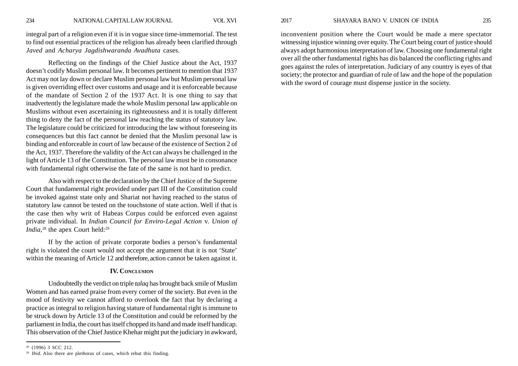integral part of a religion even if it is in vogue since time-immemorial. The test to find out essential practices of the religion has already been clarified through *Javed* and *Acharya Jagdishwaranda Avadhuta* cases.

Reflecting on the findings of the Chief Justice about the Act, 1937 doesn't codify Muslim personal law. It becomes pertinent to mention that 1937 Act may not lay down or declare Muslim personal law but Muslim personal law is given overriding effect over customs and usage and it is enforceable because of the mandate of Section 2 of the 1937 Act. It is one thing to say that inadvertently the legislature made the whole Muslim personal law applicable on Muslims without even ascertaining its righteousness and it is totally different thing to deny the fact of the personal law reaching the status of statutory law. The legislature could be criticized for introducing the law without foreseeing its consequences but this fact cannot be denied that the Muslim personal law is binding and enforceable in court of law because of the existence of Section 2 of the Act, 1937. Therefore the validity of the Act can always be challenged in the light of Article 13 of the Constitution. The personal law must be in consonance with fundamental right otherwise the fate of the same is not hard to predict.

Also with respect to the declaration by the Chief Justice of the Supreme Court that fundamental right provided under part III of the Constitution could be invoked against state only and Shariat not having reached to the status of statutory law cannot be tested on the touchstone of state action. Well if that is the case then why writ of Habeas Corpus could be enforced even against private individual. In *Indian Council for Enviro-Legal Action* v. *Union of India*,<sup>28</sup> the apex Court held:<sup>29</sup>

If by the action of private corporate bodies a person's fundamental right is violated the court would not accept the argument that it is not 'State' within the meaning of Article 12 and therefore, action cannot be taken against it.

#### **IV. CONCLUSION**

Undoubtedly the verdict on triple *talaq* has brought back smile of Muslim Women and has earned praise from every corner of the society. But even in the mood of festivity we cannot afford to overlook the fact that by declaring a practice as integral to religion having stature of fundamental right is immune to be struck down by Article 13 of the Constitution and could be reformed by the parliament in India, the court has itself chopped its hand and made itself handicap. This observation of the Chief Justice Khehar might put the judiciary in awkward,

inconvenient position where the Court would be made a mere spectator witnessing injustice winning over equity. The Court being court of justice should always adopt harmonious interpretation of law. Choosing one fundamental right over all the other fundamental rights has dis balanced the conflicting rights and goes against the rules of interpretation. Judiciary of any country is eyes of that society; the protector and guardian of rule of law and the hope of the population with the sword of courage must dispense justice in the society.

<sup>28</sup> (1996) 3 SCC 212.

<sup>&</sup>lt;sup>29</sup> *Ibid*. Also there are plethoras of cases, which rebut this finding.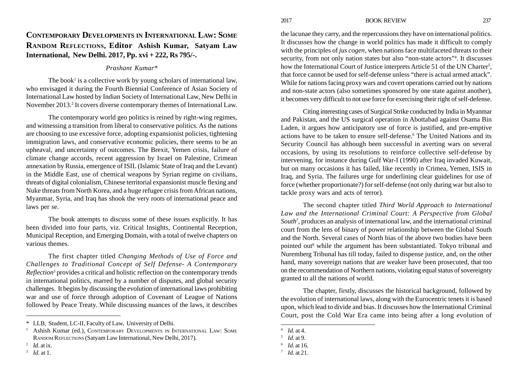# **CONTEMPORARY DEVELOPMENTS IN INTERNATIONAL LAW: SOME RANDOM REFLECTIONS, Editor Ashish Kumar, Satyam Law International, New Delhi. 2017, Pp. xvi + 222, Rs 795/-.**

## *Prashant Kumar\**

The book<sup>1</sup> is a collective work by young scholars of international law, who envisaged it during the Fourth Biennial Conference of Asian Society of International Law hosted by Indian Society of International Law, New Delhi in November 2013.<sup>2</sup> It covers diverse contemporary themes of International Law.

The contemporary world geo politics is reined by right-wing regimes, and witnessing a transition from liberal to conservative politics. As the nations are choosing to use excessive force, adopting expansionist policies, tightening immigration laws, and conservative economic policies, there seems to be an upheaval, and uncertainty of outcomes. The Brexit, Yemen crisis, failure of climate change accords, recent aggression by Israel on Palestine, Crimean annexation by Russia, emergence of ISIL (Islamic State of Iraq and the Levant) in the Middle East, use of chemical weapons by Syrian regime on civilians, threats of digital colonialism, Chinese territorial expansionist muscle flexing and Nuke threats from North Korea, and a huge refugee crisis from African nations, Myanmar, Syria, and Iraq has shook the very roots of international peace and laws per se.

The book attempts to discuss some of these issues explicitly. It has been divided into four parts, viz. Critical Insights, Continental Reception, Municipal Reception, and Emerging Domain, with a total of twelve chapters on various themes.

The first chapter titled *Changing Methods of Use of Force and Challenges to Traditional Concept of Self Defense- A Contemporary Reflection*3 provides a critical and holistic reflection on the contemporary trends in international politics, marred by a number of disputes, and global security challenges. It begins by discussing the evolution of international laws prohibiting war and use of force through adoption of Covenant of League of Nations followed by Peace Treaty. While discussing nuances of the laws, it describes

the lacunae they carry, and the repercussions they have on international politics. It discusses how the change in world politics has made it difficult to comply with the principles of *jus cogen*, when nations face multifaceted threats to their security, from not only nation states but also "non-state actors"4. It discusses how the International Court of Justice interprets Article 51 of the UN Charter<sup>5</sup>, that force cannot be used for self-defense unless "there is actual armed attack". While for nations facing proxy wars and covert operations carried out by nations and non-state actors (also sometimes sponsored by one state against another), it becomes very difficult to not use force for exercising their right of self-defense.

Citing interesting cases of Surgical Strike conducted by India in Myanmar and Pakistan, and the US surgical operation in Abottabad against Osama Bin Laden, it argues how anticipatory use of force is justified, and pre-emptive actions have to be taken to ensure self-defense.<sup>6</sup> The United Nations and its Security Council has although been successful in averting wars on several occasions, by using its resolutions to reinforce collective self-defense by intervening, for instance during Gulf War-I (1990) after Iraq invaded Kuwait, but on many occasions it has failed, like recently in Crimea, Yemen, ISIS in Iraq, and Syria. The failures urge for underlining clear guidelines for use of force (whether proportionate?) for self-defense (not only during war but also to tackle proxy wars and acts of terror).

The second chapter titled *Third World Approach to International Law and the International Criminal Court: A Perspective from Global South7*, produces an analysis of international law, and the international criminal court from the lens of binary of power relationship between the Global South and the North. Several cases of North bias of the above two bodies have been pointed out<sup>8</sup> while the argument has been substantiated. Tokyo tribunal and Nuremberg Tribunal has till today, failed to dispense justice, and, on the other hand, many sovereign nations that are weaker have been prosecuted, that too on the recommendation of Northern nations, violating equal status of sovereignty granted to all the nations of world.

The chapter, firstly, discusses the historical background, followed by the evolution of international laws, along with the Eurocentric tenets it is based upon, which lead to divide and bias. It discusses how the International Criminal Court, post the Cold War Era came into being after a long evolution of

<sup>\*</sup> LLB, Student, LC-II, Faculty of Law, University of Delhi.

<sup>1</sup> Ashish Kumar (ed.), CONTEMPORARY DEVELOPMENTS IN INTERNATIONAL LAW: SOME RANDOM REFLECTIONS (Satyam Law International, New Delhi, 2017).

<sup>2</sup> *Id*. at ix.

<sup>3</sup> *Id*. at 1.

<sup>4</sup> *Id*. at 4.

<sup>5</sup> *Id*. at 9.

<sup>6</sup> *Id*. at 16.

<sup>7</sup> *Id*. at 21.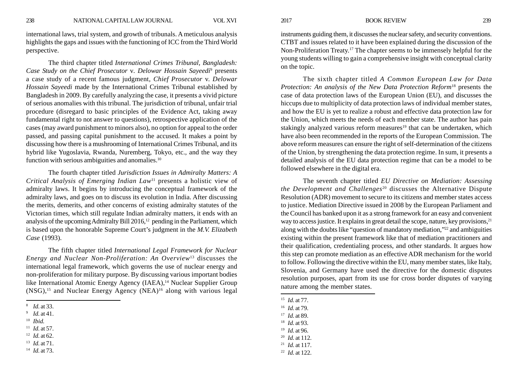international laws, trial system, and growth of tribunals. A meticulous analysis highlights the gaps and issues with the functioning of ICC from the Third World perspective.

The third chapter titled *International Crimes Tribunal, Bangladesh: Case Study on the Chief Prosecutor*  <sup>v</sup>*. Delowar Hossain Sayeedi*9 presents a case study of a recent famous judgment, *Chief Prosecutor* v. *Delowar Hossain Sayeedi* made by the International Crimes Tribunal established by Bangladesh in 2009. By carefully analyzing the case, it presents a vivid picture of serious anomalies with this tribunal. The jurisdiction of tribunal, unfair trial procedure (disregard to basic principles of the Evidence Act, taking away fundamental right to not answer to questions), retrospective application of the cases (may award punishment to minors also), no option for appeal to the order passed, and passing capital punishment to the accused. It makes a point by discussing how there is a mushrooming of International Crimes Tribunal, and its hybrid like Yugoslavia, Rwanda, Nuremberg, Tokyo, etc., and the way they function with serious ambiguities and anomalies.10

The fourth chapter titled *Jurisdiction Issues in Admiralty Matters: A Critical Analysis of Emerging Indian Law*11 presents a holistic view of admiralty laws. It begins by introducing the conceptual framework of the admiralty laws, and goes on to discuss its evolution in India. After discussing the merits, demerits, and other concerns of existing admiralty statutes of the Victorian times, which still regulate Indian admiralty matters, it ends with an analysis of the upcoming Admiralty Bill  $2016<sup>12</sup>$  pending in the Parliament, which is based upon the honorable Supreme Court's judgment in the *M.V. Elizabeth Case* (1993).

The fifth chapter titled *International Legal Framework for Nuclear Energy and Nuclear Non-Proliferation: An Overview*13 discusses the international legal framework, which governs the use of nuclear energy and non-proliferation for military purpose. By discussing various important bodies like International Atomic Energy Agency (IAEA),<sup>14</sup> Nuclear Supplier Group  $(NSG)$ ,<sup>15</sup> and Nuclear Energy Agency  $(NEA)$ <sup>16</sup> along with various legal

- <sup>11</sup> *Id*. at 57.
- <sup>12</sup> *Id*. at 62.
- <sup>13</sup> *Id*. at 71.
- <sup>14</sup> *Id*. at 73.

instruments guiding them, it discusses the nuclear safety, and security conventions. CTBT and issues related to it have been explained during the discussion of the Non-Proliferation Treaty.17 The chapter seems to be immensely helpful for the young students willing to gain a comprehensive insight with conceptual clarity on the topic.

The sixth chapter titled *A Common European Law for Data Protection: An analysis of the New Data Protection Reform*18 presents the case of data protection laws of the European Union (EU), and discusses the hiccups due to multiplicity of data protection laws of individual member states, and how the EU is yet to realize a robust and effective data protection law for the Union, which meets the needs of each member state. The author has pain stakingly analyzed various reform measures<sup>19</sup> that can be undertaken, which have also been recommended in the reports of the European Commission. The above reform measures can ensure the right of self-determination of the citizens of the Union, by strengthening the data protection regime. In sum, it presents a detailed analysis of the EU data protection regime that can be a model to be followed elsewhere in the digital era.

The seventh chapter titled *EU Directive on Mediation: Assessing the Development and Challenges*20 discusses the Alternative Dispute Resolution (ADR) movement to secure to its citizens and member states access to justice. Mediation Directive issued in 2008 by the European Parliament and the Council has banked upon it as a strong framework for an easy and convenient way to access justice. It explains in great detail the scope, nature, key provisions, <sup>21</sup> along with the doubts like "question of mandatory mediation,"<sup>22</sup> and ambiguities existing within the present framework like that of mediation practitioners and their qualification, credentialing process, and other standards. It argues how this step can promote mediation as an effective ADR mechanism for the world to follow. Following the directive within the EU, many member states, like Italy, Slovenia, and Germany have used the directive for the domestic disputes resolution purposes, apart from its use for cross border disputes of varying nature among the member states.

- <sup>15</sup> *Id*. at 77.
- <sup>16</sup> *Id*. at 79.
- <sup>17</sup> *Id*. at 89.
- <sup>18</sup> *Id*. at 93.
- <sup>19</sup> *Id*. at 96.
- <sup>20</sup> *Id*. at 112.
- <sup>21</sup> *Id*. at 117.
- <sup>22</sup> *Id*. at 122.

<sup>8</sup> *Id*. at 33.

<sup>9</sup> *Id*. at 41.

<sup>10</sup> *Ibid.*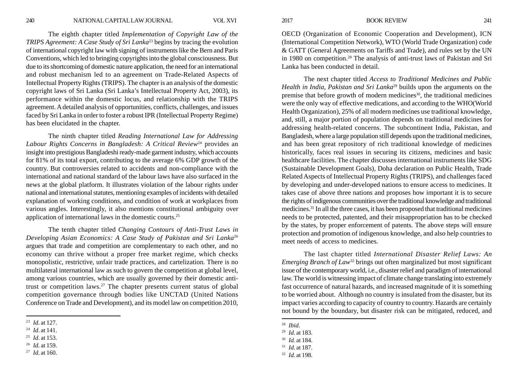The eighth chapter titled *Implementation of Copyright Law of the TRIPS Agreement: A Case Study of Sri Lanka*23 begins by tracing the evolution of international copyright law with signing of instruments like the Bern and Paris Conventions, which led to bringing copyrights into the global consciousness. But due to its shortcoming of domestic nature application, the need for an international and robust mechanism led to an agreement on Trade-Related Aspects of Intellectual Property Rights (TRIPS). The chapter is an analysis of the domestic copyright laws of Sri Lanka (Sri Lanka's Intellectual Property Act, 2003), its performance within the domestic locus, and relationship with the TRIPS agreement. A detailed analysis of opportunities, conflicts, challenges, and issues faced by Sri Lanka in order to foster a robust IPR (Intellectual Property Regime) has been elucidated in the chapter.

The ninth chapter titled *Reading International Law for Addressing Labour Rights Concerns in Bangladesh: A Critical Review*24 provides an insight into prestigious Bangladeshi ready-made garment industry, which accounts for 81% of its total export, contributing to the average 6% GDP growth of the country. But controversies related to accidents and non-compliance with the international and national standard of the labour laws have also surfaced in the news at the global platform. It illustrates violation of the labour rights under national and international statutes, mentioning examples of incidents with detailed explanation of working conditions, and condition of work at workplaces from various angles. Interestingly, it also mentions constitutional ambiguity over application of international laws in the domestic courts.25

The tenth chapter titled *Changing Contours of Anti-Trust Laws in Developing Asian Economics: A Case Study of Pakistan and Sri Lanka*<sup>26</sup> argues that trade and competition are complementary to each other, and no economy can thrive without a proper free market regime, which checks monopolistic, restrictive, unfair trade practices, and cartelization. There is no multilateral international law as such to govern the competition at global level, among various countries, which are usually governed by their domestic antitrust or competition laws.<sup>27</sup> The chapter presents current status of global competition governance through bodies like UNCTAD (United Nations Conference on Trade and Development), and its model law on competition 2010,

OECD (Organization of Economic Cooperation and Development), ICN (International Competition Network), WTO (World Trade Organization) code & GATT (General Agreements on Tariffs and Trade), and rules set by the UN in 1980 on competition.<sup>28</sup> The analysis of anti-trust laws of Pakistan and Sri Lanka has been conducted in detail.

The next chapter titled *Access to Traditional Medicines and Public Health in India, Pakistan and Sri Lanka*<sup>29</sup> builds upon the arguments on the premise that before growth of modern medicines<sup>30</sup>, the traditional medicines were the only way of effective medications, and according to the WHO(World Health Organization), 25% of all modern medicines use traditional knowledge, and, still, a major portion of population depends on traditional medicines for addressing health-related concerns. The subcontinent India, Pakistan, and Bangladesh, where a large population still depends upon the traditional medicines, and has been great repository of rich traditional knowledge of medicines historically, faces real issues in securing its citizens, medicines and basic healthcare facilities. The chapter discusses international instruments like SDG (Sustainable Development Goals), Doha declaration on Public Health, Trade Related Aspects of Intellectual Property Rights (TRIPS), and challenges faced by developing and under-developed nations to ensure access to medicines. It takes case of above three nations and proposes how important it is to secure the rights of indigenous communities over the traditional knowledge and traditional medicines.31 In all the three cases, it has been proposed that traditional medicines needs to be protected, patented, and their misappropriation has to be checked by the states, by proper enforcement of patents. The above steps will ensure protection and promotion of indigenous knowledge, and also help countries to meet needs of access to medicines.

The last chapter titled *International Disaster Relief Laws: An Emerging Branch of Law*32 brings out often marginalized but most significant issue of the contemporary world, i.e., disaster relief and paradigm of international law. The world is witnessing impact of climate change translating into extremely fast occurrence of natural hazards, and increased magnitude of it is something to be worried about. Although no country is insulated from the disaster, but its impact varies according to capacity of country to country. Hazards are certainly not bound by the boundary, but disaster risk can be mitigated, reduced, and

<sup>23</sup> *Id*. at 127.

<sup>24</sup> *Id*. at 141.

<sup>25</sup> *Id*. at 153.

<sup>26</sup> *Id*. at 159.

<sup>27</sup> *Id*. at 160.

<sup>28</sup> *Ibid.*

<sup>29</sup> *Id*. at 183.

<sup>30</sup> *Id*. at 184.

<sup>31</sup> *Id*. at 187.

<sup>32</sup> *Id*. at 198.